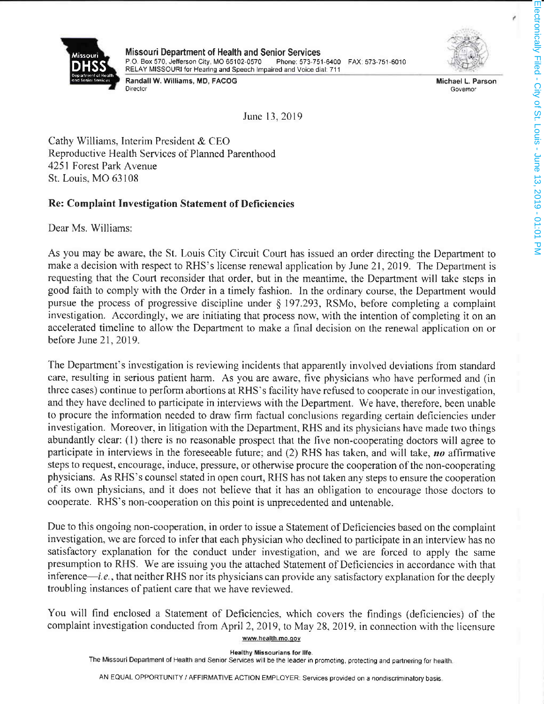



Missouri Department of Health and Senior Services PO Box 570, Jefferson City, MO 65102-0570 RELAY MISSOURI for Hearing and Speech Impaired and Voice dial: 711

Randall W. Williams, MD, FACOG **Director** 



June I3,2019

Cathy Williams, Interim President & CEO Reproductive Health Services of Planned Parenthood 425 I Forest Park Avenue St. Louis. MO 63108

## Re: Complaint Investigation Statement of Deficiencies

Dear Ms. Williams

As you may be aware, the St. Louis City Circuit Court has issued an order directing the Department to make a decision with respect to RHS's license renewal application by June 21, 2019. The Department is requesting that the Court reconsider that order. but in the meantime. the Department will take stcps in good faith to comply with the Order in a timely fashion. In the ordinary course, the Department would pursue the process of progressive discipline under § 197.293, RSMo, before completing a complaint investigation. Accordingly, we are initiating that process now, with the intention of completing it on an accelerated timeline to allow the Department to make a final decision on the renewal application on or before June 21,2019.

The Department's investigation is reviewing incidents that apparently involved deviations from standard care, resulting in serious patient harm. As you are aware, five physicians who have performed and (in three cases) continue to perform abortions at RHS's facility have refused to cooperate in our investigation, and they have declined to participate in interviews with the Department. We have, therefore, been unable to procure the information needed to draw firm factual conclusions regarding certain deficiencies under investigation. Moreover, in litigation with the Department, RHS and its physicians have made two things abundantly clear: (1) there is no reasonable prospect that the five non-cooperating doctors will agree to participate in interviews in the foreseeable future; and  $(2)$  RHS has taken, and will take, *no* affirmative steps to request, encourage, induce, pressure, or otherw'ise procure the cooperation of the non-cooperating physicians. As RHS's counsel stated in open court, RHS has not taken any steps to ensure the cooperation of its own physicians, and it does not believe that it has an obligation to encourage those doctors to cooperate. RHS's non-cooperation on this point is unprecedented and untenable.

Due to this ongoing non-cooperation, in order to issue a Statement of Deficiencies based on the complaint investigation, we are forced to infer that each physician who declined to participate in an interview has no satisfactory explanation for the conduct under investigation, and we are forced to apply the same presumption to RHS. We are issuing you the attached Statement of Deflciencies in accordance with that inference—i.  $e$ ., that neither RHS nor its physicians can provide any satisfactory explanation for the deeply troubling instances of patient care that we have reviewed.

You will find enclosed a Statement of Deficiencies, which covers the findings (deficiencies) of the complaint investigation conducted from April 2,2019, to May 28.2019. in connection with the licensure

www.health.mo.gov

realthy Missourians for life.<br>The Missouri Department of Health and Senior Services will be the leader in promoting, protecting and partnering for health.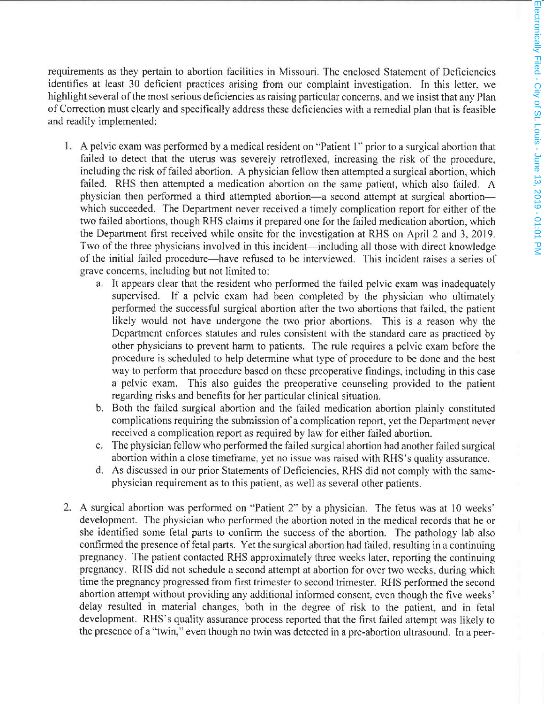requirements as they pertain to abortion facilities in Missouri. The enclosed Statement of Deficiencies identifies at least 30 deficient practices arising from our complaint investigation. In this letter, we highlight several of the most serious deficiencies as raising particular concerns, and we insist that any Plan of Correction must clearly and specifically address these deficiencies with a remedial plan that is feasible and readily implemented:

- A pelvic exam was perfbrmed by a medical resident on "Patient 1" prior to a surgical abortion that failed to detect that the uterus was severely retroflexed. increasing the risk of the proccdure, including the risk of failed abortion. A physician fellow then attempted a surgical abortion, which failed. RHS then attempted a medication abortion on the same patient, which also failed. A physician then performed a third attempted abortion—a second attempt at surgical abortion which succeeded. The Department never received a timely complication report for either of the two tailed abortions, though RHS claims it prepared one for the failed medication abortion, which the Department first received while onsite for the investigation at RHS on April 2 and 3, 2019. Two of the three physicians involved in this incident—including all those with direct knowledge of the initial failed procedure—have refused to be interviewed. This incident raises a series of grave concerns, including but not limited to:
	- a. It appears clear that the resident who performed the failed pelvic exam was inadequately supervised. If a pelvic exam had been completed by the physician who ultimately performed the successful surgical abortion after the two abortions that failed. the patient likely would not have undergone the two prior abortions. This is a reason why the Department enforces statutes and rules consistent with the standard care as practiced by other physicians to prevent harm to patients. The rule requires a pelvic exam before the procedure is scheduled to help determine what type of procedure to be done and the best way to perform that procedure based on these preoperative findings, including in this case a pelvic exam. This also guides the preoperative counseling provided to the patient regarding risks and benefits for her particular clinical situation.
	- b. Both the failed surgical abortion and the failed medication abortion plainly constituted complications requiring the submission of a complication report. yet the Department never received a complication report as required by law for either failed abortion.
	- c. The physician fellow who performed the failed surgical abortion had another failed surgical abortion within a close timefiame. yet no issue was raised with RHS's quality assurance.
	- d. As discussed in our prior Statements of Deficiencies, RHS did not comply with the samephysician requirement as to this patient. as well as several other patients.
- 2. A surgical abortion was performed on "Patient 2" by a physician. The fetus was at 10 weeks' development. The physician who performed the abortion noted in the medical records that he or she identified some fetal parts to contirm the success of the abortion. The pathology lab also confirmed the presence of fetal parts. Yet the surgical abortion had failed, resulting in a continuing pregnancy. The patient contacted RHS approximately three weeks later, reporting the continuing pregnancy. RHS did not schedule a second attempt at abortion for over two weeks, during which time the pregnancy progressed from first trimester to second trimester. RHS performed the second abortion attempt without providing any additional informed consent. even though the five weeks' delay resulted in material changes, both in the degree of risk to the patient, and in fetal development. RHS's quality assurance process reported that the first failed attempt was likely to the presence of a "twin," even though no twin was detected in a pre-abortion ultrasound. In a peer-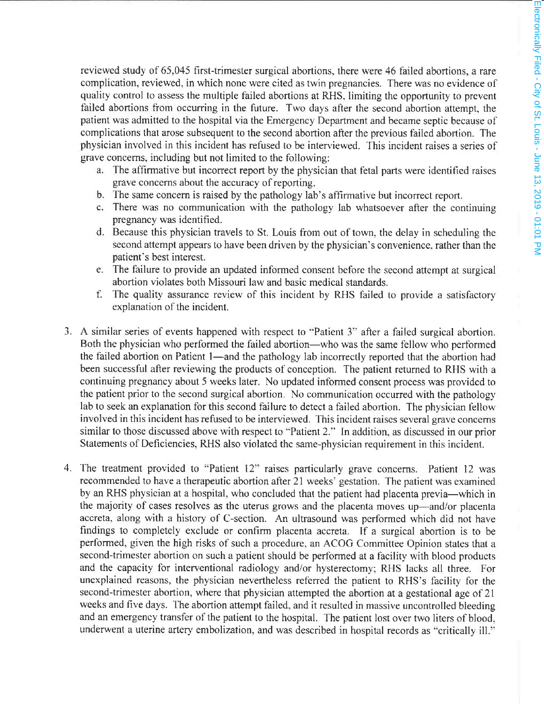reviewed study of 65,045 first-trimester surgical abortions, there were 46 failed abortions, a rare complication, reviewed, in which none were cited as twin pregnancies. There was no evidence of quality control to assess the multiple failed abortions at RHS, limiting the opportunity to prevent failed abortions from occurring in the future. Two days after the second abortion attempt, the patient was admitted to the hospital via the Emergency Department and became septic because of complications that arose subsequent to the second abortion after the previous failed abortion. The physician involved in this incident has refused to be interviewed. This incident raises a series of grave concerns, including but not limited to the following:

- a. The affirmative but incorrect report by the physician that fetal parts were identified raises grave concerns about the accuracy of reporting.
- b. The same concern is raised by the pathology lab's affirmative but incorrect report.
- c. There was no communication with the pathology lab whatsoever after the continuing pregnancy was identified.
- d. Because this physician travels to St. Louis fiom out of town, the delay in scheduling the second attempt appears to have been driven by the physician's convenience. rather than the patient's best interest.
- e. The failure to provide an updated infbrmed consent before the second attempt at surgical abortion violates both Missouri law and basic medical standards.
- t. The quality assurance review of this incident by RHS lailed to provide a satisfactory explanation of the incident.
- 3. A similar series of events happened with respect to "Patient 3" after a failed surgical abortion. Both the physician who performed the failed abortion—who was the same fellow who performed the failed abortion on Patient 1—and the pathology lab incorrectly reported that the abortion had been successful after reviewing the products of conception. The patient returned to RHS with a continuing pregnancy about 5 weeks later. No updated intbrmed consent process was provided to the patient prior to the second surgical abortion. No communication occurred with the pathology lab to seek an explanation for this second failure to detect a failed abortion. The physician fellow involved in this incident has refused to be interviewed. This incident raises several grave concerns similar to those discussed above with respect to "Patient 2." In addition, as discussed in our prior Statements of Deficiencies, RHS also violated the same-physician requirement in this incident.
- 4. The treatment provided to "Patient 12" raises particularly grave concerns. Patient 12 was recommended to have a therapeutic abortion after 21 weeks' gestation. The patient was examined by an RHS physician at a hospital, who concluded that the patient had placenta previa-which in the majority of cases resolves as the uterus grows and the placenta moves up-and/or placenta accreta, along with a history of C-section. An ultrasound was performed which did not have findings to completely exclude or confirm placenta accreta. If a surgical abortion is to be performed, given the high risks of such a procedure. an ACOG Committee Opinion states that a second-trimester abortion on such a patient should be performed at a facility with blood products and the capacity fbr interventional radiology and/or hysterectomy; RHS lacks all three. For unexplained reasons, the physician nevertheless referred the patient to RHS's facility for the second-trimester abortion, where that physician attempted the abortion at a gestational age of 21 weeks and five days. The abortion attempt failed, and it resulted in massive uncontrolled bleeding and an emergency transfer of the patient to the hospital. The patient lost over two liters of blood, underwent a uterine artery embolization, and was described in hospital records as "critically ill."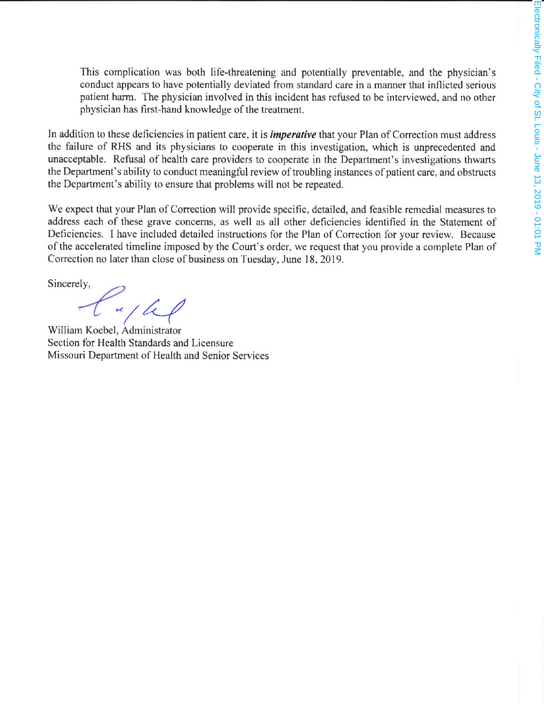This complication was both life-threatening and potentially preventable, and the physician's conduct appears to have potentially deviated from standard care in a manner that inflicted serious patient harm. 'fhe physician involved in this incident has refused to be interviewed. and no other physician has first-hand knowledge of the treatment.

In addition to these deficiencies in patient care, it is *imperative* that your Plan of Correction must address the failure of RHS and its physicians to cooperate in this investigation, which is unprecedented and unacceptable. Refusal of health care providers to cooperate in the Department's investigations thwarts the Department's ability to conduct meaningful review of troubling instances of patient care, and obstructs the Department's ability to ensure that problems will not be repeated.

We expect that your Plan of Correction will provide specific, detailed, and feasible remedial measures to address each of these grave concerns, as well as all other deficiencies identified in the Statement of Deticiencies. I have included detailed instructions for the Plan of Correction for your review. Because of the accelerated timeline imposed by the Court's order, we request that you provide a complete Plan of Correction no later than close of business on Tuesday, June 18, 2019.

Sincerely,

n )<br>Administrator

William Koebel, Administrator Section for Health Standards and Licensure Missouri Department of Health and Senior Services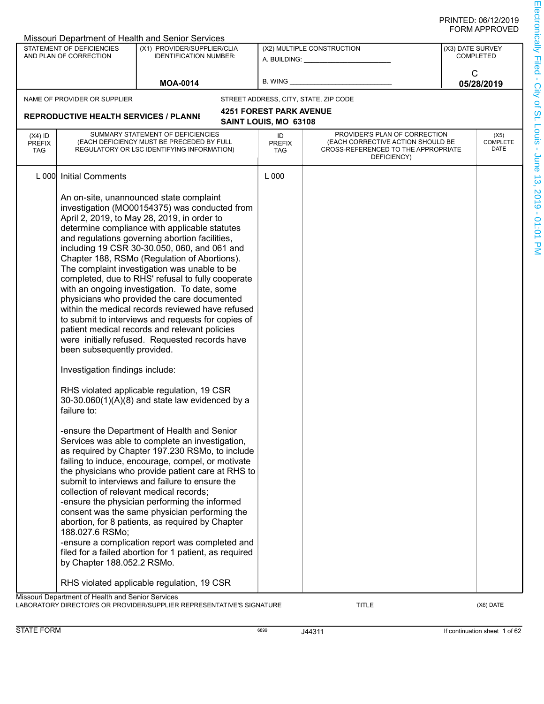|                                   |                                                                                                                                                                           | Missouri Department of Health and Senior Services                                                                                                                                                                                                                                                                                                                                                                                                                                                                                                                                                                                                                                                                                                                                                                                                                                                                                                                                                                                                                                                                                                                                                                                                                                                                                                                                                                                                  |                                   |                                                                                                                          |                  |                          |
|-----------------------------------|---------------------------------------------------------------------------------------------------------------------------------------------------------------------------|----------------------------------------------------------------------------------------------------------------------------------------------------------------------------------------------------------------------------------------------------------------------------------------------------------------------------------------------------------------------------------------------------------------------------------------------------------------------------------------------------------------------------------------------------------------------------------------------------------------------------------------------------------------------------------------------------------------------------------------------------------------------------------------------------------------------------------------------------------------------------------------------------------------------------------------------------------------------------------------------------------------------------------------------------------------------------------------------------------------------------------------------------------------------------------------------------------------------------------------------------------------------------------------------------------------------------------------------------------------------------------------------------------------------------------------------------|-----------------------------------|--------------------------------------------------------------------------------------------------------------------------|------------------|--------------------------|
|                                   | <b>STATEMENT OF DEFICIENCIES</b><br>AND PLAN OF CORRECTION                                                                                                                | (X1) PROVIDER/SUPPLIER/CLIA<br><b>IDENTIFICATION NUMBER:</b>                                                                                                                                                                                                                                                                                                                                                                                                                                                                                                                                                                                                                                                                                                                                                                                                                                                                                                                                                                                                                                                                                                                                                                                                                                                                                                                                                                                       |                                   | (X2) MULTIPLE CONSTRUCTION                                                                                               | (X3) DATE SURVEY | <b>COMPLETED</b>         |
|                                   |                                                                                                                                                                           | <b>MOA-0014</b>                                                                                                                                                                                                                                                                                                                                                                                                                                                                                                                                                                                                                                                                                                                                                                                                                                                                                                                                                                                                                                                                                                                                                                                                                                                                                                                                                                                                                                    | <b>B. WING</b>                    |                                                                                                                          |                  | C<br>05/28/2019          |
|                                   | NAME OF PROVIDER OR SUPPLIER                                                                                                                                              |                                                                                                                                                                                                                                                                                                                                                                                                                                                                                                                                                                                                                                                                                                                                                                                                                                                                                                                                                                                                                                                                                                                                                                                                                                                                                                                                                                                                                                                    |                                   | STREET ADDRESS, CITY, STATE, ZIP CODE                                                                                    |                  |                          |
|                                   |                                                                                                                                                                           |                                                                                                                                                                                                                                                                                                                                                                                                                                                                                                                                                                                                                                                                                                                                                                                                                                                                                                                                                                                                                                                                                                                                                                                                                                                                                                                                                                                                                                                    | <b>4251 FOREST PARK AVENUE</b>    |                                                                                                                          |                  |                          |
|                                   | <b>REPRODUCTIVE HEALTH SERVICES / PLANNI</b>                                                                                                                              |                                                                                                                                                                                                                                                                                                                                                                                                                                                                                                                                                                                                                                                                                                                                                                                                                                                                                                                                                                                                                                                                                                                                                                                                                                                                                                                                                                                                                                                    | SAINT LOUIS, MO 63108             |                                                                                                                          |                  |                          |
| $(X4)$ ID<br><b>PREFIX</b><br>TAG |                                                                                                                                                                           | SUMMARY STATEMENT OF DEFICIENCIES<br>(EACH DEFICIENCY MUST BE PRECEDED BY FULL<br>REGULATORY OR LSC IDENTIFYING INFORMATION)                                                                                                                                                                                                                                                                                                                                                                                                                                                                                                                                                                                                                                                                                                                                                                                                                                                                                                                                                                                                                                                                                                                                                                                                                                                                                                                       | ID<br><b>PREFIX</b><br><b>TAG</b> | PROVIDER'S PLAN OF CORRECTION<br>(EACH CORRECTIVE ACTION SHOULD BE<br>CROSS-REFERENCED TO THE APPROPRIATE<br>DEFICIENCY) |                  | (X5)<br>COMPLETE<br>DATE |
| L 000                             | <b>Initial Comments</b>                                                                                                                                                   |                                                                                                                                                                                                                                                                                                                                                                                                                                                                                                                                                                                                                                                                                                                                                                                                                                                                                                                                                                                                                                                                                                                                                                                                                                                                                                                                                                                                                                                    | L 000                             |                                                                                                                          |                  |                          |
|                                   | been subsequently provided.<br>Investigation findings include:<br>failure to:<br>collection of relevant medical records;<br>188.027.6 RSMo;<br>by Chapter 188.052.2 RSMo. | An on-site, unannounced state complaint<br>investigation (MO00154375) was conducted from<br>April 2, 2019, to May 28, 2019, in order to<br>determine compliance with applicable statutes<br>and regulations governing abortion facilities,<br>including 19 CSR 30-30.050, 060, and 061 and<br>Chapter 188, RSMo (Regulation of Abortions).<br>The complaint investigation was unable to be<br>completed, due to RHS' refusal to fully cooperate<br>with an ongoing investigation. To date, some<br>physicians who provided the care documented<br>within the medical records reviewed have refused<br>to submit to interviews and requests for copies of<br>patient medical records and relevant policies<br>were initially refused. Requested records have<br>RHS violated applicable regulation, 19 CSR<br>$30-30.060(1)(A)(8)$ and state law evidenced by a<br>-ensure the Department of Health and Senior<br>Services was able to complete an investigation,<br>as required by Chapter 197.230 RSMo, to include<br>failing to induce, encourage, compel, or motivate<br>the physicians who provide patient care at RHS to<br>submit to interviews and failure to ensure the<br>-ensure the physician performing the informed<br>consent was the same physician performing the<br>abortion, for 8 patients, as required by Chapter<br>-ensure a complication report was completed and<br>filed for a failed abortion for 1 patient, as required |                                   |                                                                                                                          |                  |                          |
|                                   |                                                                                                                                                                           | RHS violated applicable regulation, 19 CSR                                                                                                                                                                                                                                                                                                                                                                                                                                                                                                                                                                                                                                                                                                                                                                                                                                                                                                                                                                                                                                                                                                                                                                                                                                                                                                                                                                                                         |                                   |                                                                                                                          |                  |                          |
|                                   | Missouri Department of Health and Senior Services                                                                                                                         | LABORATORY DIRECTOR'S OR PROVIDER/SUPPLIER REPRESENTATIVE'S SIGNATURE                                                                                                                                                                                                                                                                                                                                                                                                                                                                                                                                                                                                                                                                                                                                                                                                                                                                                                                                                                                                                                                                                                                                                                                                                                                                                                                                                                              |                                   | TITLE                                                                                                                    |                  | (X6) DATE                |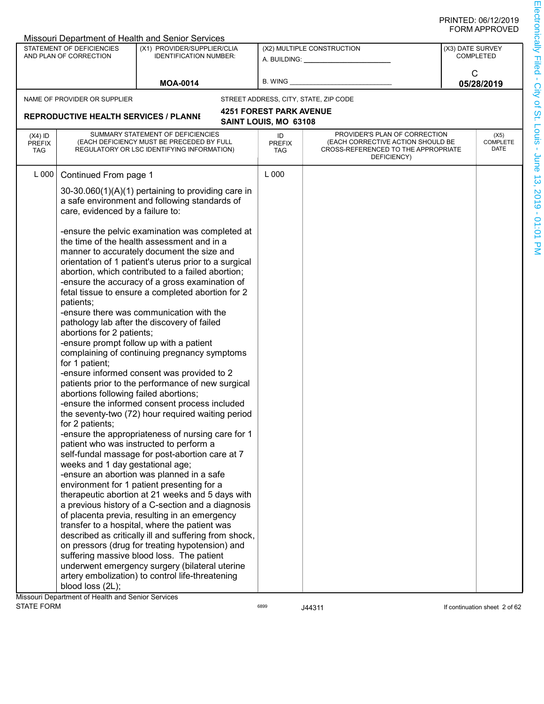|                                          |                                                                                                                                                          | Missouri Department of Health and Senior Services                                                                                                                                                                                                                                                                                                                                                                                                                                                                                                                                                                                                                                                                                                                                                                                                                                                                  |                                                         |                                                                                                                          |                  |                                 |
|------------------------------------------|----------------------------------------------------------------------------------------------------------------------------------------------------------|--------------------------------------------------------------------------------------------------------------------------------------------------------------------------------------------------------------------------------------------------------------------------------------------------------------------------------------------------------------------------------------------------------------------------------------------------------------------------------------------------------------------------------------------------------------------------------------------------------------------------------------------------------------------------------------------------------------------------------------------------------------------------------------------------------------------------------------------------------------------------------------------------------------------|---------------------------------------------------------|--------------------------------------------------------------------------------------------------------------------------|------------------|---------------------------------|
|                                          | STATEMENT OF DEFICIENCIES<br>AND PLAN OF CORRECTION                                                                                                      | (X1) PROVIDER/SUPPLIER/CLIA<br><b>IDENTIFICATION NUMBER:</b>                                                                                                                                                                                                                                                                                                                                                                                                                                                                                                                                                                                                                                                                                                                                                                                                                                                       | A. BUILDING: ___                                        | (X2) MULTIPLE CONSTRUCTION                                                                                               | (X3) DATE SURVEY | <b>COMPLETED</b>                |
|                                          |                                                                                                                                                          | <b>MOA-0014</b>                                                                                                                                                                                                                                                                                                                                                                                                                                                                                                                                                                                                                                                                                                                                                                                                                                                                                                    | <b>B. WING</b>                                          |                                                                                                                          | C                | 05/28/2019                      |
|                                          | NAME OF PROVIDER OR SUPPLIER                                                                                                                             |                                                                                                                                                                                                                                                                                                                                                                                                                                                                                                                                                                                                                                                                                                                                                                                                                                                                                                                    |                                                         | STREET ADDRESS, CITY, STATE, ZIP CODE                                                                                    |                  |                                 |
|                                          | <b>REPRODUCTIVE HEALTH SERVICES / PLANNI</b>                                                                                                             |                                                                                                                                                                                                                                                                                                                                                                                                                                                                                                                                                                                                                                                                                                                                                                                                                                                                                                                    | <b>4251 FOREST PARK AVENUE</b><br>SAINT LOUIS, MO 63108 |                                                                                                                          |                  |                                 |
| $(X4)$ ID<br><b>PREFIX</b><br><b>TAG</b> |                                                                                                                                                          | SUMMARY STATEMENT OF DEFICIENCIES<br>(EACH DEFICIENCY MUST BE PRECEDED BY FULL<br>REGULATORY OR LSC IDENTIFYING INFORMATION)                                                                                                                                                                                                                                                                                                                                                                                                                                                                                                                                                                                                                                                                                                                                                                                       | ID<br><b>PREFIX</b><br><b>TAG</b>                       | PROVIDER'S PLAN OF CORRECTION<br>(EACH CORRECTIVE ACTION SHOULD BE<br>CROSS-REFERENCED TO THE APPROPRIATE<br>DEFICIENCY) |                  | (X5)<br><b>COMPLETE</b><br>DATE |
| L 000                                    | Continued From page 1                                                                                                                                    |                                                                                                                                                                                                                                                                                                                                                                                                                                                                                                                                                                                                                                                                                                                                                                                                                                                                                                                    | L 000                                                   |                                                                                                                          |                  |                                 |
|                                          | care, evidenced by a failure to:                                                                                                                         | $30-30.060(1)(A)(1)$ pertaining to providing care in<br>a safe environment and following standards of                                                                                                                                                                                                                                                                                                                                                                                                                                                                                                                                                                                                                                                                                                                                                                                                              |                                                         |                                                                                                                          |                  |                                 |
|                                          | patients;<br>abortions for 2 patients;<br>for 1 patient;<br>abortions following failed abortions;<br>for 2 patients;<br>weeks and 1 day gestational age; | -ensure the pelvic examination was completed at<br>the time of the health assessment and in a<br>manner to accurately document the size and<br>orientation of 1 patient's uterus prior to a surgical<br>abortion, which contributed to a failed abortion;<br>-ensure the accuracy of a gross examination of<br>fetal tissue to ensure a completed abortion for 2<br>-ensure there was communication with the<br>pathology lab after the discovery of failed<br>-ensure prompt follow up with a patient<br>complaining of continuing pregnancy symptoms<br>-ensure informed consent was provided to 2<br>patients prior to the performance of new surgical<br>-ensure the informed consent process included<br>the seventy-two (72) hour required waiting period<br>-ensure the appropriateness of nursing care for 1<br>patient who was instructed to perform a<br>self-fundal massage for post-abortion care at 7 |                                                         |                                                                                                                          |                  |                                 |
|                                          | blood loss (2L);<br>Missouri Denartment of Health and Senior Services                                                                                    | -ensure an abortion was planned in a safe<br>environment for 1 patient presenting for a<br>therapeutic abortion at 21 weeks and 5 days with<br>a previous history of a C-section and a diagnosis<br>of placenta previa, resulting in an emergency<br>transfer to a hospital, where the patient was<br>described as critically ill and suffering from shock,<br>on pressors (drug for treating hypotension) and<br>suffering massive blood loss. The patient<br>underwent emergency surgery (bilateral uterine<br>artery embolization) to control life-threatening                                                                                                                                                                                                                                                                                                                                                  |                                                         |                                                                                                                          |                  |                                 |

Missouri Department of Health and Senior Services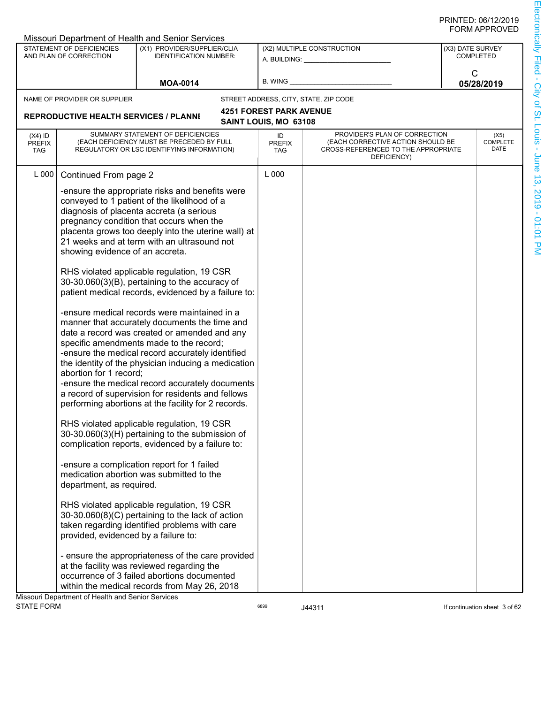|                                          |                                                                                                                                                        | <b>Missouri Department of Health and Senior Services</b>                                                                                                                                                                                                                                                                                                                                                                                                                                                                                                                                                                                                                                                                                                                                                                                                                                                                                                                                                                                                                                                                                                                                                                                                                                                                                                                                                                                                                       |                                   |                                                                                                                          |                  |                               |
|------------------------------------------|--------------------------------------------------------------------------------------------------------------------------------------------------------|--------------------------------------------------------------------------------------------------------------------------------------------------------------------------------------------------------------------------------------------------------------------------------------------------------------------------------------------------------------------------------------------------------------------------------------------------------------------------------------------------------------------------------------------------------------------------------------------------------------------------------------------------------------------------------------------------------------------------------------------------------------------------------------------------------------------------------------------------------------------------------------------------------------------------------------------------------------------------------------------------------------------------------------------------------------------------------------------------------------------------------------------------------------------------------------------------------------------------------------------------------------------------------------------------------------------------------------------------------------------------------------------------------------------------------------------------------------------------------|-----------------------------------|--------------------------------------------------------------------------------------------------------------------------|------------------|-------------------------------|
|                                          | STATEMENT OF DEFICIENCIES<br>AND PLAN OF CORRECTION                                                                                                    | (X1) PROVIDER/SUPPLIER/CLIA<br><b>IDENTIFICATION NUMBER:</b>                                                                                                                                                                                                                                                                                                                                                                                                                                                                                                                                                                                                                                                                                                                                                                                                                                                                                                                                                                                                                                                                                                                                                                                                                                                                                                                                                                                                                   |                                   | (X2) MULTIPLE CONSTRUCTION<br>A. BUILDING:                                                                               | (X3) DATE SURVEY | <b>COMPLETED</b>              |
|                                          |                                                                                                                                                        | <b>MOA-0014</b>                                                                                                                                                                                                                                                                                                                                                                                                                                                                                                                                                                                                                                                                                                                                                                                                                                                                                                                                                                                                                                                                                                                                                                                                                                                                                                                                                                                                                                                                | <b>B. WING</b>                    |                                                                                                                          |                  | C<br>05/28/2019               |
|                                          | NAME OF PROVIDER OR SUPPLIER                                                                                                                           |                                                                                                                                                                                                                                                                                                                                                                                                                                                                                                                                                                                                                                                                                                                                                                                                                                                                                                                                                                                                                                                                                                                                                                                                                                                                                                                                                                                                                                                                                |                                   | STREET ADDRESS, CITY, STATE, ZIP CODE                                                                                    |                  |                               |
|                                          |                                                                                                                                                        |                                                                                                                                                                                                                                                                                                                                                                                                                                                                                                                                                                                                                                                                                                                                                                                                                                                                                                                                                                                                                                                                                                                                                                                                                                                                                                                                                                                                                                                                                | <b>4251 FOREST PARK AVENUE</b>    |                                                                                                                          |                  |                               |
|                                          | <b>REPRODUCTIVE HEALTH SERVICES / PLANNI</b>                                                                                                           |                                                                                                                                                                                                                                                                                                                                                                                                                                                                                                                                                                                                                                                                                                                                                                                                                                                                                                                                                                                                                                                                                                                                                                                                                                                                                                                                                                                                                                                                                | SAINT LOUIS, MO 63108             |                                                                                                                          |                  |                               |
| $(X4)$ ID<br><b>PREFIX</b><br><b>TAG</b> |                                                                                                                                                        | SUMMARY STATEMENT OF DEFICIENCIES<br>(EACH DEFICIENCY MUST BE PRECEDED BY FULL<br>REGULATORY OR LSC IDENTIFYING INFORMATION)                                                                                                                                                                                                                                                                                                                                                                                                                                                                                                                                                                                                                                                                                                                                                                                                                                                                                                                                                                                                                                                                                                                                                                                                                                                                                                                                                   | ID<br><b>PREFIX</b><br><b>TAG</b> | PROVIDER'S PLAN OF CORRECTION<br>(EACH CORRECTIVE ACTION SHOULD BE<br>CROSS-REFERENCED TO THE APPROPRIATE<br>DEFICIENCY) |                  | (X5)<br>COMPLETE<br>DATE      |
| L 000                                    | Continued From page 2<br>showing evidence of an accreta.<br>abortion for 1 record;<br>department, as required.<br>provided, evidenced by a failure to: | -ensure the appropriate risks and benefits were<br>conveyed to 1 patient of the likelihood of a<br>diagnosis of placenta accreta (a serious<br>pregnancy condition that occurs when the<br>placenta grows too deeply into the uterine wall) at<br>21 weeks and at term with an ultrasound not<br>RHS violated applicable regulation, 19 CSR<br>30-30.060(3)(B), pertaining to the accuracy of<br>patient medical records, evidenced by a failure to:<br>-ensure medical records were maintained in a<br>manner that accurately documents the time and<br>date a record was created or amended and any<br>specific amendments made to the record;<br>-ensure the medical record accurately identified<br>the identity of the physician inducing a medication<br>-ensure the medical record accurately documents<br>a record of supervision for residents and fellows<br>performing abortions at the facility for 2 records.<br>RHS violated applicable regulation, 19 CSR<br>30-30.060(3)(H) pertaining to the submission of<br>complication reports, evidenced by a failure to:<br>-ensure a complication report for 1 failed<br>medication abortion was submitted to the<br>RHS violated applicable regulation, 19 CSR<br>30-30.060(8)(C) pertaining to the lack of action<br>taken regarding identified problems with care<br>- ensure the appropriateness of the care provided<br>at the facility was reviewed regarding the<br>occurrence of 3 failed abortions documented | L 000                             |                                                                                                                          |                  |                               |
|                                          | Missouri Department of Health and Senior Services                                                                                                      | within the medical records from May 26, 2018                                                                                                                                                                                                                                                                                                                                                                                                                                                                                                                                                                                                                                                                                                                                                                                                                                                                                                                                                                                                                                                                                                                                                                                                                                                                                                                                                                                                                                   |                                   |                                                                                                                          |                  |                               |
| <b>STATE FORM</b>                        |                                                                                                                                                        |                                                                                                                                                                                                                                                                                                                                                                                                                                                                                                                                                                                                                                                                                                                                                                                                                                                                                                                                                                                                                                                                                                                                                                                                                                                                                                                                                                                                                                                                                | 6899                              | J44311                                                                                                                   |                  | If continuation sheet 3 of 62 |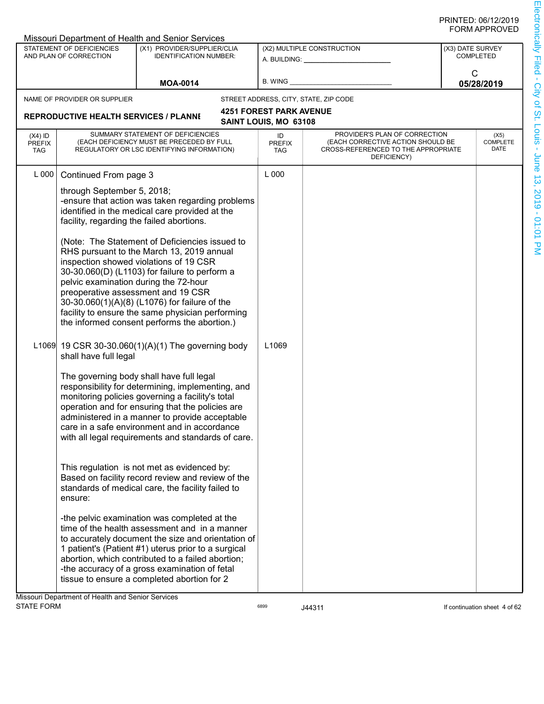|                                          |                                                                             | Missouri Department of Health and Senior Services                                                                                                                                                                                                                                                                                                               |                                   |                                                                                                                          |                  |                                 |
|------------------------------------------|-----------------------------------------------------------------------------|-----------------------------------------------------------------------------------------------------------------------------------------------------------------------------------------------------------------------------------------------------------------------------------------------------------------------------------------------------------------|-----------------------------------|--------------------------------------------------------------------------------------------------------------------------|------------------|---------------------------------|
|                                          | STATEMENT OF DEFICIENCIES<br>AND PLAN OF CORRECTION                         | (X1) PROVIDER/SUPPLIER/CLIA<br><b>IDENTIFICATION NUMBER:</b>                                                                                                                                                                                                                                                                                                    |                                   | (X2) MULTIPLE CONSTRUCTION                                                                                               | (X3) DATE SURVEY | <b>COMPLETED</b>                |
|                                          |                                                                             | <b>MOA-0014</b>                                                                                                                                                                                                                                                                                                                                                 | B. WING                           |                                                                                                                          | С                | 05/28/2019                      |
|                                          | NAME OF PROVIDER OR SUPPLIER                                                |                                                                                                                                                                                                                                                                                                                                                                 |                                   | STREET ADDRESS, CITY, STATE, ZIP CODE                                                                                    |                  |                                 |
|                                          |                                                                             |                                                                                                                                                                                                                                                                                                                                                                 | <b>4251 FOREST PARK AVENUE</b>    |                                                                                                                          |                  |                                 |
|                                          | <b>REPRODUCTIVE HEALTH SERVICES / PLANNI</b>                                |                                                                                                                                                                                                                                                                                                                                                                 | SAINT LOUIS, MO 63108             |                                                                                                                          |                  |                                 |
| $(X4)$ ID<br><b>PREFIX</b><br><b>TAG</b> |                                                                             | SUMMARY STATEMENT OF DEFICIENCIES<br>(EACH DEFICIENCY MUST BE PRECEDED BY FULL<br>REGULATORY OR LSC IDENTIFYING INFORMATION)                                                                                                                                                                                                                                    | ID<br><b>PREFIX</b><br><b>TAG</b> | PROVIDER'S PLAN OF CORRECTION<br>(EACH CORRECTIVE ACTION SHOULD BE<br>CROSS-REFERENCED TO THE APPROPRIATE<br>DEFICIENCY) |                  | (X5)<br><b>COMPLETE</b><br>DATE |
| L 000                                    | Continued From page 3                                                       |                                                                                                                                                                                                                                                                                                                                                                 | L 000                             |                                                                                                                          |                  |                                 |
|                                          | through September 5, 2018;<br>facility, regarding the failed abortions.     | -ensure that action was taken regarding problems<br>identified in the medical care provided at the                                                                                                                                                                                                                                                              |                                   |                                                                                                                          |                  |                                 |
|                                          | pelvic examination during the 72-hour<br>preoperative assessment and 19 CSR | (Note: The Statement of Deficiencies issued to<br>RHS pursuant to the March 13, 2019 annual<br>inspection showed violations of 19 CSR<br>30-30.060(D) (L1103) for failure to perform a<br>30-30.060(1)(A)(8) (L1076) for failure of the<br>facility to ensure the same physician performing<br>the informed consent performs the abortion.)                     |                                   |                                                                                                                          |                  |                                 |
|                                          | shall have full legal                                                       | L1069 19 CSR 30-30.060(1)(A)(1) The governing body                                                                                                                                                                                                                                                                                                              | L1069                             |                                                                                                                          |                  |                                 |
|                                          |                                                                             | The governing body shall have full legal<br>responsibility for determining, implementing, and<br>monitoring policies governing a facility's total<br>operation and for ensuring that the policies are<br>administered in a manner to provide acceptable<br>care in a safe environment and in accordance<br>with all legal requirements and standards of care.   |                                   |                                                                                                                          |                  |                                 |
|                                          | ensure:                                                                     | This regulation is not met as evidenced by:<br>Based on facility record review and review of the<br>standards of medical care, the facility failed to                                                                                                                                                                                                           |                                   |                                                                                                                          |                  |                                 |
|                                          | Missouri Department of Health and Senior Services                           | -the pelvic examination was completed at the<br>time of the health assessment and in a manner<br>to accurately document the size and orientation of<br>1 patient's (Patient #1) uterus prior to a surgical<br>abortion, which contributed to a failed abortion;<br>-the accuracy of a gross examination of fetal<br>tissue to ensure a completed abortion for 2 |                                   |                                                                                                                          |                  |                                 |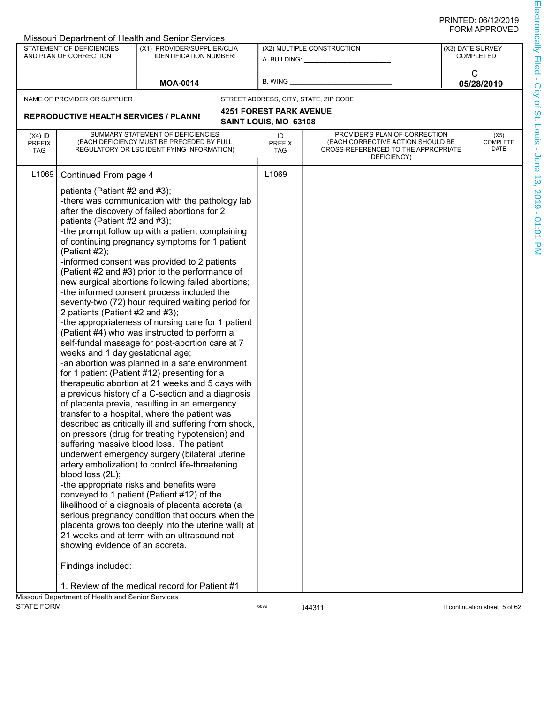|                                   |                                                                                                                                                                                                                                                              | Missouri Department of Health and Senior Services                                                                                                                                                                                                                                                                                                                                                                                                                                                                                                                                                                                                                                                                                                                                                                                                                                                                                                                                                                                                                                                                                                                                                                                                                                                                                                                                                                                                                                                                                                                 |                                   |                                                                                                                          |                  |                               |
|-----------------------------------|--------------------------------------------------------------------------------------------------------------------------------------------------------------------------------------------------------------------------------------------------------------|-------------------------------------------------------------------------------------------------------------------------------------------------------------------------------------------------------------------------------------------------------------------------------------------------------------------------------------------------------------------------------------------------------------------------------------------------------------------------------------------------------------------------------------------------------------------------------------------------------------------------------------------------------------------------------------------------------------------------------------------------------------------------------------------------------------------------------------------------------------------------------------------------------------------------------------------------------------------------------------------------------------------------------------------------------------------------------------------------------------------------------------------------------------------------------------------------------------------------------------------------------------------------------------------------------------------------------------------------------------------------------------------------------------------------------------------------------------------------------------------------------------------------------------------------------------------|-----------------------------------|--------------------------------------------------------------------------------------------------------------------------|------------------|-------------------------------|
|                                   | <b>STATEMENT OF DEFICIENCIES</b><br>AND PLAN OF CORRECTION                                                                                                                                                                                                   | (X1) PROVIDER/SUPPLIER/CLIA<br><b>IDENTIFICATION NUMBER:</b>                                                                                                                                                                                                                                                                                                                                                                                                                                                                                                                                                                                                                                                                                                                                                                                                                                                                                                                                                                                                                                                                                                                                                                                                                                                                                                                                                                                                                                                                                                      | A. BUILDING: _______              | (X2) MULTIPLE CONSTRUCTION                                                                                               | (X3) DATE SURVEY | <b>COMPLETED</b>              |
|                                   |                                                                                                                                                                                                                                                              | <b>MOA-0014</b>                                                                                                                                                                                                                                                                                                                                                                                                                                                                                                                                                                                                                                                                                                                                                                                                                                                                                                                                                                                                                                                                                                                                                                                                                                                                                                                                                                                                                                                                                                                                                   | <b>B. WING</b>                    |                                                                                                                          | C                | 05/28/2019                    |
|                                   | NAME OF PROVIDER OR SUPPLIER                                                                                                                                                                                                                                 |                                                                                                                                                                                                                                                                                                                                                                                                                                                                                                                                                                                                                                                                                                                                                                                                                                                                                                                                                                                                                                                                                                                                                                                                                                                                                                                                                                                                                                                                                                                                                                   |                                   | STREET ADDRESS, CITY, STATE, ZIP CODE                                                                                    |                  |                               |
|                                   |                                                                                                                                                                                                                                                              |                                                                                                                                                                                                                                                                                                                                                                                                                                                                                                                                                                                                                                                                                                                                                                                                                                                                                                                                                                                                                                                                                                                                                                                                                                                                                                                                                                                                                                                                                                                                                                   | <b>4251 FOREST PARK AVENUE</b>    |                                                                                                                          |                  |                               |
|                                   | <b>REPRODUCTIVE HEALTH SERVICES / PLANNI</b>                                                                                                                                                                                                                 |                                                                                                                                                                                                                                                                                                                                                                                                                                                                                                                                                                                                                                                                                                                                                                                                                                                                                                                                                                                                                                                                                                                                                                                                                                                                                                                                                                                                                                                                                                                                                                   | SAINT LOUIS, MO 63108             |                                                                                                                          |                  |                               |
| $(X4)$ ID<br><b>PREFIX</b><br>TAG |                                                                                                                                                                                                                                                              | SUMMARY STATEMENT OF DEFICIENCIES<br>(EACH DEFICIENCY MUST BE PRECEDED BY FULL<br>REGULATORY OR LSC IDENTIFYING INFORMATION)                                                                                                                                                                                                                                                                                                                                                                                                                                                                                                                                                                                                                                                                                                                                                                                                                                                                                                                                                                                                                                                                                                                                                                                                                                                                                                                                                                                                                                      | ID<br><b>PREFIX</b><br><b>TAG</b> | PROVIDER'S PLAN OF CORRECTION<br>(EACH CORRECTIVE ACTION SHOULD BE<br>CROSS-REFERENCED TO THE APPROPRIATE<br>DEFICIENCY) |                  | (X5)<br>COMPLETE<br>DATE      |
| L <sub>1069</sub>                 | Continued From page 4<br>patients (Patient #2 and #3);<br>patients (Patient #2 and #3);<br>(Patient #2);<br>2 patients (Patient #2 and #3);<br>weeks and 1 day gestational age;<br>blood loss (2L);<br>showing evidence of an accreta.<br>Findings included: | -there was communication with the pathology lab<br>after the discovery of failed abortions for 2<br>-the prompt follow up with a patient complaining<br>of continuing pregnancy symptoms for 1 patient<br>-informed consent was provided to 2 patients<br>(Patient #2 and #3) prior to the performance of<br>new surgical abortions following failed abortions;<br>-the informed consent process included the<br>seventy-two (72) hour required waiting period for<br>-the appropriateness of nursing care for 1 patient<br>(Patient #4) who was instructed to perform a<br>self-fundal massage for post-abortion care at 7<br>-an abortion was planned in a safe environment<br>for 1 patient (Patient #12) presenting for a<br>therapeutic abortion at 21 weeks and 5 days with<br>a previous history of a C-section and a diagnosis<br>of placenta previa, resulting in an emergency<br>transfer to a hospital, where the patient was<br>described as critically ill and suffering from shock,<br>on pressors (drug for treating hypotension) and<br>suffering massive blood loss. The patient<br>underwent emergency surgery (bilateral uterine<br>artery embolization) to control life-threatening<br>-the appropriate risks and benefits were<br>conveyed to 1 patient (Patient #12) of the<br>likelihood of a diagnosis of placenta accreta (a<br>serious pregnancy condition that occurs when the<br>placenta grows too deeply into the uterine wall) at<br>21 weeks and at term with an ultrasound not<br>1. Review of the medical record for Patient #1 | L1069                             |                                                                                                                          |                  |                               |
|                                   | Missouri Department of Health and Senior Services                                                                                                                                                                                                            |                                                                                                                                                                                                                                                                                                                                                                                                                                                                                                                                                                                                                                                                                                                                                                                                                                                                                                                                                                                                                                                                                                                                                                                                                                                                                                                                                                                                                                                                                                                                                                   |                                   |                                                                                                                          |                  |                               |
| <b>STATE FORM</b>                 |                                                                                                                                                                                                                                                              |                                                                                                                                                                                                                                                                                                                                                                                                                                                                                                                                                                                                                                                                                                                                                                                                                                                                                                                                                                                                                                                                                                                                                                                                                                                                                                                                                                                                                                                                                                                                                                   | 6899                              | J44311                                                                                                                   |                  | If continuation sheet 5 of 62 |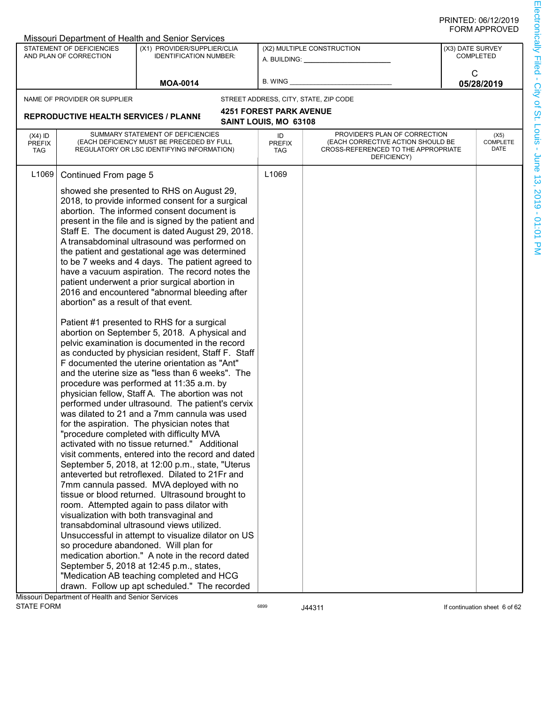|                                          |                                                               | Missouri Department of Health and Senior Services                                                                                                                                                                                                                                                                                                                                                                                                                                                                                                                                                                                                                                                                                                                                                                                                                                                                                                                                                                                                                                                                                                                                                                                                                                                                                                                                                                                                                                                                                                                                                                                                                                                                                                                                                                                                                           |                                                    |                                                                                                                          |                                      |                               |
|------------------------------------------|---------------------------------------------------------------|-----------------------------------------------------------------------------------------------------------------------------------------------------------------------------------------------------------------------------------------------------------------------------------------------------------------------------------------------------------------------------------------------------------------------------------------------------------------------------------------------------------------------------------------------------------------------------------------------------------------------------------------------------------------------------------------------------------------------------------------------------------------------------------------------------------------------------------------------------------------------------------------------------------------------------------------------------------------------------------------------------------------------------------------------------------------------------------------------------------------------------------------------------------------------------------------------------------------------------------------------------------------------------------------------------------------------------------------------------------------------------------------------------------------------------------------------------------------------------------------------------------------------------------------------------------------------------------------------------------------------------------------------------------------------------------------------------------------------------------------------------------------------------------------------------------------------------------------------------------------------------|----------------------------------------------------|--------------------------------------------------------------------------------------------------------------------------|--------------------------------------|-------------------------------|
|                                          | STATEMENT OF DEFICIENCIES<br>AND PLAN OF CORRECTION           | (X1) PROVIDER/SUPPLIER/CLIA<br><b>IDENTIFICATION NUMBER:</b>                                                                                                                                                                                                                                                                                                                                                                                                                                                                                                                                                                                                                                                                                                                                                                                                                                                                                                                                                                                                                                                                                                                                                                                                                                                                                                                                                                                                                                                                                                                                                                                                                                                                                                                                                                                                                | A. BUILDING: <b>William Street, Street, Theory</b> | (X2) MULTIPLE CONSTRUCTION                                                                                               | (X3) DATE SURVEY<br><b>COMPLETED</b> |                               |
|                                          |                                                               |                                                                                                                                                                                                                                                                                                                                                                                                                                                                                                                                                                                                                                                                                                                                                                                                                                                                                                                                                                                                                                                                                                                                                                                                                                                                                                                                                                                                                                                                                                                                                                                                                                                                                                                                                                                                                                                                             |                                                    |                                                                                                                          | С                                    |                               |
|                                          |                                                               | <b>MOA-0014</b>                                                                                                                                                                                                                                                                                                                                                                                                                                                                                                                                                                                                                                                                                                                                                                                                                                                                                                                                                                                                                                                                                                                                                                                                                                                                                                                                                                                                                                                                                                                                                                                                                                                                                                                                                                                                                                                             | <b>B. WING</b>                                     |                                                                                                                          |                                      | 05/28/2019                    |
|                                          | NAME OF PROVIDER OR SUPPLIER                                  |                                                                                                                                                                                                                                                                                                                                                                                                                                                                                                                                                                                                                                                                                                                                                                                                                                                                                                                                                                                                                                                                                                                                                                                                                                                                                                                                                                                                                                                                                                                                                                                                                                                                                                                                                                                                                                                                             |                                                    | STREET ADDRESS, CITY, STATE, ZIP CODE                                                                                    |                                      |                               |
|                                          |                                                               |                                                                                                                                                                                                                                                                                                                                                                                                                                                                                                                                                                                                                                                                                                                                                                                                                                                                                                                                                                                                                                                                                                                                                                                                                                                                                                                                                                                                                                                                                                                                                                                                                                                                                                                                                                                                                                                                             | <b>4251 FOREST PARK AVENUE</b>                     |                                                                                                                          |                                      |                               |
|                                          | <b>REPRODUCTIVE HEALTH SERVICES / PLANNI</b>                  |                                                                                                                                                                                                                                                                                                                                                                                                                                                                                                                                                                                                                                                                                                                                                                                                                                                                                                                                                                                                                                                                                                                                                                                                                                                                                                                                                                                                                                                                                                                                                                                                                                                                                                                                                                                                                                                                             | SAINT LOUIS, MO 63108                              |                                                                                                                          |                                      |                               |
| $(X4)$ ID<br><b>PREFIX</b><br><b>TAG</b> |                                                               | SUMMARY STATEMENT OF DEFICIENCIES<br>(EACH DEFICIENCY MUST BE PRECEDED BY FULL<br>REGULATORY OR LSC IDENTIFYING INFORMATION)                                                                                                                                                                                                                                                                                                                                                                                                                                                                                                                                                                                                                                                                                                                                                                                                                                                                                                                                                                                                                                                                                                                                                                                                                                                                                                                                                                                                                                                                                                                                                                                                                                                                                                                                                | ID<br><b>PREFIX</b><br><b>TAG</b>                  | PROVIDER'S PLAN OF CORRECTION<br>(EACH CORRECTIVE ACTION SHOULD BE<br>CROSS-REFERENCED TO THE APPROPRIATE<br>DEFICIENCY) |                                      | (X5)<br>COMPLETE<br>DATE      |
| L1069                                    | Continued From page 5<br>abortion" as a result of that event. | showed she presented to RHS on August 29,<br>2018, to provide informed consent for a surgical<br>abortion. The informed consent document is<br>present in the file and is signed by the patient and<br>Staff E. The document is dated August 29, 2018.<br>A transabdominal ultrasound was performed on<br>the patient and gestational age was determined<br>to be 7 weeks and 4 days. The patient agreed to<br>have a vacuum aspiration. The record notes the<br>patient underwent a prior surgical abortion in<br>2016 and encountered "abnormal bleeding after<br>Patient #1 presented to RHS for a surgical<br>abortion on September 5, 2018. A physical and<br>pelvic examination is documented in the record<br>as conducted by physician resident, Staff F. Staff<br>F documented the uterine orientation as "Ant"<br>and the uterine size as "less than 6 weeks". The<br>procedure was performed at 11:35 a.m. by<br>physician fellow, Staff A. The abortion was not<br>performed under ultrasound. The patient's cervix<br>was dilated to 21 and a 7mm cannula was used<br>for the aspiration. The physician notes that<br>"procedure completed with difficulty MVA<br>activated with no tissue returned." Additional<br>visit comments, entered into the record and dated<br>September 5, 2018, at 12:00 p.m., state, "Uterus<br>anteverted but retroflexed. Dilated to 21Fr and<br>7mm cannula passed. MVA deployed with no<br>tissue or blood returned. Ultrasound brought to<br>room. Attempted again to pass dilator with<br>visualization with both transvaginal and<br>transabdominal ultrasound views utilized.<br>Unsuccessful in attempt to visualize dilator on US<br>so procedure abandoned. Will plan for<br>medication abortion." A note in the record dated<br>September 5, 2018 at 12:45 p.m., states,<br>"Medication AB teaching completed and HCG | L1069                                              |                                                                                                                          |                                      |                               |
|                                          | Missouri Department of Health and Senior Services             | drawn. Follow up apt scheduled." The recorded                                                                                                                                                                                                                                                                                                                                                                                                                                                                                                                                                                                                                                                                                                                                                                                                                                                                                                                                                                                                                                                                                                                                                                                                                                                                                                                                                                                                                                                                                                                                                                                                                                                                                                                                                                                                                               |                                                    |                                                                                                                          |                                      |                               |
| <b>STATE FORM</b>                        |                                                               |                                                                                                                                                                                                                                                                                                                                                                                                                                                                                                                                                                                                                                                                                                                                                                                                                                                                                                                                                                                                                                                                                                                                                                                                                                                                                                                                                                                                                                                                                                                                                                                                                                                                                                                                                                                                                                                                             | 6899                                               | J44311                                                                                                                   |                                      | If continuation sheet 6 of 62 |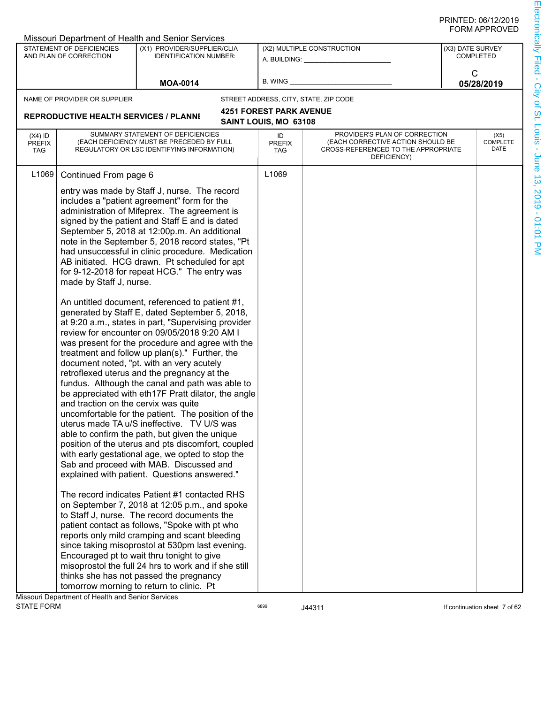|                                   |                                                                 | Missouri Department of Health and Senior Services                                                                                                                                                                                                                                                                                                                                                                                                                                                                                                                                                                                                                                                                                                                                                                                                                                                                                                                              |                                   |                                                                                                                          |                  |                                 |
|-----------------------------------|-----------------------------------------------------------------|--------------------------------------------------------------------------------------------------------------------------------------------------------------------------------------------------------------------------------------------------------------------------------------------------------------------------------------------------------------------------------------------------------------------------------------------------------------------------------------------------------------------------------------------------------------------------------------------------------------------------------------------------------------------------------------------------------------------------------------------------------------------------------------------------------------------------------------------------------------------------------------------------------------------------------------------------------------------------------|-----------------------------------|--------------------------------------------------------------------------------------------------------------------------|------------------|---------------------------------|
|                                   | <b>STATEMENT OF DEFICIENCIES</b><br>AND PLAN OF CORRECTION      | (X1) PROVIDER/SUPPLIER/CLIA<br><b>IDENTIFICATION NUMBER:</b>                                                                                                                                                                                                                                                                                                                                                                                                                                                                                                                                                                                                                                                                                                                                                                                                                                                                                                                   | A. BUILDING: _________            | (X2) MULTIPLE CONSTRUCTION                                                                                               | (X3) DATE SURVEY | <b>COMPLETED</b>                |
|                                   |                                                                 | <b>MOA-0014</b>                                                                                                                                                                                                                                                                                                                                                                                                                                                                                                                                                                                                                                                                                                                                                                                                                                                                                                                                                                | B. WING                           |                                                                                                                          |                  | С<br>05/28/2019                 |
|                                   | NAME OF PROVIDER OR SUPPLIER                                    |                                                                                                                                                                                                                                                                                                                                                                                                                                                                                                                                                                                                                                                                                                                                                                                                                                                                                                                                                                                |                                   | STREET ADDRESS, CITY, STATE, ZIP CODE                                                                                    |                  |                                 |
|                                   |                                                                 |                                                                                                                                                                                                                                                                                                                                                                                                                                                                                                                                                                                                                                                                                                                                                                                                                                                                                                                                                                                | <b>4251 FOREST PARK AVENUE</b>    |                                                                                                                          |                  |                                 |
|                                   | <b>REPRODUCTIVE HEALTH SERVICES / PLANNI</b>                    |                                                                                                                                                                                                                                                                                                                                                                                                                                                                                                                                                                                                                                                                                                                                                                                                                                                                                                                                                                                | SAINT LOUIS, MO 63108             |                                                                                                                          |                  |                                 |
| $(X4)$ ID<br><b>PREFIX</b><br>TAG |                                                                 | SUMMARY STATEMENT OF DEFICIENCIES<br>(EACH DEFICIENCY MUST BE PRECEDED BY FULL<br>REGULATORY OR LSC IDENTIFYING INFORMATION)                                                                                                                                                                                                                                                                                                                                                                                                                                                                                                                                                                                                                                                                                                                                                                                                                                                   | ID<br><b>PREFIX</b><br><b>TAG</b> | PROVIDER'S PLAN OF CORRECTION<br>(EACH CORRECTIVE ACTION SHOULD BE<br>CROSS-REFERENCED TO THE APPROPRIATE<br>DEFICIENCY) |                  | (X5)<br><b>COMPLETE</b><br>DATE |
| L1069                             | Continued From page 6                                           |                                                                                                                                                                                                                                                                                                                                                                                                                                                                                                                                                                                                                                                                                                                                                                                                                                                                                                                                                                                | L1069                             |                                                                                                                          |                  |                                 |
|                                   | made by Staff J, nurse.<br>and traction on the cervix was quite | entry was made by Staff J, nurse. The record<br>includes a "patient agreement" form for the<br>administration of Mifeprex. The agreement is<br>signed by the patient and Staff E and is dated<br>September 5, 2018 at 12:00p.m. An additional<br>note in the September 5, 2018 record states, "Pt<br>had unsuccessful in clinic procedure. Medication<br>AB initiated. HCG drawn. Pt scheduled for apt<br>for 9-12-2018 for repeat HCG." The entry was<br>An untitled document, referenced to patient #1,<br>generated by Staff E, dated September 5, 2018,<br>at 9:20 a.m., states in part, "Supervising provider<br>review for encounter on 09/05/2018 9:20 AM I<br>was present for the procedure and agree with the<br>treatment and follow up plan(s)." Further, the<br>document noted, "pt. with an very acutely<br>retroflexed uterus and the pregnancy at the<br>fundus. Although the canal and path was able to<br>be appreciated with eth17F Pratt dilator, the angle |                                   |                                                                                                                          |                  |                                 |
|                                   |                                                                 | uncomfortable for the patient. The position of the<br>uterus made TA u/S ineffective. TV U/S was<br>able to confirm the path, but given the unique<br>position of the uterus and pts discomfort, coupled<br>with early gestational age, we opted to stop the<br>Sab and proceed with MAB. Discussed and<br>explained with patient. Questions answered."                                                                                                                                                                                                                                                                                                                                                                                                                                                                                                                                                                                                                        |                                   |                                                                                                                          |                  |                                 |
|                                   |                                                                 | The record indicates Patient #1 contacted RHS<br>on September 7, 2018 at 12:05 p.m., and spoke<br>to Staff J, nurse. The record documents the<br>patient contact as follows, "Spoke with pt who<br>reports only mild cramping and scant bleeding<br>since taking misoprostol at 530pm last evening.<br>Encouraged pt to wait thru tonight to give<br>misoprostol the full 24 hrs to work and if she still<br>thinks she has not passed the pregnancy                                                                                                                                                                                                                                                                                                                                                                                                                                                                                                                           |                                   |                                                                                                                          |                  |                                 |
|                                   | Missouri Department of Health and Senior Services               | tomorrow morning to return to clinic. Pt                                                                                                                                                                                                                                                                                                                                                                                                                                                                                                                                                                                                                                                                                                                                                                                                                                                                                                                                       |                                   |                                                                                                                          |                  |                                 |
|                                   |                                                                 |                                                                                                                                                                                                                                                                                                                                                                                                                                                                                                                                                                                                                                                                                                                                                                                                                                                                                                                                                                                |                                   |                                                                                                                          |                  |                                 |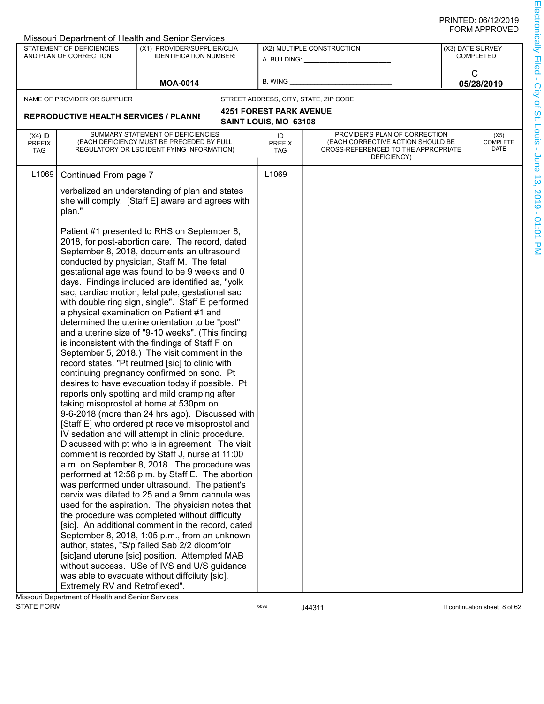|                                          |                                                                                     | Missouri Department of Health and Senior Services                                                                                                                                                                                                                                                                                                                                                                                                                                                                                                                                                                                                                                                                                                                                                                                                                                                                                                                                                                                                                                                                                                                                                                                                                                                                                                                                                                                                                                                                                                                                                                                                                                                                                                                                                               |                                                         |                                                                                                                          |                  |                                 |
|------------------------------------------|-------------------------------------------------------------------------------------|-----------------------------------------------------------------------------------------------------------------------------------------------------------------------------------------------------------------------------------------------------------------------------------------------------------------------------------------------------------------------------------------------------------------------------------------------------------------------------------------------------------------------------------------------------------------------------------------------------------------------------------------------------------------------------------------------------------------------------------------------------------------------------------------------------------------------------------------------------------------------------------------------------------------------------------------------------------------------------------------------------------------------------------------------------------------------------------------------------------------------------------------------------------------------------------------------------------------------------------------------------------------------------------------------------------------------------------------------------------------------------------------------------------------------------------------------------------------------------------------------------------------------------------------------------------------------------------------------------------------------------------------------------------------------------------------------------------------------------------------------------------------------------------------------------------------|---------------------------------------------------------|--------------------------------------------------------------------------------------------------------------------------|------------------|---------------------------------|
|                                          | STATEMENT OF DEFICIENCIES<br>AND PLAN OF CORRECTION                                 | (X1) PROVIDER/SUPPLIER/CLIA<br><b>IDENTIFICATION NUMBER:</b>                                                                                                                                                                                                                                                                                                                                                                                                                                                                                                                                                                                                                                                                                                                                                                                                                                                                                                                                                                                                                                                                                                                                                                                                                                                                                                                                                                                                                                                                                                                                                                                                                                                                                                                                                    |                                                         | (X2) MULTIPLE CONSTRUCTION                                                                                               | (X3) DATE SURVEY | <b>COMPLETED</b>                |
|                                          |                                                                                     | <b>MOA-0014</b>                                                                                                                                                                                                                                                                                                                                                                                                                                                                                                                                                                                                                                                                                                                                                                                                                                                                                                                                                                                                                                                                                                                                                                                                                                                                                                                                                                                                                                                                                                                                                                                                                                                                                                                                                                                                 | B. WING                                                 |                                                                                                                          | C                | 05/28/2019                      |
|                                          |                                                                                     |                                                                                                                                                                                                                                                                                                                                                                                                                                                                                                                                                                                                                                                                                                                                                                                                                                                                                                                                                                                                                                                                                                                                                                                                                                                                                                                                                                                                                                                                                                                                                                                                                                                                                                                                                                                                                 |                                                         |                                                                                                                          |                  |                                 |
|                                          | NAME OF PROVIDER OR SUPPLIER                                                        |                                                                                                                                                                                                                                                                                                                                                                                                                                                                                                                                                                                                                                                                                                                                                                                                                                                                                                                                                                                                                                                                                                                                                                                                                                                                                                                                                                                                                                                                                                                                                                                                                                                                                                                                                                                                                 |                                                         | STREET ADDRESS, CITY, STATE, ZIP CODE                                                                                    |                  |                                 |
|                                          | <b>REPRODUCTIVE HEALTH SERVICES / PLANNI</b>                                        |                                                                                                                                                                                                                                                                                                                                                                                                                                                                                                                                                                                                                                                                                                                                                                                                                                                                                                                                                                                                                                                                                                                                                                                                                                                                                                                                                                                                                                                                                                                                                                                                                                                                                                                                                                                                                 | <b>4251 FOREST PARK AVENUE</b><br>SAINT LOUIS, MO 63108 |                                                                                                                          |                  |                                 |
| $(X4)$ ID<br><b>PREFIX</b><br><b>TAG</b> |                                                                                     | SUMMARY STATEMENT OF DEFICIENCIES<br>(EACH DEFICIENCY MUST BE PRECEDED BY FULL<br>REGULATORY OR LSC IDENTIFYING INFORMATION)                                                                                                                                                                                                                                                                                                                                                                                                                                                                                                                                                                                                                                                                                                                                                                                                                                                                                                                                                                                                                                                                                                                                                                                                                                                                                                                                                                                                                                                                                                                                                                                                                                                                                    | ID<br><b>PREFIX</b><br><b>TAG</b>                       | PROVIDER'S PLAN OF CORRECTION<br>(EACH CORRECTIVE ACTION SHOULD BE<br>CROSS-REFERENCED TO THE APPROPRIATE<br>DEFICIENCY) |                  | (X5)<br><b>COMPLETE</b><br>DATE |
| L <sub>1069</sub>                        | Continued From page 7<br>plan."                                                     | verbalized an understanding of plan and states<br>she will comply. [Staff E] aware and agrees with<br>Patient #1 presented to RHS on September 8,<br>2018, for post-abortion care. The record, dated<br>September 8, 2018, documents an ultrasound<br>conducted by physician, Staff M. The fetal<br>gestational age was found to be 9 weeks and 0<br>days. Findings included are identified as, "yolk<br>sac, cardiac motion, fetal pole, gestational sac<br>with double ring sign, single". Staff E performed<br>a physical examination on Patient #1 and<br>determined the uterine orientation to be "post"<br>and a uterine size of "9-10 weeks". (This finding<br>is inconsistent with the findings of Staff F on<br>September 5, 2018.) The visit comment in the<br>record states, "Pt reutrned [sic] to clinic with<br>continuing pregnancy confirmed on sono. Pt<br>desires to have evacuation today if possible. Pt<br>reports only spotting and mild cramping after<br>taking misoprostol at home at 530pm on<br>9-6-2018 (more than 24 hrs ago). Discussed with<br>[Staff E] who ordered pt receive misoprostol and<br>IV sedation and will attempt in clinic procedure.<br>Discussed with pt who is in agreement. The visit<br>comment is recorded by Staff J, nurse at 11:00<br>a.m. on September 8, 2018. The procedure was<br>performed at 12:56 p.m. by Staff E. The abortion<br>was performed under ultrasound. The patient's<br>cervix was dilated to 25 and a 9mm cannula was<br>used for the aspiration. The physician notes that<br>the procedure was completed without difficulty<br>[sic]. An additional comment in the record, dated<br>September 8, 2018, 1:05 p.m., from an unknown<br>author, states, "S/p failed Sab 2/2 dicomfotr<br>[sic]and uterune [sic] position. Attempted MAB | L1069                                                   |                                                                                                                          |                  |                                 |
|                                          | Extremely RV and Retroflexed".<br>Missouri Department of Health and Senior Services | without success. USe of IVS and U/S guidance<br>was able to evacuate without diffciluty [sic].                                                                                                                                                                                                                                                                                                                                                                                                                                                                                                                                                                                                                                                                                                                                                                                                                                                                                                                                                                                                                                                                                                                                                                                                                                                                                                                                                                                                                                                                                                                                                                                                                                                                                                                  |                                                         |                                                                                                                          |                  |                                 |
| <b>STATE FORM</b>                        |                                                                                     |                                                                                                                                                                                                                                                                                                                                                                                                                                                                                                                                                                                                                                                                                                                                                                                                                                                                                                                                                                                                                                                                                                                                                                                                                                                                                                                                                                                                                                                                                                                                                                                                                                                                                                                                                                                                                 | 6899                                                    | J44311                                                                                                                   |                  | If continuation sheet 8 of 62   |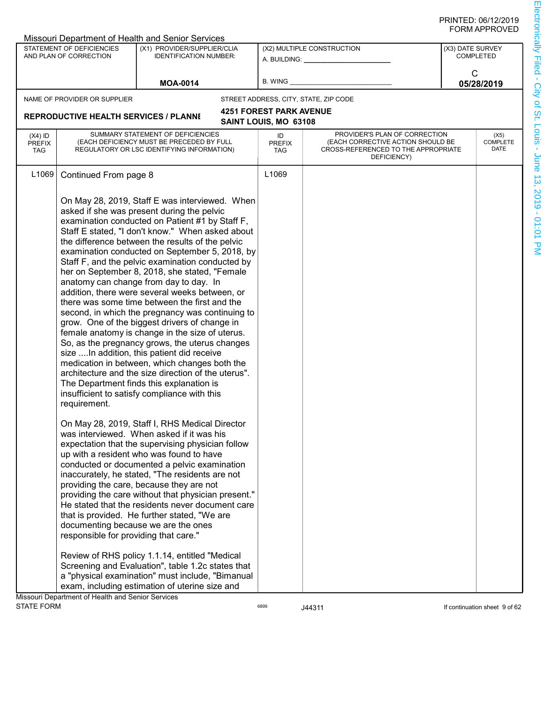|                                          |                                                            | Missouri Department of Health and Senior Services                                                                                                                                                                                                                                                                                                                                                                                                                                                                                                                                                                                                                                                                                                                                                                                                                                                                                                                          |                                   |                                                                                                                          |                  |                                 |
|------------------------------------------|------------------------------------------------------------|----------------------------------------------------------------------------------------------------------------------------------------------------------------------------------------------------------------------------------------------------------------------------------------------------------------------------------------------------------------------------------------------------------------------------------------------------------------------------------------------------------------------------------------------------------------------------------------------------------------------------------------------------------------------------------------------------------------------------------------------------------------------------------------------------------------------------------------------------------------------------------------------------------------------------------------------------------------------------|-----------------------------------|--------------------------------------------------------------------------------------------------------------------------|------------------|---------------------------------|
|                                          | <b>STATEMENT OF DEFICIENCIES</b><br>AND PLAN OF CORRECTION | (X1) PROVIDER/SUPPLIER/CLIA<br><b>IDENTIFICATION NUMBER:</b>                                                                                                                                                                                                                                                                                                                                                                                                                                                                                                                                                                                                                                                                                                                                                                                                                                                                                                               | A. BUILDING:                      | (X2) MULTIPLE CONSTRUCTION                                                                                               | (X3) DATE SURVEY | <b>COMPLETED</b>                |
|                                          |                                                            | <b>MOA-0014</b>                                                                                                                                                                                                                                                                                                                                                                                                                                                                                                                                                                                                                                                                                                                                                                                                                                                                                                                                                            | <b>B. WING</b>                    |                                                                                                                          | С                | 05/28/2019                      |
|                                          | NAME OF PROVIDER OR SUPPLIER                               |                                                                                                                                                                                                                                                                                                                                                                                                                                                                                                                                                                                                                                                                                                                                                                                                                                                                                                                                                                            |                                   | STREET ADDRESS, CITY, STATE, ZIP CODE                                                                                    |                  |                                 |
|                                          |                                                            |                                                                                                                                                                                                                                                                                                                                                                                                                                                                                                                                                                                                                                                                                                                                                                                                                                                                                                                                                                            | <b>4251 FOREST PARK AVENUE</b>    |                                                                                                                          |                  |                                 |
|                                          | <b>REPRODUCTIVE HEALTH SERVICES / PLANNI</b>               |                                                                                                                                                                                                                                                                                                                                                                                                                                                                                                                                                                                                                                                                                                                                                                                                                                                                                                                                                                            | SAINT LOUIS, MO 63108             |                                                                                                                          |                  |                                 |
| $(X4)$ ID<br><b>PREFIX</b><br><b>TAG</b> |                                                            | SUMMARY STATEMENT OF DEFICIENCIES<br>(EACH DEFICIENCY MUST BE PRECEDED BY FULL<br>REGULATORY OR LSC IDENTIFYING INFORMATION)                                                                                                                                                                                                                                                                                                                                                                                                                                                                                                                                                                                                                                                                                                                                                                                                                                               | ID<br><b>PREFIX</b><br><b>TAG</b> | PROVIDER'S PLAN OF CORRECTION<br>(EACH CORRECTIVE ACTION SHOULD BE<br>CROSS-REFERENCED TO THE APPROPRIATE<br>DEFICIENCY) |                  | (X5)<br><b>COMPLETE</b><br>DATE |
| L <sub>1069</sub>                        | Continued From page 8                                      | On May 28, 2019, Staff E was interviewed. When<br>asked if she was present during the pelvic                                                                                                                                                                                                                                                                                                                                                                                                                                                                                                                                                                                                                                                                                                                                                                                                                                                                               | L1069                             |                                                                                                                          |                  |                                 |
|                                          | requirement.                                               | examination conducted on Patient #1 by Staff F,<br>Staff E stated, "I don't know." When asked about<br>the difference between the results of the pelvic<br>examination conducted on September 5, 2018, by<br>Staff F, and the pelvic examination conducted by<br>her on September 8, 2018, she stated, "Female<br>anatomy can change from day to day. In<br>addition, there were several weeks between, or<br>there was some time between the first and the<br>second, in which the pregnancy was continuing to<br>grow. One of the biggest drivers of change in<br>female anatomy is change in the size of uterus.<br>So, as the pregnancy grows, the uterus changes<br>size  In addition, this patient did receive<br>medication in between, which changes both the<br>architecture and the size direction of the uterus".<br>The Department finds this explanation is<br>insufficient to satisfy compliance with this<br>On May 28, 2019, Staff I, RHS Medical Director |                                   |                                                                                                                          |                  |                                 |
|                                          | responsible for providing that care."                      | was interviewed. When asked if it was his<br>expectation that the supervising physician follow<br>up with a resident who was found to have<br>conducted or documented a pelvic examination<br>inaccurately, he stated, "The residents are not<br>providing the care, because they are not<br>providing the care without that physician present."<br>He stated that the residents never document care<br>that is provided. He further stated, "We are<br>documenting because we are the ones                                                                                                                                                                                                                                                                                                                                                                                                                                                                                |                                   |                                                                                                                          |                  |                                 |
|                                          | Missouri Department of Health and Senior Services          | Review of RHS policy 1.1.14, entitled "Medical<br>Screening and Evaluation", table 1.2c states that<br>a "physical examination" must include, "Bimanual<br>exam, including estimation of uterine size and                                                                                                                                                                                                                                                                                                                                                                                                                                                                                                                                                                                                                                                                                                                                                                  |                                   |                                                                                                                          |                  |                                 |
| <b>STATE FORM</b>                        |                                                            |                                                                                                                                                                                                                                                                                                                                                                                                                                                                                                                                                                                                                                                                                                                                                                                                                                                                                                                                                                            | 6899                              | J44311                                                                                                                   |                  | If continuation sheet 9 of 62   |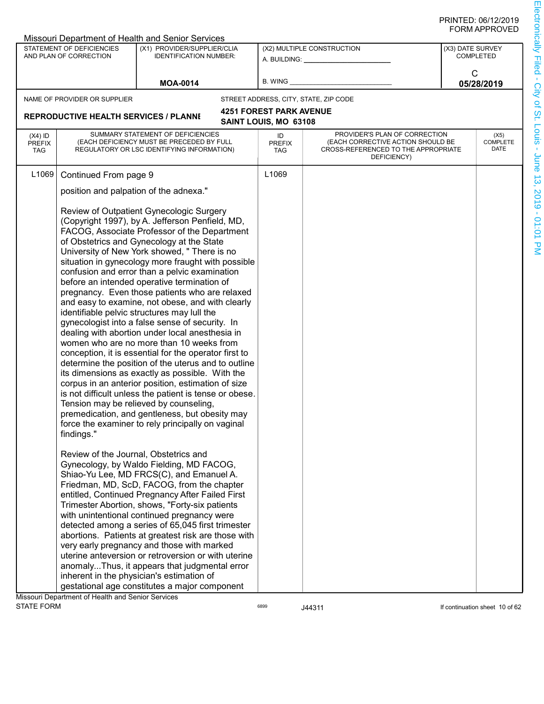| <b>STATEMENT OF DEFICIENCIES</b><br>(X1) PROVIDER/SUPPLIER/CLIA<br>(X2) MULTIPLE CONSTRUCTION<br>(X3) DATE SURVEY<br>AND PLAN OF CORRECTION<br><b>COMPLETED</b><br><b>IDENTIFICATION NUMBER:</b><br>A. BUILDING: _______<br>С<br>B. WING<br>05/28/2019<br><b>MOA-0014</b><br>STREET ADDRESS, CITY, STATE, ZIP CODE<br>NAME OF PROVIDER OR SUPPLIER<br><b>4251 FOREST PARK AVENUE</b><br><b>REPRODUCTIVE HEALTH SERVICES / PLANNI</b><br>SAINT LOUIS, MO 63108<br>PROVIDER'S PLAN OF CORRECTION<br>SUMMARY STATEMENT OF DEFICIENCIES<br>$(X4)$ ID<br>(X5)<br>ID<br><b>COMPLETE</b><br>(EACH DEFICIENCY MUST BE PRECEDED BY FULL<br>(EACH CORRECTIVE ACTION SHOULD BE<br><b>PREFIX</b><br><b>PREFIX</b><br>DATE<br>CROSS-REFERENCED TO THE APPROPRIATE<br>REGULATORY OR LSC IDENTIFYING INFORMATION)<br>TAG<br><b>TAG</b><br>DEFICIENCY)<br>L1069<br>L1069<br>Continued From page 9<br>position and palpation of the adnexa."<br>Review of Outpatient Gynecologic Surgery<br>(Copyright 1997), by A. Jefferson Penfield, MD,<br>FACOG, Associate Professor of the Department<br>of Obstetrics and Gynecology at the State<br>University of New York showed, " There is no<br>situation in gynecology more fraught with possible<br>confusion and error than a pelvic examination<br>before an intended operative termination of<br>pregnancy. Even those patients who are relaxed<br>and easy to examine, not obese, and with clearly<br>identifiable pelvic structures may lull the<br>gynecologist into a false sense of security. In<br>dealing with abortion under local anesthesia in<br>women who are no more than 10 weeks from<br>conception, it is essential for the operator first to<br>determine the position of the uterus and to outline<br>its dimensions as exactly as possible. With the<br>corpus in an anterior position, estimation of size<br>is not difficult unless the patient is tense or obese.<br>Tension may be relieved by counseling,<br>premedication, and gentleness, but obesity may<br>force the examiner to rely principally on vaginal<br>findings."<br>Review of the Journal, Obstetrics and<br>Gynecology, by Waldo Fielding, MD FACOG,<br>Shiao-Yu Lee, MD FRCS(C), and Emanuel A.<br>Friedman, MD, ScD, FACOG, from the chapter<br>entitled, Continued Pregnancy After Failed First<br>Trimester Abortion, shows, "Forty-six patients<br>with unintentional continued pregnancy were<br>detected among a series of 65,045 first trimester<br>abortions. Patients at greatest risk are those with<br>very early pregnancy and those with marked<br>uterine anteversion or retroversion or with uterine<br>anomalyThus, it appears that judgmental error<br>inherent in the physician's estimation of<br>gestational age constitutes a major component<br>Missouri Department of Health and Senior Services |  | Missouri Department of Health and Senior Services |  |  |
|-------------------------------------------------------------------------------------------------------------------------------------------------------------------------------------------------------------------------------------------------------------------------------------------------------------------------------------------------------------------------------------------------------------------------------------------------------------------------------------------------------------------------------------------------------------------------------------------------------------------------------------------------------------------------------------------------------------------------------------------------------------------------------------------------------------------------------------------------------------------------------------------------------------------------------------------------------------------------------------------------------------------------------------------------------------------------------------------------------------------------------------------------------------------------------------------------------------------------------------------------------------------------------------------------------------------------------------------------------------------------------------------------------------------------------------------------------------------------------------------------------------------------------------------------------------------------------------------------------------------------------------------------------------------------------------------------------------------------------------------------------------------------------------------------------------------------------------------------------------------------------------------------------------------------------------------------------------------------------------------------------------------------------------------------------------------------------------------------------------------------------------------------------------------------------------------------------------------------------------------------------------------------------------------------------------------------------------------------------------------------------------------------------------------------------------------------------------------------------------------------------------------------------------------------------------------------------------------------------------------------------------------------------------------------------------------------------------------------------------------------------------------------------------------------------------------------------------------------|--|---------------------------------------------------|--|--|
|                                                                                                                                                                                                                                                                                                                                                                                                                                                                                                                                                                                                                                                                                                                                                                                                                                                                                                                                                                                                                                                                                                                                                                                                                                                                                                                                                                                                                                                                                                                                                                                                                                                                                                                                                                                                                                                                                                                                                                                                                                                                                                                                                                                                                                                                                                                                                                                                                                                                                                                                                                                                                                                                                                                                                                                                                                                 |  |                                                   |  |  |
|                                                                                                                                                                                                                                                                                                                                                                                                                                                                                                                                                                                                                                                                                                                                                                                                                                                                                                                                                                                                                                                                                                                                                                                                                                                                                                                                                                                                                                                                                                                                                                                                                                                                                                                                                                                                                                                                                                                                                                                                                                                                                                                                                                                                                                                                                                                                                                                                                                                                                                                                                                                                                                                                                                                                                                                                                                                 |  |                                                   |  |  |
|                                                                                                                                                                                                                                                                                                                                                                                                                                                                                                                                                                                                                                                                                                                                                                                                                                                                                                                                                                                                                                                                                                                                                                                                                                                                                                                                                                                                                                                                                                                                                                                                                                                                                                                                                                                                                                                                                                                                                                                                                                                                                                                                                                                                                                                                                                                                                                                                                                                                                                                                                                                                                                                                                                                                                                                                                                                 |  |                                                   |  |  |
|                                                                                                                                                                                                                                                                                                                                                                                                                                                                                                                                                                                                                                                                                                                                                                                                                                                                                                                                                                                                                                                                                                                                                                                                                                                                                                                                                                                                                                                                                                                                                                                                                                                                                                                                                                                                                                                                                                                                                                                                                                                                                                                                                                                                                                                                                                                                                                                                                                                                                                                                                                                                                                                                                                                                                                                                                                                 |  |                                                   |  |  |
|                                                                                                                                                                                                                                                                                                                                                                                                                                                                                                                                                                                                                                                                                                                                                                                                                                                                                                                                                                                                                                                                                                                                                                                                                                                                                                                                                                                                                                                                                                                                                                                                                                                                                                                                                                                                                                                                                                                                                                                                                                                                                                                                                                                                                                                                                                                                                                                                                                                                                                                                                                                                                                                                                                                                                                                                                                                 |  |                                                   |  |  |
|                                                                                                                                                                                                                                                                                                                                                                                                                                                                                                                                                                                                                                                                                                                                                                                                                                                                                                                                                                                                                                                                                                                                                                                                                                                                                                                                                                                                                                                                                                                                                                                                                                                                                                                                                                                                                                                                                                                                                                                                                                                                                                                                                                                                                                                                                                                                                                                                                                                                                                                                                                                                                                                                                                                                                                                                                                                 |  |                                                   |  |  |
|                                                                                                                                                                                                                                                                                                                                                                                                                                                                                                                                                                                                                                                                                                                                                                                                                                                                                                                                                                                                                                                                                                                                                                                                                                                                                                                                                                                                                                                                                                                                                                                                                                                                                                                                                                                                                                                                                                                                                                                                                                                                                                                                                                                                                                                                                                                                                                                                                                                                                                                                                                                                                                                                                                                                                                                                                                                 |  |                                                   |  |  |
|                                                                                                                                                                                                                                                                                                                                                                                                                                                                                                                                                                                                                                                                                                                                                                                                                                                                                                                                                                                                                                                                                                                                                                                                                                                                                                                                                                                                                                                                                                                                                                                                                                                                                                                                                                                                                                                                                                                                                                                                                                                                                                                                                                                                                                                                                                                                                                                                                                                                                                                                                                                                                                                                                                                                                                                                                                                 |  |                                                   |  |  |
|                                                                                                                                                                                                                                                                                                                                                                                                                                                                                                                                                                                                                                                                                                                                                                                                                                                                                                                                                                                                                                                                                                                                                                                                                                                                                                                                                                                                                                                                                                                                                                                                                                                                                                                                                                                                                                                                                                                                                                                                                                                                                                                                                                                                                                                                                                                                                                                                                                                                                                                                                                                                                                                                                                                                                                                                                                                 |  |                                                   |  |  |
|                                                                                                                                                                                                                                                                                                                                                                                                                                                                                                                                                                                                                                                                                                                                                                                                                                                                                                                                                                                                                                                                                                                                                                                                                                                                                                                                                                                                                                                                                                                                                                                                                                                                                                                                                                                                                                                                                                                                                                                                                                                                                                                                                                                                                                                                                                                                                                                                                                                                                                                                                                                                                                                                                                                                                                                                                                                 |  |                                                   |  |  |
|                                                                                                                                                                                                                                                                                                                                                                                                                                                                                                                                                                                                                                                                                                                                                                                                                                                                                                                                                                                                                                                                                                                                                                                                                                                                                                                                                                                                                                                                                                                                                                                                                                                                                                                                                                                                                                                                                                                                                                                                                                                                                                                                                                                                                                                                                                                                                                                                                                                                                                                                                                                                                                                                                                                                                                                                                                                 |  |                                                   |  |  |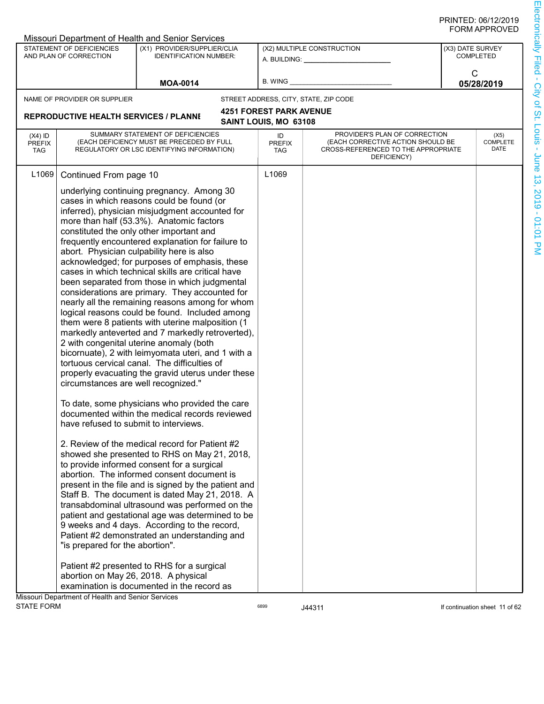| C<br><b>B. WING</b><br><b>MOA-0014</b><br>05/28/2019<br>STREET ADDRESS, CITY, STATE, ZIP CODE<br>NAME OF PROVIDER OR SUPPLIER<br><b>4251 FOREST PARK AVENUE</b><br><b>REPRODUCTIVE HEALTH SERVICES / PLANNI</b><br>SAINT LOUIS, MO 63108<br>PROVIDER'S PLAN OF CORRECTION<br>SUMMARY STATEMENT OF DEFICIENCIES<br>$(X4)$ ID<br>ID<br>(X5)<br>COMPLETE<br>(EACH DEFICIENCY MUST BE PRECEDED BY FULL<br>(EACH CORRECTIVE ACTION SHOULD BE<br><b>PREFIX</b><br><b>PREFIX</b><br>DATE<br>CROSS-REFERENCED TO THE APPROPRIATE<br>REGULATORY OR LSC IDENTIFYING INFORMATION)<br>TAG<br><b>TAG</b><br>DEFICIENCY)<br>L1069<br>L1069<br>Continued From page 10<br>underlying continuing pregnancy. Among 30<br>cases in which reasons could be found (or<br>inferred), physician misjudgment accounted for<br>more than half (53.3%). Anatomic factors<br>constituted the only other important and<br>frequently encountered explanation for failure to<br>abort. Physician culpability here is also<br>acknowledged; for purposes of emphasis, these<br>cases in which technical skills are critical have<br>been separated from those in which judgmental<br>considerations are primary. They accounted for<br>nearly all the remaining reasons among for whom<br>logical reasons could be found. Included among<br>them were 8 patients with uterine malposition (1<br>markedly anteverted and 7 markedly retroverted),<br>2 with congenital uterine anomaly (both<br>bicornuate), 2 with leimyomata uteri, and 1 with a<br>tortuous cervical canal. The difficulties of<br>properly evacuating the gravid uterus under these<br>circumstances are well recognized."<br>To date, some physicians who provided the care<br>documented within the medical records reviewed<br>have refused to submit to interviews.<br>2. Review of the medical record for Patient #2<br>showed she presented to RHS on May 21, 2018,<br>to provide informed consent for a surgical<br>abortion. The informed consent document is<br>present in the file and is signed by the patient and<br>Staff B. The document is dated May 21, 2018. A<br>transabdominal ultrasound was performed on the<br>patient and gestational age was determined to be<br>9 weeks and 4 days. According to the record,<br>Patient #2 demonstrated an understanding and<br>"is prepared for the abortion".<br>Patient #2 presented to RHS for a surgical<br>abortion on May 26, 2018. A physical<br>examination is documented in the record as<br>Missouri Department of Health and Senior Services<br><b>STATE FORM</b><br>6899<br>If continuation sheet 11 of 62<br>J44311 | STATEMENT OF DEFICIENCIES<br>AND PLAN OF CORRECTION | Missouri Department of Health and Senior Services<br>(X1) PROVIDER/SUPPLIER/CLIA<br><b>IDENTIFICATION NUMBER:</b> | (X2) MULTIPLE CONSTRUCTION<br>A. BUILDING: ________________ | (X3) DATE SURVEY<br><b>COMPLETED</b> |
|---------------------------------------------------------------------------------------------------------------------------------------------------------------------------------------------------------------------------------------------------------------------------------------------------------------------------------------------------------------------------------------------------------------------------------------------------------------------------------------------------------------------------------------------------------------------------------------------------------------------------------------------------------------------------------------------------------------------------------------------------------------------------------------------------------------------------------------------------------------------------------------------------------------------------------------------------------------------------------------------------------------------------------------------------------------------------------------------------------------------------------------------------------------------------------------------------------------------------------------------------------------------------------------------------------------------------------------------------------------------------------------------------------------------------------------------------------------------------------------------------------------------------------------------------------------------------------------------------------------------------------------------------------------------------------------------------------------------------------------------------------------------------------------------------------------------------------------------------------------------------------------------------------------------------------------------------------------------------------------------------------------------------------------------------------------------------------------------------------------------------------------------------------------------------------------------------------------------------------------------------------------------------------------------------------------------------------------------------------------------------------------------------------------------------------------------------------------------------------------------------------------------------------------------------------------------------------------------------------------------------------|-----------------------------------------------------|-------------------------------------------------------------------------------------------------------------------|-------------------------------------------------------------|--------------------------------------|
|                                                                                                                                                                                                                                                                                                                                                                                                                                                                                                                                                                                                                                                                                                                                                                                                                                                                                                                                                                                                                                                                                                                                                                                                                                                                                                                                                                                                                                                                                                                                                                                                                                                                                                                                                                                                                                                                                                                                                                                                                                                                                                                                                                                                                                                                                                                                                                                                                                                                                                                                                                                                                                 |                                                     |                                                                                                                   |                                                             |                                      |
|                                                                                                                                                                                                                                                                                                                                                                                                                                                                                                                                                                                                                                                                                                                                                                                                                                                                                                                                                                                                                                                                                                                                                                                                                                                                                                                                                                                                                                                                                                                                                                                                                                                                                                                                                                                                                                                                                                                                                                                                                                                                                                                                                                                                                                                                                                                                                                                                                                                                                                                                                                                                                                 |                                                     |                                                                                                                   |                                                             |                                      |
|                                                                                                                                                                                                                                                                                                                                                                                                                                                                                                                                                                                                                                                                                                                                                                                                                                                                                                                                                                                                                                                                                                                                                                                                                                                                                                                                                                                                                                                                                                                                                                                                                                                                                                                                                                                                                                                                                                                                                                                                                                                                                                                                                                                                                                                                                                                                                                                                                                                                                                                                                                                                                                 |                                                     |                                                                                                                   |                                                             |                                      |
|                                                                                                                                                                                                                                                                                                                                                                                                                                                                                                                                                                                                                                                                                                                                                                                                                                                                                                                                                                                                                                                                                                                                                                                                                                                                                                                                                                                                                                                                                                                                                                                                                                                                                                                                                                                                                                                                                                                                                                                                                                                                                                                                                                                                                                                                                                                                                                                                                                                                                                                                                                                                                                 |                                                     |                                                                                                                   |                                                             |                                      |
|                                                                                                                                                                                                                                                                                                                                                                                                                                                                                                                                                                                                                                                                                                                                                                                                                                                                                                                                                                                                                                                                                                                                                                                                                                                                                                                                                                                                                                                                                                                                                                                                                                                                                                                                                                                                                                                                                                                                                                                                                                                                                                                                                                                                                                                                                                                                                                                                                                                                                                                                                                                                                                 |                                                     |                                                                                                                   |                                                             |                                      |
|                                                                                                                                                                                                                                                                                                                                                                                                                                                                                                                                                                                                                                                                                                                                                                                                                                                                                                                                                                                                                                                                                                                                                                                                                                                                                                                                                                                                                                                                                                                                                                                                                                                                                                                                                                                                                                                                                                                                                                                                                                                                                                                                                                                                                                                                                                                                                                                                                                                                                                                                                                                                                                 |                                                     |                                                                                                                   |                                                             |                                      |
|                                                                                                                                                                                                                                                                                                                                                                                                                                                                                                                                                                                                                                                                                                                                                                                                                                                                                                                                                                                                                                                                                                                                                                                                                                                                                                                                                                                                                                                                                                                                                                                                                                                                                                                                                                                                                                                                                                                                                                                                                                                                                                                                                                                                                                                                                                                                                                                                                                                                                                                                                                                                                                 |                                                     |                                                                                                                   |                                                             |                                      |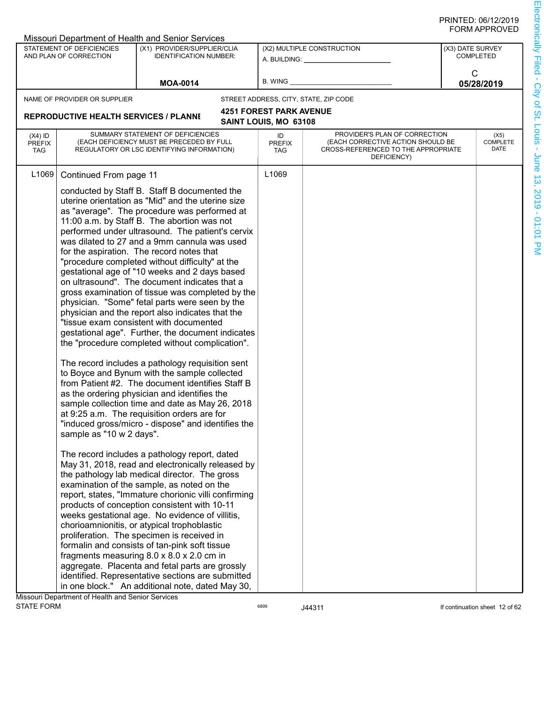|                                          |                                                     | Missouri Department of Health and Senior Services                                                                                                                                                                                                                                                                                                                                                                                                                                                                                                                                                                                                                                                                                                                                                                                                                                                                                                                                                                                                                                                                                                                                                                                                                                                                                                                                                                                                                                                                                                                                                                                                                                                                                                                                                 |                                                           |                                                                                                                          |                                      |                                 |
|------------------------------------------|-----------------------------------------------------|---------------------------------------------------------------------------------------------------------------------------------------------------------------------------------------------------------------------------------------------------------------------------------------------------------------------------------------------------------------------------------------------------------------------------------------------------------------------------------------------------------------------------------------------------------------------------------------------------------------------------------------------------------------------------------------------------------------------------------------------------------------------------------------------------------------------------------------------------------------------------------------------------------------------------------------------------------------------------------------------------------------------------------------------------------------------------------------------------------------------------------------------------------------------------------------------------------------------------------------------------------------------------------------------------------------------------------------------------------------------------------------------------------------------------------------------------------------------------------------------------------------------------------------------------------------------------------------------------------------------------------------------------------------------------------------------------------------------------------------------------------------------------------------------------|-----------------------------------------------------------|--------------------------------------------------------------------------------------------------------------------------|--------------------------------------|---------------------------------|
|                                          | STATEMENT OF DEFICIENCIES<br>AND PLAN OF CORRECTION | (X1) PROVIDER/SUPPLIER/CLIA<br><b>IDENTIFICATION NUMBER:</b>                                                                                                                                                                                                                                                                                                                                                                                                                                                                                                                                                                                                                                                                                                                                                                                                                                                                                                                                                                                                                                                                                                                                                                                                                                                                                                                                                                                                                                                                                                                                                                                                                                                                                                                                      | (X2) MULTIPLE CONSTRUCTION<br>A. BUILDING: ______________ |                                                                                                                          | (X3) DATE SURVEY<br><b>COMPLETED</b> |                                 |
|                                          |                                                     | <b>MOA-0014</b>                                                                                                                                                                                                                                                                                                                                                                                                                                                                                                                                                                                                                                                                                                                                                                                                                                                                                                                                                                                                                                                                                                                                                                                                                                                                                                                                                                                                                                                                                                                                                                                                                                                                                                                                                                                   | B. WING                                                   |                                                                                                                          | С                                    | 05/28/2019                      |
|                                          |                                                     |                                                                                                                                                                                                                                                                                                                                                                                                                                                                                                                                                                                                                                                                                                                                                                                                                                                                                                                                                                                                                                                                                                                                                                                                                                                                                                                                                                                                                                                                                                                                                                                                                                                                                                                                                                                                   |                                                           |                                                                                                                          |                                      |                                 |
|                                          | NAME OF PROVIDER OR SUPPLIER                        |                                                                                                                                                                                                                                                                                                                                                                                                                                                                                                                                                                                                                                                                                                                                                                                                                                                                                                                                                                                                                                                                                                                                                                                                                                                                                                                                                                                                                                                                                                                                                                                                                                                                                                                                                                                                   |                                                           | STREET ADDRESS, CITY, STATE, ZIP CODE                                                                                    |                                      |                                 |
|                                          | <b>REPRODUCTIVE HEALTH SERVICES / PLANNI</b>        |                                                                                                                                                                                                                                                                                                                                                                                                                                                                                                                                                                                                                                                                                                                                                                                                                                                                                                                                                                                                                                                                                                                                                                                                                                                                                                                                                                                                                                                                                                                                                                                                                                                                                                                                                                                                   | <b>4251 FOREST PARK AVENUE</b><br>SAINT LOUIS, MO 63108   |                                                                                                                          |                                      |                                 |
| $(X4)$ ID<br><b>PREFIX</b><br><b>TAG</b> |                                                     | SUMMARY STATEMENT OF DEFICIENCIES<br>(EACH DEFICIENCY MUST BE PRECEDED BY FULL<br>REGULATORY OR LSC IDENTIFYING INFORMATION)                                                                                                                                                                                                                                                                                                                                                                                                                                                                                                                                                                                                                                                                                                                                                                                                                                                                                                                                                                                                                                                                                                                                                                                                                                                                                                                                                                                                                                                                                                                                                                                                                                                                      | ID<br><b>PREFIX</b><br>TAG                                | PROVIDER'S PLAN OF CORRECTION<br>(EACH CORRECTIVE ACTION SHOULD BE<br>CROSS-REFERENCED TO THE APPROPRIATE<br>DEFICIENCY) |                                      | (X5)<br><b>COMPLETE</b><br>DATE |
| L1069                                    | Continued From page 11<br>sample as "10 w 2 days".  | conducted by Staff B. Staff B documented the<br>uterine orientation as "Mid" and the uterine size<br>as "average". The procedure was performed at<br>11:00 a.m. by Staff B. The abortion was not<br>performed under ultrasound. The patient's cervix<br>was dilated to 27 and a 9mm cannula was used<br>for the aspiration. The record notes that<br>"procedure completed without difficulty" at the<br>gestational age of "10 weeks and 2 days based<br>on ultrasound". The document indicates that a<br>gross examination of tissue was completed by the<br>physician. "Some" fetal parts were seen by the<br>physician and the report also indicates that the<br>"tissue exam consistent with documented<br>gestational age". Further, the document indicates<br>the "procedure completed without complication".<br>The record includes a pathology requisition sent<br>to Boyce and Bynum with the sample collected<br>from Patient #2. The document identifies Staff B<br>as the ordering physician and identifies the<br>sample collection time and date as May 26, 2018<br>at 9:25 a.m. The requisition orders are for<br>"induced gross/micro - dispose" and identifies the<br>The record includes a pathology report, dated<br>May 31, 2018, read and electronically released by<br>the pathology lab medical director. The gross<br>examination of the sample, as noted on the<br>report, states, "Immature chorionic villi confirming<br>products of conception consistent with 10-11<br>weeks gestational age. No evidence of villitis,<br>chorioamnionitis, or atypical trophoblastic<br>proliferation. The specimen is received in<br>formalin and consists of tan-pink soft tissue<br>fragments measuring 8.0 x 8.0 x 2.0 cm in<br>aggregate. Placenta and fetal parts are grossly | L1069                                                     |                                                                                                                          |                                      |                                 |
|                                          |                                                     | identified. Representative sections are submitted<br>in one block." An additional note, dated May 30,                                                                                                                                                                                                                                                                                                                                                                                                                                                                                                                                                                                                                                                                                                                                                                                                                                                                                                                                                                                                                                                                                                                                                                                                                                                                                                                                                                                                                                                                                                                                                                                                                                                                                             |                                                           |                                                                                                                          |                                      |                                 |
|                                          | Missouri Department of Health and Senior Services   |                                                                                                                                                                                                                                                                                                                                                                                                                                                                                                                                                                                                                                                                                                                                                                                                                                                                                                                                                                                                                                                                                                                                                                                                                                                                                                                                                                                                                                                                                                                                                                                                                                                                                                                                                                                                   |                                                           |                                                                                                                          |                                      |                                 |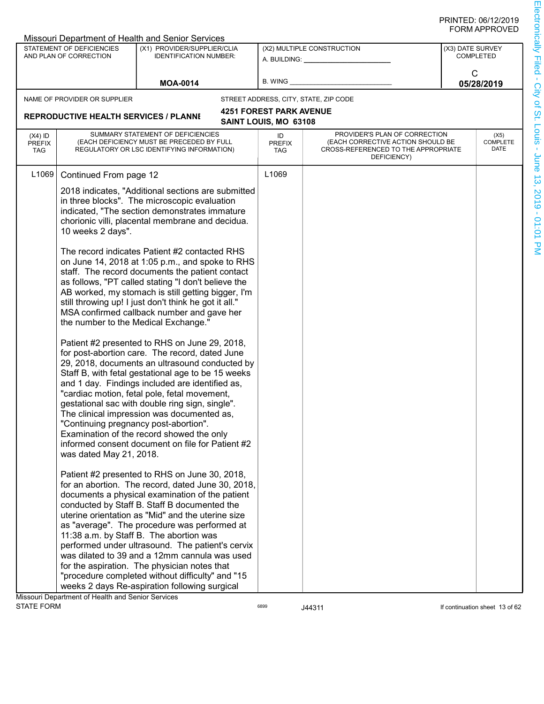|                                          |                                                                  | Missouri Department of Health and Senior Services                                                                                                                                                                                                                                                                                                                                                                                                                                                                                                                                                               |                                                         |                                                                                                                          |                  |                                 |  |
|------------------------------------------|------------------------------------------------------------------|-----------------------------------------------------------------------------------------------------------------------------------------------------------------------------------------------------------------------------------------------------------------------------------------------------------------------------------------------------------------------------------------------------------------------------------------------------------------------------------------------------------------------------------------------------------------------------------------------------------------|---------------------------------------------------------|--------------------------------------------------------------------------------------------------------------------------|------------------|---------------------------------|--|
|                                          | STATEMENT OF DEFICIENCIES<br>AND PLAN OF CORRECTION              | (X1) PROVIDER/SUPPLIER/CLIA<br><b>IDENTIFICATION NUMBER:</b>                                                                                                                                                                                                                                                                                                                                                                                                                                                                                                                                                    |                                                         | (X2) MULTIPLE CONSTRUCTION<br>A. BUILDING: A.                                                                            | (X3) DATE SURVEY | <b>COMPLETED</b>                |  |
|                                          |                                                                  | <b>MOA-0014</b>                                                                                                                                                                                                                                                                                                                                                                                                                                                                                                                                                                                                 | <b>B. WING</b>                                          |                                                                                                                          |                  | C<br>05/28/2019                 |  |
|                                          |                                                                  |                                                                                                                                                                                                                                                                                                                                                                                                                                                                                                                                                                                                                 |                                                         |                                                                                                                          |                  |                                 |  |
|                                          | NAME OF PROVIDER OR SUPPLIER                                     |                                                                                                                                                                                                                                                                                                                                                                                                                                                                                                                                                                                                                 |                                                         | STREET ADDRESS, CITY, STATE, ZIP CODE                                                                                    |                  |                                 |  |
|                                          | <b>REPRODUCTIVE HEALTH SERVICES / PLANNI</b>                     |                                                                                                                                                                                                                                                                                                                                                                                                                                                                                                                                                                                                                 | <b>4251 FOREST PARK AVENUE</b><br>SAINT LOUIS, MO 63108 |                                                                                                                          |                  |                                 |  |
| $(X4)$ ID<br><b>PREFIX</b><br><b>TAG</b> |                                                                  | SUMMARY STATEMENT OF DEFICIENCIES<br>(EACH DEFICIENCY MUST BE PRECEDED BY FULL<br>REGULATORY OR LSC IDENTIFYING INFORMATION)                                                                                                                                                                                                                                                                                                                                                                                                                                                                                    | ID<br><b>PREFIX</b><br><b>TAG</b>                       | PROVIDER'S PLAN OF CORRECTION<br>(EACH CORRECTIVE ACTION SHOULD BE<br>CROSS-REFERENCED TO THE APPROPRIATE<br>DEFICIENCY) |                  | (X5)<br><b>COMPLETE</b><br>DATE |  |
| L <sub>1069</sub>                        | Continued From page 12                                           |                                                                                                                                                                                                                                                                                                                                                                                                                                                                                                                                                                                                                 | L1069                                                   |                                                                                                                          |                  |                                 |  |
|                                          | 10 weeks 2 days".                                                | 2018 indicates, "Additional sections are submitted<br>in three blocks". The microscopic evaluation<br>indicated, "The section demonstrates immature<br>chorionic villi, placental membrane and decidua.                                                                                                                                                                                                                                                                                                                                                                                                         |                                                         |                                                                                                                          |                  |                                 |  |
|                                          | the number to the Medical Exchange."                             | The record indicates Patient #2 contacted RHS<br>on June 14, 2018 at 1:05 p.m., and spoke to RHS<br>staff. The record documents the patient contact<br>as follows, "PT called stating "I don't believe the<br>AB worked, my stomach is still getting bigger, I'm<br>still throwing up! I just don't think he got it all."<br>MSA confirmed callback number and gave her                                                                                                                                                                                                                                         |                                                         |                                                                                                                          |                  |                                 |  |
|                                          | "Continuing pregnancy post-abortion".<br>was dated May 21, 2018. | Patient #2 presented to RHS on June 29, 2018,<br>for post-abortion care. The record, dated June<br>29, 2018, documents an ultrasound conducted by<br>Staff B, with fetal gestational age to be 15 weeks<br>and 1 day. Findings included are identified as,<br>"cardiac motion, fetal pole, fetal movement,<br>gestational sac with double ring sign, single".<br>The clinical impression was documented as,<br>Examination of the record showed the only<br>informed consent document on file for Patient #2                                                                                                    |                                                         |                                                                                                                          |                  |                                 |  |
|                                          |                                                                  | Patient #2 presented to RHS on June 30, 2018,<br>for an abortion. The record, dated June 30, 2018,<br>documents a physical examination of the patient<br>conducted by Staff B. Staff B documented the<br>uterine orientation as "Mid" and the uterine size<br>as "average". The procedure was performed at<br>11:38 a.m. by Staff B. The abortion was<br>performed under ultrasound. The patient's cervix<br>was dilated to 39 and a 12mm cannula was used<br>for the aspiration. The physician notes that<br>"procedure completed without difficulty" and "15<br>weeks 2 days Re-aspiration following surgical |                                                         |                                                                                                                          |                  |                                 |  |
|                                          | Missouri Department of Health and Senior Services                |                                                                                                                                                                                                                                                                                                                                                                                                                                                                                                                                                                                                                 |                                                         |                                                                                                                          |                  |                                 |  |
| <b>STATE FORM</b>                        |                                                                  |                                                                                                                                                                                                                                                                                                                                                                                                                                                                                                                                                                                                                 | 6899                                                    | J44311                                                                                                                   |                  | If continuation sheet 13 of 62  |  |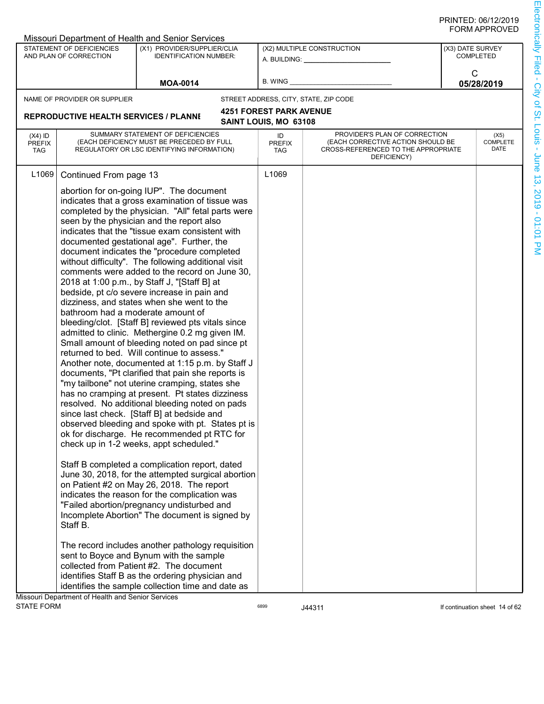|                            |                                                   | <b>Missouri Department of Health and Senior Services</b>                                             |                                |                                                    |                  |                                |
|----------------------------|---------------------------------------------------|------------------------------------------------------------------------------------------------------|--------------------------------|----------------------------------------------------|------------------|--------------------------------|
|                            | STATEMENT OF DEFICIENCIES                         | (X1) PROVIDER/SUPPLIER/CLIA                                                                          |                                | (X2) MULTIPLE CONSTRUCTION                         | (X3) DATE SURVEY |                                |
|                            | AND PLAN OF CORRECTION                            | <b>IDENTIFICATION NUMBER:</b>                                                                        |                                | A. BUILDING: ______________                        |                  | <b>COMPLETED</b>               |
|                            |                                                   |                                                                                                      |                                |                                                    | C                |                                |
|                            |                                                   | <b>MOA-0014</b>                                                                                      | <b>B. WING</b>                 |                                                    |                  | 05/28/2019                     |
|                            | NAME OF PROVIDER OR SUPPLIER                      |                                                                                                      |                                | STREET ADDRESS, CITY, STATE, ZIP CODE              |                  |                                |
|                            |                                                   |                                                                                                      | <b>4251 FOREST PARK AVENUE</b> |                                                    |                  |                                |
|                            | <b>REPRODUCTIVE HEALTH SERVICES / PLANNI</b>      |                                                                                                      | SAINT LOUIS, MO 63108          |                                                    |                  |                                |
|                            |                                                   |                                                                                                      |                                | PROVIDER'S PLAN OF CORRECTION                      |                  |                                |
| $(X4)$ ID<br><b>PREFIX</b> |                                                   | SUMMARY STATEMENT OF DEFICIENCIES<br>(EACH DEFICIENCY MUST BE PRECEDED BY FULL                       | ID<br><b>PREFIX</b>            | (EACH CORRECTIVE ACTION SHOULD BE                  |                  | (X5)<br>COMPLETE               |
| <b>TAG</b>                 |                                                   | REGULATORY OR LSC IDENTIFYING INFORMATION)                                                           | <b>TAG</b>                     | CROSS-REFERENCED TO THE APPROPRIATE<br>DEFICIENCY) |                  | DATE                           |
|                            |                                                   |                                                                                                      |                                |                                                    |                  |                                |
| L <sub>1069</sub>          | Continued From page 13                            |                                                                                                      | L1069                          |                                                    |                  |                                |
|                            |                                                   | abortion for on-going IUP". The document                                                             |                                |                                                    |                  |                                |
|                            |                                                   | indicates that a gross examination of tissue was                                                     |                                |                                                    |                  |                                |
|                            |                                                   | completed by the physician. "All" fetal parts were                                                   |                                |                                                    |                  |                                |
|                            |                                                   | seen by the physician and the report also                                                            |                                |                                                    |                  |                                |
|                            |                                                   | indicates that the "tissue exam consistent with                                                      |                                |                                                    |                  |                                |
|                            |                                                   | documented gestational age". Further, the                                                            |                                |                                                    |                  |                                |
|                            |                                                   | document indicates the "procedure completed                                                          |                                |                                                    |                  |                                |
|                            |                                                   | without difficulty". The following additional visit<br>comments were added to the record on June 30, |                                |                                                    |                  |                                |
|                            |                                                   | 2018 at 1:00 p.m., by Staff J, "[Staff B] at                                                         |                                |                                                    |                  |                                |
|                            |                                                   | bedside, pt c/o severe increase in pain and                                                          |                                |                                                    |                  |                                |
|                            |                                                   | dizziness, and states when she went to the                                                           |                                |                                                    |                  |                                |
|                            | bathroom had a moderate amount of                 |                                                                                                      |                                |                                                    |                  |                                |
|                            |                                                   | bleeding/clot. [Staff B] reviewed pts vitals since                                                   |                                |                                                    |                  |                                |
|                            |                                                   | admitted to clinic. Methergine 0.2 mg given IM.                                                      |                                |                                                    |                  |                                |
|                            |                                                   | Small amount of bleeding noted on pad since pt                                                       |                                |                                                    |                  |                                |
|                            |                                                   | returned to bed. Will continue to assess."<br>Another note, documented at 1:15 p.m. by Staff J       |                                |                                                    |                  |                                |
|                            |                                                   | documents, "Pt clarified that pain she reports is                                                    |                                |                                                    |                  |                                |
|                            |                                                   | "my tailbone" not uterine cramping, states she                                                       |                                |                                                    |                  |                                |
|                            |                                                   | has no cramping at present. Pt states dizziness                                                      |                                |                                                    |                  |                                |
|                            |                                                   | resolved. No additional bleeding noted on pads                                                       |                                |                                                    |                  |                                |
|                            |                                                   | since last check. [Staff B] at bedside and                                                           |                                |                                                    |                  |                                |
|                            |                                                   | observed bleeding and spoke with pt. States pt is                                                    |                                |                                                    |                  |                                |
|                            |                                                   | ok for discharge. He recommended pt RTC for                                                          |                                |                                                    |                  |                                |
|                            |                                                   | check up in 1-2 weeks, appt scheduled."                                                              |                                |                                                    |                  |                                |
|                            |                                                   | Staff B completed a complication report, dated                                                       |                                |                                                    |                  |                                |
|                            |                                                   | June 30, 2018, for the attempted surgical abortion                                                   |                                |                                                    |                  |                                |
|                            |                                                   | on Patient #2 on May 26, 2018. The report                                                            |                                |                                                    |                  |                                |
|                            |                                                   | indicates the reason for the complication was                                                        |                                |                                                    |                  |                                |
|                            |                                                   | "Failed abortion/pregnancy undisturbed and                                                           |                                |                                                    |                  |                                |
|                            |                                                   | Incomplete Abortion" The document is signed by                                                       |                                |                                                    |                  |                                |
|                            | Staff B.                                          |                                                                                                      |                                |                                                    |                  |                                |
|                            |                                                   |                                                                                                      |                                |                                                    |                  |                                |
|                            |                                                   | The record includes another pathology requisition<br>sent to Boyce and Bynum with the sample         |                                |                                                    |                  |                                |
|                            |                                                   | collected from Patient #2. The document                                                              |                                |                                                    |                  |                                |
|                            |                                                   | identifies Staff B as the ordering physician and                                                     |                                |                                                    |                  |                                |
|                            |                                                   | identifies the sample collection time and date as                                                    |                                |                                                    |                  |                                |
|                            | Missouri Department of Health and Senior Services |                                                                                                      |                                |                                                    |                  |                                |
| <b>STATE FORM</b>          |                                                   |                                                                                                      | 6899                           | J44311                                             |                  | If continuation sheet 14 of 62 |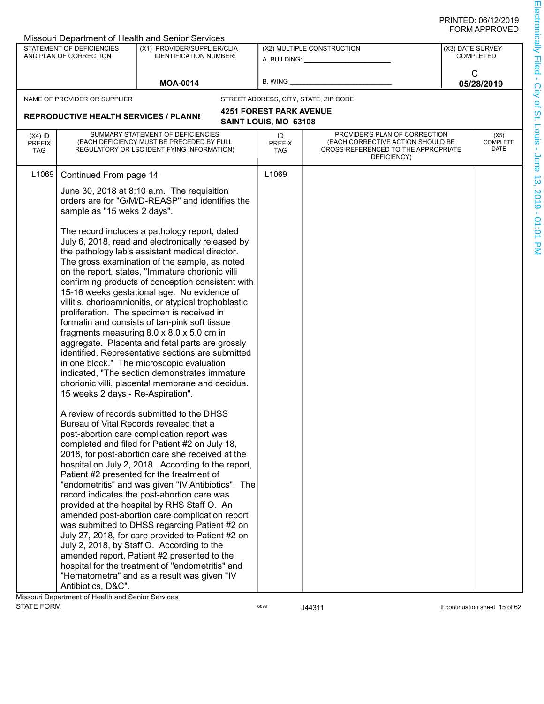|                                          |                                                                                            | Missouri Department of Health and Senior Services                                                                                                                                                                                                                                                                                                                                                                                                                                                                                                                                                                                                                                                                                                                                                                                                                                                                                                                                                                                                                                                                                                                                                                                                                                                                                                                                                                                                                                                                                                                                                                                                                                                                                                                                         |                                |                                                                                                                          |                  |                                 |
|------------------------------------------|--------------------------------------------------------------------------------------------|-------------------------------------------------------------------------------------------------------------------------------------------------------------------------------------------------------------------------------------------------------------------------------------------------------------------------------------------------------------------------------------------------------------------------------------------------------------------------------------------------------------------------------------------------------------------------------------------------------------------------------------------------------------------------------------------------------------------------------------------------------------------------------------------------------------------------------------------------------------------------------------------------------------------------------------------------------------------------------------------------------------------------------------------------------------------------------------------------------------------------------------------------------------------------------------------------------------------------------------------------------------------------------------------------------------------------------------------------------------------------------------------------------------------------------------------------------------------------------------------------------------------------------------------------------------------------------------------------------------------------------------------------------------------------------------------------------------------------------------------------------------------------------------------|--------------------------------|--------------------------------------------------------------------------------------------------------------------------|------------------|---------------------------------|
|                                          | STATEMENT OF DEFICIENCIES<br>AND PLAN OF CORRECTION                                        | (X1) PROVIDER/SUPPLIER/CLIA<br><b>IDENTIFICATION NUMBER:</b>                                                                                                                                                                                                                                                                                                                                                                                                                                                                                                                                                                                                                                                                                                                                                                                                                                                                                                                                                                                                                                                                                                                                                                                                                                                                                                                                                                                                                                                                                                                                                                                                                                                                                                                              |                                | (X2) MULTIPLE CONSTRUCTION<br>A. BUILDING: ________________                                                              | (X3) DATE SURVEY | <b>COMPLETED</b>                |
|                                          |                                                                                            | <b>MOA-0014</b>                                                                                                                                                                                                                                                                                                                                                                                                                                                                                                                                                                                                                                                                                                                                                                                                                                                                                                                                                                                                                                                                                                                                                                                                                                                                                                                                                                                                                                                                                                                                                                                                                                                                                                                                                                           | B. WING                        |                                                                                                                          | C                | 05/28/2019                      |
|                                          | NAME OF PROVIDER OR SUPPLIER                                                               |                                                                                                                                                                                                                                                                                                                                                                                                                                                                                                                                                                                                                                                                                                                                                                                                                                                                                                                                                                                                                                                                                                                                                                                                                                                                                                                                                                                                                                                                                                                                                                                                                                                                                                                                                                                           |                                | STREET ADDRESS, CITY, STATE, ZIP CODE                                                                                    |                  |                                 |
|                                          |                                                                                            |                                                                                                                                                                                                                                                                                                                                                                                                                                                                                                                                                                                                                                                                                                                                                                                                                                                                                                                                                                                                                                                                                                                                                                                                                                                                                                                                                                                                                                                                                                                                                                                                                                                                                                                                                                                           | <b>4251 FOREST PARK AVENUE</b> |                                                                                                                          |                  |                                 |
|                                          | <b>REPRODUCTIVE HEALTH SERVICES / PLANNI</b>                                               |                                                                                                                                                                                                                                                                                                                                                                                                                                                                                                                                                                                                                                                                                                                                                                                                                                                                                                                                                                                                                                                                                                                                                                                                                                                                                                                                                                                                                                                                                                                                                                                                                                                                                                                                                                                           | SAINT LOUIS, MO 63108          |                                                                                                                          |                  |                                 |
| $(X4)$ ID<br><b>PREFIX</b><br><b>TAG</b> |                                                                                            | SUMMARY STATEMENT OF DEFICIENCIES<br>(EACH DEFICIENCY MUST BE PRECEDED BY FULL<br>REGULATORY OR LSC IDENTIFYING INFORMATION)                                                                                                                                                                                                                                                                                                                                                                                                                                                                                                                                                                                                                                                                                                                                                                                                                                                                                                                                                                                                                                                                                                                                                                                                                                                                                                                                                                                                                                                                                                                                                                                                                                                              | ID<br><b>PREFIX</b><br>TAG     | PROVIDER'S PLAN OF CORRECTION<br>(EACH CORRECTIVE ACTION SHOULD BE<br>CROSS-REFERENCED TO THE APPROPRIATE<br>DEFICIENCY) |                  | (X5)<br><b>COMPLETE</b><br>DATE |
| L <sub>1069</sub>                        | Continued From page 14<br>sample as "15 weks 2 days".<br>15 weeks 2 days - Re-Aspiration". | June 30, 2018 at 8:10 a.m. The requisition<br>orders are for "G/M/D-REASP" and identifies the<br>The record includes a pathology report, dated<br>July 6, 2018, read and electronically released by<br>the pathology lab's assistant medical director.<br>The gross examination of the sample, as noted<br>on the report, states, "Immature chorionic villi<br>confirming products of conception consistent with<br>15-16 weeks gestational age. No evidence of<br>villitis, chorioamnionitis, or atypical trophoblastic<br>proliferation. The specimen is received in<br>formalin and consists of tan-pink soft tissue<br>fragments measuring 8.0 x 8.0 x 5.0 cm in<br>aggregate. Placenta and fetal parts are grossly<br>identified. Representative sections are submitted<br>in one block." The microscopic evaluation<br>indicated, "The section demonstrates immature<br>chorionic villi, placental membrane and decidua.<br>A review of records submitted to the DHSS<br>Bureau of Vital Records revealed that a<br>post-abortion care complication report was<br>completed and filed for Patient #2 on July 18,<br>2018, for post-abortion care she received at the<br>hospital on July 2, 2018. According to the report,<br>Patient #2 presented for the treatment of<br>"endometritis" and was given "IV Antibiotics". The<br>record indicates the post-abortion care was<br>provided at the hospital by RHS Staff O. An<br>amended post-abortion care complication report<br>was submitted to DHSS regarding Patient #2 on<br>July 27, 2018, for care provided to Patient #2 on<br>July 2, 2018, by Staff O. According to the<br>amended report, Patient #2 presented to the<br>hospital for the treatment of "endometritis" and<br>"Hematometra" and as a result was given "IV | L1069                          |                                                                                                                          |                  |                                 |
|                                          | Antibiotics, D&C".<br>Missouri Department of Health and Senior Services                    |                                                                                                                                                                                                                                                                                                                                                                                                                                                                                                                                                                                                                                                                                                                                                                                                                                                                                                                                                                                                                                                                                                                                                                                                                                                                                                                                                                                                                                                                                                                                                                                                                                                                                                                                                                                           |                                |                                                                                                                          |                  |                                 |
| <b>STATE FORM</b>                        |                                                                                            |                                                                                                                                                                                                                                                                                                                                                                                                                                                                                                                                                                                                                                                                                                                                                                                                                                                                                                                                                                                                                                                                                                                                                                                                                                                                                                                                                                                                                                                                                                                                                                                                                                                                                                                                                                                           | 6899                           | J44311                                                                                                                   |                  | If continuation sheet 15 of 62  |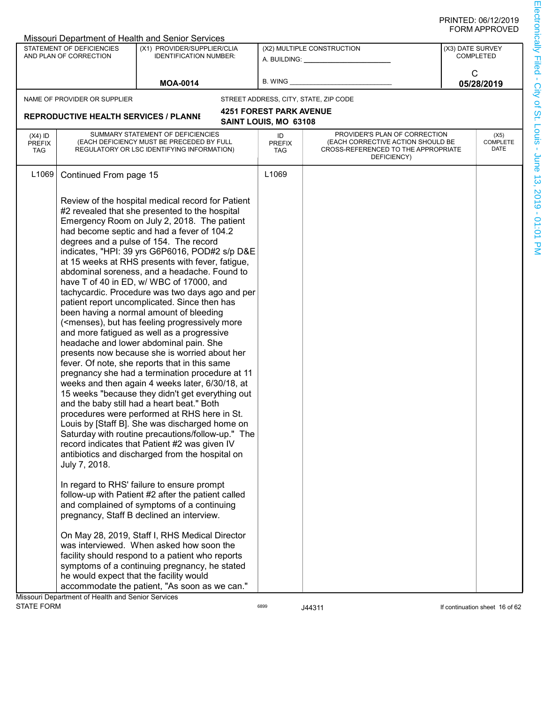|                                          |                                                                                                               | Missouri Department of Health and Senior Services                                                                                                                                                                                                                                                                                                                                                                                                                                                                                                                                                                                                                                                                                                                                                                                                                                                                                                                                                                                                                                                                                                                                                                                                                                                                                                                                                                                                                                                                                                                                                                                                                                                                                                                                                           |                                                         |                                                                                                                          |                                      |                                |  |
|------------------------------------------|---------------------------------------------------------------------------------------------------------------|-------------------------------------------------------------------------------------------------------------------------------------------------------------------------------------------------------------------------------------------------------------------------------------------------------------------------------------------------------------------------------------------------------------------------------------------------------------------------------------------------------------------------------------------------------------------------------------------------------------------------------------------------------------------------------------------------------------------------------------------------------------------------------------------------------------------------------------------------------------------------------------------------------------------------------------------------------------------------------------------------------------------------------------------------------------------------------------------------------------------------------------------------------------------------------------------------------------------------------------------------------------------------------------------------------------------------------------------------------------------------------------------------------------------------------------------------------------------------------------------------------------------------------------------------------------------------------------------------------------------------------------------------------------------------------------------------------------------------------------------------------------------------------------------------------------|---------------------------------------------------------|--------------------------------------------------------------------------------------------------------------------------|--------------------------------------|--------------------------------|--|
|                                          | STATEMENT OF DEFICIENCIES<br>AND PLAN OF CORRECTION                                                           | (X1) PROVIDER/SUPPLIER/CLIA<br><b>IDENTIFICATION NUMBER:</b>                                                                                                                                                                                                                                                                                                                                                                                                                                                                                                                                                                                                                                                                                                                                                                                                                                                                                                                                                                                                                                                                                                                                                                                                                                                                                                                                                                                                                                                                                                                                                                                                                                                                                                                                                | A. BUILDING: _______                                    | (X2) MULTIPLE CONSTRUCTION                                                                                               | (X3) DATE SURVEY<br><b>COMPLETED</b> |                                |  |
|                                          |                                                                                                               | <b>MOA-0014</b>                                                                                                                                                                                                                                                                                                                                                                                                                                                                                                                                                                                                                                                                                                                                                                                                                                                                                                                                                                                                                                                                                                                                                                                                                                                                                                                                                                                                                                                                                                                                                                                                                                                                                                                                                                                             | <b>B. WING</b>                                          |                                                                                                                          |                                      | C<br>05/28/2019                |  |
|                                          |                                                                                                               |                                                                                                                                                                                                                                                                                                                                                                                                                                                                                                                                                                                                                                                                                                                                                                                                                                                                                                                                                                                                                                                                                                                                                                                                                                                                                                                                                                                                                                                                                                                                                                                                                                                                                                                                                                                                             |                                                         |                                                                                                                          |                                      |                                |  |
|                                          | NAME OF PROVIDER OR SUPPLIER                                                                                  |                                                                                                                                                                                                                                                                                                                                                                                                                                                                                                                                                                                                                                                                                                                                                                                                                                                                                                                                                                                                                                                                                                                                                                                                                                                                                                                                                                                                                                                                                                                                                                                                                                                                                                                                                                                                             |                                                         | STREET ADDRESS, CITY, STATE, ZIP CODE                                                                                    |                                      |                                |  |
|                                          | <b>REPRODUCTIVE HEALTH SERVICES / PLANNI</b>                                                                  |                                                                                                                                                                                                                                                                                                                                                                                                                                                                                                                                                                                                                                                                                                                                                                                                                                                                                                                                                                                                                                                                                                                                                                                                                                                                                                                                                                                                                                                                                                                                                                                                                                                                                                                                                                                                             | <b>4251 FOREST PARK AVENUE</b><br>SAINT LOUIS, MO 63108 |                                                                                                                          |                                      |                                |  |
| $(X4)$ ID<br><b>PREFIX</b><br><b>TAG</b> |                                                                                                               | SUMMARY STATEMENT OF DEFICIENCIES<br>(EACH DEFICIENCY MUST BE PRECEDED BY FULL<br>REGULATORY OR LSC IDENTIFYING INFORMATION)                                                                                                                                                                                                                                                                                                                                                                                                                                                                                                                                                                                                                                                                                                                                                                                                                                                                                                                                                                                                                                                                                                                                                                                                                                                                                                                                                                                                                                                                                                                                                                                                                                                                                | ID<br><b>PREFIX</b><br><b>TAG</b>                       | PROVIDER'S PLAN OF CORRECTION<br>(EACH CORRECTIVE ACTION SHOULD BE<br>CROSS-REFERENCED TO THE APPROPRIATE<br>DEFICIENCY) |                                      | (X5)<br>COMPLETE<br>DATE       |  |
| L <sub>1069</sub>                        | Continued From page 15                                                                                        |                                                                                                                                                                                                                                                                                                                                                                                                                                                                                                                                                                                                                                                                                                                                                                                                                                                                                                                                                                                                                                                                                                                                                                                                                                                                                                                                                                                                                                                                                                                                                                                                                                                                                                                                                                                                             | L1069                                                   |                                                                                                                          |                                      |                                |  |
|                                          | July 7, 2018.<br>he would expect that the facility would<br>Missouri Department of Health and Senior Services | Review of the hospital medical record for Patient<br>#2 revealed that she presented to the hospital<br>Emergency Room on July 2, 2018. The patient<br>had become septic and had a fever of 104.2<br>degrees and a pulse of 154. The record<br>indicates, "HPI: 39 yrs G6P6016, POD#2 s/p D&E<br>at 15 weeks at RHS presents with fever, fatigue,<br>abdominal soreness, and a headache. Found to<br>have T of 40 in ED, w/ WBC of 17000, and<br>tachycardic. Procedure was two days ago and per<br>patient report uncomplicated. Since then has<br>been having a normal amount of bleeding<br>( <menses), but="" feeling="" has="" more<br="" progressively="">and more fatigued as well as a progressive<br/>headache and lower abdominal pain. She<br/>presents now because she is worried about her<br/>fever. Of note, she reports that in this same<br/>pregnancy she had a termination procedure at 11<br/>weeks and then again 4 weeks later, 6/30/18, at<br/>15 weeks "because they didn't get everything out<br/>and the baby still had a heart beat." Both<br/>procedures were performed at RHS here in St.<br/>Louis by [Staff B]. She was discharged home on<br/>Saturday with routine precautions/follow-up." The<br/>record indicates that Patient #2 was given IV<br/>antibiotics and discharged from the hospital on<br/>In regard to RHS' failure to ensure prompt<br/>follow-up with Patient #2 after the patient called<br/>and complained of symptoms of a continuing<br/>pregnancy, Staff B declined an interview.<br/>On May 28, 2019, Staff I, RHS Medical Director<br/>was interviewed. When asked how soon the<br/>facility should respond to a patient who reports<br/>symptoms of a continuing pregnancy, he stated<br/>accommodate the patient, "As soon as we can."</menses),> |                                                         |                                                                                                                          |                                      |                                |  |
| <b>STATE FORM</b>                        |                                                                                                               |                                                                                                                                                                                                                                                                                                                                                                                                                                                                                                                                                                                                                                                                                                                                                                                                                                                                                                                                                                                                                                                                                                                                                                                                                                                                                                                                                                                                                                                                                                                                                                                                                                                                                                                                                                                                             | 6899                                                    | J44311                                                                                                                   |                                      | If continuation sheet 16 of 62 |  |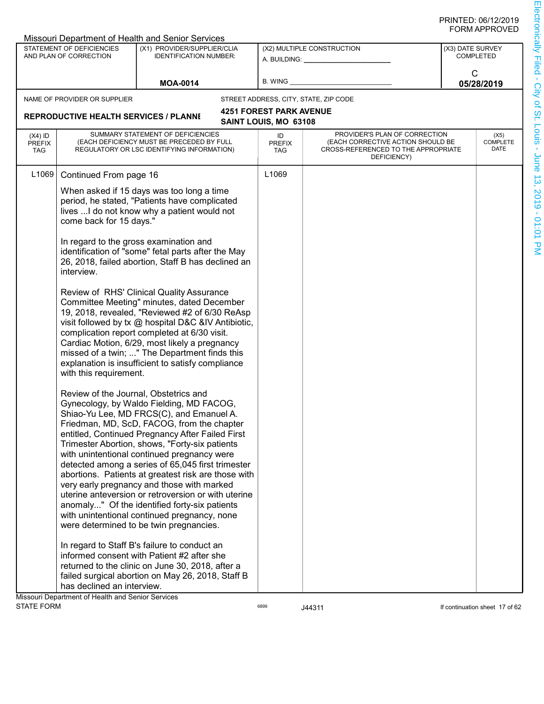|                                   |                                                            | Missouri Department of Health and Senior Services                                                                                                                                                                                                                                                                                                                                                                                                                                                                                                                                                                                                    |                                                         |                                                                                                                          |                                      |
|-----------------------------------|------------------------------------------------------------|------------------------------------------------------------------------------------------------------------------------------------------------------------------------------------------------------------------------------------------------------------------------------------------------------------------------------------------------------------------------------------------------------------------------------------------------------------------------------------------------------------------------------------------------------------------------------------------------------------------------------------------------------|---------------------------------------------------------|--------------------------------------------------------------------------------------------------------------------------|--------------------------------------|
|                                   | <b>STATEMENT OF DEFICIENCIES</b><br>AND PLAN OF CORRECTION | (X1) PROVIDER/SUPPLIER/CLIA<br><b>IDENTIFICATION NUMBER:</b>                                                                                                                                                                                                                                                                                                                                                                                                                                                                                                                                                                                         | A. BUILDING: _______                                    | (X2) MULTIPLE CONSTRUCTION                                                                                               | (X3) DATE SURVEY<br><b>COMPLETED</b> |
|                                   |                                                            |                                                                                                                                                                                                                                                                                                                                                                                                                                                                                                                                                                                                                                                      |                                                         |                                                                                                                          | C                                    |
|                                   |                                                            | <b>MOA-0014</b>                                                                                                                                                                                                                                                                                                                                                                                                                                                                                                                                                                                                                                      | <b>B. WING</b>                                          |                                                                                                                          | 05/28/2019                           |
|                                   | NAME OF PROVIDER OR SUPPLIER                               |                                                                                                                                                                                                                                                                                                                                                                                                                                                                                                                                                                                                                                                      |                                                         | STREET ADDRESS, CITY, STATE, ZIP CODE                                                                                    |                                      |
|                                   | <b>REPRODUCTIVE HEALTH SERVICES / PLANNI</b>               |                                                                                                                                                                                                                                                                                                                                                                                                                                                                                                                                                                                                                                                      | <b>4251 FOREST PARK AVENUE</b><br>SAINT LOUIS, MO 63108 |                                                                                                                          |                                      |
| $(X4)$ ID<br><b>PREFIX</b><br>TAG |                                                            | SUMMARY STATEMENT OF DEFICIENCIES<br>(EACH DEFICIENCY MUST BE PRECEDED BY FULL<br>REGULATORY OR LSC IDENTIFYING INFORMATION)                                                                                                                                                                                                                                                                                                                                                                                                                                                                                                                         | ID<br><b>PREFIX</b><br>TAG                              | PROVIDER'S PLAN OF CORRECTION<br>(EACH CORRECTIVE ACTION SHOULD BE<br>CROSS-REFERENCED TO THE APPROPRIATE<br>DEFICIENCY) | (X5)<br>COMPLETE<br>DATE             |
| L <sub>1069</sub>                 | Continued From page 16                                     |                                                                                                                                                                                                                                                                                                                                                                                                                                                                                                                                                                                                                                                      | L1069                                                   |                                                                                                                          |                                      |
|                                   | come back for 15 days."                                    | When asked if 15 days was too long a time<br>period, he stated, "Patients have complicated<br>lives  I do not know why a patient would not                                                                                                                                                                                                                                                                                                                                                                                                                                                                                                           |                                                         |                                                                                                                          |                                      |
|                                   | interview.                                                 | In regard to the gross examination and<br>identification of "some" fetal parts after the May<br>26, 2018, failed abortion, Staff B has declined an                                                                                                                                                                                                                                                                                                                                                                                                                                                                                                   |                                                         |                                                                                                                          |                                      |
| with this requirement.            |                                                            | Review of RHS' Clinical Quality Assurance<br>Committee Meeting" minutes, dated December<br>19, 2018, revealed, "Reviewed #2 of 6/30 ReAsp<br>visit followed by tx @ hospital D&C &IV Antibiotic,<br>complication report completed at 6/30 visit.<br>Cardiac Motion, 6/29, most likely a pregnancy<br>missed of a twin; " The Department finds this<br>explanation is insufficient to satisfy compliance                                                                                                                                                                                                                                              |                                                         |                                                                                                                          |                                      |
|                                   | Review of the Journal, Obstetrics and                      | Gynecology, by Waldo Fielding, MD FACOG,<br>Shiao-Yu Lee, MD FRCS(C), and Emanuel A.<br>Friedman, MD, ScD, FACOG, from the chapter<br>entitled, Continued Pregnancy After Failed First<br>Trimester Abortion, shows, "Forty-six patients<br>with unintentional continued pregnancy were<br>detected among a series of 65,045 first trimester<br>abortions. Patients at greatest risk are those with<br>very early pregnancy and those with marked<br>uterine anteversion or retroversion or with uterine<br>anomaly" Of the identified forty-six patients<br>with unintentional continued pregnancy, none<br>were determined to be twin pregnancies. |                                                         |                                                                                                                          |                                      |
|                                   | has declined an interview.                                 | In regard to Staff B's failure to conduct an<br>informed consent with Patient #2 after she<br>returned to the clinic on June 30, 2018, after a<br>failed surgical abortion on May 26, 2018, Staff B                                                                                                                                                                                                                                                                                                                                                                                                                                                  |                                                         |                                                                                                                          |                                      |
| <b>STATE FORM</b>                 | Missouri Department of Health and Senior Services          |                                                                                                                                                                                                                                                                                                                                                                                                                                                                                                                                                                                                                                                      | 6899                                                    | J44311                                                                                                                   | If continuation sheet 17 of 62       |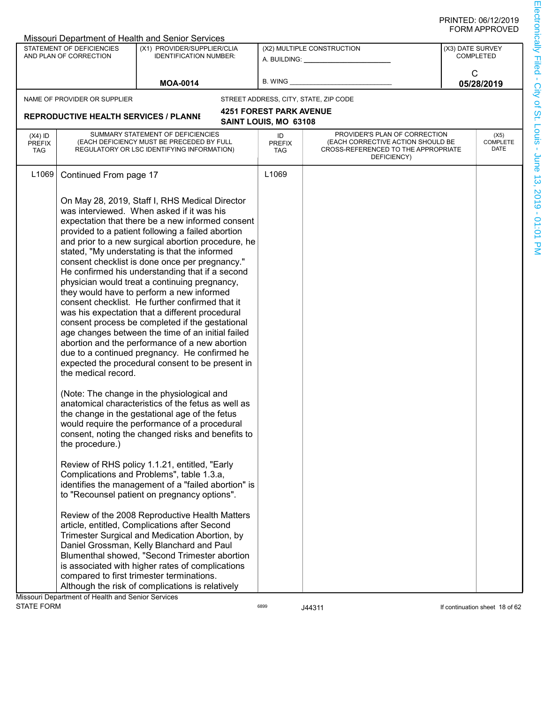|                                          |                                                     | Missouri Department of Health and Senior Services                                                                                                                                                                                                                                                                                                                                                                                                                                                                                                                                                                                                                                                                                                                                                                                                                                                                                                                                                                                                                                                                                                                                                                                                                                                                                                                                                                                                                                                                                                                                                                                                                                                        |                                                         |                                                                                                                          |                  |                                |  |
|------------------------------------------|-----------------------------------------------------|----------------------------------------------------------------------------------------------------------------------------------------------------------------------------------------------------------------------------------------------------------------------------------------------------------------------------------------------------------------------------------------------------------------------------------------------------------------------------------------------------------------------------------------------------------------------------------------------------------------------------------------------------------------------------------------------------------------------------------------------------------------------------------------------------------------------------------------------------------------------------------------------------------------------------------------------------------------------------------------------------------------------------------------------------------------------------------------------------------------------------------------------------------------------------------------------------------------------------------------------------------------------------------------------------------------------------------------------------------------------------------------------------------------------------------------------------------------------------------------------------------------------------------------------------------------------------------------------------------------------------------------------------------------------------------------------------------|---------------------------------------------------------|--------------------------------------------------------------------------------------------------------------------------|------------------|--------------------------------|--|
|                                          | STATEMENT OF DEFICIENCIES<br>AND PLAN OF CORRECTION | (X1) PROVIDER/SUPPLIER/CLIA<br><b>IDENTIFICATION NUMBER:</b>                                                                                                                                                                                                                                                                                                                                                                                                                                                                                                                                                                                                                                                                                                                                                                                                                                                                                                                                                                                                                                                                                                                                                                                                                                                                                                                                                                                                                                                                                                                                                                                                                                             |                                                         | (X2) MULTIPLE CONSTRUCTION<br>A. BUILDING: __________                                                                    | (X3) DATE SURVEY | <b>COMPLETED</b>               |  |
|                                          |                                                     | <b>MOA-0014</b>                                                                                                                                                                                                                                                                                                                                                                                                                                                                                                                                                                                                                                                                                                                                                                                                                                                                                                                                                                                                                                                                                                                                                                                                                                                                                                                                                                                                                                                                                                                                                                                                                                                                                          | <b>B. WING</b>                                          |                                                                                                                          |                  | C<br>05/28/2019                |  |
|                                          |                                                     |                                                                                                                                                                                                                                                                                                                                                                                                                                                                                                                                                                                                                                                                                                                                                                                                                                                                                                                                                                                                                                                                                                                                                                                                                                                                                                                                                                                                                                                                                                                                                                                                                                                                                                          |                                                         |                                                                                                                          |                  |                                |  |
|                                          | NAME OF PROVIDER OR SUPPLIER                        |                                                                                                                                                                                                                                                                                                                                                                                                                                                                                                                                                                                                                                                                                                                                                                                                                                                                                                                                                                                                                                                                                                                                                                                                                                                                                                                                                                                                                                                                                                                                                                                                                                                                                                          |                                                         | STREET ADDRESS, CITY, STATE, ZIP CODE                                                                                    |                  |                                |  |
|                                          | <b>REPRODUCTIVE HEALTH SERVICES / PLANNI</b>        |                                                                                                                                                                                                                                                                                                                                                                                                                                                                                                                                                                                                                                                                                                                                                                                                                                                                                                                                                                                                                                                                                                                                                                                                                                                                                                                                                                                                                                                                                                                                                                                                                                                                                                          | <b>4251 FOREST PARK AVENUE</b><br>SAINT LOUIS, MO 63108 |                                                                                                                          |                  |                                |  |
| $(X4)$ ID<br><b>PREFIX</b><br><b>TAG</b> |                                                     | SUMMARY STATEMENT OF DEFICIENCIES<br>(EACH DEFICIENCY MUST BE PRECEDED BY FULL<br>REGULATORY OR LSC IDENTIFYING INFORMATION)                                                                                                                                                                                                                                                                                                                                                                                                                                                                                                                                                                                                                                                                                                                                                                                                                                                                                                                                                                                                                                                                                                                                                                                                                                                                                                                                                                                                                                                                                                                                                                             | ID<br><b>PREFIX</b><br><b>TAG</b>                       | PROVIDER'S PLAN OF CORRECTION<br>(EACH CORRECTIVE ACTION SHOULD BE<br>CROSS-REFERENCED TO THE APPROPRIATE<br>DEFICIENCY) |                  | (X5)<br>COMPLETE<br>DATE       |  |
| L <sub>1069</sub>                        | Continued From page 17                              |                                                                                                                                                                                                                                                                                                                                                                                                                                                                                                                                                                                                                                                                                                                                                                                                                                                                                                                                                                                                                                                                                                                                                                                                                                                                                                                                                                                                                                                                                                                                                                                                                                                                                                          | L1069                                                   |                                                                                                                          |                  |                                |  |
|                                          | the medical record.<br>the procedure.)              | On May 28, 2019, Staff I, RHS Medical Director<br>was interviewed. When asked if it was his<br>expectation that there be a new informed consent<br>provided to a patient following a failed abortion<br>and prior to a new surgical abortion procedure, he<br>stated, "My understating is that the informed<br>consent checklist is done once per pregnancy."<br>He confirmed his understanding that if a second<br>physician would treat a continuing pregnancy,<br>they would have to perform a new informed<br>consent checklist. He further confirmed that it<br>was his expectation that a different procedural<br>consent process be completed if the gestational<br>age changes between the time of an initial failed<br>abortion and the performance of a new abortion<br>due to a continued pregnancy. He confirmed he<br>expected the procedural consent to be present in<br>(Note: The change in the physiological and<br>anatomical characteristics of the fetus as well as<br>the change in the gestational age of the fetus<br>would require the performance of a procedural<br>consent, noting the changed risks and benefits to<br>Review of RHS policy 1.1.21, entitled, "Early<br>Complications and Problems", table 1.3.a,<br>identifies the management of a "failed abortion" is<br>to "Recounsel patient on pregnancy options".<br>Review of the 2008 Reproductive Health Matters<br>article, entitled, Complications after Second<br>Trimester Surgical and Medication Abortion, by<br>Daniel Grossman, Kelly Blanchard and Paul<br>Blumenthal showed, "Second Trimester abortion<br>is associated with higher rates of complications<br>compared to first trimester terminations. |                                                         |                                                                                                                          |                  |                                |  |
|                                          |                                                     | Although the risk of complications is relatively                                                                                                                                                                                                                                                                                                                                                                                                                                                                                                                                                                                                                                                                                                                                                                                                                                                                                                                                                                                                                                                                                                                                                                                                                                                                                                                                                                                                                                                                                                                                                                                                                                                         |                                                         |                                                                                                                          |                  |                                |  |
| <b>STATE FORM</b>                        | Missouri Department of Health and Senior Services   |                                                                                                                                                                                                                                                                                                                                                                                                                                                                                                                                                                                                                                                                                                                                                                                                                                                                                                                                                                                                                                                                                                                                                                                                                                                                                                                                                                                                                                                                                                                                                                                                                                                                                                          | 6899                                                    | J44311                                                                                                                   |                  | If continuation sheet 18 of 62 |  |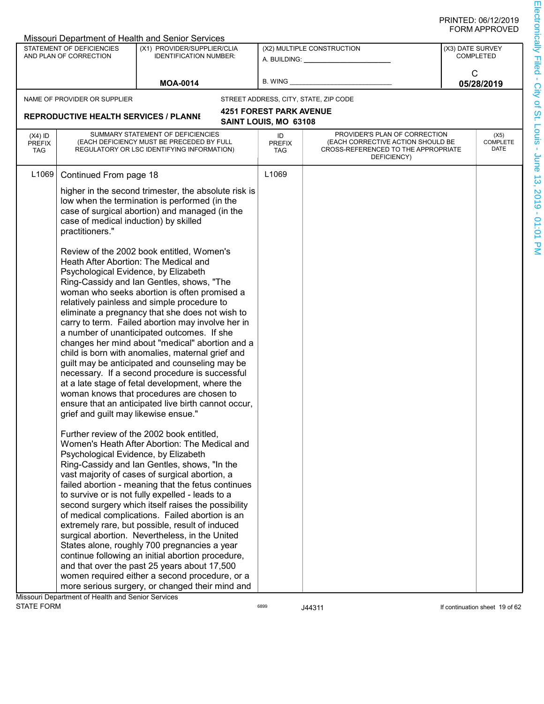|                                          |                                                                                                                                           | Missouri Department of Health and Senior Services                                                                                                                                                                                                                                                                                                                                                                                                                                                                                                                                                                                                                                                                                                                              |                                                         |                                                                                                                          |                  |                          |
|------------------------------------------|-------------------------------------------------------------------------------------------------------------------------------------------|--------------------------------------------------------------------------------------------------------------------------------------------------------------------------------------------------------------------------------------------------------------------------------------------------------------------------------------------------------------------------------------------------------------------------------------------------------------------------------------------------------------------------------------------------------------------------------------------------------------------------------------------------------------------------------------------------------------------------------------------------------------------------------|---------------------------------------------------------|--------------------------------------------------------------------------------------------------------------------------|------------------|--------------------------|
|                                          | STATEMENT OF DEFICIENCIES<br>AND PLAN OF CORRECTION                                                                                       | (X1) PROVIDER/SUPPLIER/CLIA<br><b>IDENTIFICATION NUMBER:</b>                                                                                                                                                                                                                                                                                                                                                                                                                                                                                                                                                                                                                                                                                                                   |                                                         | (X2) MULTIPLE CONSTRUCTION<br>A. BUILDING: ______________                                                                | (X3) DATE SURVEY | <b>COMPLETED</b>         |
|                                          |                                                                                                                                           | <b>MOA-0014</b>                                                                                                                                                                                                                                                                                                                                                                                                                                                                                                                                                                                                                                                                                                                                                                | <b>B. WING</b>                                          |                                                                                                                          | C<br>05/28/2019  |                          |
|                                          |                                                                                                                                           |                                                                                                                                                                                                                                                                                                                                                                                                                                                                                                                                                                                                                                                                                                                                                                                |                                                         |                                                                                                                          |                  |                          |
|                                          | NAME OF PROVIDER OR SUPPLIER                                                                                                              |                                                                                                                                                                                                                                                                                                                                                                                                                                                                                                                                                                                                                                                                                                                                                                                |                                                         | STREET ADDRESS, CITY, STATE, ZIP CODE                                                                                    |                  |                          |
|                                          | <b>REPRODUCTIVE HEALTH SERVICES / PLANNI</b>                                                                                              |                                                                                                                                                                                                                                                                                                                                                                                                                                                                                                                                                                                                                                                                                                                                                                                | <b>4251 FOREST PARK AVENUE</b><br>SAINT LOUIS, MO 63108 |                                                                                                                          |                  |                          |
| $(X4)$ ID<br><b>PREFIX</b><br><b>TAG</b> |                                                                                                                                           | SUMMARY STATEMENT OF DEFICIENCIES<br>(EACH DEFICIENCY MUST BE PRECEDED BY FULL<br>REGULATORY OR LSC IDENTIFYING INFORMATION)                                                                                                                                                                                                                                                                                                                                                                                                                                                                                                                                                                                                                                                   | ID<br><b>PREFIX</b><br><b>TAG</b>                       | PROVIDER'S PLAN OF CORRECTION<br>(EACH CORRECTIVE ACTION SHOULD BE<br>CROSS-REFERENCED TO THE APPROPRIATE<br>DEFICIENCY) |                  | (X5)<br>COMPLETE<br>DATE |
| L <sub>1069</sub>                        | Continued From page 18                                                                                                                    |                                                                                                                                                                                                                                                                                                                                                                                                                                                                                                                                                                                                                                                                                                                                                                                | L1069                                                   |                                                                                                                          |                  |                          |
|                                          | case of medical induction) by skilled<br>practitioners."<br>Heath After Abortion: The Medical and<br>Psychological Evidence, by Elizabeth | higher in the second trimester, the absolute risk is<br>low when the termination is performed (in the<br>case of surgical abortion) and managed (in the<br>Review of the 2002 book entitled, Women's                                                                                                                                                                                                                                                                                                                                                                                                                                                                                                                                                                           |                                                         |                                                                                                                          |                  |                          |
|                                          | grief and guilt may likewise ensue."                                                                                                      | Ring-Cassidy and Ian Gentles, shows, "The<br>woman who seeks abortion is often promised a<br>relatively painless and simple procedure to<br>eliminate a pregnancy that she does not wish to<br>carry to term. Failed abortion may involve her in<br>a number of unanticipated outcomes. If she<br>changes her mind about "medical" abortion and a<br>child is born with anomalies, maternal grief and<br>guilt may be anticipated and counseling may be<br>necessary. If a second procedure is successful<br>at a late stage of fetal development, where the<br>woman knows that procedures are chosen to<br>ensure that an anticipated live birth cannot occur,                                                                                                               |                                                         |                                                                                                                          |                  |                          |
|                                          | Psychological Evidence, by Elizabeth<br>Missouri Department of Health and Senior Services                                                 | Further review of the 2002 book entitled,<br>Women's Heath After Abortion: The Medical and<br>Ring-Cassidy and Ian Gentles, shows, "In the<br>vast majority of cases of surgical abortion, a<br>failed abortion - meaning that the fetus continues<br>to survive or is not fully expelled - leads to a<br>second surgery which itself raises the possibility<br>of medical complications. Failed abortion is an<br>extremely rare, but possible, result of induced<br>surgical abortion. Nevertheless, in the United<br>States alone, roughly 700 pregnancies a year<br>continue following an initial abortion procedure,<br>and that over the past 25 years about 17,500<br>women required either a second procedure, or a<br>more serious surgery, or changed their mind and |                                                         |                                                                                                                          |                  |                          |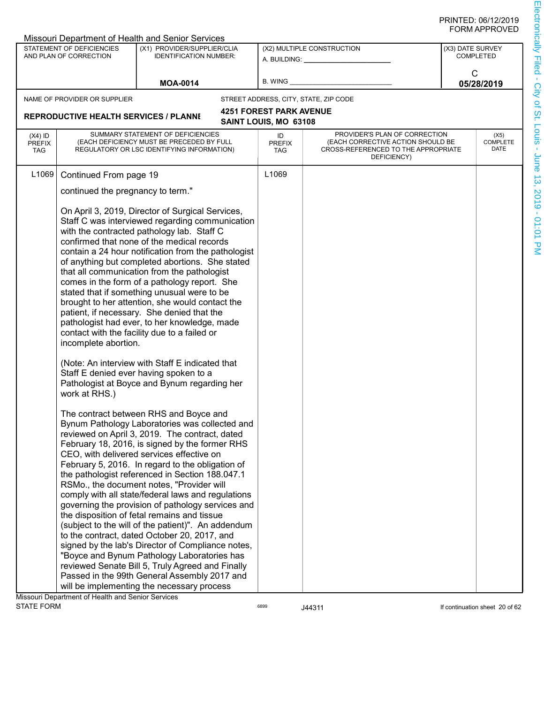|                                          |                                                     | Missouri Department of Health and Senior Services                                                                                                                                                                                                                                                                                                                                                                                                                                                                                                                                                                                                                                                                                                                                                                                                                                                                                                                                                                                                                                                                                                         |                                |                                                                                                                          |            |                                      |
|------------------------------------------|-----------------------------------------------------|-----------------------------------------------------------------------------------------------------------------------------------------------------------------------------------------------------------------------------------------------------------------------------------------------------------------------------------------------------------------------------------------------------------------------------------------------------------------------------------------------------------------------------------------------------------------------------------------------------------------------------------------------------------------------------------------------------------------------------------------------------------------------------------------------------------------------------------------------------------------------------------------------------------------------------------------------------------------------------------------------------------------------------------------------------------------------------------------------------------------------------------------------------------|--------------------------------|--------------------------------------------------------------------------------------------------------------------------|------------|--------------------------------------|
|                                          | STATEMENT OF DEFICIENCIES<br>AND PLAN OF CORRECTION | (X1) PROVIDER/SUPPLIER/CLIA<br><b>IDENTIFICATION NUMBER:</b>                                                                                                                                                                                                                                                                                                                                                                                                                                                                                                                                                                                                                                                                                                                                                                                                                                                                                                                                                                                                                                                                                              |                                | (X2) MULTIPLE CONSTRUCTION<br>A. BUILDING: _________________                                                             |            | (X3) DATE SURVEY<br><b>COMPLETED</b> |
|                                          |                                                     |                                                                                                                                                                                                                                                                                                                                                                                                                                                                                                                                                                                                                                                                                                                                                                                                                                                                                                                                                                                                                                                                                                                                                           |                                |                                                                                                                          |            | C                                    |
|                                          |                                                     | <b>MOA-0014</b>                                                                                                                                                                                                                                                                                                                                                                                                                                                                                                                                                                                                                                                                                                                                                                                                                                                                                                                                                                                                                                                                                                                                           | B. WING                        |                                                                                                                          | 05/28/2019 |                                      |
|                                          | NAME OF PROVIDER OR SUPPLIER                        |                                                                                                                                                                                                                                                                                                                                                                                                                                                                                                                                                                                                                                                                                                                                                                                                                                                                                                                                                                                                                                                                                                                                                           |                                | STREET ADDRESS, CITY, STATE, ZIP CODE                                                                                    |            |                                      |
|                                          |                                                     |                                                                                                                                                                                                                                                                                                                                                                                                                                                                                                                                                                                                                                                                                                                                                                                                                                                                                                                                                                                                                                                                                                                                                           | <b>4251 FOREST PARK AVENUE</b> |                                                                                                                          |            |                                      |
|                                          | <b>REPRODUCTIVE HEALTH SERVICES / PLANNI</b>        |                                                                                                                                                                                                                                                                                                                                                                                                                                                                                                                                                                                                                                                                                                                                                                                                                                                                                                                                                                                                                                                                                                                                                           | SAINT LOUIS, MO 63108          |                                                                                                                          |            |                                      |
| $(X4)$ ID<br><b>PREFIX</b><br><b>TAG</b> |                                                     | SUMMARY STATEMENT OF DEFICIENCIES<br>(EACH DEFICIENCY MUST BE PRECEDED BY FULL<br>REGULATORY OR LSC IDENTIFYING INFORMATION)                                                                                                                                                                                                                                                                                                                                                                                                                                                                                                                                                                                                                                                                                                                                                                                                                                                                                                                                                                                                                              | ID<br><b>PREFIX</b><br>TAG     | PROVIDER'S PLAN OF CORRECTION<br>(EACH CORRECTIVE ACTION SHOULD BE<br>CROSS-REFERENCED TO THE APPROPRIATE<br>DEFICIENCY) |            | (X5)<br>COMPLETE<br>DATE             |
| L1069                                    | Continued From page 19                              |                                                                                                                                                                                                                                                                                                                                                                                                                                                                                                                                                                                                                                                                                                                                                                                                                                                                                                                                                                                                                                                                                                                                                           | L1069                          |                                                                                                                          |            |                                      |
|                                          | continued the pregnancy to term."                   |                                                                                                                                                                                                                                                                                                                                                                                                                                                                                                                                                                                                                                                                                                                                                                                                                                                                                                                                                                                                                                                                                                                                                           |                                |                                                                                                                          |            |                                      |
|                                          | incomplete abortion.<br>work at RHS.)               | On April 3, 2019, Director of Surgical Services,<br>Staff C was interviewed regarding communication<br>with the contracted pathology lab. Staff C<br>confirmed that none of the medical records<br>contain a 24 hour notification from the pathologist<br>of anything but completed abortions. She stated<br>that all communication from the pathologist<br>comes in the form of a pathology report. She<br>stated that if something unusual were to be<br>brought to her attention, she would contact the<br>patient, if necessary. She denied that the<br>pathologist had ever, to her knowledge, made<br>contact with the facility due to a failed or<br>(Note: An interview with Staff E indicated that<br>Staff E denied ever having spoken to a<br>Pathologist at Boyce and Bynum regarding her<br>The contract between RHS and Boyce and<br>Bynum Pathology Laboratories was collected and<br>reviewed on April 3, 2019. The contract, dated<br>February 18, 2016, is signed by the former RHS<br>CEO, with delivered services effective on<br>February 5, 2016. In regard to the obligation of<br>the pathologist referenced in Section 188.047.1 |                                |                                                                                                                          |            |                                      |
|                                          |                                                     | RSMo., the document notes, "Provider will<br>comply with all state/federal laws and regulations                                                                                                                                                                                                                                                                                                                                                                                                                                                                                                                                                                                                                                                                                                                                                                                                                                                                                                                                                                                                                                                           |                                |                                                                                                                          |            |                                      |
|                                          |                                                     | governing the provision of pathology services and                                                                                                                                                                                                                                                                                                                                                                                                                                                                                                                                                                                                                                                                                                                                                                                                                                                                                                                                                                                                                                                                                                         |                                |                                                                                                                          |            |                                      |
|                                          |                                                     | the disposition of fetal remains and tissue<br>(subject to the will of the patient)". An addendum                                                                                                                                                                                                                                                                                                                                                                                                                                                                                                                                                                                                                                                                                                                                                                                                                                                                                                                                                                                                                                                         |                                |                                                                                                                          |            |                                      |
|                                          |                                                     | to the contract, dated October 20, 2017, and                                                                                                                                                                                                                                                                                                                                                                                                                                                                                                                                                                                                                                                                                                                                                                                                                                                                                                                                                                                                                                                                                                              |                                |                                                                                                                          |            |                                      |
|                                          |                                                     | signed by the lab's Director of Compliance notes,                                                                                                                                                                                                                                                                                                                                                                                                                                                                                                                                                                                                                                                                                                                                                                                                                                                                                                                                                                                                                                                                                                         |                                |                                                                                                                          |            |                                      |
|                                          |                                                     | "Boyce and Bynum Pathology Laboratories has<br>reviewed Senate Bill 5, Truly Agreed and Finally                                                                                                                                                                                                                                                                                                                                                                                                                                                                                                                                                                                                                                                                                                                                                                                                                                                                                                                                                                                                                                                           |                                |                                                                                                                          |            |                                      |
|                                          |                                                     | Passed in the 99th General Assembly 2017 and                                                                                                                                                                                                                                                                                                                                                                                                                                                                                                                                                                                                                                                                                                                                                                                                                                                                                                                                                                                                                                                                                                              |                                |                                                                                                                          |            |                                      |
|                                          |                                                     | will be implementing the necessary process                                                                                                                                                                                                                                                                                                                                                                                                                                                                                                                                                                                                                                                                                                                                                                                                                                                                                                                                                                                                                                                                                                                |                                |                                                                                                                          |            |                                      |
|                                          | Missouri Department of Health and Senior Services   |                                                                                                                                                                                                                                                                                                                                                                                                                                                                                                                                                                                                                                                                                                                                                                                                                                                                                                                                                                                                                                                                                                                                                           |                                |                                                                                                                          |            |                                      |
| <b>STATE FORM</b>                        |                                                     |                                                                                                                                                                                                                                                                                                                                                                                                                                                                                                                                                                                                                                                                                                                                                                                                                                                                                                                                                                                                                                                                                                                                                           | 6899                           | J44311                                                                                                                   |            | If continuation sheet 20 of 62       |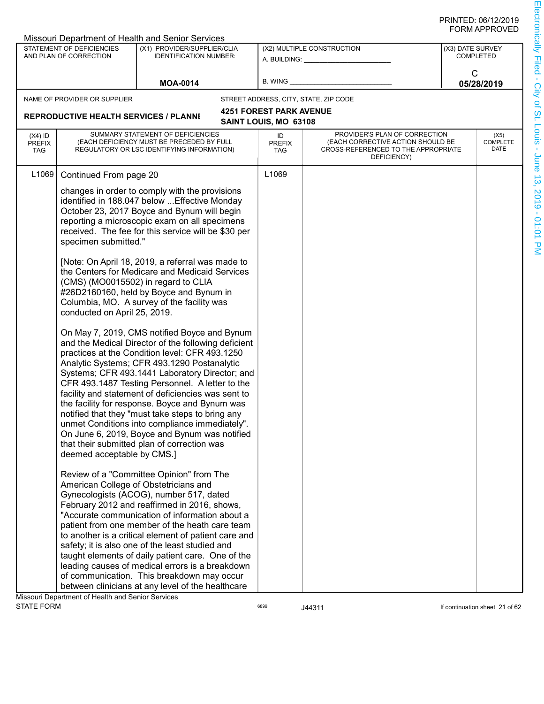|                                          |                                                      | <b>Missouri Department of Health and Senior Services</b>                                                                                                                                                                                                                                                                                                                                                                                                                                                                                                                                                                |                                   |                                                                                                                          |                                      |                                |  |
|------------------------------------------|------------------------------------------------------|-------------------------------------------------------------------------------------------------------------------------------------------------------------------------------------------------------------------------------------------------------------------------------------------------------------------------------------------------------------------------------------------------------------------------------------------------------------------------------------------------------------------------------------------------------------------------------------------------------------------------|-----------------------------------|--------------------------------------------------------------------------------------------------------------------------|--------------------------------------|--------------------------------|--|
|                                          | STATEMENT OF DEFICIENCIES<br>AND PLAN OF CORRECTION  | (X1) PROVIDER/SUPPLIER/CLIA<br><b>IDENTIFICATION NUMBER:</b>                                                                                                                                                                                                                                                                                                                                                                                                                                                                                                                                                            |                                   | (X2) MULTIPLE CONSTRUCTION<br>A. BUILDING:                                                                               | (X3) DATE SURVEY<br><b>COMPLETED</b> |                                |  |
|                                          |                                                      |                                                                                                                                                                                                                                                                                                                                                                                                                                                                                                                                                                                                                         |                                   |                                                                                                                          | C                                    |                                |  |
|                                          |                                                      | <b>MOA-0014</b>                                                                                                                                                                                                                                                                                                                                                                                                                                                                                                                                                                                                         | <b>B. WING</b>                    |                                                                                                                          |                                      | 05/28/2019                     |  |
|                                          | NAME OF PROVIDER OR SUPPLIER                         |                                                                                                                                                                                                                                                                                                                                                                                                                                                                                                                                                                                                                         |                                   | STREET ADDRESS, CITY, STATE, ZIP CODE                                                                                    |                                      |                                |  |
|                                          |                                                      |                                                                                                                                                                                                                                                                                                                                                                                                                                                                                                                                                                                                                         | <b>4251 FOREST PARK AVENUE</b>    |                                                                                                                          |                                      |                                |  |
|                                          | <b>REPRODUCTIVE HEALTH SERVICES / PLANNI</b>         |                                                                                                                                                                                                                                                                                                                                                                                                                                                                                                                                                                                                                         | SAINT LOUIS, MO 63108             |                                                                                                                          |                                      |                                |  |
| $(X4)$ ID<br><b>PREFIX</b><br><b>TAG</b> |                                                      | SUMMARY STATEMENT OF DEFICIENCIES<br>(EACH DEFICIENCY MUST BE PRECEDED BY FULL<br>REGULATORY OR LSC IDENTIFYING INFORMATION)                                                                                                                                                                                                                                                                                                                                                                                                                                                                                            | ID<br><b>PREFIX</b><br><b>TAG</b> | PROVIDER'S PLAN OF CORRECTION<br>(EACH CORRECTIVE ACTION SHOULD BE<br>CROSS-REFERENCED TO THE APPROPRIATE<br>DEFICIENCY) |                                      | (X5)<br>COMPLETE<br>DATE       |  |
| L <sub>1069</sub>                        | Continued From page 20                               |                                                                                                                                                                                                                                                                                                                                                                                                                                                                                                                                                                                                                         | L1069                             |                                                                                                                          |                                      |                                |  |
|                                          | specimen submitted."<br>conducted on April 25, 2019. | changes in order to comply with the provisions<br>identified in 188.047 below  Effective Monday<br>October 23, 2017 Boyce and Bynum will begin<br>reporting a microscopic exam on all specimens<br>received. The fee for this service will be \$30 per<br>[Note: On April 18, 2019, a referral was made to<br>the Centers for Medicare and Medicaid Services<br>(CMS) (MO0015502) in regard to CLIA<br>#26D2160160, held by Boyce and Bynum in<br>Columbia, MO. A survey of the facility was                                                                                                                            |                                   |                                                                                                                          |                                      |                                |  |
|                                          | deemed acceptable by CMS.]                           | On May 7, 2019, CMS notified Boyce and Bynum<br>and the Medical Director of the following deficient<br>practices at the Condition level: CFR 493.1250<br>Analytic Systems; CFR 493.1290 Postanalytic<br>Systems; CFR 493.1441 Laboratory Director; and<br>CFR 493.1487 Testing Personnel. A letter to the<br>facility and statement of deficiencies was sent to<br>the facility for response. Boyce and Bynum was<br>notified that they "must take steps to bring any<br>unmet Conditions into compliance immediately".<br>On June 6, 2019, Boyce and Bynum was notified<br>that their submitted plan of correction was |                                   |                                                                                                                          |                                      |                                |  |
|                                          |                                                      | Review of a "Committee Opinion" from The<br>American College of Obstetricians and<br>Gynecologists (ACOG), number 517, dated<br>February 2012 and reaffirmed in 2016, shows,<br>"Accurate communication of information about a<br>patient from one member of the heath care team<br>to another is a critical element of patient care and<br>safety; it is also one of the least studied and<br>taught elements of daily patient care. One of the<br>leading causes of medical errors is a breakdown<br>of communication. This breakdown may occur<br>between clinicians at any level of the healthcare                  |                                   |                                                                                                                          |                                      |                                |  |
| <b>STATE FORM</b>                        | Missouri Department of Health and Senior Services    |                                                                                                                                                                                                                                                                                                                                                                                                                                                                                                                                                                                                                         | 6899                              | J44311                                                                                                                   |                                      | If continuation sheet 21 of 62 |  |
|                                          |                                                      |                                                                                                                                                                                                                                                                                                                                                                                                                                                                                                                                                                                                                         |                                   |                                                                                                                          |                                      |                                |  |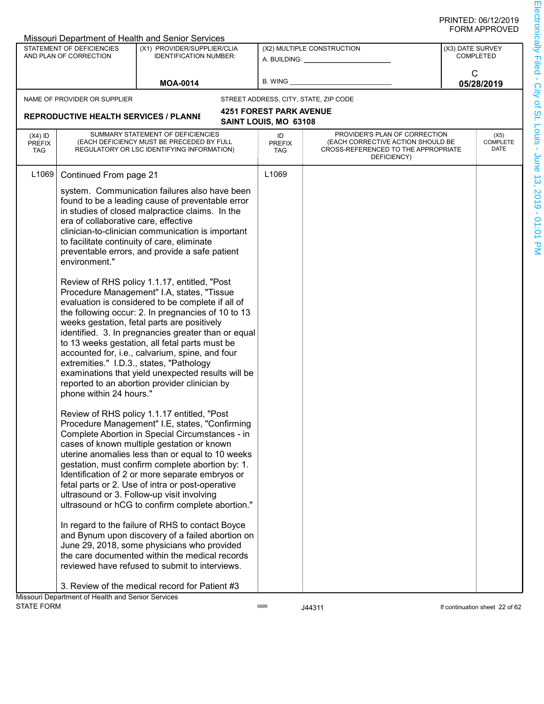|                                          |                                                                                  | <b>Missouri Department of Health and Senior Services</b>                                                                                                                                                                                                                                                                                                                                                                                                                                                                                                                                                                                                                                                                                                                                                                                                                          |                                   |                                                                                                                          |                  |                                |  |
|------------------------------------------|----------------------------------------------------------------------------------|-----------------------------------------------------------------------------------------------------------------------------------------------------------------------------------------------------------------------------------------------------------------------------------------------------------------------------------------------------------------------------------------------------------------------------------------------------------------------------------------------------------------------------------------------------------------------------------------------------------------------------------------------------------------------------------------------------------------------------------------------------------------------------------------------------------------------------------------------------------------------------------|-----------------------------------|--------------------------------------------------------------------------------------------------------------------------|------------------|--------------------------------|--|
|                                          | STATEMENT OF DEFICIENCIES<br>AND PLAN OF CORRECTION                              | (X1) PROVIDER/SUPPLIER/CLIA<br><b>IDENTIFICATION NUMBER:</b>                                                                                                                                                                                                                                                                                                                                                                                                                                                                                                                                                                                                                                                                                                                                                                                                                      |                                   | (X2) MULTIPLE CONSTRUCTION                                                                                               | (X3) DATE SURVEY | <b>COMPLETED</b>               |  |
|                                          |                                                                                  |                                                                                                                                                                                                                                                                                                                                                                                                                                                                                                                                                                                                                                                                                                                                                                                                                                                                                   |                                   | A. BUILDING: ________________                                                                                            |                  |                                |  |
|                                          |                                                                                  | <b>MOA-0014</b>                                                                                                                                                                                                                                                                                                                                                                                                                                                                                                                                                                                                                                                                                                                                                                                                                                                                   | <b>B. WING</b>                    |                                                                                                                          |                  | C<br>05/28/2019                |  |
|                                          |                                                                                  |                                                                                                                                                                                                                                                                                                                                                                                                                                                                                                                                                                                                                                                                                                                                                                                                                                                                                   |                                   |                                                                                                                          |                  |                                |  |
|                                          | NAME OF PROVIDER OR SUPPLIER                                                     |                                                                                                                                                                                                                                                                                                                                                                                                                                                                                                                                                                                                                                                                                                                                                                                                                                                                                   | <b>4251 FOREST PARK AVENUE</b>    | STREET ADDRESS, CITY, STATE, ZIP CODE                                                                                    |                  |                                |  |
|                                          | <b>REPRODUCTIVE HEALTH SERVICES / PLANNI</b>                                     |                                                                                                                                                                                                                                                                                                                                                                                                                                                                                                                                                                                                                                                                                                                                                                                                                                                                                   | SAINT LOUIS, MO 63108             |                                                                                                                          |                  |                                |  |
| $(X4)$ ID<br><b>PREFIX</b><br><b>TAG</b> |                                                                                  | SUMMARY STATEMENT OF DEFICIENCIES<br>(EACH DEFICIENCY MUST BE PRECEDED BY FULL<br>REGULATORY OR LSC IDENTIFYING INFORMATION)                                                                                                                                                                                                                                                                                                                                                                                                                                                                                                                                                                                                                                                                                                                                                      | ID<br><b>PREFIX</b><br><b>TAG</b> | PROVIDER'S PLAN OF CORRECTION<br>(EACH CORRECTIVE ACTION SHOULD BE<br>CROSS-REFERENCED TO THE APPROPRIATE<br>DEFICIENCY) |                  | (X5)<br>COMPLETE<br>DATE       |  |
|                                          | era of collaborative care, effective<br>environment."<br>phone within 24 hours." | system. Communication failures also have been<br>found to be a leading cause of preventable error<br>in studies of closed malpractice claims. In the<br>clinician-to-clinician communication is important<br>to facilitate continuity of care, eliminate<br>preventable errors, and provide a safe patient<br>Review of RHS policy 1.1.17, entitled, "Post<br>Procedure Management" I.A, states, "Tissue<br>evaluation is considered to be complete if all of<br>the following occur: 2. In pregnancies of 10 to 13<br>weeks gestation, fetal parts are positively<br>identified. 3. In pregnancies greater than or equal<br>to 13 weeks gestation, all fetal parts must be<br>accounted for, i.e., calvarium, spine, and four<br>extremities." I.D.3., states, "Pathology<br>examinations that yield unexpected results will be<br>reported to an abortion provider clinician by |                                   |                                                                                                                          |                  |                                |  |
|                                          |                                                                                  | Review of RHS policy 1.1.17 entitled, "Post<br>Procedure Management" I.E, states, "Confirming<br>Complete Abortion in Special Circumstances - in<br>cases of known multiple gestation or known<br>uterine anomalies less than or equal to 10 weeks<br>gestation, must confirm complete abortion by: 1.<br>Identification of 2 or more separate embryos or<br>fetal parts or 2. Use of intra or post-operative<br>ultrasound or 3. Follow-up visit involving<br>ultrasound or hCG to confirm complete abortion."<br>In regard to the failure of RHS to contact Boyce<br>and Bynum upon discovery of a failed abortion on<br>June 29, 2018, some physicians who provided<br>the care documented within the medical records<br>reviewed have refused to submit to interviews.<br>3. Review of the medical record for Patient #3                                                      |                                   |                                                                                                                          |                  |                                |  |
| <b>STATE FORM</b>                        | Missouri Department of Health and Senior Services                                |                                                                                                                                                                                                                                                                                                                                                                                                                                                                                                                                                                                                                                                                                                                                                                                                                                                                                   | 6899                              | J44311                                                                                                                   |                  | If continuation sheet 22 of 62 |  |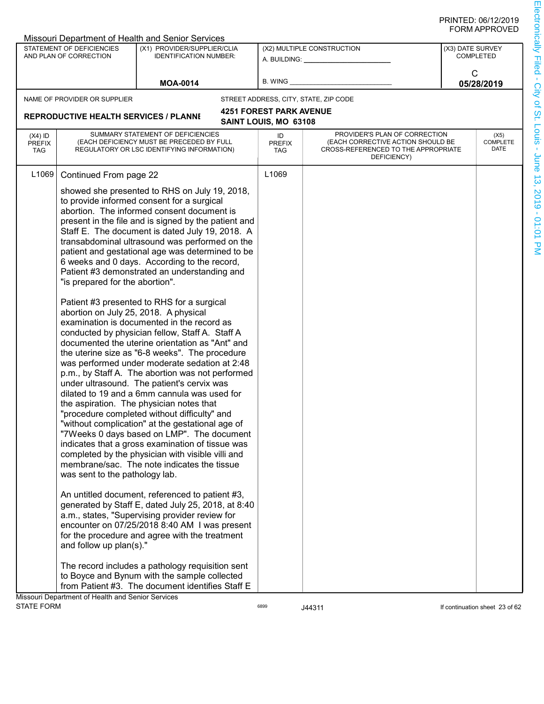|                                          |                                                                                                                                      | <b>Missouri Department of Health and Senior Services</b>                                                                                                                                                                                                                                                                                                                                                                                                                                                                                                                                                                                                                                                                                                                                                                                                                                                                                                                                                                                                                                                                                                                                                                                                                                                                                                                         |                                   |                                                                                                                          |                  |                                |  |
|------------------------------------------|--------------------------------------------------------------------------------------------------------------------------------------|----------------------------------------------------------------------------------------------------------------------------------------------------------------------------------------------------------------------------------------------------------------------------------------------------------------------------------------------------------------------------------------------------------------------------------------------------------------------------------------------------------------------------------------------------------------------------------------------------------------------------------------------------------------------------------------------------------------------------------------------------------------------------------------------------------------------------------------------------------------------------------------------------------------------------------------------------------------------------------------------------------------------------------------------------------------------------------------------------------------------------------------------------------------------------------------------------------------------------------------------------------------------------------------------------------------------------------------------------------------------------------|-----------------------------------|--------------------------------------------------------------------------------------------------------------------------|------------------|--------------------------------|--|
|                                          | STATEMENT OF DEFICIENCIES<br>AND PLAN OF CORRECTION                                                                                  | (X1) PROVIDER/SUPPLIER/CLIA<br><b>IDENTIFICATION NUMBER:</b>                                                                                                                                                                                                                                                                                                                                                                                                                                                                                                                                                                                                                                                                                                                                                                                                                                                                                                                                                                                                                                                                                                                                                                                                                                                                                                                     |                                   | (X2) MULTIPLE CONSTRUCTION<br>A. BUILDING: ________________                                                              | (X3) DATE SURVEY | <b>COMPLETED</b>               |  |
|                                          |                                                                                                                                      |                                                                                                                                                                                                                                                                                                                                                                                                                                                                                                                                                                                                                                                                                                                                                                                                                                                                                                                                                                                                                                                                                                                                                                                                                                                                                                                                                                                  |                                   |                                                                                                                          |                  |                                |  |
|                                          |                                                                                                                                      | <b>MOA-0014</b>                                                                                                                                                                                                                                                                                                                                                                                                                                                                                                                                                                                                                                                                                                                                                                                                                                                                                                                                                                                                                                                                                                                                                                                                                                                                                                                                                                  | <b>B. WING</b>                    |                                                                                                                          |                  | C<br>05/28/2019                |  |
|                                          | NAME OF PROVIDER OR SUPPLIER                                                                                                         |                                                                                                                                                                                                                                                                                                                                                                                                                                                                                                                                                                                                                                                                                                                                                                                                                                                                                                                                                                                                                                                                                                                                                                                                                                                                                                                                                                                  |                                   | STREET ADDRESS, CITY, STATE, ZIP CODE                                                                                    |                  |                                |  |
|                                          | <b>REPRODUCTIVE HEALTH SERVICES / PLANNI</b>                                                                                         |                                                                                                                                                                                                                                                                                                                                                                                                                                                                                                                                                                                                                                                                                                                                                                                                                                                                                                                                                                                                                                                                                                                                                                                                                                                                                                                                                                                  | <b>4251 FOREST PARK AVENUE</b>    |                                                                                                                          |                  |                                |  |
|                                          |                                                                                                                                      |                                                                                                                                                                                                                                                                                                                                                                                                                                                                                                                                                                                                                                                                                                                                                                                                                                                                                                                                                                                                                                                                                                                                                                                                                                                                                                                                                                                  | SAINT LOUIS, MO 63108             |                                                                                                                          |                  |                                |  |
| $(X4)$ ID<br><b>PREFIX</b><br><b>TAG</b> |                                                                                                                                      | SUMMARY STATEMENT OF DEFICIENCIES<br>(EACH DEFICIENCY MUST BE PRECEDED BY FULL<br>REGULATORY OR LSC IDENTIFYING INFORMATION)                                                                                                                                                                                                                                                                                                                                                                                                                                                                                                                                                                                                                                                                                                                                                                                                                                                                                                                                                                                                                                                                                                                                                                                                                                                     | ID<br><b>PREFIX</b><br><b>TAG</b> | PROVIDER'S PLAN OF CORRECTION<br>(EACH CORRECTIVE ACTION SHOULD BE<br>CROSS-REFERENCED TO THE APPROPRIATE<br>DEFICIENCY) |                  | (X5)<br>COMPLETE<br>DATE       |  |
| L <sub>1069</sub>                        | Continued From page 22<br>"is prepared for the abortion".<br>abortion on July 25, 2018. A physical<br>was sent to the pathology lab. | showed she presented to RHS on July 19, 2018,<br>to provide informed consent for a surgical<br>abortion. The informed consent document is<br>present in the file and is signed by the patient and<br>Staff E. The document is dated July 19, 2018. A<br>transabdominal ultrasound was performed on the<br>patient and gestational age was determined to be<br>6 weeks and 0 days. According to the record,<br>Patient #3 demonstrated an understanding and<br>Patient #3 presented to RHS for a surgical<br>examination is documented in the record as<br>conducted by physician fellow, Staff A. Staff A<br>documented the uterine orientation as "Ant" and<br>the uterine size as "6-8 weeks". The procedure<br>was performed under moderate sedation at 2:48<br>p.m., by Staff A. The abortion was not performed<br>under ultrasound. The patient's cervix was<br>dilated to 19 and a 6mm cannula was used for<br>the aspiration. The physician notes that<br>"procedure completed without difficulty" and<br>"without complication" at the gestational age of<br>"7Weeks 0 days based on LMP". The document<br>indicates that a gross examination of tissue was<br>completed by the physician with visible villi and<br>membrane/sac. The note indicates the tissue<br>An untitled document, referenced to patient #3,<br>generated by Staff E, dated July 25, 2018, at 8:40 | L1069                             |                                                                                                                          |                  |                                |  |
|                                          | and follow up plan(s)."                                                                                                              | a.m., states, "Supervising provider review for<br>encounter on 07/25/2018 8:40 AM I was present<br>for the procedure and agree with the treatment<br>The record includes a pathology requisition sent<br>to Boyce and Bynum with the sample collected                                                                                                                                                                                                                                                                                                                                                                                                                                                                                                                                                                                                                                                                                                                                                                                                                                                                                                                                                                                                                                                                                                                            |                                   |                                                                                                                          |                  |                                |  |
|                                          |                                                                                                                                      | from Patient #3. The document identifies Staff E                                                                                                                                                                                                                                                                                                                                                                                                                                                                                                                                                                                                                                                                                                                                                                                                                                                                                                                                                                                                                                                                                                                                                                                                                                                                                                                                 |                                   |                                                                                                                          |                  |                                |  |
| <b>STATE FORM</b>                        | Missouri Department of Health and Senior Services                                                                                    |                                                                                                                                                                                                                                                                                                                                                                                                                                                                                                                                                                                                                                                                                                                                                                                                                                                                                                                                                                                                                                                                                                                                                                                                                                                                                                                                                                                  | 6899                              | J44311                                                                                                                   |                  | If continuation sheet 23 of 62 |  |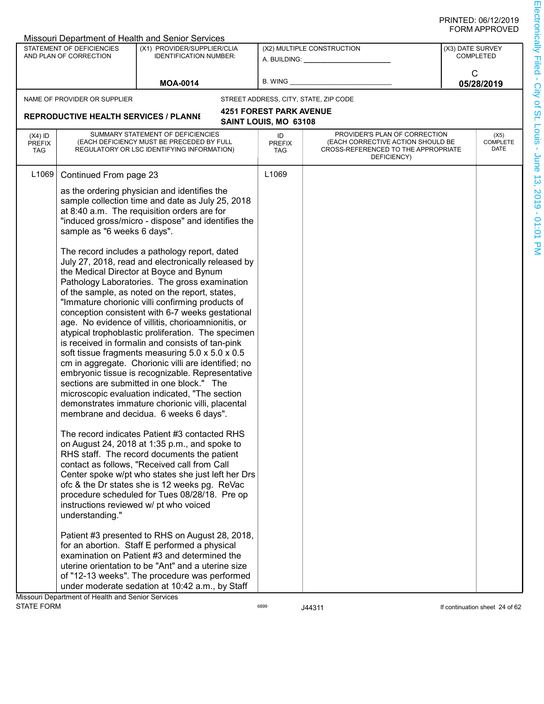|                                          |                                                                          | Missouri Department of Health and Senior Services                                                                                                                                                                                                                                                                                                                                                                                                                                                                                                                                                                                                                                                                                                                                                                                                                                                                                                                                                                                                                                                                                                                                                                                                                                                                                                                                                                                                                                                                                                                                                                                                                                                          |                                                         |                                                                                                                          |                  |                                |  |
|------------------------------------------|--------------------------------------------------------------------------|------------------------------------------------------------------------------------------------------------------------------------------------------------------------------------------------------------------------------------------------------------------------------------------------------------------------------------------------------------------------------------------------------------------------------------------------------------------------------------------------------------------------------------------------------------------------------------------------------------------------------------------------------------------------------------------------------------------------------------------------------------------------------------------------------------------------------------------------------------------------------------------------------------------------------------------------------------------------------------------------------------------------------------------------------------------------------------------------------------------------------------------------------------------------------------------------------------------------------------------------------------------------------------------------------------------------------------------------------------------------------------------------------------------------------------------------------------------------------------------------------------------------------------------------------------------------------------------------------------------------------------------------------------------------------------------------------------|---------------------------------------------------------|--------------------------------------------------------------------------------------------------------------------------|------------------|--------------------------------|--|
|                                          | STATEMENT OF DEFICIENCIES<br>AND PLAN OF CORRECTION                      | (X1) PROVIDER/SUPPLIER/CLIA<br><b>IDENTIFICATION NUMBER:</b>                                                                                                                                                                                                                                                                                                                                                                                                                                                                                                                                                                                                                                                                                                                                                                                                                                                                                                                                                                                                                                                                                                                                                                                                                                                                                                                                                                                                                                                                                                                                                                                                                                               | A. BUILDING: <b>William</b>                             | (X2) MULTIPLE CONSTRUCTION                                                                                               | (X3) DATE SURVEY | <b>COMPLETED</b>               |  |
|                                          |                                                                          | <b>MOA-0014</b>                                                                                                                                                                                                                                                                                                                                                                                                                                                                                                                                                                                                                                                                                                                                                                                                                                                                                                                                                                                                                                                                                                                                                                                                                                                                                                                                                                                                                                                                                                                                                                                                                                                                                            | <b>B. WING</b>                                          |                                                                                                                          |                  | C<br>05/28/2019                |  |
|                                          |                                                                          |                                                                                                                                                                                                                                                                                                                                                                                                                                                                                                                                                                                                                                                                                                                                                                                                                                                                                                                                                                                                                                                                                                                                                                                                                                                                                                                                                                                                                                                                                                                                                                                                                                                                                                            |                                                         |                                                                                                                          |                  |                                |  |
|                                          | NAME OF PROVIDER OR SUPPLIER                                             |                                                                                                                                                                                                                                                                                                                                                                                                                                                                                                                                                                                                                                                                                                                                                                                                                                                                                                                                                                                                                                                                                                                                                                                                                                                                                                                                                                                                                                                                                                                                                                                                                                                                                                            |                                                         | STREET ADDRESS, CITY, STATE, ZIP CODE                                                                                    |                  |                                |  |
|                                          | <b>REPRODUCTIVE HEALTH SERVICES / PLANNI</b>                             |                                                                                                                                                                                                                                                                                                                                                                                                                                                                                                                                                                                                                                                                                                                                                                                                                                                                                                                                                                                                                                                                                                                                                                                                                                                                                                                                                                                                                                                                                                                                                                                                                                                                                                            | <b>4251 FOREST PARK AVENUE</b><br>SAINT LOUIS, MO 63108 |                                                                                                                          |                  |                                |  |
| $(X4)$ ID<br><b>PREFIX</b><br><b>TAG</b> |                                                                          | SUMMARY STATEMENT OF DEFICIENCIES<br>(EACH DEFICIENCY MUST BE PRECEDED BY FULL<br>REGULATORY OR LSC IDENTIFYING INFORMATION)                                                                                                                                                                                                                                                                                                                                                                                                                                                                                                                                                                                                                                                                                                                                                                                                                                                                                                                                                                                                                                                                                                                                                                                                                                                                                                                                                                                                                                                                                                                                                                               | ID<br><b>PREFIX</b><br><b>TAG</b>                       | PROVIDER'S PLAN OF CORRECTION<br>(EACH CORRECTIVE ACTION SHOULD BE<br>CROSS-REFERENCED TO THE APPROPRIATE<br>DEFICIENCY) |                  | (X5)<br>COMPLETE<br>DATE       |  |
| L <sub>1069</sub>                        | Continued From page 23<br>sample as "6 weeks 6 days".<br>understanding." | as the ordering physician and identifies the<br>sample collection time and date as July 25, 2018<br>at 8:40 a.m. The requisition orders are for<br>"induced gross/micro - dispose" and identifies the<br>The record includes a pathology report, dated<br>July 27, 2018, read and electronically released by<br>the Medical Director at Boyce and Bynum<br>Pathology Laboratories. The gross examination<br>of the sample, as noted on the report, states,<br>"Immature chorionic villi confirming products of<br>conception consistent with 6-7 weeks gestational<br>age. No evidence of villitis, chorioamnionitis, or<br>atypical trophoblastic proliferation. The specimen<br>is received in formalin and consists of tan-pink<br>soft tissue fragments measuring 5.0 x 5.0 x 0.5<br>cm in aggregate. Chorionic villi are identified; no<br>embryonic tissue is recognizable. Representative<br>sections are submitted in one block." The<br>microscopic evaluation indicated, "The section<br>demonstrates immature chorionic villi, placental<br>membrane and decidua. 6 weeks 6 days".<br>The record indicates Patient #3 contacted RHS<br>on August 24, 2018 at 1:35 p.m., and spoke to<br>RHS staff. The record documents the patient<br>contact as follows, "Received call from Call<br>Center spoke w/pt who states she just left her Drs<br>ofc & the Dr states she is 12 weeks pg. ReVac<br>procedure scheduled for Tues 08/28/18. Pre op<br>instructions reviewed w/ pt who voiced<br>Patient #3 presented to RHS on August 28, 2018,<br>for an abortion. Staff E performed a physical<br>examination on Patient #3 and determined the<br>uterine orientation to be "Ant" and a uterine size | L1069                                                   |                                                                                                                          |                  |                                |  |
|                                          |                                                                          | of "12-13 weeks". The procedure was performed                                                                                                                                                                                                                                                                                                                                                                                                                                                                                                                                                                                                                                                                                                                                                                                                                                                                                                                                                                                                                                                                                                                                                                                                                                                                                                                                                                                                                                                                                                                                                                                                                                                              |                                                         |                                                                                                                          |                  |                                |  |
|                                          | Missouri Department of Health and Senior Services                        | under moderate sedation at 10:42 a.m., by Staff                                                                                                                                                                                                                                                                                                                                                                                                                                                                                                                                                                                                                                                                                                                                                                                                                                                                                                                                                                                                                                                                                                                                                                                                                                                                                                                                                                                                                                                                                                                                                                                                                                                            |                                                         |                                                                                                                          |                  |                                |  |
| <b>STATE FORM</b>                        |                                                                          |                                                                                                                                                                                                                                                                                                                                                                                                                                                                                                                                                                                                                                                                                                                                                                                                                                                                                                                                                                                                                                                                                                                                                                                                                                                                                                                                                                                                                                                                                                                                                                                                                                                                                                            | 6899                                                    | J44311                                                                                                                   |                  | If continuation sheet 24 of 62 |  |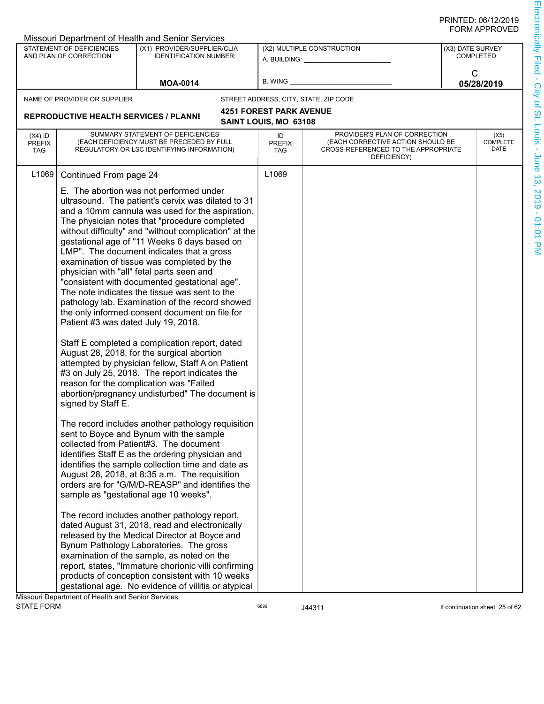|                                          |                                                                                     | Missouri Department of Health and Senior Services                                                                                                                                                                                                                                                                                                                                                                                                                                                                                                                                                                                                                                                                                                                                                                                                                                                                                                                                                                                                                                                                                                                                                                                                                                                                                                                                                                                                                                                                                                                                                                                                                                                                                                                             |                                   |                                                                                                                          |                  |                                |
|------------------------------------------|-------------------------------------------------------------------------------------|-------------------------------------------------------------------------------------------------------------------------------------------------------------------------------------------------------------------------------------------------------------------------------------------------------------------------------------------------------------------------------------------------------------------------------------------------------------------------------------------------------------------------------------------------------------------------------------------------------------------------------------------------------------------------------------------------------------------------------------------------------------------------------------------------------------------------------------------------------------------------------------------------------------------------------------------------------------------------------------------------------------------------------------------------------------------------------------------------------------------------------------------------------------------------------------------------------------------------------------------------------------------------------------------------------------------------------------------------------------------------------------------------------------------------------------------------------------------------------------------------------------------------------------------------------------------------------------------------------------------------------------------------------------------------------------------------------------------------------------------------------------------------------|-----------------------------------|--------------------------------------------------------------------------------------------------------------------------|------------------|--------------------------------|
|                                          | STATEMENT OF DEFICIENCIES<br>AND PLAN OF CORRECTION                                 | (X1) PROVIDER/SUPPLIER/CLIA<br><b>IDENTIFICATION NUMBER:</b>                                                                                                                                                                                                                                                                                                                                                                                                                                                                                                                                                                                                                                                                                                                                                                                                                                                                                                                                                                                                                                                                                                                                                                                                                                                                                                                                                                                                                                                                                                                                                                                                                                                                                                                  |                                   | (X2) MULTIPLE CONSTRUCTION<br>A. BUILDING: ____________                                                                  | (X3) DATE SURVEY | <b>COMPLETED</b>               |
|                                          |                                                                                     | <b>MOA-0014</b>                                                                                                                                                                                                                                                                                                                                                                                                                                                                                                                                                                                                                                                                                                                                                                                                                                                                                                                                                                                                                                                                                                                                                                                                                                                                                                                                                                                                                                                                                                                                                                                                                                                                                                                                                               | <b>B. WING</b>                    |                                                                                                                          | C<br>05/28/2019  |                                |
|                                          | NAME OF PROVIDER OR SUPPLIER                                                        |                                                                                                                                                                                                                                                                                                                                                                                                                                                                                                                                                                                                                                                                                                                                                                                                                                                                                                                                                                                                                                                                                                                                                                                                                                                                                                                                                                                                                                                                                                                                                                                                                                                                                                                                                                               |                                   | STREET ADDRESS, CITY, STATE, ZIP CODE                                                                                    |                  |                                |
|                                          |                                                                                     |                                                                                                                                                                                                                                                                                                                                                                                                                                                                                                                                                                                                                                                                                                                                                                                                                                                                                                                                                                                                                                                                                                                                                                                                                                                                                                                                                                                                                                                                                                                                                                                                                                                                                                                                                                               | <b>4251 FOREST PARK AVENUE</b>    |                                                                                                                          |                  |                                |
|                                          | <b>REPRODUCTIVE HEALTH SERVICES / PLANNI</b>                                        |                                                                                                                                                                                                                                                                                                                                                                                                                                                                                                                                                                                                                                                                                                                                                                                                                                                                                                                                                                                                                                                                                                                                                                                                                                                                                                                                                                                                                                                                                                                                                                                                                                                                                                                                                                               | SAINT LOUIS, MO 63108             |                                                                                                                          |                  |                                |
| $(X4)$ ID<br><b>PREFIX</b><br><b>TAG</b> |                                                                                     | SUMMARY STATEMENT OF DEFICIENCIES<br>(EACH DEFICIENCY MUST BE PRECEDED BY FULL<br>REGULATORY OR LSC IDENTIFYING INFORMATION)                                                                                                                                                                                                                                                                                                                                                                                                                                                                                                                                                                                                                                                                                                                                                                                                                                                                                                                                                                                                                                                                                                                                                                                                                                                                                                                                                                                                                                                                                                                                                                                                                                                  | ID<br><b>PREFIX</b><br><b>TAG</b> | PROVIDER'S PLAN OF CORRECTION<br>(EACH CORRECTIVE ACTION SHOULD BE<br>CROSS-REFERENCED TO THE APPROPRIATE<br>DEFICIENCY) |                  | (X5)<br>COMPLETE<br>DATE       |
| L <sub>1069</sub>                        | Continued From page 24<br>Patient #3 was dated July 19, 2018.<br>signed by Staff E. | E. The abortion was not performed under<br>ultrasound. The patient's cervix was dilated to 31<br>and a 10mm cannula was used for the aspiration.<br>The physician notes that "procedure completed<br>without difficulty" and "without complication" at the<br>gestational age of "11 Weeks 6 days based on<br>LMP". The document indicates that a gross<br>examination of tissue was completed by the<br>physician with "all" fetal parts seen and<br>"consistent with documented gestational age".<br>The note indicates the tissue was sent to the<br>pathology lab. Examination of the record showed<br>the only informed consent document on file for<br>Staff E completed a complication report, dated<br>August 28, 2018, for the surgical abortion<br>attempted by physician fellow, Staff A on Patient<br>#3 on July 25, 2018. The report indicates the<br>reason for the complication was "Failed<br>abortion/pregnancy undisturbed" The document is<br>The record includes another pathology requisition<br>sent to Boyce and Bynum with the sample<br>collected from Patient#3. The document<br>identifies Staff E as the ordering physician and<br>identifies the sample collection time and date as<br>August 28, 2018, at 8:35 a.m. The requisition<br>orders are for "G/M/D-REASP" and identifies the<br>sample as "gestational age 10 weeks".<br>The record includes another pathology report,<br>dated August 31, 2018, read and electronically<br>released by the Medical Director at Boyce and<br>Bynum Pathology Laboratories. The gross<br>examination of the sample, as noted on the<br>report, states, "Immature chorionic villi confirming<br>products of conception consistent with 10 weeks<br>gestational age. No evidence of villitis or atypical | L1069                             |                                                                                                                          |                  |                                |
|                                          | Missouri Department of Health and Senior Services                                   |                                                                                                                                                                                                                                                                                                                                                                                                                                                                                                                                                                                                                                                                                                                                                                                                                                                                                                                                                                                                                                                                                                                                                                                                                                                                                                                                                                                                                                                                                                                                                                                                                                                                                                                                                                               |                                   |                                                                                                                          |                  |                                |
| <b>STATE FORM</b>                        |                                                                                     |                                                                                                                                                                                                                                                                                                                                                                                                                                                                                                                                                                                                                                                                                                                                                                                                                                                                                                                                                                                                                                                                                                                                                                                                                                                                                                                                                                                                                                                                                                                                                                                                                                                                                                                                                                               | 6899                              | J44311                                                                                                                   |                  | If continuation sheet 25 of 62 |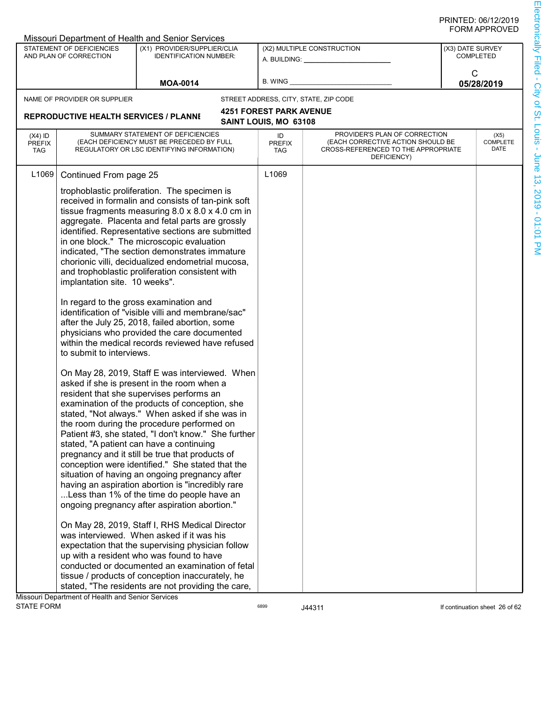|                                   |                                                                                     | Missouri Department of Health and Senior Services                                                                                                                                                                                                                                                                                                                                                                                                                                                                                                                                                                                                                                                                                                                                                                                                                                                                                                                                                                                                                                                                                                                                                                                                                                                                                                                                                                                                                                                                                                                                                                                                                                          |                                   |                                                                                                                          |   |                                      |  |
|-----------------------------------|-------------------------------------------------------------------------------------|--------------------------------------------------------------------------------------------------------------------------------------------------------------------------------------------------------------------------------------------------------------------------------------------------------------------------------------------------------------------------------------------------------------------------------------------------------------------------------------------------------------------------------------------------------------------------------------------------------------------------------------------------------------------------------------------------------------------------------------------------------------------------------------------------------------------------------------------------------------------------------------------------------------------------------------------------------------------------------------------------------------------------------------------------------------------------------------------------------------------------------------------------------------------------------------------------------------------------------------------------------------------------------------------------------------------------------------------------------------------------------------------------------------------------------------------------------------------------------------------------------------------------------------------------------------------------------------------------------------------------------------------------------------------------------------------|-----------------------------------|--------------------------------------------------------------------------------------------------------------------------|---|--------------------------------------|--|
|                                   | STATEMENT OF DEFICIENCIES<br>AND PLAN OF CORRECTION                                 | (X1) PROVIDER/SUPPLIER/CLIA<br><b>IDENTIFICATION NUMBER:</b>                                                                                                                                                                                                                                                                                                                                                                                                                                                                                                                                                                                                                                                                                                                                                                                                                                                                                                                                                                                                                                                                                                                                                                                                                                                                                                                                                                                                                                                                                                                                                                                                                               |                                   | (X2) MULTIPLE CONSTRUCTION<br>A. BUILDING: _________                                                                     |   | (X3) DATE SURVEY<br><b>COMPLETED</b> |  |
|                                   |                                                                                     |                                                                                                                                                                                                                                                                                                                                                                                                                                                                                                                                                                                                                                                                                                                                                                                                                                                                                                                                                                                                                                                                                                                                                                                                                                                                                                                                                                                                                                                                                                                                                                                                                                                                                            |                                   |                                                                                                                          | C |                                      |  |
|                                   |                                                                                     | <b>MOA-0014</b>                                                                                                                                                                                                                                                                                                                                                                                                                                                                                                                                                                                                                                                                                                                                                                                                                                                                                                                                                                                                                                                                                                                                                                                                                                                                                                                                                                                                                                                                                                                                                                                                                                                                            | <b>B. WING</b>                    |                                                                                                                          |   | 05/28/2019                           |  |
|                                   | NAME OF PROVIDER OR SUPPLIER                                                        |                                                                                                                                                                                                                                                                                                                                                                                                                                                                                                                                                                                                                                                                                                                                                                                                                                                                                                                                                                                                                                                                                                                                                                                                                                                                                                                                                                                                                                                                                                                                                                                                                                                                                            |                                   | STREET ADDRESS, CITY, STATE, ZIP CODE                                                                                    |   |                                      |  |
|                                   | <b>REPRODUCTIVE HEALTH SERVICES / PLANNI</b>                                        |                                                                                                                                                                                                                                                                                                                                                                                                                                                                                                                                                                                                                                                                                                                                                                                                                                                                                                                                                                                                                                                                                                                                                                                                                                                                                                                                                                                                                                                                                                                                                                                                                                                                                            | <b>4251 FOREST PARK AVENUE</b>    |                                                                                                                          |   |                                      |  |
|                                   |                                                                                     |                                                                                                                                                                                                                                                                                                                                                                                                                                                                                                                                                                                                                                                                                                                                                                                                                                                                                                                                                                                                                                                                                                                                                                                                                                                                                                                                                                                                                                                                                                                                                                                                                                                                                            | SAINT LOUIS, MO 63108             |                                                                                                                          |   |                                      |  |
| $(X4)$ ID<br><b>PREFIX</b><br>TAG |                                                                                     | SUMMARY STATEMENT OF DEFICIENCIES<br>(EACH DEFICIENCY MUST BE PRECEDED BY FULL<br>REGULATORY OR LSC IDENTIFYING INFORMATION)                                                                                                                                                                                                                                                                                                                                                                                                                                                                                                                                                                                                                                                                                                                                                                                                                                                                                                                                                                                                                                                                                                                                                                                                                                                                                                                                                                                                                                                                                                                                                               | ID<br><b>PREFIX</b><br><b>TAG</b> | PROVIDER'S PLAN OF CORRECTION<br>(EACH CORRECTIVE ACTION SHOULD BE<br>CROSS-REFERENCED TO THE APPROPRIATE<br>DEFICIENCY) |   | (X5)<br>COMPLETE<br>DATE             |  |
| L <sub>1069</sub>                 | Continued From page 25<br>implantation site. 10 weeks".<br>to submit to interviews. | trophoblastic proliferation. The specimen is<br>received in formalin and consists of tan-pink soft<br>tissue fragments measuring 8.0 x 8.0 x 4.0 cm in<br>aggregate. Placenta and fetal parts are grossly<br>identified. Representative sections are submitted<br>in one block." The microscopic evaluation<br>indicated, "The section demonstrates immature<br>chorionic villi, decidualized endometrial mucosa,<br>and trophoblastic proliferation consistent with<br>In regard to the gross examination and<br>identification of "visible villi and membrane/sac"<br>after the July 25, 2018, failed abortion, some<br>physicians who provided the care documented<br>within the medical records reviewed have refused<br>On May 28, 2019, Staff E was interviewed. When<br>asked if she is present in the room when a<br>resident that she supervises performs an<br>examination of the products of conception, she<br>stated, "Not always." When asked if she was in<br>the room during the procedure performed on<br>Patient #3, she stated, "I don't know." She further<br>stated, "A patient can have a continuing<br>pregnancy and it still be true that products of<br>conception were identified." She stated that the<br>situation of having an ongoing pregnancy after<br>having an aspiration abortion is "incredibly rare<br>Less than 1% of the time do people have an<br>ongoing pregnancy after aspiration abortion."<br>On May 28, 2019, Staff I, RHS Medical Director<br>was interviewed. When asked if it was his<br>expectation that the supervising physician follow<br>up with a resident who was found to have<br>conducted or documented an examination of fetal | L1069                             |                                                                                                                          |   |                                      |  |
|                                   |                                                                                     | tissue / products of conception inaccurately, he                                                                                                                                                                                                                                                                                                                                                                                                                                                                                                                                                                                                                                                                                                                                                                                                                                                                                                                                                                                                                                                                                                                                                                                                                                                                                                                                                                                                                                                                                                                                                                                                                                           |                                   |                                                                                                                          |   |                                      |  |
|                                   |                                                                                     | stated, "The residents are not providing the care,                                                                                                                                                                                                                                                                                                                                                                                                                                                                                                                                                                                                                                                                                                                                                                                                                                                                                                                                                                                                                                                                                                                                                                                                                                                                                                                                                                                                                                                                                                                                                                                                                                         |                                   |                                                                                                                          |   |                                      |  |
|                                   | Missouri Department of Health and Senior Services                                   |                                                                                                                                                                                                                                                                                                                                                                                                                                                                                                                                                                                                                                                                                                                                                                                                                                                                                                                                                                                                                                                                                                                                                                                                                                                                                                                                                                                                                                                                                                                                                                                                                                                                                            |                                   |                                                                                                                          |   |                                      |  |
| <b>STATE FORM</b>                 |                                                                                     |                                                                                                                                                                                                                                                                                                                                                                                                                                                                                                                                                                                                                                                                                                                                                                                                                                                                                                                                                                                                                                                                                                                                                                                                                                                                                                                                                                                                                                                                                                                                                                                                                                                                                            | 6899                              | J44311                                                                                                                   |   | If continuation sheet 26 of 62       |  |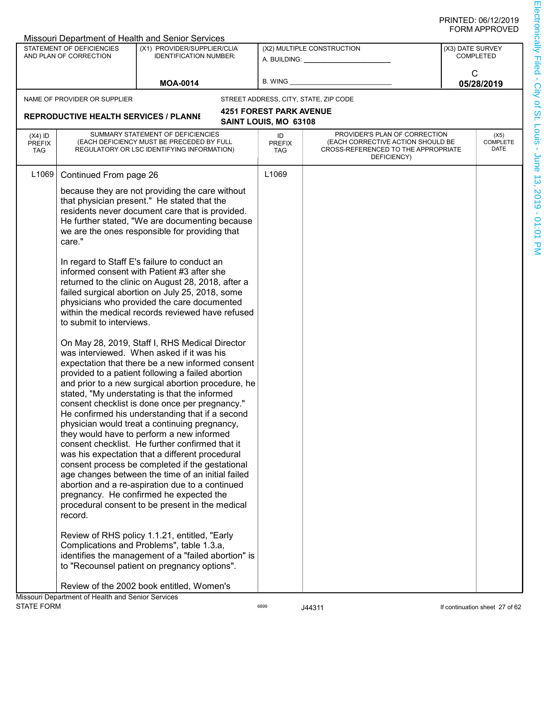|                                   |                                                              | <b>Missouri Department of Health and Senior Services</b>                                                                                                                                                                                                                                                                                                                                                                                                                                                                                                                                                                                                                                                                                                                                                                                                                                                                                                                                                                                                                                                                                                                                                                                                                                                                                                                                                                                         |                                                         |                                                                                                                          |   |                                      |
|-----------------------------------|--------------------------------------------------------------|--------------------------------------------------------------------------------------------------------------------------------------------------------------------------------------------------------------------------------------------------------------------------------------------------------------------------------------------------------------------------------------------------------------------------------------------------------------------------------------------------------------------------------------------------------------------------------------------------------------------------------------------------------------------------------------------------------------------------------------------------------------------------------------------------------------------------------------------------------------------------------------------------------------------------------------------------------------------------------------------------------------------------------------------------------------------------------------------------------------------------------------------------------------------------------------------------------------------------------------------------------------------------------------------------------------------------------------------------------------------------------------------------------------------------------------------------|---------------------------------------------------------|--------------------------------------------------------------------------------------------------------------------------|---|--------------------------------------|
|                                   | STATEMENT OF DEFICIENCIES<br>AND PLAN OF CORRECTION          | (X1) PROVIDER/SUPPLIER/CLIA<br><b>IDENTIFICATION NUMBER:</b>                                                                                                                                                                                                                                                                                                                                                                                                                                                                                                                                                                                                                                                                                                                                                                                                                                                                                                                                                                                                                                                                                                                                                                                                                                                                                                                                                                                     |                                                         | (X2) MULTIPLE CONSTRUCTION<br>A. BUILDING: ________________                                                              |   | (X3) DATE SURVEY<br><b>COMPLETED</b> |
|                                   |                                                              |                                                                                                                                                                                                                                                                                                                                                                                                                                                                                                                                                                                                                                                                                                                                                                                                                                                                                                                                                                                                                                                                                                                                                                                                                                                                                                                                                                                                                                                  | B. WING                                                 |                                                                                                                          | C |                                      |
|                                   |                                                              | <b>MOA-0014</b>                                                                                                                                                                                                                                                                                                                                                                                                                                                                                                                                                                                                                                                                                                                                                                                                                                                                                                                                                                                                                                                                                                                                                                                                                                                                                                                                                                                                                                  |                                                         |                                                                                                                          |   | 05/28/2019                           |
|                                   | NAME OF PROVIDER OR SUPPLIER                                 |                                                                                                                                                                                                                                                                                                                                                                                                                                                                                                                                                                                                                                                                                                                                                                                                                                                                                                                                                                                                                                                                                                                                                                                                                                                                                                                                                                                                                                                  |                                                         | STREET ADDRESS, CITY, STATE, ZIP CODE                                                                                    |   |                                      |
|                                   | <b>REPRODUCTIVE HEALTH SERVICES / PLANNI</b>                 |                                                                                                                                                                                                                                                                                                                                                                                                                                                                                                                                                                                                                                                                                                                                                                                                                                                                                                                                                                                                                                                                                                                                                                                                                                                                                                                                                                                                                                                  | <b>4251 FOREST PARK AVENUE</b><br>SAINT LOUIS, MO 63108 |                                                                                                                          |   |                                      |
| $(X4)$ ID<br><b>PREFIX</b><br>TAG |                                                              | SUMMARY STATEMENT OF DEFICIENCIES<br>(EACH DEFICIENCY MUST BE PRECEDED BY FULL<br>REGULATORY OR LSC IDENTIFYING INFORMATION)                                                                                                                                                                                                                                                                                                                                                                                                                                                                                                                                                                                                                                                                                                                                                                                                                                                                                                                                                                                                                                                                                                                                                                                                                                                                                                                     | ID<br><b>PREFIX</b><br><b>TAG</b>                       | PROVIDER'S PLAN OF CORRECTION<br>(EACH CORRECTIVE ACTION SHOULD BE<br>CROSS-REFERENCED TO THE APPROPRIATE<br>DEFICIENCY) |   | (X5)<br>COMPLETE<br>DATE             |
| L <sub>1069</sub>                 | Continued From page 26<br>care."<br>to submit to interviews. | because they are not providing the care without<br>that physician present." He stated that the<br>residents never document care that is provided.<br>He further stated, "We are documenting because<br>we are the ones responsible for providing that<br>In regard to Staff E's failure to conduct an<br>informed consent with Patient #3 after she<br>returned to the clinic on August 28, 2018, after a<br>failed surgical abortion on July 25, 2018, some<br>physicians who provided the care documented<br>within the medical records reviewed have refused<br>On May 28, 2019, Staff I, RHS Medical Director<br>was interviewed. When asked if it was his<br>expectation that there be a new informed consent<br>provided to a patient following a failed abortion<br>and prior to a new surgical abortion procedure, he<br>stated, "My understating is that the informed<br>consent checklist is done once per pregnancy."<br>He confirmed his understanding that if a second<br>physician would treat a continuing pregnancy,<br>they would have to perform a new informed<br>consent checklist. He further confirmed that it<br>was his expectation that a different procedural<br>consent process be completed if the gestational<br>age changes between the time of an initial failed<br>abortion and a re-aspiration due to a continued<br>pregnancy. He confirmed he expected the<br>procedural consent to be present in the medical | L1069                                                   |                                                                                                                          |   |                                      |
|                                   | record.                                                      | Review of RHS policy 1.1.21, entitled, "Early<br>Complications and Problems", table 1.3.a,<br>identifies the management of a "failed abortion" is<br>to "Recounsel patient on pregnancy options".                                                                                                                                                                                                                                                                                                                                                                                                                                                                                                                                                                                                                                                                                                                                                                                                                                                                                                                                                                                                                                                                                                                                                                                                                                                |                                                         |                                                                                                                          |   |                                      |
|                                   |                                                              | Review of the 2002 book entitled, Women's                                                                                                                                                                                                                                                                                                                                                                                                                                                                                                                                                                                                                                                                                                                                                                                                                                                                                                                                                                                                                                                                                                                                                                                                                                                                                                                                                                                                        |                                                         |                                                                                                                          |   |                                      |
| <b>STATE FORM</b>                 | Missouri Department of Health and Senior Services            |                                                                                                                                                                                                                                                                                                                                                                                                                                                                                                                                                                                                                                                                                                                                                                                                                                                                                                                                                                                                                                                                                                                                                                                                                                                                                                                                                                                                                                                  | 6899                                                    | J44311                                                                                                                   |   | If continuation sheet 27 of 62       |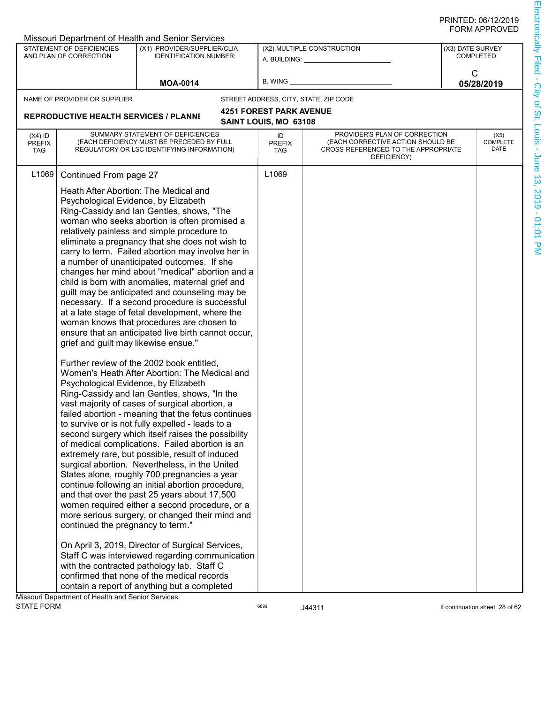|                                   |                                                                                                                                                                                                                              | <b>Missouri Department of Health and Senior Services</b>                                                                                                                                                                                                                                                                                                                                                                                                                                                                                                                                                                                                                                                                                                                                                                                                                                                                                                                                                                                                                                                                                                                                                                                                                                                                                                                                                                                                                                                                                                                                                                                                                                              |                                   |                                                                                                                          |                                      |
|-----------------------------------|------------------------------------------------------------------------------------------------------------------------------------------------------------------------------------------------------------------------------|-------------------------------------------------------------------------------------------------------------------------------------------------------------------------------------------------------------------------------------------------------------------------------------------------------------------------------------------------------------------------------------------------------------------------------------------------------------------------------------------------------------------------------------------------------------------------------------------------------------------------------------------------------------------------------------------------------------------------------------------------------------------------------------------------------------------------------------------------------------------------------------------------------------------------------------------------------------------------------------------------------------------------------------------------------------------------------------------------------------------------------------------------------------------------------------------------------------------------------------------------------------------------------------------------------------------------------------------------------------------------------------------------------------------------------------------------------------------------------------------------------------------------------------------------------------------------------------------------------------------------------------------------------------------------------------------------------|-----------------------------------|--------------------------------------------------------------------------------------------------------------------------|--------------------------------------|
|                                   | STATEMENT OF DEFICIENCIES<br>AND PLAN OF CORRECTION                                                                                                                                                                          | (X1) PROVIDER/SUPPLIER/CLIA<br><b>IDENTIFICATION NUMBER:</b>                                                                                                                                                                                                                                                                                                                                                                                                                                                                                                                                                                                                                                                                                                                                                                                                                                                                                                                                                                                                                                                                                                                                                                                                                                                                                                                                                                                                                                                                                                                                                                                                                                          |                                   | (X2) MULTIPLE CONSTRUCTION<br>A. BUILDING: _________________                                                             | (X3) DATE SURVEY<br><b>COMPLETED</b> |
|                                   |                                                                                                                                                                                                                              | <b>MOA-0014</b>                                                                                                                                                                                                                                                                                                                                                                                                                                                                                                                                                                                                                                                                                                                                                                                                                                                                                                                                                                                                                                                                                                                                                                                                                                                                                                                                                                                                                                                                                                                                                                                                                                                                                       | B. WING                           |                                                                                                                          | С<br>05/28/2019                      |
|                                   | NAME OF PROVIDER OR SUPPLIER                                                                                                                                                                                                 |                                                                                                                                                                                                                                                                                                                                                                                                                                                                                                                                                                                                                                                                                                                                                                                                                                                                                                                                                                                                                                                                                                                                                                                                                                                                                                                                                                                                                                                                                                                                                                                                                                                                                                       |                                   | STREET ADDRESS, CITY, STATE, ZIP CODE                                                                                    |                                      |
|                                   |                                                                                                                                                                                                                              |                                                                                                                                                                                                                                                                                                                                                                                                                                                                                                                                                                                                                                                                                                                                                                                                                                                                                                                                                                                                                                                                                                                                                                                                                                                                                                                                                                                                                                                                                                                                                                                                                                                                                                       | <b>4251 FOREST PARK AVENUE</b>    |                                                                                                                          |                                      |
|                                   | <b>REPRODUCTIVE HEALTH SERVICES / PLANNI</b>                                                                                                                                                                                 |                                                                                                                                                                                                                                                                                                                                                                                                                                                                                                                                                                                                                                                                                                                                                                                                                                                                                                                                                                                                                                                                                                                                                                                                                                                                                                                                                                                                                                                                                                                                                                                                                                                                                                       | SAINT LOUIS, MO 63108             |                                                                                                                          |                                      |
| $(X4)$ ID<br>PREFIX<br><b>TAG</b> |                                                                                                                                                                                                                              | SUMMARY STATEMENT OF DEFICIENCIES<br>(EACH DEFICIENCY MUST BE PRECEDED BY FULL<br>REGULATORY OR LSC IDENTIFYING INFORMATION)                                                                                                                                                                                                                                                                                                                                                                                                                                                                                                                                                                                                                                                                                                                                                                                                                                                                                                                                                                                                                                                                                                                                                                                                                                                                                                                                                                                                                                                                                                                                                                          | ID<br><b>PREFIX</b><br><b>TAG</b> | PROVIDER'S PLAN OF CORRECTION<br>(EACH CORRECTIVE ACTION SHOULD BE<br>CROSS-REFERENCED TO THE APPROPRIATE<br>DEFICIENCY) | (X5)<br>COMPLETE<br>DATE             |
| L <sub>1069</sub>                 | Continued From page 27<br>Heath After Abortion: The Medical and<br>Psychological Evidence, by Elizabeth<br>grief and guilt may likewise ensue."<br>Psychological Evidence, by Elizabeth<br>continued the pregnancy to term." | Ring-Cassidy and Ian Gentles, shows, "The<br>woman who seeks abortion is often promised a<br>relatively painless and simple procedure to<br>eliminate a pregnancy that she does not wish to<br>carry to term. Failed abortion may involve her in<br>a number of unanticipated outcomes. If she<br>changes her mind about "medical" abortion and a<br>child is born with anomalies, maternal grief and<br>guilt may be anticipated and counseling may be<br>necessary. If a second procedure is successful<br>at a late stage of fetal development, where the<br>woman knows that procedures are chosen to<br>ensure that an anticipated live birth cannot occur,<br>Further review of the 2002 book entitled,<br>Women's Heath After Abortion: The Medical and<br>Ring-Cassidy and Ian Gentles, shows, "In the<br>vast majority of cases of surgical abortion, a<br>failed abortion - meaning that the fetus continues<br>to survive or is not fully expelled - leads to a<br>second surgery which itself raises the possibility<br>of medical complications. Failed abortion is an<br>extremely rare, but possible, result of induced<br>surgical abortion. Nevertheless, in the United<br>States alone, roughly 700 pregnancies a year<br>continue following an initial abortion procedure,<br>and that over the past 25 years about 17,500<br>women required either a second procedure, or a<br>more serious surgery, or changed their mind and<br>On April 3, 2019, Director of Surgical Services,<br>Staff C was interviewed regarding communication<br>with the contracted pathology lab. Staff C<br>confirmed that none of the medical records<br>contain a report of anything but a completed | L1069                             |                                                                                                                          |                                      |
|                                   | Missouri Department of Health and Senior Services                                                                                                                                                                            |                                                                                                                                                                                                                                                                                                                                                                                                                                                                                                                                                                                                                                                                                                                                                                                                                                                                                                                                                                                                                                                                                                                                                                                                                                                                                                                                                                                                                                                                                                                                                                                                                                                                                                       |                                   |                                                                                                                          |                                      |
| <b>STATE FORM</b>                 |                                                                                                                                                                                                                              |                                                                                                                                                                                                                                                                                                                                                                                                                                                                                                                                                                                                                                                                                                                                                                                                                                                                                                                                                                                                                                                                                                                                                                                                                                                                                                                                                                                                                                                                                                                                                                                                                                                                                                       | 6899                              | J44311                                                                                                                   | If continuation sheet 28 of 62       |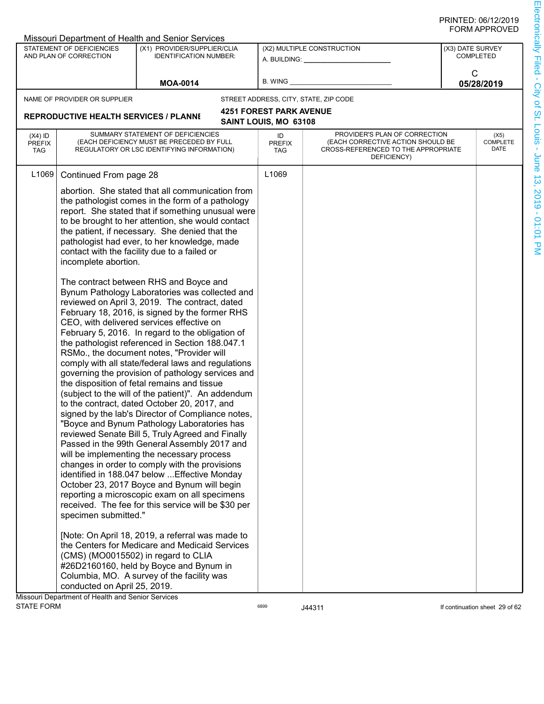|                                   |                                                                        | Missouri Department of Health and Senior Services                                                                                                                                                                                                                                                                                                                                                                                                                                                                                                                                                                                                                                                                                                                                                                                                                                                                                                                                                                                                                                                                                                                                                                                                                                                                                                                                                                                                                                                                                                                                                                                                                                                                                                                                       |                                   |                                                                                                                          |                 |                                      |  |
|-----------------------------------|------------------------------------------------------------------------|-----------------------------------------------------------------------------------------------------------------------------------------------------------------------------------------------------------------------------------------------------------------------------------------------------------------------------------------------------------------------------------------------------------------------------------------------------------------------------------------------------------------------------------------------------------------------------------------------------------------------------------------------------------------------------------------------------------------------------------------------------------------------------------------------------------------------------------------------------------------------------------------------------------------------------------------------------------------------------------------------------------------------------------------------------------------------------------------------------------------------------------------------------------------------------------------------------------------------------------------------------------------------------------------------------------------------------------------------------------------------------------------------------------------------------------------------------------------------------------------------------------------------------------------------------------------------------------------------------------------------------------------------------------------------------------------------------------------------------------------------------------------------------------------|-----------------------------------|--------------------------------------------------------------------------------------------------------------------------|-----------------|--------------------------------------|--|
|                                   | STATEMENT OF DEFICIENCIES<br>AND PLAN OF CORRECTION                    | (X1) PROVIDER/SUPPLIER/CLIA<br><b>IDENTIFICATION NUMBER:</b>                                                                                                                                                                                                                                                                                                                                                                                                                                                                                                                                                                                                                                                                                                                                                                                                                                                                                                                                                                                                                                                                                                                                                                                                                                                                                                                                                                                                                                                                                                                                                                                                                                                                                                                            | A. BUILDING: _______              | (X2) MULTIPLE CONSTRUCTION                                                                                               |                 | (X3) DATE SURVEY<br><b>COMPLETED</b> |  |
|                                   |                                                                        | <b>MOA-0014</b>                                                                                                                                                                                                                                                                                                                                                                                                                                                                                                                                                                                                                                                                                                                                                                                                                                                                                                                                                                                                                                                                                                                                                                                                                                                                                                                                                                                                                                                                                                                                                                                                                                                                                                                                                                         | <b>B. WING</b>                    |                                                                                                                          | C<br>05/28/2019 |                                      |  |
|                                   | NAME OF PROVIDER OR SUPPLIER                                           |                                                                                                                                                                                                                                                                                                                                                                                                                                                                                                                                                                                                                                                                                                                                                                                                                                                                                                                                                                                                                                                                                                                                                                                                                                                                                                                                                                                                                                                                                                                                                                                                                                                                                                                                                                                         |                                   | STREET ADDRESS, CITY, STATE, ZIP CODE                                                                                    |                 |                                      |  |
|                                   |                                                                        |                                                                                                                                                                                                                                                                                                                                                                                                                                                                                                                                                                                                                                                                                                                                                                                                                                                                                                                                                                                                                                                                                                                                                                                                                                                                                                                                                                                                                                                                                                                                                                                                                                                                                                                                                                                         | 4251 FOREST PARK AVENUE           |                                                                                                                          |                 |                                      |  |
|                                   | <b>REPRODUCTIVE HEALTH SERVICES / PLANNI</b>                           |                                                                                                                                                                                                                                                                                                                                                                                                                                                                                                                                                                                                                                                                                                                                                                                                                                                                                                                                                                                                                                                                                                                                                                                                                                                                                                                                                                                                                                                                                                                                                                                                                                                                                                                                                                                         | SAINT LOUIS, MO 63108             |                                                                                                                          |                 |                                      |  |
| $(X4)$ ID<br><b>PREFIX</b><br>TAG |                                                                        | SUMMARY STATEMENT OF DEFICIENCIES<br>(EACH DEFICIENCY MUST BE PRECEDED BY FULL<br>REGULATORY OR LSC IDENTIFYING INFORMATION)                                                                                                                                                                                                                                                                                                                                                                                                                                                                                                                                                                                                                                                                                                                                                                                                                                                                                                                                                                                                                                                                                                                                                                                                                                                                                                                                                                                                                                                                                                                                                                                                                                                            | ID<br><b>PREFIX</b><br><b>TAG</b> | PROVIDER'S PLAN OF CORRECTION<br>(EACH CORRECTIVE ACTION SHOULD BE<br>CROSS-REFERENCED TO THE APPROPRIATE<br>DEFICIENCY) |                 | (X5)<br>COMPLETE<br>DATE             |  |
| L <sub>1069</sub>                 | Continued From page 28<br>incomplete abortion.<br>specimen submitted." | abortion. She stated that all communication from<br>the pathologist comes in the form of a pathology<br>report. She stated that if something unusual were<br>to be brought to her attention, she would contact<br>the patient, if necessary. She denied that the<br>pathologist had ever, to her knowledge, made<br>contact with the facility due to a failed or<br>The contract between RHS and Boyce and<br>Bynum Pathology Laboratories was collected and<br>reviewed on April 3, 2019. The contract, dated<br>February 18, 2016, is signed by the former RHS<br>CEO, with delivered services effective on<br>February 5, 2016. In regard to the obligation of<br>the pathologist referenced in Section 188.047.1<br>RSMo., the document notes, "Provider will<br>comply with all state/federal laws and regulations<br>governing the provision of pathology services and<br>the disposition of fetal remains and tissue<br>(subject to the will of the patient)". An addendum<br>to the contract, dated October 20, 2017, and<br>signed by the lab's Director of Compliance notes,<br>"Boyce and Bynum Pathology Laboratories has<br>reviewed Senate Bill 5, Truly Agreed and Finally<br>Passed in the 99th General Assembly 2017 and<br>will be implementing the necessary process<br>changes in order to comply with the provisions<br>identified in 188.047 below  Effective Monday<br>October 23, 2017 Boyce and Bynum will begin<br>reporting a microscopic exam on all specimens<br>received. The fee for this service will be \$30 per<br>[Note: On April 18, 2019, a referral was made to<br>the Centers for Medicare and Medicaid Services<br>(CMS) (MO0015502) in regard to CLIA<br>#26D2160160, held by Boyce and Bynum in<br>Columbia, MO. A survey of the facility was | L1069                             |                                                                                                                          |                 |                                      |  |
|                                   | conducted on April 25, 2019.                                           |                                                                                                                                                                                                                                                                                                                                                                                                                                                                                                                                                                                                                                                                                                                                                                                                                                                                                                                                                                                                                                                                                                                                                                                                                                                                                                                                                                                                                                                                                                                                                                                                                                                                                                                                                                                         |                                   |                                                                                                                          |                 |                                      |  |
|                                   | Missouri Department of Health and Senior Services                      |                                                                                                                                                                                                                                                                                                                                                                                                                                                                                                                                                                                                                                                                                                                                                                                                                                                                                                                                                                                                                                                                                                                                                                                                                                                                                                                                                                                                                                                                                                                                                                                                                                                                                                                                                                                         | 6899                              |                                                                                                                          |                 |                                      |  |
| <b>STATE FORM</b>                 |                                                                        |                                                                                                                                                                                                                                                                                                                                                                                                                                                                                                                                                                                                                                                                                                                                                                                                                                                                                                                                                                                                                                                                                                                                                                                                                                                                                                                                                                                                                                                                                                                                                                                                                                                                                                                                                                                         |                                   | J44311                                                                                                                   |                 | If continuation sheet 29 of 62       |  |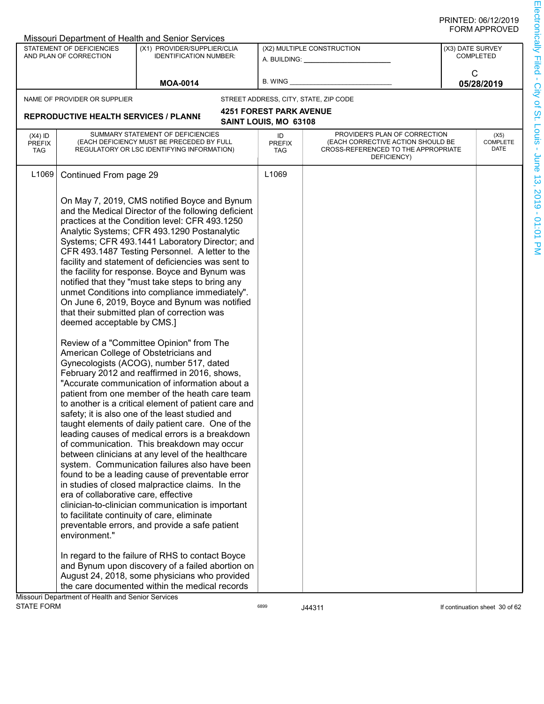|                                          |                                                                                               | Missouri Department of Health and Senior Services                                                                                                                                                                                                                                                                                                                                                                                                                                                                                                                                                                                                                                                                                                                                                                                                                                                                                                                                                                                                                                                                                                                                                                                         |                                   |                                                                                                                          |                 |                                      |  |
|------------------------------------------|-----------------------------------------------------------------------------------------------|-------------------------------------------------------------------------------------------------------------------------------------------------------------------------------------------------------------------------------------------------------------------------------------------------------------------------------------------------------------------------------------------------------------------------------------------------------------------------------------------------------------------------------------------------------------------------------------------------------------------------------------------------------------------------------------------------------------------------------------------------------------------------------------------------------------------------------------------------------------------------------------------------------------------------------------------------------------------------------------------------------------------------------------------------------------------------------------------------------------------------------------------------------------------------------------------------------------------------------------------|-----------------------------------|--------------------------------------------------------------------------------------------------------------------------|-----------------|--------------------------------------|--|
|                                          | STATEMENT OF DEFICIENCIES<br>AND PLAN OF CORRECTION                                           | (X1) PROVIDER/SUPPLIER/CLIA<br><b>IDENTIFICATION NUMBER:</b>                                                                                                                                                                                                                                                                                                                                                                                                                                                                                                                                                                                                                                                                                                                                                                                                                                                                                                                                                                                                                                                                                                                                                                              |                                   | (X2) MULTIPLE CONSTRUCTION<br>A. BUILDING: _______________                                                               |                 | (X3) DATE SURVEY<br><b>COMPLETED</b> |  |
|                                          |                                                                                               | <b>MOA-0014</b>                                                                                                                                                                                                                                                                                                                                                                                                                                                                                                                                                                                                                                                                                                                                                                                                                                                                                                                                                                                                                                                                                                                                                                                                                           | B. WING                           |                                                                                                                          | С<br>05/28/2019 |                                      |  |
|                                          | NAME OF PROVIDER OR SUPPLIER                                                                  |                                                                                                                                                                                                                                                                                                                                                                                                                                                                                                                                                                                                                                                                                                                                                                                                                                                                                                                                                                                                                                                                                                                                                                                                                                           |                                   | STREET ADDRESS, CITY, STATE, ZIP CODE                                                                                    |                 |                                      |  |
|                                          |                                                                                               |                                                                                                                                                                                                                                                                                                                                                                                                                                                                                                                                                                                                                                                                                                                                                                                                                                                                                                                                                                                                                                                                                                                                                                                                                                           | <b>4251 FOREST PARK AVENUE</b>    |                                                                                                                          |                 |                                      |  |
|                                          | <b>REPRODUCTIVE HEALTH SERVICES / PLANNI</b>                                                  |                                                                                                                                                                                                                                                                                                                                                                                                                                                                                                                                                                                                                                                                                                                                                                                                                                                                                                                                                                                                                                                                                                                                                                                                                                           | SAINT LOUIS, MO 63108             |                                                                                                                          |                 |                                      |  |
| $(X4)$ ID<br><b>PREFIX</b><br><b>TAG</b> |                                                                                               | SUMMARY STATEMENT OF DEFICIENCIES<br>(EACH DEFICIENCY MUST BE PRECEDED BY FULL<br>REGULATORY OR LSC IDENTIFYING INFORMATION)                                                                                                                                                                                                                                                                                                                                                                                                                                                                                                                                                                                                                                                                                                                                                                                                                                                                                                                                                                                                                                                                                                              | ID<br><b>PREFIX</b><br><b>TAG</b> | PROVIDER'S PLAN OF CORRECTION<br>(EACH CORRECTIVE ACTION SHOULD BE<br>CROSS-REFERENCED TO THE APPROPRIATE<br>DEFICIENCY) |                 | (X5)<br><b>COMPLETE</b><br>DATE      |  |
| L <sub>1069</sub>                        | Continued From page 29<br>deemed acceptable by CMS.]<br>American College of Obstetricians and | On May 7, 2019, CMS notified Boyce and Bynum<br>and the Medical Director of the following deficient<br>practices at the Condition level: CFR 493.1250<br>Analytic Systems; CFR 493.1290 Postanalytic<br>Systems; CFR 493.1441 Laboratory Director; and<br>CFR 493.1487 Testing Personnel. A letter to the<br>facility and statement of deficiencies was sent to<br>the facility for response. Boyce and Bynum was<br>notified that they "must take steps to bring any<br>unmet Conditions into compliance immediately".<br>On June 6, 2019, Boyce and Bynum was notified<br>that their submitted plan of correction was<br>Review of a "Committee Opinion" from The<br>Gynecologists (ACOG), number 517, dated<br>February 2012 and reaffirmed in 2016, shows,<br>"Accurate communication of information about a<br>patient from one member of the heath care team<br>to another is a critical element of patient care and<br>safety; it is also one of the least studied and<br>taught elements of daily patient care. One of the<br>leading causes of medical errors is a breakdown<br>of communication. This breakdown may occur<br>between clinicians at any level of the healthcare<br>system. Communication failures also have been | L1069                             |                                                                                                                          |                 |                                      |  |
|                                          | era of collaborative care, effective<br>environment."                                         | found to be a leading cause of preventable error<br>in studies of closed malpractice claims. In the<br>clinician-to-clinician communication is important<br>to facilitate continuity of care, eliminate<br>preventable errors, and provide a safe patient                                                                                                                                                                                                                                                                                                                                                                                                                                                                                                                                                                                                                                                                                                                                                                                                                                                                                                                                                                                 |                                   |                                                                                                                          |                 |                                      |  |
|                                          | Missouri Department of Health and Senior Services                                             | In regard to the failure of RHS to contact Boyce<br>and Bynum upon discovery of a failed abortion on<br>August 24, 2018, some physicians who provided<br>the care documented within the medical records                                                                                                                                                                                                                                                                                                                                                                                                                                                                                                                                                                                                                                                                                                                                                                                                                                                                                                                                                                                                                                   |                                   |                                                                                                                          |                 |                                      |  |
| <b>STATE FORM</b>                        |                                                                                               |                                                                                                                                                                                                                                                                                                                                                                                                                                                                                                                                                                                                                                                                                                                                                                                                                                                                                                                                                                                                                                                                                                                                                                                                                                           | 6899                              | J44311                                                                                                                   |                 | If continuation sheet 30 of 62       |  |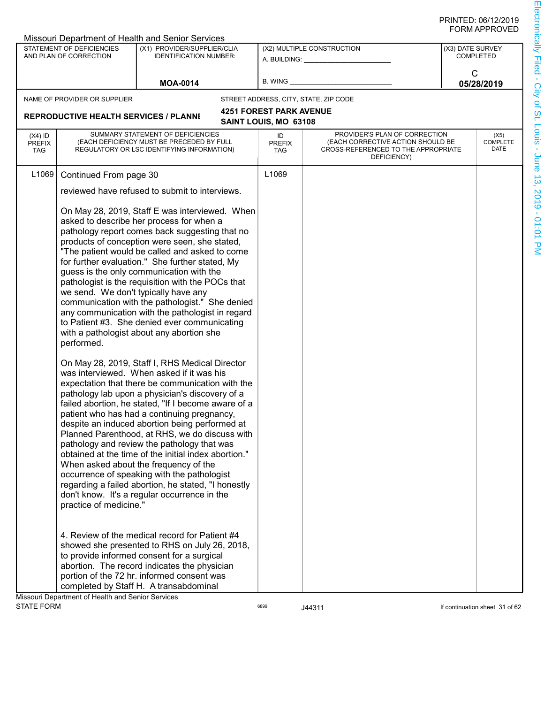|                                   |                                                     | Missouri Department of Health and Senior Services                                                                                                                                                                                                                                                                                                                                                                                                                                                                                                                                                                                                                                                                  |                                                         |                                                                                                                          |                  |                                |
|-----------------------------------|-----------------------------------------------------|--------------------------------------------------------------------------------------------------------------------------------------------------------------------------------------------------------------------------------------------------------------------------------------------------------------------------------------------------------------------------------------------------------------------------------------------------------------------------------------------------------------------------------------------------------------------------------------------------------------------------------------------------------------------------------------------------------------------|---------------------------------------------------------|--------------------------------------------------------------------------------------------------------------------------|------------------|--------------------------------|
|                                   | STATEMENT OF DEFICIENCIES<br>AND PLAN OF CORRECTION | (X1) PROVIDER/SUPPLIER/CLIA<br><b>IDENTIFICATION NUMBER:</b>                                                                                                                                                                                                                                                                                                                                                                                                                                                                                                                                                                                                                                                       |                                                         | (X2) MULTIPLE CONSTRUCTION<br>A. BUILDING: _________________                                                             | (X3) DATE SURVEY | <b>COMPLETED</b>               |
|                                   |                                                     | <b>MOA-0014</b>                                                                                                                                                                                                                                                                                                                                                                                                                                                                                                                                                                                                                                                                                                    | B. WING                                                 |                                                                                                                          | С<br>05/28/2019  |                                |
|                                   |                                                     |                                                                                                                                                                                                                                                                                                                                                                                                                                                                                                                                                                                                                                                                                                                    |                                                         |                                                                                                                          |                  |                                |
|                                   | NAME OF PROVIDER OR SUPPLIER                        |                                                                                                                                                                                                                                                                                                                                                                                                                                                                                                                                                                                                                                                                                                                    |                                                         | STREET ADDRESS, CITY, STATE, ZIP CODE                                                                                    |                  |                                |
|                                   | <b>REPRODUCTIVE HEALTH SERVICES / PLANNI</b>        |                                                                                                                                                                                                                                                                                                                                                                                                                                                                                                                                                                                                                                                                                                                    | <b>4251 FOREST PARK AVENUE</b><br>SAINT LOUIS, MO 63108 |                                                                                                                          |                  |                                |
| $(X4)$ ID<br><b>PREFIX</b><br>TAG |                                                     | SUMMARY STATEMENT OF DEFICIENCIES<br>(EACH DEFICIENCY MUST BE PRECEDED BY FULL<br>REGULATORY OR LSC IDENTIFYING INFORMATION)                                                                                                                                                                                                                                                                                                                                                                                                                                                                                                                                                                                       | ID<br><b>PREFIX</b><br><b>TAG</b>                       | PROVIDER'S PLAN OF CORRECTION<br>(EACH CORRECTIVE ACTION SHOULD BE<br>CROSS-REFERENCED TO THE APPROPRIATE<br>DEFICIENCY) |                  | (X5)<br>COMPLETE<br>DATE       |
| L <sub>1069</sub>                 | Continued From page 30                              |                                                                                                                                                                                                                                                                                                                                                                                                                                                                                                                                                                                                                                                                                                                    | L <sub>1069</sub>                                       |                                                                                                                          |                  |                                |
|                                   |                                                     | reviewed have refused to submit to interviews.                                                                                                                                                                                                                                                                                                                                                                                                                                                                                                                                                                                                                                                                     |                                                         |                                                                                                                          |                  |                                |
|                                   | we send. We don't typically have any<br>performed.  | On May 28, 2019, Staff E was interviewed. When<br>asked to describe her process for when a<br>pathology report comes back suggesting that no<br>products of conception were seen, she stated,<br>"The patient would be called and asked to come<br>for further evaluation." She further stated, My<br>guess is the only communication with the<br>pathologist is the requisition with the POCs that<br>communication with the pathologist." She denied<br>any communication with the pathologist in regard<br>to Patient #3. She denied ever communicating<br>with a pathologist about any abortion she                                                                                                            |                                                         |                                                                                                                          |                  |                                |
|                                   | practice of medicine."                              | On May 28, 2019, Staff I, RHS Medical Director<br>was interviewed. When asked if it was his<br>expectation that there be communication with the<br>pathology lab upon a physician's discovery of a<br>failed abortion, he stated, "If I become aware of a<br>patient who has had a continuing pregnancy,<br>despite an induced abortion being performed at<br>Planned Parenthood, at RHS, we do discuss with<br>pathology and review the pathology that was<br>obtained at the time of the initial index abortion."<br>When asked about the frequency of the<br>occurrence of speaking with the pathologist<br>regarding a failed abortion, he stated, "I honestly<br>don't know. It's a regular occurrence in the |                                                         |                                                                                                                          |                  |                                |
|                                   | Missouri Department of Health and Senior Services   | 4. Review of the medical record for Patient #4<br>showed she presented to RHS on July 26, 2018,<br>to provide informed consent for a surgical<br>abortion. The record indicates the physician<br>portion of the 72 hr. informed consent was<br>completed by Staff H. A transabdominal                                                                                                                                                                                                                                                                                                                                                                                                                              |                                                         |                                                                                                                          |                  |                                |
| <b>STATE FORM</b>                 |                                                     |                                                                                                                                                                                                                                                                                                                                                                                                                                                                                                                                                                                                                                                                                                                    | 6899                                                    | J44311                                                                                                                   |                  | If continuation sheet 31 of 62 |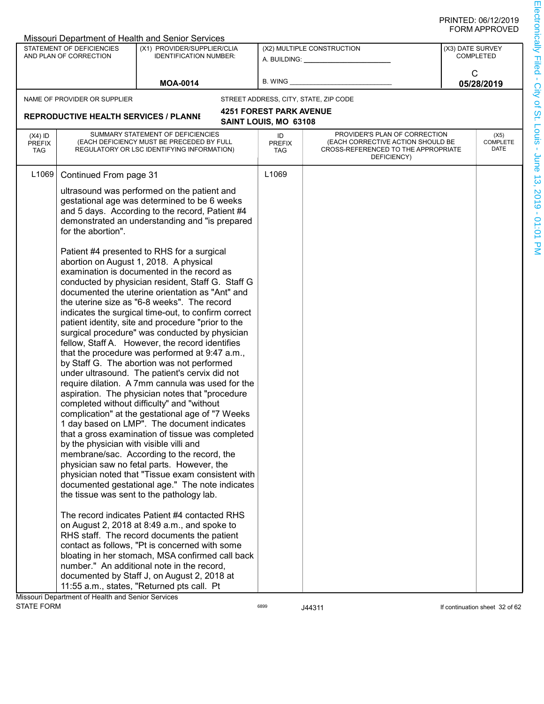|                                          |                                                                      | <b>Missouri Department of Health and Senior Services</b>                                                                                                                                                                                                                                                                                                                                                                                                                                                                                                                                                                                                                                                                                                                                                                                                                                                                                                                                                                                                                                                                                                                      |                                   |                                                                                                                          |                  |                                |
|------------------------------------------|----------------------------------------------------------------------|-------------------------------------------------------------------------------------------------------------------------------------------------------------------------------------------------------------------------------------------------------------------------------------------------------------------------------------------------------------------------------------------------------------------------------------------------------------------------------------------------------------------------------------------------------------------------------------------------------------------------------------------------------------------------------------------------------------------------------------------------------------------------------------------------------------------------------------------------------------------------------------------------------------------------------------------------------------------------------------------------------------------------------------------------------------------------------------------------------------------------------------------------------------------------------|-----------------------------------|--------------------------------------------------------------------------------------------------------------------------|------------------|--------------------------------|
|                                          | STATEMENT OF DEFICIENCIES                                            | (X1) PROVIDER/SUPPLIER/CLIA                                                                                                                                                                                                                                                                                                                                                                                                                                                                                                                                                                                                                                                                                                                                                                                                                                                                                                                                                                                                                                                                                                                                                   |                                   | (X2) MULTIPLE CONSTRUCTION                                                                                               | (X3) DATE SURVEY |                                |
|                                          | AND PLAN OF CORRECTION                                               | <b>IDENTIFICATION NUMBER:</b>                                                                                                                                                                                                                                                                                                                                                                                                                                                                                                                                                                                                                                                                                                                                                                                                                                                                                                                                                                                                                                                                                                                                                 |                                   |                                                                                                                          |                  | <b>COMPLETED</b>               |
|                                          |                                                                      |                                                                                                                                                                                                                                                                                                                                                                                                                                                                                                                                                                                                                                                                                                                                                                                                                                                                                                                                                                                                                                                                                                                                                                               |                                   |                                                                                                                          | C                |                                |
|                                          |                                                                      | <b>MOA-0014</b>                                                                                                                                                                                                                                                                                                                                                                                                                                                                                                                                                                                                                                                                                                                                                                                                                                                                                                                                                                                                                                                                                                                                                               | <b>B. WING</b>                    |                                                                                                                          | 05/28/2019       |                                |
|                                          | NAME OF PROVIDER OR SUPPLIER                                         |                                                                                                                                                                                                                                                                                                                                                                                                                                                                                                                                                                                                                                                                                                                                                                                                                                                                                                                                                                                                                                                                                                                                                                               |                                   | STREET ADDRESS, CITY, STATE, ZIP CODE                                                                                    |                  |                                |
|                                          |                                                                      |                                                                                                                                                                                                                                                                                                                                                                                                                                                                                                                                                                                                                                                                                                                                                                                                                                                                                                                                                                                                                                                                                                                                                                               | <b>4251 FOREST PARK AVENUE</b>    |                                                                                                                          |                  |                                |
|                                          | <b>REPRODUCTIVE HEALTH SERVICES / PLANNI</b>                         |                                                                                                                                                                                                                                                                                                                                                                                                                                                                                                                                                                                                                                                                                                                                                                                                                                                                                                                                                                                                                                                                                                                                                                               | SAINT LOUIS, MO 63108             |                                                                                                                          |                  |                                |
| $(X4)$ ID<br><b>PREFIX</b><br><b>TAG</b> |                                                                      | SUMMARY STATEMENT OF DEFICIENCIES<br>(EACH DEFICIENCY MUST BE PRECEDED BY FULL<br>REGULATORY OR LSC IDENTIFYING INFORMATION)                                                                                                                                                                                                                                                                                                                                                                                                                                                                                                                                                                                                                                                                                                                                                                                                                                                                                                                                                                                                                                                  | ID<br><b>PREFIX</b><br><b>TAG</b> | PROVIDER'S PLAN OF CORRECTION<br>(EACH CORRECTIVE ACTION SHOULD BE<br>CROSS-REFERENCED TO THE APPROPRIATE<br>DEFICIENCY) |                  | (X5)<br>COMPLETE<br>DATE       |
| L <sub>1069</sub>                        | Continued From page 31                                               | ultrasound was performed on the patient and<br>gestational age was determined to be 6 weeks<br>and 5 days. According to the record, Patient #4                                                                                                                                                                                                                                                                                                                                                                                                                                                                                                                                                                                                                                                                                                                                                                                                                                                                                                                                                                                                                                | L1069                             |                                                                                                                          |                  |                                |
|                                          | demonstrated an understanding and "is prepared<br>for the abortion". |                                                                                                                                                                                                                                                                                                                                                                                                                                                                                                                                                                                                                                                                                                                                                                                                                                                                                                                                                                                                                                                                                                                                                                               |                                   |                                                                                                                          |                  |                                |
|                                          | by the physician with visible villi and                              | Patient #4 presented to RHS for a surgical<br>abortion on August 1, 2018. A physical<br>examination is documented in the record as<br>conducted by physician resident, Staff G. Staff G<br>documented the uterine orientation as "Ant" and<br>the uterine size as "6-8 weeks". The record<br>indicates the surgical time-out, to confirm correct<br>patient identity, site and procedure "prior to the<br>surgical procedure" was conducted by physician<br>fellow, Staff A. However, the record identifies<br>that the procedure was performed at 9:47 a.m.,<br>by Staff G. The abortion was not performed<br>under ultrasound. The patient's cervix did not<br>require dilation. A 7mm cannula was used for the<br>aspiration. The physician notes that "procedure<br>completed without difficulty" and "without<br>complication" at the gestational age of "7 Weeks<br>1 day based on LMP". The document indicates<br>that a gross examination of tissue was completed<br>membrane/sac. According to the record, the<br>physician saw no fetal parts. However, the<br>physician noted that "Tissue exam consistent with<br>documented gestational age." The note indicates |                                   |                                                                                                                          |                  |                                |
|                                          |                                                                      | the tissue was sent to the pathology lab.<br>The record indicates Patient #4 contacted RHS<br>on August 2, 2018 at 8:49 a.m., and spoke to<br>RHS staff. The record documents the patient<br>contact as follows, "Pt is concerned with some<br>bloating in her stomach, MSA confirmed call back<br>number." An additional note in the record,<br>documented by Staff J, on August 2, 2018 at<br>11:55 a.m., states, "Returned pts call. Pt                                                                                                                                                                                                                                                                                                                                                                                                                                                                                                                                                                                                                                                                                                                                    |                                   |                                                                                                                          |                  |                                |
| <b>STATE FORM</b>                        | Missouri Department of Health and Senior Services                    |                                                                                                                                                                                                                                                                                                                                                                                                                                                                                                                                                                                                                                                                                                                                                                                                                                                                                                                                                                                                                                                                                                                                                                               | 6899                              | J44311                                                                                                                   |                  | If continuation sheet 32 of 62 |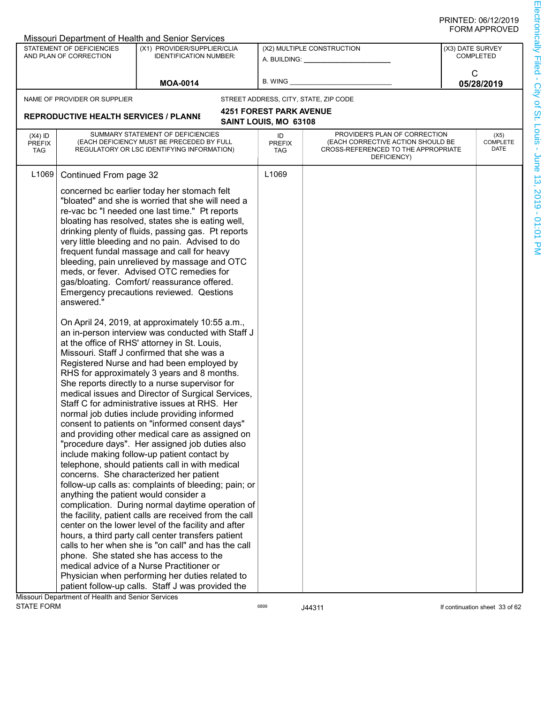|                            |                                                     | Missouri Department of Health and Senior Services                                                    |                                |                                                                    |                  |                                |
|----------------------------|-----------------------------------------------------|------------------------------------------------------------------------------------------------------|--------------------------------|--------------------------------------------------------------------|------------------|--------------------------------|
|                            | STATEMENT OF DEFICIENCIES<br>AND PLAN OF CORRECTION | (X1) PROVIDER/SUPPLIER/CLIA<br><b>IDENTIFICATION NUMBER:</b>                                         |                                | (X2) MULTIPLE CONSTRUCTION<br>A. BUILDING: A.                      | (X3) DATE SURVEY | <b>COMPLETED</b>               |
|                            |                                                     |                                                                                                      |                                |                                                                    |                  | C                              |
|                            |                                                     | <b>MOA-0014</b>                                                                                      | B. WING                        |                                                                    |                  | 05/28/2019                     |
|                            | NAME OF PROVIDER OR SUPPLIER                        |                                                                                                      |                                | STREET ADDRESS, CITY, STATE, ZIP CODE                              |                  |                                |
|                            |                                                     |                                                                                                      | <b>4251 FOREST PARK AVENUE</b> |                                                                    |                  |                                |
|                            | <b>REPRODUCTIVE HEALTH SERVICES / PLANNI</b>        |                                                                                                      | SAINT LOUIS, MO 63108          |                                                                    |                  |                                |
| $(X4)$ ID<br><b>PREFIX</b> |                                                     | SUMMARY STATEMENT OF DEFICIENCIES<br>(EACH DEFICIENCY MUST BE PRECEDED BY FULL                       | ID                             | PROVIDER'S PLAN OF CORRECTION<br>(EACH CORRECTIVE ACTION SHOULD BE |                  | (X5)<br>COMPLETE               |
| <b>TAG</b>                 |                                                     | REGULATORY OR LSC IDENTIFYING INFORMATION)                                                           | <b>PREFIX</b><br><b>TAG</b>    | CROSS-REFERENCED TO THE APPROPRIATE                                |                  | DATE                           |
|                            |                                                     |                                                                                                      |                                | DEFICIENCY)                                                        |                  |                                |
| L1069                      | Continued From page 32                              |                                                                                                      | L1069                          |                                                                    |                  |                                |
|                            |                                                     | concerned bc earlier today her stomach felt                                                          |                                |                                                                    |                  |                                |
|                            |                                                     | "bloated" and she is worried that she will need a                                                    |                                |                                                                    |                  |                                |
|                            |                                                     | re-vac bc "I needed one last time." Pt reports                                                       |                                |                                                                    |                  |                                |
|                            |                                                     | bloating has resolved, states she is eating well,                                                    |                                |                                                                    |                  |                                |
|                            |                                                     | drinking plenty of fluids, passing gas. Pt reports                                                   |                                |                                                                    |                  |                                |
|                            | very little bleeding and no pain. Advised to do     |                                                                                                      |                                |                                                                    |                  |                                |
|                            |                                                     | frequent fundal massage and call for heavy                                                           |                                |                                                                    |                  |                                |
|                            |                                                     | bleeding, pain unrelieved by massage and OTC                                                         |                                |                                                                    |                  |                                |
|                            | meds, or fever. Advised OTC remedies for            |                                                                                                      |                                |                                                                    |                  |                                |
|                            |                                                     | gas/bloating. Comfort/ reassurance offered.                                                          |                                |                                                                    |                  |                                |
|                            |                                                     | Emergency precautions reviewed. Qestions                                                             |                                |                                                                    |                  |                                |
|                            | answered."                                          |                                                                                                      |                                |                                                                    |                  |                                |
|                            |                                                     | On April 24, 2019, at approximately 10:55 a.m.,                                                      |                                |                                                                    |                  |                                |
|                            |                                                     | an in-person interview was conducted with Staff J                                                    |                                |                                                                    |                  |                                |
|                            |                                                     | at the office of RHS' attorney in St. Louis,                                                         |                                |                                                                    |                  |                                |
|                            |                                                     | Missouri. Staff J confirmed that she was a                                                           |                                |                                                                    |                  |                                |
|                            |                                                     | Registered Nurse and had been employed by                                                            |                                |                                                                    |                  |                                |
|                            |                                                     | RHS for approximately 3 years and 8 months.                                                          |                                |                                                                    |                  |                                |
|                            |                                                     | She reports directly to a nurse supervisor for                                                       |                                |                                                                    |                  |                                |
|                            |                                                     | medical issues and Director of Surgical Services,                                                    |                                |                                                                    |                  |                                |
|                            |                                                     | Staff C for administrative issues at RHS. Her                                                        |                                |                                                                    |                  |                                |
|                            |                                                     | normal job duties include providing informed                                                         |                                |                                                                    |                  |                                |
|                            |                                                     | consent to patients on "informed consent days"<br>and providing other medical care as assigned on    |                                |                                                                    |                  |                                |
|                            |                                                     | "procedure days". Her assigned job duties also                                                       |                                |                                                                    |                  |                                |
|                            |                                                     | include making follow-up patient contact by                                                          |                                |                                                                    |                  |                                |
|                            |                                                     | telephone, should patients call in with medical                                                      |                                |                                                                    |                  |                                |
|                            |                                                     | concerns. She characterized her patient                                                              |                                |                                                                    |                  |                                |
|                            |                                                     | follow-up calls as: complaints of bleeding; pain; or                                                 |                                |                                                                    |                  |                                |
|                            | anything the patient would consider a               |                                                                                                      |                                |                                                                    |                  |                                |
|                            |                                                     | complication. During normal daytime operation of                                                     |                                |                                                                    |                  |                                |
|                            |                                                     | the facility, patient calls are received from the call                                               |                                |                                                                    |                  |                                |
|                            |                                                     | center on the lower level of the facility and after                                                  |                                |                                                                    |                  |                                |
|                            |                                                     | hours, a third party call center transfers patient                                                   |                                |                                                                    |                  |                                |
|                            |                                                     | calls to her when she is "on call" and has the call                                                  |                                |                                                                    |                  |                                |
|                            |                                                     | phone. She stated she has access to the                                                              |                                |                                                                    |                  |                                |
|                            |                                                     | medical advice of a Nurse Practitioner or                                                            |                                |                                                                    |                  |                                |
|                            |                                                     | Physician when performing her duties related to<br>patient follow-up calls. Staff J was provided the |                                |                                                                    |                  |                                |
|                            | Missouri Department of Health and Senior Services   |                                                                                                      |                                |                                                                    |                  |                                |
| <b>STATE FORM</b>          |                                                     |                                                                                                      | 6899                           | J44311                                                             |                  | If continuation sheet 33 of 62 |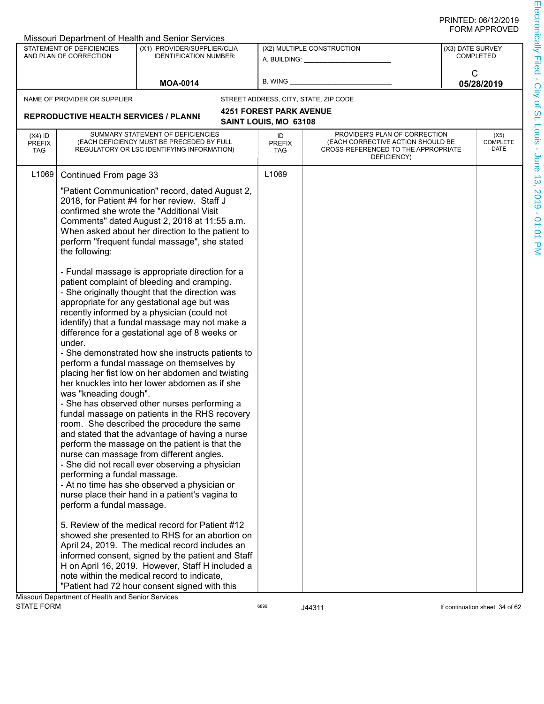|                                          |                                                                                                                                          | Missouri Department of Health and Senior Services                                                                                                                                                                                                                                                                                                                                                                                                                                                                                                                                                                                                                                                                                                                                                                                                                                                                                                                                                                                                                                                                                                                                                                                                                                                                                                                                                                                                                                                                                 |                                                         |                                                                                                                          |                 |                                      |  |
|------------------------------------------|------------------------------------------------------------------------------------------------------------------------------------------|-----------------------------------------------------------------------------------------------------------------------------------------------------------------------------------------------------------------------------------------------------------------------------------------------------------------------------------------------------------------------------------------------------------------------------------------------------------------------------------------------------------------------------------------------------------------------------------------------------------------------------------------------------------------------------------------------------------------------------------------------------------------------------------------------------------------------------------------------------------------------------------------------------------------------------------------------------------------------------------------------------------------------------------------------------------------------------------------------------------------------------------------------------------------------------------------------------------------------------------------------------------------------------------------------------------------------------------------------------------------------------------------------------------------------------------------------------------------------------------------------------------------------------------|---------------------------------------------------------|--------------------------------------------------------------------------------------------------------------------------|-----------------|--------------------------------------|--|
|                                          | STATEMENT OF DEFICIENCIES<br>AND PLAN OF CORRECTION                                                                                      | (X1) PROVIDER/SUPPLIER/CLIA<br><b>IDENTIFICATION NUMBER:</b>                                                                                                                                                                                                                                                                                                                                                                                                                                                                                                                                                                                                                                                                                                                                                                                                                                                                                                                                                                                                                                                                                                                                                                                                                                                                                                                                                                                                                                                                      |                                                         | (X2) MULTIPLE CONSTRUCTION<br>A. BUILDING: __________                                                                    |                 | (X3) DATE SURVEY<br><b>COMPLETED</b> |  |
|                                          |                                                                                                                                          | <b>MOA-0014</b>                                                                                                                                                                                                                                                                                                                                                                                                                                                                                                                                                                                                                                                                                                                                                                                                                                                                                                                                                                                                                                                                                                                                                                                                                                                                                                                                                                                                                                                                                                                   | <b>B. WING</b>                                          |                                                                                                                          | C<br>05/28/2019 |                                      |  |
|                                          | NAME OF PROVIDER OR SUPPLIER                                                                                                             |                                                                                                                                                                                                                                                                                                                                                                                                                                                                                                                                                                                                                                                                                                                                                                                                                                                                                                                                                                                                                                                                                                                                                                                                                                                                                                                                                                                                                                                                                                                                   |                                                         |                                                                                                                          |                 |                                      |  |
|                                          |                                                                                                                                          |                                                                                                                                                                                                                                                                                                                                                                                                                                                                                                                                                                                                                                                                                                                                                                                                                                                                                                                                                                                                                                                                                                                                                                                                                                                                                                                                                                                                                                                                                                                                   |                                                         | STREET ADDRESS, CITY, STATE, ZIP CODE                                                                                    |                 |                                      |  |
|                                          | <b>REPRODUCTIVE HEALTH SERVICES / PLANNI</b>                                                                                             |                                                                                                                                                                                                                                                                                                                                                                                                                                                                                                                                                                                                                                                                                                                                                                                                                                                                                                                                                                                                                                                                                                                                                                                                                                                                                                                                                                                                                                                                                                                                   | <b>4251 FOREST PARK AVENUE</b><br>SAINT LOUIS, MO 63108 |                                                                                                                          |                 |                                      |  |
| $(X4)$ ID<br><b>PREFIX</b><br><b>TAG</b> |                                                                                                                                          | SUMMARY STATEMENT OF DEFICIENCIES<br>(EACH DEFICIENCY MUST BE PRECEDED BY FULL<br>REGULATORY OR LSC IDENTIFYING INFORMATION)                                                                                                                                                                                                                                                                                                                                                                                                                                                                                                                                                                                                                                                                                                                                                                                                                                                                                                                                                                                                                                                                                                                                                                                                                                                                                                                                                                                                      | ID<br><b>PREFIX</b><br><b>TAG</b>                       | PROVIDER'S PLAN OF CORRECTION<br>(EACH CORRECTIVE ACTION SHOULD BE<br>CROSS-REFERENCED TO THE APPROPRIATE<br>DEFICIENCY) |                 | (X5)<br>COMPLETE<br>DATE             |  |
| L <sub>1069</sub>                        | Continued From page 33<br>the following:<br>under.<br>was "kneading dough".<br>performing a fundal massage.<br>perform a fundal massage. | "Patient Communication" record, dated August 2,<br>2018, for Patient #4 for her review. Staff J<br>confirmed she wrote the "Additional Visit<br>Comments" dated August 2, 2018 at 11:55 a.m.<br>When asked about her direction to the patient to<br>perform "frequent fundal massage", she stated<br>- Fundal massage is appropriate direction for a<br>patient complaint of bleeding and cramping.<br>- She originally thought that the direction was<br>appropriate for any gestational age but was<br>recently informed by a physician (could not<br>identify) that a fundal massage may not make a<br>difference for a gestational age of 8 weeks or<br>- She demonstrated how she instructs patients to<br>perform a fundal massage on themselves by<br>placing her fist low on her abdomen and twisting<br>her knuckles into her lower abdomen as if she<br>- She has observed other nurses performing a<br>fundal massage on patients in the RHS recovery<br>room. She described the procedure the same<br>and stated that the advantage of having a nurse<br>perform the massage on the patient is that the<br>nurse can massage from different angles.<br>- She did not recall ever observing a physician<br>- At no time has she observed a physician or<br>nurse place their hand in a patient's vagina to<br>5. Review of the medical record for Patient #12<br>showed she presented to RHS for an abortion on<br>April 24, 2019. The medical record includes an<br>informed consent, signed by the patient and Staff | L1069                                                   |                                                                                                                          |                 |                                      |  |
|                                          |                                                                                                                                          | H on April 16, 2019. However, Staff H included a<br>note within the medical record to indicate,<br>"Patient had 72 hour consent signed with this                                                                                                                                                                                                                                                                                                                                                                                                                                                                                                                                                                                                                                                                                                                                                                                                                                                                                                                                                                                                                                                                                                                                                                                                                                                                                                                                                                                  |                                                         |                                                                                                                          |                 |                                      |  |
| <b>STATE FORM</b>                        | Missouri Department of Health and Senior Services                                                                                        |                                                                                                                                                                                                                                                                                                                                                                                                                                                                                                                                                                                                                                                                                                                                                                                                                                                                                                                                                                                                                                                                                                                                                                                                                                                                                                                                                                                                                                                                                                                                   | 6899                                                    | J44311                                                                                                                   |                 | If continuation sheet 34 of 62       |  |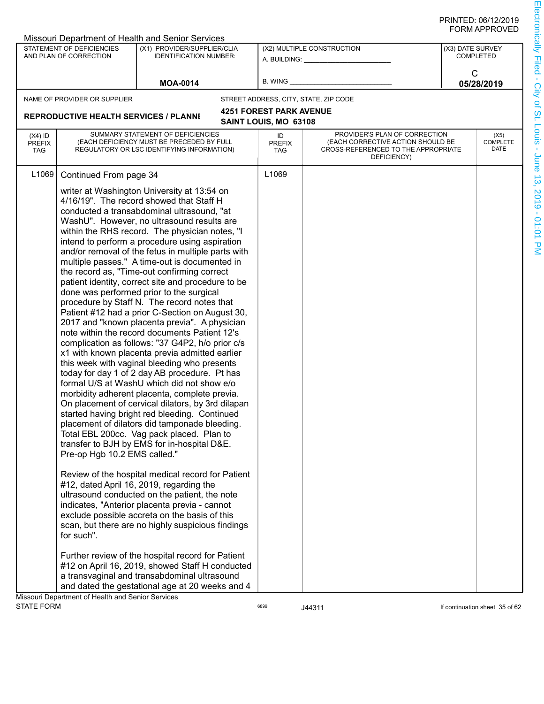|                                          |                                                                                                                                                                                                                                                                                                                                                                                                                                                                                                                                                                                                                                        | <b>Missouri Department of Health and Senior Services</b>                                                                                                                                                                                                                                                                                                                                                                                                                                                                                                                                                                                                                                           |                                   |                                                                                                                          |                                      |                                |
|------------------------------------------|----------------------------------------------------------------------------------------------------------------------------------------------------------------------------------------------------------------------------------------------------------------------------------------------------------------------------------------------------------------------------------------------------------------------------------------------------------------------------------------------------------------------------------------------------------------------------------------------------------------------------------------|----------------------------------------------------------------------------------------------------------------------------------------------------------------------------------------------------------------------------------------------------------------------------------------------------------------------------------------------------------------------------------------------------------------------------------------------------------------------------------------------------------------------------------------------------------------------------------------------------------------------------------------------------------------------------------------------------|-----------------------------------|--------------------------------------------------------------------------------------------------------------------------|--------------------------------------|--------------------------------|
|                                          | STATEMENT OF DEFICIENCIES<br>AND PLAN OF CORRECTION                                                                                                                                                                                                                                                                                                                                                                                                                                                                                                                                                                                    | (X1) PROVIDER/SUPPLIER/CLIA<br><b>IDENTIFICATION NUMBER:</b>                                                                                                                                                                                                                                                                                                                                                                                                                                                                                                                                                                                                                                       |                                   | (X2) MULTIPLE CONSTRUCTION                                                                                               | (X3) DATE SURVEY<br><b>COMPLETED</b> |                                |
|                                          |                                                                                                                                                                                                                                                                                                                                                                                                                                                                                                                                                                                                                                        |                                                                                                                                                                                                                                                                                                                                                                                                                                                                                                                                                                                                                                                                                                    |                                   | A. BUILDING: _______________                                                                                             |                                      |                                |
|                                          |                                                                                                                                                                                                                                                                                                                                                                                                                                                                                                                                                                                                                                        |                                                                                                                                                                                                                                                                                                                                                                                                                                                                                                                                                                                                                                                                                                    | <b>B. WING</b>                    |                                                                                                                          | C                                    |                                |
|                                          |                                                                                                                                                                                                                                                                                                                                                                                                                                                                                                                                                                                                                                        | <b>MOA-0014</b>                                                                                                                                                                                                                                                                                                                                                                                                                                                                                                                                                                                                                                                                                    |                                   |                                                                                                                          |                                      | 05/28/2019                     |
|                                          | NAME OF PROVIDER OR SUPPLIER                                                                                                                                                                                                                                                                                                                                                                                                                                                                                                                                                                                                           |                                                                                                                                                                                                                                                                                                                                                                                                                                                                                                                                                                                                                                                                                                    |                                   | STREET ADDRESS, CITY, STATE, ZIP CODE                                                                                    |                                      |                                |
|                                          | <b>REPRODUCTIVE HEALTH SERVICES / PLANNI</b>                                                                                                                                                                                                                                                                                                                                                                                                                                                                                                                                                                                           |                                                                                                                                                                                                                                                                                                                                                                                                                                                                                                                                                                                                                                                                                                    | <b>4251 FOREST PARK AVENUE</b>    |                                                                                                                          |                                      |                                |
|                                          |                                                                                                                                                                                                                                                                                                                                                                                                                                                                                                                                                                                                                                        |                                                                                                                                                                                                                                                                                                                                                                                                                                                                                                                                                                                                                                                                                                    | SAINT LOUIS, MO 63108             |                                                                                                                          |                                      |                                |
| $(X4)$ ID<br><b>PREFIX</b><br><b>TAG</b> |                                                                                                                                                                                                                                                                                                                                                                                                                                                                                                                                                                                                                                        | SUMMARY STATEMENT OF DEFICIENCIES<br>(EACH DEFICIENCY MUST BE PRECEDED BY FULL<br>REGULATORY OR LSC IDENTIFYING INFORMATION)                                                                                                                                                                                                                                                                                                                                                                                                                                                                                                                                                                       | ID<br><b>PREFIX</b><br><b>TAG</b> | PROVIDER'S PLAN OF CORRECTION<br>(EACH CORRECTIVE ACTION SHOULD BE<br>CROSS-REFERENCED TO THE APPROPRIATE<br>DEFICIENCY) |                                      | (X5)<br>COMPLETE<br>DATE       |
|                                          |                                                                                                                                                                                                                                                                                                                                                                                                                                                                                                                                                                                                                                        | writer at Washington University at 13:54 on<br>4/16/19". The record showed that Staff H<br>conducted a transabdominal ultrasound, "at<br>WashU". However, no ultrasound results are<br>within the RHS record. The physician notes, "I<br>intend to perform a procedure using aspiration<br>and/or removal of the fetus in multiple parts with<br>multiple passes." A time-out is documented in<br>the record as, "Time-out confirming correct<br>patient identity, correct site and procedure to be<br>done was performed prior to the surgical<br>procedure by Staff N. The record notes that<br>Patient #12 had a prior C-Section on August 30,<br>2017 and "known placenta previa". A physician |                                   |                                                                                                                          |                                      |                                |
|                                          | note within the record documents Patient 12's<br>complication as follows: "37 G4P2, h/o prior c/s<br>x1 with known placenta previa admitted earlier<br>this week with vaginal bleeding who presents<br>today for day 1 of 2 day AB procedure. Pt has<br>formal U/S at WashU which did not show e/o<br>morbidity adherent placenta, complete previa.<br>On placement of cervical dilators, by 3rd dilapan<br>started having bright red bleeding. Continued<br>placement of dilators did tamponade bleeding.<br>Total EBL 200cc. Vag pack placed. Plan to<br>transfer to BJH by EMS for in-hospital D&E.<br>Pre-op Hgb 10.2 EMS called." |                                                                                                                                                                                                                                                                                                                                                                                                                                                                                                                                                                                                                                                                                                    |                                   |                                                                                                                          |                                      |                                |
|                                          | for such".                                                                                                                                                                                                                                                                                                                                                                                                                                                                                                                                                                                                                             | Review of the hospital medical record for Patient<br>#12, dated April 16, 2019, regarding the<br>ultrasound conducted on the patient, the note<br>indicates, "Anterior placenta previa - cannot<br>exclude possible accreta on the basis of this<br>scan, but there are no highly suspicious findings                                                                                                                                                                                                                                                                                                                                                                                              |                                   |                                                                                                                          |                                      |                                |
|                                          | Missouri Department of Health and Senior Services                                                                                                                                                                                                                                                                                                                                                                                                                                                                                                                                                                                      | Further review of the hospital record for Patient<br>#12 on April 16, 2019, showed Staff H conducted<br>a transvaginal and transabdominal ultrasound<br>and dated the gestational age at 20 weeks and 4                                                                                                                                                                                                                                                                                                                                                                                                                                                                                            |                                   |                                                                                                                          |                                      |                                |
| <b>STATE FORM</b>                        |                                                                                                                                                                                                                                                                                                                                                                                                                                                                                                                                                                                                                                        |                                                                                                                                                                                                                                                                                                                                                                                                                                                                                                                                                                                                                                                                                                    | 6899                              | J44311                                                                                                                   |                                      | If continuation sheet 35 of 62 |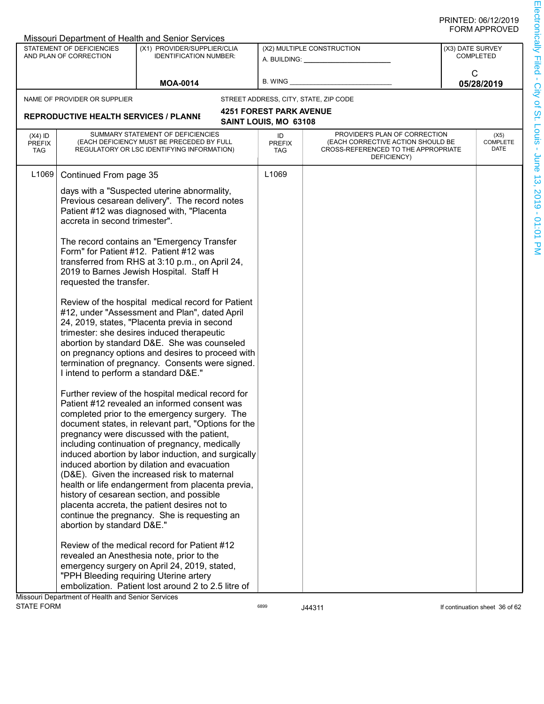|                                   | STATEMENT OF DEFICIENCIES<br>AND PLAN OF CORRECTION                                                                                                      | (X1) PROVIDER/SUPPLIER/CLIA<br><b>IDENTIFICATION NUMBER:</b><br><b>MOA-0014</b>                                                                                                                                                                                                                                                                                                                                                                                                                                                                                                                                                                                                                                                                                                                                                                                                                                                                                                                                                                                                                                                                                                                                                                                                                                                                                                                                                                                                                                                                      | (X2) MULTIPLE CONSTRUCTION<br>A. BUILDING: A.<br><b>B. WING</b> |                                                                                                                          | (X3) DATE SURVEY<br><b>COMPLETED</b><br>C<br>05/28/2019 |                                |
|-----------------------------------|----------------------------------------------------------------------------------------------------------------------------------------------------------|------------------------------------------------------------------------------------------------------------------------------------------------------------------------------------------------------------------------------------------------------------------------------------------------------------------------------------------------------------------------------------------------------------------------------------------------------------------------------------------------------------------------------------------------------------------------------------------------------------------------------------------------------------------------------------------------------------------------------------------------------------------------------------------------------------------------------------------------------------------------------------------------------------------------------------------------------------------------------------------------------------------------------------------------------------------------------------------------------------------------------------------------------------------------------------------------------------------------------------------------------------------------------------------------------------------------------------------------------------------------------------------------------------------------------------------------------------------------------------------------------------------------------------------------------|-----------------------------------------------------------------|--------------------------------------------------------------------------------------------------------------------------|---------------------------------------------------------|--------------------------------|
|                                   | NAME OF PROVIDER OR SUPPLIER                                                                                                                             |                                                                                                                                                                                                                                                                                                                                                                                                                                                                                                                                                                                                                                                                                                                                                                                                                                                                                                                                                                                                                                                                                                                                                                                                                                                                                                                                                                                                                                                                                                                                                      |                                                                 | STREET ADDRESS, CITY, STATE, ZIP CODE                                                                                    |                                                         |                                |
|                                   | <b>REPRODUCTIVE HEALTH SERVICES / PLANNI</b>                                                                                                             |                                                                                                                                                                                                                                                                                                                                                                                                                                                                                                                                                                                                                                                                                                                                                                                                                                                                                                                                                                                                                                                                                                                                                                                                                                                                                                                                                                                                                                                                                                                                                      | <b>4251 FOREST PARK AVENUE</b><br>SAINT LOUIS, MO 63108         |                                                                                                                          |                                                         |                                |
| $(X4)$ ID<br><b>PREFIX</b><br>TAG |                                                                                                                                                          | SUMMARY STATEMENT OF DEFICIENCIES<br>(EACH DEFICIENCY MUST BE PRECEDED BY FULL<br>REGULATORY OR LSC IDENTIFYING INFORMATION)                                                                                                                                                                                                                                                                                                                                                                                                                                                                                                                                                                                                                                                                                                                                                                                                                                                                                                                                                                                                                                                                                                                                                                                                                                                                                                                                                                                                                         | ID<br><b>PREFIX</b><br><b>TAG</b>                               | PROVIDER'S PLAN OF CORRECTION<br>(EACH CORRECTIVE ACTION SHOULD BE<br>CROSS-REFERENCED TO THE APPROPRIATE<br>DEFICIENCY) |                                                         | (X5)<br>COMPLETE<br>DATE       |
| L <sub>1069</sub>                 | Continued From page 35<br>accreta in second trimester".<br>requested the transfer.<br>I intend to perform a standard D&E."<br>abortion by standard D&E." | days with a "Suspected uterine abnormality,<br>Previous cesarean delivery". The record notes<br>Patient #12 was diagnosed with, "Placenta<br>The record contains an "Emergency Transfer<br>Form" for Patient #12. Patient #12 was<br>transferred from RHS at 3:10 p.m., on April 24,<br>2019 to Barnes Jewish Hospital. Staff H<br>Review of the hospital medical record for Patient<br>#12, under "Assessment and Plan", dated April<br>24, 2019, states, "Placenta previa in second<br>trimester: she desires induced therapeutic<br>abortion by standard D&E. She was counseled<br>on pregnancy options and desires to proceed with<br>termination of pregnancy. Consents were signed.<br>Further review of the hospital medical record for<br>Patient #12 revealed an informed consent was<br>completed prior to the emergency surgery. The<br>document states, in relevant part, "Options for the<br>pregnancy were discussed with the patient,<br>including continuation of pregnancy, medically<br>induced abortion by labor induction, and surgically<br>induced abortion by dilation and evacuation<br>(D&E). Given the increased risk to maternal<br>health or life endangerment from placenta previa,<br>history of cesarean section, and possible<br>placenta accreta, the patient desires not to<br>continue the pregnancy. She is requesting an<br>Review of the medical record for Patient #12<br>revealed an Anesthesia note, prior to the<br>emergency surgery on April 24, 2019, stated,<br>"PPH Bleeding requiring Uterine artery | L1069                                                           |                                                                                                                          |                                                         |                                |
| <b>STATE FORM</b>                 | Missouri Department of Health and Senior Services                                                                                                        | embolization. Patient lost around 2 to 2.5 litre of                                                                                                                                                                                                                                                                                                                                                                                                                                                                                                                                                                                                                                                                                                                                                                                                                                                                                                                                                                                                                                                                                                                                                                                                                                                                                                                                                                                                                                                                                                  | 6899                                                            | J44311                                                                                                                   |                                                         | If continuation sheet 36 of 62 |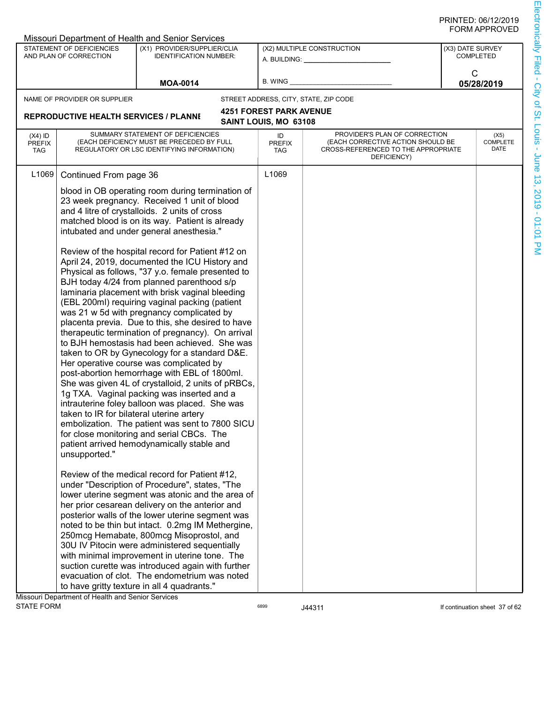|                                   |                                                                                                                                                  | Missouri Department of Health and Senior Services                                                                                                                                                       |                                |                                                                                                                          |                                      |
|-----------------------------------|--------------------------------------------------------------------------------------------------------------------------------------------------|---------------------------------------------------------------------------------------------------------------------------------------------------------------------------------------------------------|--------------------------------|--------------------------------------------------------------------------------------------------------------------------|--------------------------------------|
|                                   | STATEMENT OF DEFICIENCIES<br>AND PLAN OF CORRECTION                                                                                              | (X1) PROVIDER/SUPPLIER/CLIA<br><b>IDENTIFICATION NUMBER:</b>                                                                                                                                            |                                | (X2) MULTIPLE CONSTRUCTION<br>A. BUILDING:                                                                               | (X3) DATE SURVEY<br><b>COMPLETED</b> |
|                                   |                                                                                                                                                  |                                                                                                                                                                                                         | B. WING                        |                                                                                                                          | С                                    |
|                                   |                                                                                                                                                  | <b>MOA-0014</b>                                                                                                                                                                                         |                                |                                                                                                                          | 05/28/2019                           |
|                                   | NAME OF PROVIDER OR SUPPLIER                                                                                                                     |                                                                                                                                                                                                         |                                | STREET ADDRESS, CITY, STATE, ZIP CODE                                                                                    |                                      |
|                                   |                                                                                                                                                  |                                                                                                                                                                                                         | <b>4251 FOREST PARK AVENUE</b> |                                                                                                                          |                                      |
|                                   | <b>REPRODUCTIVE HEALTH SERVICES / PLANNI</b>                                                                                                     |                                                                                                                                                                                                         | SAINT LOUIS, MO 63108          |                                                                                                                          |                                      |
| $(X4)$ ID<br><b>PREFIX</b><br>TAG |                                                                                                                                                  | SUMMARY STATEMENT OF DEFICIENCIES<br>(EACH DEFICIENCY MUST BE PRECEDED BY FULL<br>REGULATORY OR LSC IDENTIFYING INFORMATION)                                                                            | ID<br><b>PREFIX</b><br>TAG     | PROVIDER'S PLAN OF CORRECTION<br>(EACH CORRECTIVE ACTION SHOULD BE<br>CROSS-REFERENCED TO THE APPROPRIATE<br>DEFICIENCY) | (X5)<br><b>COMPLETE</b><br>DATE      |
| L1069                             | Continued From page 36                                                                                                                           |                                                                                                                                                                                                         | L1069                          |                                                                                                                          |                                      |
|                                   | blood in OB operating room during termination of<br>23 week pregnancy. Received 1 unit of blood<br>and 4 litre of crystalloids. 2 units of cross |                                                                                                                                                                                                         |                                |                                                                                                                          |                                      |
|                                   |                                                                                                                                                  | matched blood is on its way. Patient is already<br>intubated and under general anesthesia."                                                                                                             |                                |                                                                                                                          |                                      |
|                                   |                                                                                                                                                  | Review of the hospital record for Patient #12 on<br>April 24, 2019, documented the ICU History and<br>Physical as follows, "37 y.o. female presented to<br>BJH today 4/24 from planned parenthood s/p   |                                |                                                                                                                          |                                      |
|                                   | laminaria placement with brisk vaginal bleeding<br>(EBL 200ml) requiring vaginal packing (patient<br>was 21 w 5d with pregnancy complicated by   |                                                                                                                                                                                                         |                                |                                                                                                                          |                                      |
|                                   |                                                                                                                                                  | placenta previa. Due to this, she desired to have<br>therapeutic termination of pregnancy). On arrival<br>to BJH hemostasis had been achieved. She was<br>taken to OR by Gynecology for a standard D&E. |                                |                                                                                                                          |                                      |
|                                   |                                                                                                                                                  | Her operative course was complicated by<br>post-abortion hemorrhage with EBL of 1800ml.<br>She was given 4L of crystalloid, 2 units of pRBCs,                                                           |                                |                                                                                                                          |                                      |
|                                   | taken to IR for bilateral uterine artery                                                                                                         | 1g TXA. Vaginal packing was inserted and a<br>intrauterine foley balloon was placed. She was<br>embolization. The patient was sent to 7800 SICU                                                         |                                |                                                                                                                          |                                      |
|                                   | unsupported."                                                                                                                                    | for close monitoring and serial CBCs. The<br>patient arrived hemodynamically stable and                                                                                                                 |                                |                                                                                                                          |                                      |
|                                   |                                                                                                                                                  | Review of the medical record for Patient #12,<br>under "Description of Procedure", states, "The<br>lower uterine segment was atonic and the area of                                                     |                                |                                                                                                                          |                                      |
|                                   |                                                                                                                                                  | her prior cesarean delivery on the anterior and<br>posterior walls of the lower uterine segment was                                                                                                     |                                |                                                                                                                          |                                      |
|                                   |                                                                                                                                                  | noted to be thin but intact. 0.2mg IM Methergine,<br>250mcg Hemabate, 800mcg Misoprostol, and                                                                                                           |                                |                                                                                                                          |                                      |
|                                   |                                                                                                                                                  | 30U IV Pitocin were administered sequentially<br>with minimal improvement in uterine tone. The                                                                                                          |                                |                                                                                                                          |                                      |
|                                   |                                                                                                                                                  | suction curette was introduced again with further<br>evacuation of clot. The endometrium was noted                                                                                                      |                                |                                                                                                                          |                                      |
|                                   |                                                                                                                                                  | to have gritty texture in all 4 quadrants."                                                                                                                                                             |                                |                                                                                                                          |                                      |
|                                   | Missouri Department of Health and Senior Services                                                                                                |                                                                                                                                                                                                         |                                |                                                                                                                          |                                      |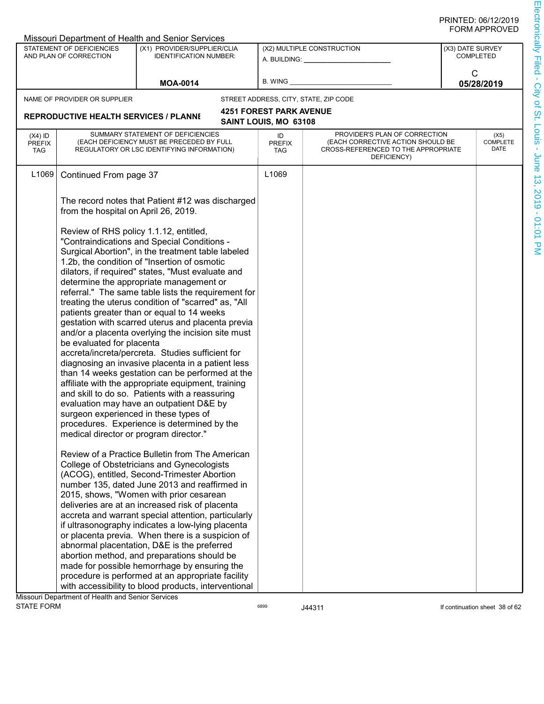|                                   |                                                                                                                                                          | Missouri Department of Health and Senior Services                                                                                                                                             |                                                         |                                                                                                                          |                  |                                 |
|-----------------------------------|----------------------------------------------------------------------------------------------------------------------------------------------------------|-----------------------------------------------------------------------------------------------------------------------------------------------------------------------------------------------|---------------------------------------------------------|--------------------------------------------------------------------------------------------------------------------------|------------------|---------------------------------|
|                                   | <b>STATEMENT OF DEFICIENCIES</b><br>AND PLAN OF CORRECTION                                                                                               | (X1) PROVIDER/SUPPLIER/CLIA<br><b>IDENTIFICATION NUMBER:</b>                                                                                                                                  | A. BUILDING: _______                                    | (X2) MULTIPLE CONSTRUCTION                                                                                               | (X3) DATE SURVEY | <b>COMPLETED</b>                |
|                                   |                                                                                                                                                          | <b>MOA-0014</b>                                                                                                                                                                               | B. WING                                                 |                                                                                                                          | С                | 05/28/2019                      |
|                                   |                                                                                                                                                          |                                                                                                                                                                                               |                                                         |                                                                                                                          |                  |                                 |
|                                   | NAME OF PROVIDER OR SUPPLIER                                                                                                                             |                                                                                                                                                                                               |                                                         | STREET ADDRESS, CITY, STATE, ZIP CODE                                                                                    |                  |                                 |
|                                   | <b>REPRODUCTIVE HEALTH SERVICES / PLANNI</b>                                                                                                             |                                                                                                                                                                                               | <b>4251 FOREST PARK AVENUE</b><br>SAINT LOUIS, MO 63108 |                                                                                                                          |                  |                                 |
| $(X4)$ ID<br><b>PREFIX</b><br>TAG |                                                                                                                                                          | SUMMARY STATEMENT OF DEFICIENCIES<br>(EACH DEFICIENCY MUST BE PRECEDED BY FULL<br>REGULATORY OR LSC IDENTIFYING INFORMATION)                                                                  | ID<br><b>PREFIX</b><br><b>TAG</b>                       | PROVIDER'S PLAN OF CORRECTION<br>(EACH CORRECTIVE ACTION SHOULD BE<br>CROSS-REFERENCED TO THE APPROPRIATE<br>DEFICIENCY) |                  | (X5)<br><b>COMPLETE</b><br>DATE |
| L <sub>1069</sub>                 | Continued From page 37                                                                                                                                   |                                                                                                                                                                                               | L1069                                                   |                                                                                                                          |                  |                                 |
|                                   | The record notes that Patient #12 was discharged<br>from the hospital on April 26, 2019.                                                                 |                                                                                                                                                                                               |                                                         |                                                                                                                          |                  |                                 |
|                                   | Review of RHS policy 1.1.12, entitled,                                                                                                                   | "Contraindications and Special Conditions -<br>Surgical Abortion", in the treatment table labeled<br>1.2b, the condition of "Insertion of osmotic                                             |                                                         |                                                                                                                          |                  |                                 |
|                                   |                                                                                                                                                          | dilators, if required" states, "Must evaluate and<br>determine the appropriate management or                                                                                                  |                                                         |                                                                                                                          |                  |                                 |
|                                   | referral." The same table lists the requirement for<br>treating the uterus condition of "scarred" as, "All<br>patients greater than or equal to 14 weeks |                                                                                                                                                                                               |                                                         |                                                                                                                          |                  |                                 |
|                                   | be evaluated for placenta                                                                                                                                | gestation with scarred uterus and placenta previa<br>and/or a placenta overlying the incision site must                                                                                       |                                                         |                                                                                                                          |                  |                                 |
|                                   |                                                                                                                                                          | accreta/increta/percreta. Studies sufficient for<br>diagnosing an invasive placenta in a patient less<br>than 14 weeks gestation can be performed at the                                      |                                                         |                                                                                                                          |                  |                                 |
|                                   |                                                                                                                                                          | affiliate with the appropriate equipment, training<br>and skill to do so. Patients with a reassuring                                                                                          |                                                         |                                                                                                                          |                  |                                 |
|                                   | surgeon experienced in these types of                                                                                                                    | evaluation may have an outpatient D&E by<br>procedures. Experience is determined by the                                                                                                       |                                                         |                                                                                                                          |                  |                                 |
|                                   | medical director or program director."                                                                                                                   |                                                                                                                                                                                               |                                                         |                                                                                                                          |                  |                                 |
|                                   |                                                                                                                                                          | Review of a Practice Bulletin from The American<br>College of Obstetricians and Gynecologists<br>(ACOG), entitled, Second-Trimester Abortion<br>number 135, dated June 2013 and reaffirmed in |                                                         |                                                                                                                          |                  |                                 |
|                                   |                                                                                                                                                          | 2015, shows, "Women with prior cesarean<br>deliveries are at an increased risk of placenta                                                                                                    |                                                         |                                                                                                                          |                  |                                 |
|                                   |                                                                                                                                                          | accreta and warrant special attention, particularly<br>if ultrasonography indicates a low-lying placenta<br>or placenta previa. When there is a suspicion of                                  |                                                         |                                                                                                                          |                  |                                 |
|                                   |                                                                                                                                                          | abnormal placentation, D&E is the preferred<br>abortion method, and preparations should be                                                                                                    |                                                         |                                                                                                                          |                  |                                 |
|                                   |                                                                                                                                                          | made for possible hemorrhage by ensuring the<br>procedure is performed at an appropriate facility<br>with accessibility to blood products, interventional                                     |                                                         |                                                                                                                          |                  |                                 |
|                                   | Missouri Department of Health and Senior Services                                                                                                        |                                                                                                                                                                                               |                                                         |                                                                                                                          |                  |                                 |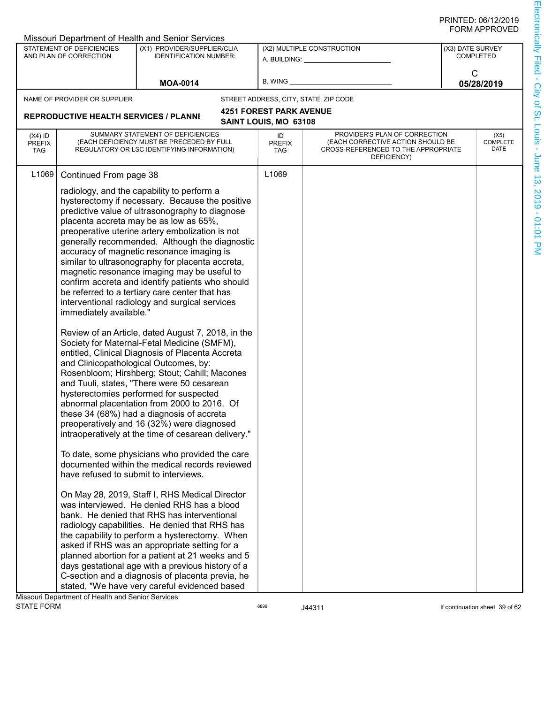|                                          |                                                                                                                                     | Missouri Department of Health and Senior Services                                                                                                                                                                                                                                                                                                                                                                                                                                                                                                                                                                                                                                                                                                                                                                                                                                                                                                                                                                                                                                                                                                                                                                                                                                                                                                                                                                                                                                                                                                                                                                           |                                                         |                                                                                                                          |   |                                      |  |
|------------------------------------------|-------------------------------------------------------------------------------------------------------------------------------------|-----------------------------------------------------------------------------------------------------------------------------------------------------------------------------------------------------------------------------------------------------------------------------------------------------------------------------------------------------------------------------------------------------------------------------------------------------------------------------------------------------------------------------------------------------------------------------------------------------------------------------------------------------------------------------------------------------------------------------------------------------------------------------------------------------------------------------------------------------------------------------------------------------------------------------------------------------------------------------------------------------------------------------------------------------------------------------------------------------------------------------------------------------------------------------------------------------------------------------------------------------------------------------------------------------------------------------------------------------------------------------------------------------------------------------------------------------------------------------------------------------------------------------------------------------------------------------------------------------------------------------|---------------------------------------------------------|--------------------------------------------------------------------------------------------------------------------------|---|--------------------------------------|--|
|                                          | STATEMENT OF DEFICIENCIES<br>AND PLAN OF CORRECTION                                                                                 | (X1) PROVIDER/SUPPLIER/CLIA<br><b>IDENTIFICATION NUMBER:</b>                                                                                                                                                                                                                                                                                                                                                                                                                                                                                                                                                                                                                                                                                                                                                                                                                                                                                                                                                                                                                                                                                                                                                                                                                                                                                                                                                                                                                                                                                                                                                                |                                                         | (X2) MULTIPLE CONSTRUCTION                                                                                               |   | (X3) DATE SURVEY<br><b>COMPLETED</b> |  |
|                                          |                                                                                                                                     | <b>MOA-0014</b>                                                                                                                                                                                                                                                                                                                                                                                                                                                                                                                                                                                                                                                                                                                                                                                                                                                                                                                                                                                                                                                                                                                                                                                                                                                                                                                                                                                                                                                                                                                                                                                                             | B. WING                                                 |                                                                                                                          | C | 05/28/2019                           |  |
|                                          | NAME OF PROVIDER OR SUPPLIER                                                                                                        |                                                                                                                                                                                                                                                                                                                                                                                                                                                                                                                                                                                                                                                                                                                                                                                                                                                                                                                                                                                                                                                                                                                                                                                                                                                                                                                                                                                                                                                                                                                                                                                                                             |                                                         | STREET ADDRESS, CITY, STATE, ZIP CODE                                                                                    |   |                                      |  |
|                                          | <b>REPRODUCTIVE HEALTH SERVICES / PLANNI</b>                                                                                        |                                                                                                                                                                                                                                                                                                                                                                                                                                                                                                                                                                                                                                                                                                                                                                                                                                                                                                                                                                                                                                                                                                                                                                                                                                                                                                                                                                                                                                                                                                                                                                                                                             | <b>4251 FOREST PARK AVENUE</b><br>SAINT LOUIS, MO 63108 |                                                                                                                          |   |                                      |  |
| $(X4)$ ID<br><b>PREFIX</b><br><b>TAG</b> |                                                                                                                                     | SUMMARY STATEMENT OF DEFICIENCIES<br>(EACH DEFICIENCY MUST BE PRECEDED BY FULL<br>REGULATORY OR LSC IDENTIFYING INFORMATION)                                                                                                                                                                                                                                                                                                                                                                                                                                                                                                                                                                                                                                                                                                                                                                                                                                                                                                                                                                                                                                                                                                                                                                                                                                                                                                                                                                                                                                                                                                | ID<br><b>PREFIX</b><br><b>TAG</b>                       | PROVIDER'S PLAN OF CORRECTION<br>(EACH CORRECTIVE ACTION SHOULD BE<br>CROSS-REFERENCED TO THE APPROPRIATE<br>DEFICIENCY) |   | (X5)<br>COMPLETE<br>DATE             |  |
| L <sub>1069</sub>                        | Continued From page 38<br>immediately available."<br>and Clinicopathological Outcomes, by:<br>have refused to submit to interviews. | radiology, and the capability to perform a<br>hysterectomy if necessary. Because the positive<br>predictive value of ultrasonography to diagnose<br>placenta accreta may be as low as 65%,<br>preoperative uterine artery embolization is not<br>generally recommended. Although the diagnostic<br>accuracy of magnetic resonance imaging is<br>similar to ultrasonography for placenta accreta,<br>magnetic resonance imaging may be useful to<br>confirm accreta and identify patients who should<br>be referred to a tertiary care center that has<br>interventional radiology and surgical services<br>Review of an Article, dated August 7, 2018, in the<br>Society for Maternal-Fetal Medicine (SMFM),<br>entitled, Clinical Diagnosis of Placenta Accreta<br>Rosenbloom; Hirshberg; Stout; Cahill; Macones<br>and Tuuli, states, "There were 50 cesarean<br>hysterectomies performed for suspected<br>abnormal placentation from 2000 to 2016. Of<br>these 34 (68%) had a diagnosis of accreta<br>preoperatively and 16 (32%) were diagnosed<br>intraoperatively at the time of cesarean delivery.'<br>To date, some physicians who provided the care<br>documented within the medical records reviewed<br>On May 28, 2019, Staff I, RHS Medical Director<br>was interviewed. He denied RHS has a blood<br>bank. He denied that RHS has interventional<br>radiology capabilities. He denied that RHS has<br>the capability to perform a hysterectomy. When<br>asked if RHS was an appropriate setting for a<br>planned abortion for a patient at 21 weeks and 5<br>days gestational age with a previous history of a | L1069                                                   |                                                                                                                          |   |                                      |  |
|                                          |                                                                                                                                     | C-section and a diagnosis of placenta previa, he<br>stated, "We have very careful evidenced based                                                                                                                                                                                                                                                                                                                                                                                                                                                                                                                                                                                                                                                                                                                                                                                                                                                                                                                                                                                                                                                                                                                                                                                                                                                                                                                                                                                                                                                                                                                           |                                                         |                                                                                                                          |   |                                      |  |
|                                          | Missouri Department of Health and Senior Services                                                                                   |                                                                                                                                                                                                                                                                                                                                                                                                                                                                                                                                                                                                                                                                                                                                                                                                                                                                                                                                                                                                                                                                                                                                                                                                                                                                                                                                                                                                                                                                                                                                                                                                                             |                                                         |                                                                                                                          |   |                                      |  |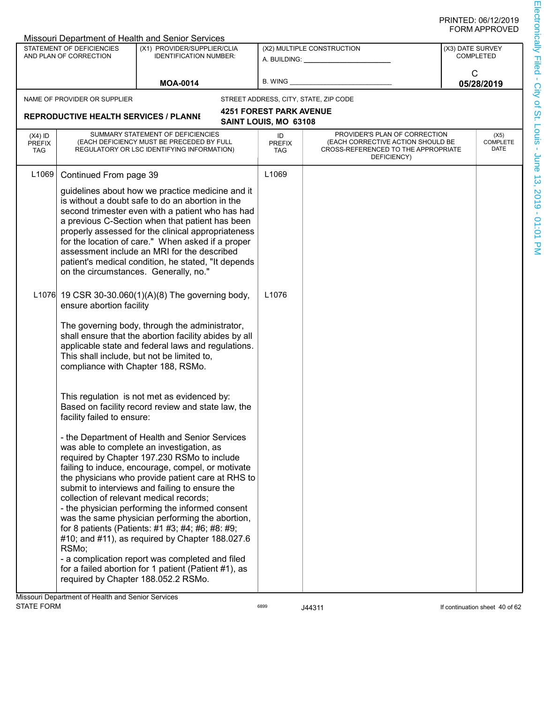|                                          |                                                     | Missouri Department of Health and Senior Services                                                                                                                                                                                                                                                                                                                                                                                                                                                                                                                      |                                   |                                                                                                                          |                  |                                |
|------------------------------------------|-----------------------------------------------------|------------------------------------------------------------------------------------------------------------------------------------------------------------------------------------------------------------------------------------------------------------------------------------------------------------------------------------------------------------------------------------------------------------------------------------------------------------------------------------------------------------------------------------------------------------------------|-----------------------------------|--------------------------------------------------------------------------------------------------------------------------|------------------|--------------------------------|
|                                          | STATEMENT OF DEFICIENCIES<br>AND PLAN OF CORRECTION | (X1) PROVIDER/SUPPLIER/CLIA<br><b>IDENTIFICATION NUMBER:</b>                                                                                                                                                                                                                                                                                                                                                                                                                                                                                                           |                                   | (X2) MULTIPLE CONSTRUCTION<br>A. BUILDING: A.                                                                            | (X3) DATE SURVEY | <b>COMPLETED</b>               |
|                                          |                                                     | <b>MOA-0014</b>                                                                                                                                                                                                                                                                                                                                                                                                                                                                                                                                                        | B. WING                           |                                                                                                                          | C                | 05/28/2019                     |
|                                          | NAME OF PROVIDER OR SUPPLIER                        |                                                                                                                                                                                                                                                                                                                                                                                                                                                                                                                                                                        |                                   | STREET ADDRESS, CITY, STATE, ZIP CODE                                                                                    |                  |                                |
|                                          |                                                     |                                                                                                                                                                                                                                                                                                                                                                                                                                                                                                                                                                        | <b>4251 FOREST PARK AVENUE</b>    |                                                                                                                          |                  |                                |
|                                          | <b>REPRODUCTIVE HEALTH SERVICES / PLANNI</b>        |                                                                                                                                                                                                                                                                                                                                                                                                                                                                                                                                                                        | SAINT LOUIS, MO 63108             |                                                                                                                          |                  |                                |
| $(X4)$ ID<br><b>PREFIX</b><br><b>TAG</b> |                                                     | SUMMARY STATEMENT OF DEFICIENCIES<br>(EACH DEFICIENCY MUST BE PRECEDED BY FULL<br>REGULATORY OR LSC IDENTIFYING INFORMATION)                                                                                                                                                                                                                                                                                                                                                                                                                                           | ID<br><b>PREFIX</b><br><b>TAG</b> | PROVIDER'S PLAN OF CORRECTION<br>(EACH CORRECTIVE ACTION SHOULD BE<br>CROSS-REFERENCED TO THE APPROPRIATE<br>DEFICIENCY) |                  | (X5)<br>COMPLETE<br>DATE       |
| L1069                                    | Continued From page 39                              |                                                                                                                                                                                                                                                                                                                                                                                                                                                                                                                                                                        | L1069                             |                                                                                                                          |                  |                                |
|                                          | on the circumstances. Generally, no."               | guidelines about how we practice medicine and it<br>is without a doubt safe to do an abortion in the<br>second trimester even with a patient who has had<br>a previous C-Section when that patient has been<br>properly assessed for the clinical appropriateness<br>for the location of care." When asked if a proper<br>assessment include an MRI for the described<br>patient's medical condition, he stated, "It depends                                                                                                                                           |                                   |                                                                                                                          |                  |                                |
|                                          | ensure abortion facility                            | L1076 19 CSR 30-30.060(1)(A)(8) The governing body,                                                                                                                                                                                                                                                                                                                                                                                                                                                                                                                    | L <sub>1076</sub>                 |                                                                                                                          |                  |                                |
|                                          | compliance with Chapter 188, RSMo.                  | The governing body, through the administrator,<br>shall ensure that the abortion facility abides by all<br>applicable state and federal laws and regulations.<br>This shall include, but not be limited to,                                                                                                                                                                                                                                                                                                                                                            |                                   |                                                                                                                          |                  |                                |
|                                          | facility failed to ensure:                          | This regulation is not met as evidenced by:<br>Based on facility record review and state law, the                                                                                                                                                                                                                                                                                                                                                                                                                                                                      |                                   |                                                                                                                          |                  |                                |
|                                          | collection of relevant medical records;<br>RSMo;    | - the Department of Health and Senior Services<br>was able to complete an investigation, as<br>required by Chapter 197.230 RSMo to include<br>failing to induce, encourage, compel, or motivate<br>the physicians who provide patient care at RHS to<br>submit to interviews and failing to ensure the<br>- the physician performing the informed consent<br>was the same physician performing the abortion,<br>for 8 patients (Patients: #1 #3; #4; #6; #8: #9;<br>#10; and #11), as required by Chapter 188.027.6<br>- a complication report was completed and filed |                                   |                                                                                                                          |                  |                                |
|                                          | required by Chapter 188.052.2 RSMo.                 | for a failed abortion for 1 patient (Patient #1), as                                                                                                                                                                                                                                                                                                                                                                                                                                                                                                                   |                                   |                                                                                                                          |                  |                                |
| STATE FORM                               | Missouri Department of Health and Senior Services   |                                                                                                                                                                                                                                                                                                                                                                                                                                                                                                                                                                        | 6899                              | J44311                                                                                                                   |                  | If continuation sheet 40 of 62 |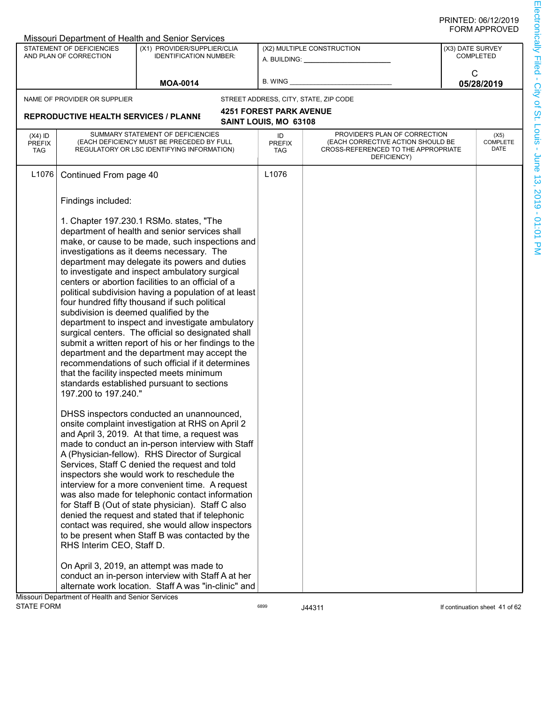|                                   |                                                                | Missouri Department of Health and Senior Services                                                                                                                                                                                                                                                                                                                                                                                                                                                                                                                                                                                                                                                                                                                                                                               |                                |                                                                                                                          |                  |                                |
|-----------------------------------|----------------------------------------------------------------|---------------------------------------------------------------------------------------------------------------------------------------------------------------------------------------------------------------------------------------------------------------------------------------------------------------------------------------------------------------------------------------------------------------------------------------------------------------------------------------------------------------------------------------------------------------------------------------------------------------------------------------------------------------------------------------------------------------------------------------------------------------------------------------------------------------------------------|--------------------------------|--------------------------------------------------------------------------------------------------------------------------|------------------|--------------------------------|
|                                   | STATEMENT OF DEFICIENCIES<br>AND PLAN OF CORRECTION            | (X1) PROVIDER/SUPPLIER/CLIA<br><b>IDENTIFICATION NUMBER:</b>                                                                                                                                                                                                                                                                                                                                                                                                                                                                                                                                                                                                                                                                                                                                                                    | A. BUILDING: _______           | (X2) MULTIPLE CONSTRUCTION                                                                                               | (X3) DATE SURVEY | <b>COMPLETED</b>               |
|                                   |                                                                |                                                                                                                                                                                                                                                                                                                                                                                                                                                                                                                                                                                                                                                                                                                                                                                                                                 |                                |                                                                                                                          | C                |                                |
|                                   |                                                                | <b>MOA-0014</b>                                                                                                                                                                                                                                                                                                                                                                                                                                                                                                                                                                                                                                                                                                                                                                                                                 | <b>B. WING</b>                 |                                                                                                                          |                  | 05/28/2019                     |
|                                   | NAME OF PROVIDER OR SUPPLIER                                   |                                                                                                                                                                                                                                                                                                                                                                                                                                                                                                                                                                                                                                                                                                                                                                                                                                 |                                | STREET ADDRESS, CITY, STATE, ZIP CODE                                                                                    |                  |                                |
|                                   |                                                                |                                                                                                                                                                                                                                                                                                                                                                                                                                                                                                                                                                                                                                                                                                                                                                                                                                 | <b>4251 FOREST PARK AVENUE</b> |                                                                                                                          |                  |                                |
|                                   | <b>REPRODUCTIVE HEALTH SERVICES / PLANNI</b>                   |                                                                                                                                                                                                                                                                                                                                                                                                                                                                                                                                                                                                                                                                                                                                                                                                                                 | SAINT LOUIS, MO 63108          |                                                                                                                          |                  |                                |
| $(X4)$ ID<br><b>PREFIX</b><br>TAG |                                                                | SUMMARY STATEMENT OF DEFICIENCIES<br>(EACH DEFICIENCY MUST BE PRECEDED BY FULL<br>REGULATORY OR LSC IDENTIFYING INFORMATION)                                                                                                                                                                                                                                                                                                                                                                                                                                                                                                                                                                                                                                                                                                    | ID<br><b>PREFIX</b><br>TAG     | PROVIDER'S PLAN OF CORRECTION<br>(EACH CORRECTIVE ACTION SHOULD BE<br>CROSS-REFERENCED TO THE APPROPRIATE<br>DEFICIENCY) |                  | (X5)<br>COMPLETE<br>DATE       |
| L <sub>1076</sub>                 | Continued From page 40                                         |                                                                                                                                                                                                                                                                                                                                                                                                                                                                                                                                                                                                                                                                                                                                                                                                                                 | L1076                          |                                                                                                                          |                  |                                |
|                                   | Findings included:                                             |                                                                                                                                                                                                                                                                                                                                                                                                                                                                                                                                                                                                                                                                                                                                                                                                                                 |                                |                                                                                                                          |                  |                                |
|                                   | subdivision is deemed qualified by the<br>197.200 to 197.240." | 1. Chapter 197.230.1 RSMo. states, "The<br>department of health and senior services shall<br>make, or cause to be made, such inspections and<br>investigations as it deems necessary. The<br>department may delegate its powers and duties<br>to investigate and inspect ambulatory surgical<br>centers or abortion facilities to an official of a<br>political subdivision having a population of at least<br>four hundred fifty thousand if such political<br>department to inspect and investigate ambulatory<br>surgical centers. The official so designated shall<br>submit a written report of his or her findings to the<br>department and the department may accept the<br>recommendations of such official if it determines<br>that the facility inspected meets minimum<br>standards established pursuant to sections |                                |                                                                                                                          |                  |                                |
|                                   | RHS Interim CEO, Staff D.                                      | DHSS inspectors conducted an unannounced,<br>onsite complaint investigation at RHS on April 2<br>and April 3, 2019. At that time, a request was<br>made to conduct an in-person interview with Staff<br>A (Physician-fellow). RHS Director of Surgical<br>Services, Staff C denied the request and told<br>inspectors she would work to reschedule the<br>interview for a more convenient time. A request<br>was also made for telephonic contact information<br>for Staff B (Out of state physician). Staff C also<br>denied the request and stated that if telephonic<br>contact was required, she would allow inspectors<br>to be present when Staff B was contacted by the<br>On April 3, 2019, an attempt was made to                                                                                                      |                                |                                                                                                                          |                  |                                |
|                                   |                                                                | conduct an in-person interview with Staff A at her                                                                                                                                                                                                                                                                                                                                                                                                                                                                                                                                                                                                                                                                                                                                                                              |                                |                                                                                                                          |                  |                                |
|                                   |                                                                | alternate work location. Staff A was "in-clinic" and                                                                                                                                                                                                                                                                                                                                                                                                                                                                                                                                                                                                                                                                                                                                                                            |                                |                                                                                                                          |                  |                                |
|                                   | Missouri Department of Health and Senior Services              |                                                                                                                                                                                                                                                                                                                                                                                                                                                                                                                                                                                                                                                                                                                                                                                                                                 |                                |                                                                                                                          |                  |                                |
| <b>STATE FORM</b>                 |                                                                |                                                                                                                                                                                                                                                                                                                                                                                                                                                                                                                                                                                                                                                                                                                                                                                                                                 | 6899                           | J44311                                                                                                                   |                  | If continuation sheet 41 of 62 |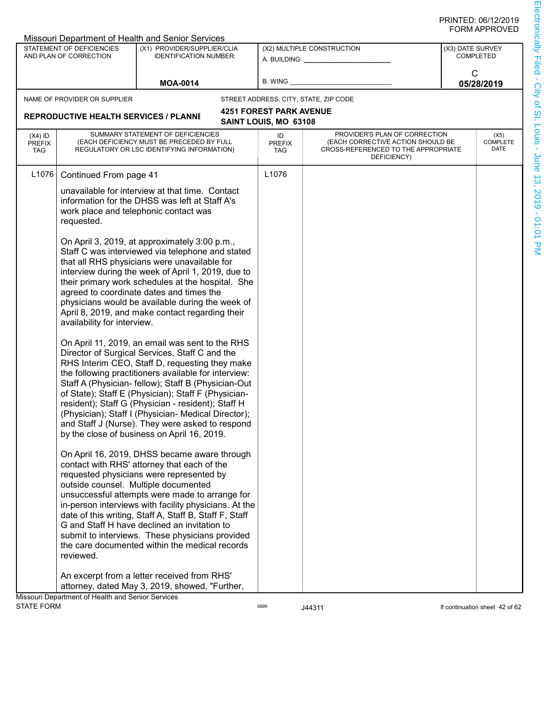|                                   |                                                                                                                                                                                                                                                                                                                                                                                               | Missouri Department of Health and Senior Services                                                                                                                                                                                                                                                                                                                                                                                                                                                                                        |                                |                                                                                                                          |   |                                |
|-----------------------------------|-----------------------------------------------------------------------------------------------------------------------------------------------------------------------------------------------------------------------------------------------------------------------------------------------------------------------------------------------------------------------------------------------|------------------------------------------------------------------------------------------------------------------------------------------------------------------------------------------------------------------------------------------------------------------------------------------------------------------------------------------------------------------------------------------------------------------------------------------------------------------------------------------------------------------------------------------|--------------------------------|--------------------------------------------------------------------------------------------------------------------------|---|--------------------------------|
|                                   | STATEMENT OF DEFICIENCIES                                                                                                                                                                                                                                                                                                                                                                     | (X1) PROVIDER/SUPPLIER/CLIA                                                                                                                                                                                                                                                                                                                                                                                                                                                                                                              |                                | (X2) MULTIPLE CONSTRUCTION                                                                                               |   | (X3) DATE SURVEY               |
|                                   | AND PLAN OF CORRECTION                                                                                                                                                                                                                                                                                                                                                                        | <b>IDENTIFICATION NUMBER:</b>                                                                                                                                                                                                                                                                                                                                                                                                                                                                                                            |                                | A. BUILDING:                                                                                                             |   | <b>COMPLETED</b>               |
|                                   |                                                                                                                                                                                                                                                                                                                                                                                               |                                                                                                                                                                                                                                                                                                                                                                                                                                                                                                                                          |                                |                                                                                                                          | C |                                |
|                                   |                                                                                                                                                                                                                                                                                                                                                                                               | <b>MOA-0014</b>                                                                                                                                                                                                                                                                                                                                                                                                                                                                                                                          | B. WING                        |                                                                                                                          |   | 05/28/2019                     |
|                                   | NAME OF PROVIDER OR SUPPLIER                                                                                                                                                                                                                                                                                                                                                                  |                                                                                                                                                                                                                                                                                                                                                                                                                                                                                                                                          |                                | STREET ADDRESS, CITY, STATE, ZIP CODE                                                                                    |   |                                |
|                                   |                                                                                                                                                                                                                                                                                                                                                                                               |                                                                                                                                                                                                                                                                                                                                                                                                                                                                                                                                          | <b>4251 FOREST PARK AVENUE</b> |                                                                                                                          |   |                                |
|                                   | <b>REPRODUCTIVE HEALTH SERVICES / PLANNI</b>                                                                                                                                                                                                                                                                                                                                                  |                                                                                                                                                                                                                                                                                                                                                                                                                                                                                                                                          | SAINT LOUIS, MO 63108          |                                                                                                                          |   |                                |
| $(X4)$ ID<br><b>PREFIX</b><br>TAG |                                                                                                                                                                                                                                                                                                                                                                                               | SUMMARY STATEMENT OF DEFICIENCIES<br>(EACH DEFICIENCY MUST BE PRECEDED BY FULL<br>REGULATORY OR LSC IDENTIFYING INFORMATION)                                                                                                                                                                                                                                                                                                                                                                                                             | ID<br><b>PREFIX</b><br>TAG     | PROVIDER'S PLAN OF CORRECTION<br>(EACH CORRECTIVE ACTION SHOULD BE<br>CROSS-REFERENCED TO THE APPROPRIATE<br>DEFICIENCY) |   | (X5)<br>COMPLETE<br>DATE       |
| L <sub>1076</sub>                 | Continued From page 41                                                                                                                                                                                                                                                                                                                                                                        |                                                                                                                                                                                                                                                                                                                                                                                                                                                                                                                                          | L1076                          |                                                                                                                          |   |                                |
|                                   | requested.                                                                                                                                                                                                                                                                                                                                                                                    | unavailable for interview at that time. Contact<br>information for the DHSS was left at Staff A's<br>work place and telephonic contact was<br>On April 3, 2019, at approximately 3:00 p.m.,                                                                                                                                                                                                                                                                                                                                              |                                |                                                                                                                          |   |                                |
|                                   | Staff C was interviewed via telephone and stated<br>that all RHS physicians were unavailable for<br>interview during the week of April 1, 2019, due to<br>their primary work schedules at the hospital. She<br>agreed to coordinate dates and times the<br>physicians would be available during the week of<br>April 8, 2019, and make contact regarding their<br>availability for interview. |                                                                                                                                                                                                                                                                                                                                                                                                                                                                                                                                          |                                |                                                                                                                          |   |                                |
|                                   |                                                                                                                                                                                                                                                                                                                                                                                               | On April 11, 2019, an email was sent to the RHS<br>Director of Surgical Services, Staff C and the<br>RHS Interim CEO, Staff D, requesting they make<br>the following practitioners available for interview:<br>Staff A (Physician- fellow); Staff B (Physician-Out<br>of State); Staff E (Physician); Staff F (Physician-<br>resident); Staff G (Physician - resident); Staff H<br>(Physician); Staff I (Physician- Medical Director);<br>and Staff J (Nurse). They were asked to respond<br>by the close of business on April 16, 2019. |                                |                                                                                                                          |   |                                |
|                                   | reviewed.                                                                                                                                                                                                                                                                                                                                                                                     | On April 16, 2019, DHSS became aware through<br>contact with RHS' attorney that each of the<br>requested physicians were represented by<br>outside counsel. Multiple documented<br>unsuccessful attempts were made to arrange for<br>in-person interviews with facility physicians. At the<br>date of this writing, Staff A, Staff B, Staff F, Staff<br>G and Staff H have declined an invitation to<br>submit to interviews. These physicians provided<br>the care documented within the medical records                                |                                |                                                                                                                          |   |                                |
|                                   | Missouri Department of Health and Senior Services                                                                                                                                                                                                                                                                                                                                             | An excerpt from a letter received from RHS'<br>attorney, dated May 3, 2019, showed, "Further,                                                                                                                                                                                                                                                                                                                                                                                                                                            |                                |                                                                                                                          |   |                                |
| <b>STATE FORM</b>                 |                                                                                                                                                                                                                                                                                                                                                                                               |                                                                                                                                                                                                                                                                                                                                                                                                                                                                                                                                          | 6899                           | J44311                                                                                                                   |   | If continuation sheet 42 of 62 |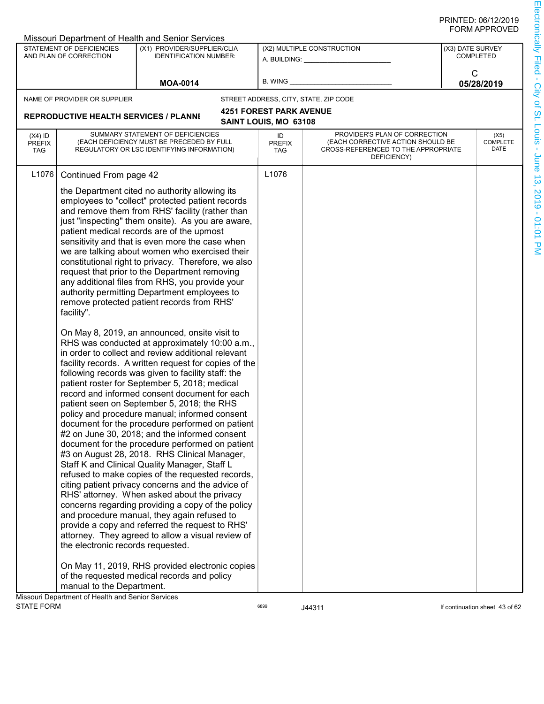|                                   |                                                                           | Missouri Department of Health and Senior Services                                                                                                                                                                                                                                                                                                                                                                                                                                                                                                                                                                                                                                                                                                                                                                                                                                                                                                                                                                                                                                                                                                                                                                                                                                                                                                                                                                                                                                                                                                                                                                                                                                                                                                                             |                                   |                                                                                                                          |                  |                                |
|-----------------------------------|---------------------------------------------------------------------------|-------------------------------------------------------------------------------------------------------------------------------------------------------------------------------------------------------------------------------------------------------------------------------------------------------------------------------------------------------------------------------------------------------------------------------------------------------------------------------------------------------------------------------------------------------------------------------------------------------------------------------------------------------------------------------------------------------------------------------------------------------------------------------------------------------------------------------------------------------------------------------------------------------------------------------------------------------------------------------------------------------------------------------------------------------------------------------------------------------------------------------------------------------------------------------------------------------------------------------------------------------------------------------------------------------------------------------------------------------------------------------------------------------------------------------------------------------------------------------------------------------------------------------------------------------------------------------------------------------------------------------------------------------------------------------------------------------------------------------------------------------------------------------|-----------------------------------|--------------------------------------------------------------------------------------------------------------------------|------------------|--------------------------------|
|                                   | STATEMENT OF DEFICIENCIES<br>AND PLAN OF CORRECTION                       | (X1) PROVIDER/SUPPLIER/CLIA<br><b>IDENTIFICATION NUMBER:</b>                                                                                                                                                                                                                                                                                                                                                                                                                                                                                                                                                                                                                                                                                                                                                                                                                                                                                                                                                                                                                                                                                                                                                                                                                                                                                                                                                                                                                                                                                                                                                                                                                                                                                                                  | A. BUILDING: ________             | (X2) MULTIPLE CONSTRUCTION                                                                                               | (X3) DATE SURVEY | <b>COMPLETED</b>               |
|                                   |                                                                           | <b>MOA-0014</b>                                                                                                                                                                                                                                                                                                                                                                                                                                                                                                                                                                                                                                                                                                                                                                                                                                                                                                                                                                                                                                                                                                                                                                                                                                                                                                                                                                                                                                                                                                                                                                                                                                                                                                                                                               | <b>B. WING</b>                    |                                                                                                                          | C                | 05/28/2019                     |
|                                   | NAME OF PROVIDER OR SUPPLIER                                              |                                                                                                                                                                                                                                                                                                                                                                                                                                                                                                                                                                                                                                                                                                                                                                                                                                                                                                                                                                                                                                                                                                                                                                                                                                                                                                                                                                                                                                                                                                                                                                                                                                                                                                                                                                               |                                   | STREET ADDRESS, CITY, STATE, ZIP CODE                                                                                    |                  |                                |
|                                   |                                                                           |                                                                                                                                                                                                                                                                                                                                                                                                                                                                                                                                                                                                                                                                                                                                                                                                                                                                                                                                                                                                                                                                                                                                                                                                                                                                                                                                                                                                                                                                                                                                                                                                                                                                                                                                                                               | <b>4251 FOREST PARK AVENUE</b>    |                                                                                                                          |                  |                                |
|                                   | <b>REPRODUCTIVE HEALTH SERVICES / PLANNI</b>                              |                                                                                                                                                                                                                                                                                                                                                                                                                                                                                                                                                                                                                                                                                                                                                                                                                                                                                                                                                                                                                                                                                                                                                                                                                                                                                                                                                                                                                                                                                                                                                                                                                                                                                                                                                                               | SAINT LOUIS, MO 63108             |                                                                                                                          |                  |                                |
| $(X4)$ ID<br><b>PREFIX</b><br>TAG |                                                                           | SUMMARY STATEMENT OF DEFICIENCIES<br>(EACH DEFICIENCY MUST BE PRECEDED BY FULL<br>REGULATORY OR LSC IDENTIFYING INFORMATION)                                                                                                                                                                                                                                                                                                                                                                                                                                                                                                                                                                                                                                                                                                                                                                                                                                                                                                                                                                                                                                                                                                                                                                                                                                                                                                                                                                                                                                                                                                                                                                                                                                                  | ID<br><b>PREFIX</b><br><b>TAG</b> | PROVIDER'S PLAN OF CORRECTION<br>(EACH CORRECTIVE ACTION SHOULD BE<br>CROSS-REFERENCED TO THE APPROPRIATE<br>DEFICIENCY) |                  | (X5)<br>COMPLETE<br>DATE       |
| L <sub>1076</sub>                 | Continued From page 42<br>facility".<br>the electronic records requested. | the Department cited no authority allowing its<br>employees to "collect" protected patient records<br>and remove them from RHS' facility (rather than<br>just "inspecting" them onsite). As you are aware,<br>patient medical records are of the upmost<br>sensitivity and that is even more the case when<br>we are talking about women who exercised their<br>constitutional right to privacy. Therefore, we also<br>request that prior to the Department removing<br>any additional files from RHS, you provide your<br>authority permitting Department employees to<br>remove protected patient records from RHS'<br>On May 8, 2019, an announced, onsite visit to<br>RHS was conducted at approximately 10:00 a.m.,<br>in order to collect and review additional relevant<br>facility records. A written request for copies of the<br>following records was given to facility staff: the<br>patient roster for September 5, 2018; medical<br>record and informed consent document for each<br>patient seen on September 5, 2018; the RHS<br>policy and procedure manual; informed consent<br>document for the procedure performed on patient<br>#2 on June 30, 2018; and the informed consent<br>document for the procedure performed on patient<br>#3 on August 28, 2018. RHS Clinical Manager,<br>Staff K and Clinical Quality Manager, Staff L<br>refused to make copies of the requested records,<br>citing patient privacy concerns and the advice of<br>RHS' attorney. When asked about the privacy<br>concerns regarding providing a copy of the policy<br>and procedure manual, they again refused to<br>provide a copy and referred the request to RHS'<br>attorney. They agreed to allow a visual review of<br>On May 11, 2019, RHS provided electronic copies | L1076                             |                                                                                                                          |                  |                                |
|                                   |                                                                           | of the requested medical records and policy                                                                                                                                                                                                                                                                                                                                                                                                                                                                                                                                                                                                                                                                                                                                                                                                                                                                                                                                                                                                                                                                                                                                                                                                                                                                                                                                                                                                                                                                                                                                                                                                                                                                                                                                   |                                   |                                                                                                                          |                  |                                |
|                                   | manual to the Department.                                                 |                                                                                                                                                                                                                                                                                                                                                                                                                                                                                                                                                                                                                                                                                                                                                                                                                                                                                                                                                                                                                                                                                                                                                                                                                                                                                                                                                                                                                                                                                                                                                                                                                                                                                                                                                                               |                                   |                                                                                                                          |                  |                                |
| <b>STATE FORM</b>                 | Missouri Department of Health and Senior Services                         |                                                                                                                                                                                                                                                                                                                                                                                                                                                                                                                                                                                                                                                                                                                                                                                                                                                                                                                                                                                                                                                                                                                                                                                                                                                                                                                                                                                                                                                                                                                                                                                                                                                                                                                                                                               | 6899                              | J44311                                                                                                                   |                  | If continuation sheet 43 of 62 |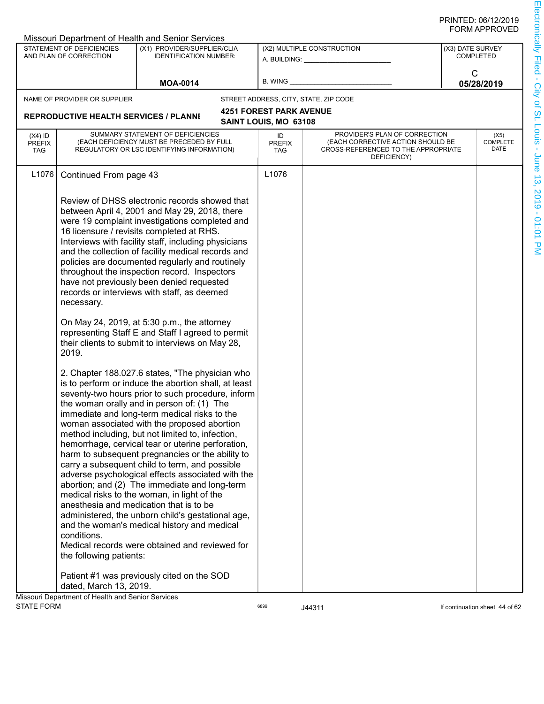|                                          |                                                     | Missouri Department of Health and Senior Services                                                                                                                                                                                                                                                                                                                                                                                                                                                                                                                                                                                                                                                                                                                                                                                                                                                                                                                                                                                                                                                                                                                                                                                                                                                                                                                                                                                                                                                                                                    |                                   |                                                                                                                          |                                      |
|------------------------------------------|-----------------------------------------------------|------------------------------------------------------------------------------------------------------------------------------------------------------------------------------------------------------------------------------------------------------------------------------------------------------------------------------------------------------------------------------------------------------------------------------------------------------------------------------------------------------------------------------------------------------------------------------------------------------------------------------------------------------------------------------------------------------------------------------------------------------------------------------------------------------------------------------------------------------------------------------------------------------------------------------------------------------------------------------------------------------------------------------------------------------------------------------------------------------------------------------------------------------------------------------------------------------------------------------------------------------------------------------------------------------------------------------------------------------------------------------------------------------------------------------------------------------------------------------------------------------------------------------------------------------|-----------------------------------|--------------------------------------------------------------------------------------------------------------------------|--------------------------------------|
|                                          | STATEMENT OF DEFICIENCIES<br>AND PLAN OF CORRECTION | (X1) PROVIDER/SUPPLIER/CLIA<br><b>IDENTIFICATION NUMBER:</b>                                                                                                                                                                                                                                                                                                                                                                                                                                                                                                                                                                                                                                                                                                                                                                                                                                                                                                                                                                                                                                                                                                                                                                                                                                                                                                                                                                                                                                                                                         |                                   | (X2) MULTIPLE CONSTRUCTION<br>A. BUILDING: ______________                                                                | (X3) DATE SURVEY<br><b>COMPLETED</b> |
|                                          |                                                     | <b>MOA-0014</b>                                                                                                                                                                                                                                                                                                                                                                                                                                                                                                                                                                                                                                                                                                                                                                                                                                                                                                                                                                                                                                                                                                                                                                                                                                                                                                                                                                                                                                                                                                                                      | B. WING                           |                                                                                                                          | С<br>05/28/2019                      |
|                                          | NAME OF PROVIDER OR SUPPLIER                        |                                                                                                                                                                                                                                                                                                                                                                                                                                                                                                                                                                                                                                                                                                                                                                                                                                                                                                                                                                                                                                                                                                                                                                                                                                                                                                                                                                                                                                                                                                                                                      |                                   | STREET ADDRESS, CITY, STATE, ZIP CODE                                                                                    |                                      |
|                                          |                                                     |                                                                                                                                                                                                                                                                                                                                                                                                                                                                                                                                                                                                                                                                                                                                                                                                                                                                                                                                                                                                                                                                                                                                                                                                                                                                                                                                                                                                                                                                                                                                                      | <b>4251 FOREST PARK AVENUE</b>    |                                                                                                                          |                                      |
|                                          | <b>REPRODUCTIVE HEALTH SERVICES / PLANNI</b>        |                                                                                                                                                                                                                                                                                                                                                                                                                                                                                                                                                                                                                                                                                                                                                                                                                                                                                                                                                                                                                                                                                                                                                                                                                                                                                                                                                                                                                                                                                                                                                      | SAINT LOUIS, MO 63108             |                                                                                                                          |                                      |
| $(X4)$ ID<br><b>PREFIX</b><br><b>TAG</b> |                                                     | SUMMARY STATEMENT OF DEFICIENCIES<br>(EACH DEFICIENCY MUST BE PRECEDED BY FULL<br>REGULATORY OR LSC IDENTIFYING INFORMATION)                                                                                                                                                                                                                                                                                                                                                                                                                                                                                                                                                                                                                                                                                                                                                                                                                                                                                                                                                                                                                                                                                                                                                                                                                                                                                                                                                                                                                         | ID<br><b>PREFIX</b><br><b>TAG</b> | PROVIDER'S PLAN OF CORRECTION<br>(EACH CORRECTIVE ACTION SHOULD BE<br>CROSS-REFERENCED TO THE APPROPRIATE<br>DEFICIENCY) | (X5)<br><b>COMPLETE</b><br>DATE      |
| L <sub>1076</sub>                        | Continued From page 43                              |                                                                                                                                                                                                                                                                                                                                                                                                                                                                                                                                                                                                                                                                                                                                                                                                                                                                                                                                                                                                                                                                                                                                                                                                                                                                                                                                                                                                                                                                                                                                                      | L <sub>1076</sub>                 |                                                                                                                          |                                      |
|                                          | necessary.<br>2019.<br>conditions.                  | Review of DHSS electronic records showed that<br>between April 4, 2001 and May 29, 2018, there<br>were 19 complaint investigations completed and<br>16 licensure / revisits completed at RHS.<br>Interviews with facility staff, including physicians<br>and the collection of facility medical records and<br>policies are documented regularly and routinely<br>throughout the inspection record. Inspectors<br>have not previously been denied requested<br>records or interviews with staff, as deemed<br>On May 24, 2019, at 5:30 p.m., the attorney<br>representing Staff E and Staff I agreed to permit<br>their clients to submit to interviews on May 28,<br>2. Chapter 188.027.6 states, "The physician who<br>is to perform or induce the abortion shall, at least<br>seventy-two hours prior to such procedure, inform<br>the woman orally and in person of: (1) The<br>immediate and long-term medical risks to the<br>woman associated with the proposed abortion<br>method including, but not limited to, infection,<br>hemorrhage, cervical tear or uterine perforation,<br>harm to subsequent pregnancies or the ability to<br>carry a subsequent child to term, and possible<br>adverse psychological effects associated with the<br>abortion; and (2) The immediate and long-term<br>medical risks to the woman, in light of the<br>anesthesia and medication that is to be<br>administered, the unborn child's gestational age,<br>and the woman's medical history and medical<br>Medical records were obtained and reviewed for |                                   |                                                                                                                          |                                      |
|                                          | the following patients:                             | Patient #1 was previously cited on the SOD                                                                                                                                                                                                                                                                                                                                                                                                                                                                                                                                                                                                                                                                                                                                                                                                                                                                                                                                                                                                                                                                                                                                                                                                                                                                                                                                                                                                                                                                                                           |                                   |                                                                                                                          |                                      |
|                                          | dated, March 13, 2019.                              |                                                                                                                                                                                                                                                                                                                                                                                                                                                                                                                                                                                                                                                                                                                                                                                                                                                                                                                                                                                                                                                                                                                                                                                                                                                                                                                                                                                                                                                                                                                                                      |                                   |                                                                                                                          |                                      |
| <b>STATE FORM</b>                        | Missouri Department of Health and Senior Services   |                                                                                                                                                                                                                                                                                                                                                                                                                                                                                                                                                                                                                                                                                                                                                                                                                                                                                                                                                                                                                                                                                                                                                                                                                                                                                                                                                                                                                                                                                                                                                      | 6899                              | J44311                                                                                                                   | If continuation sheet 44 of 62       |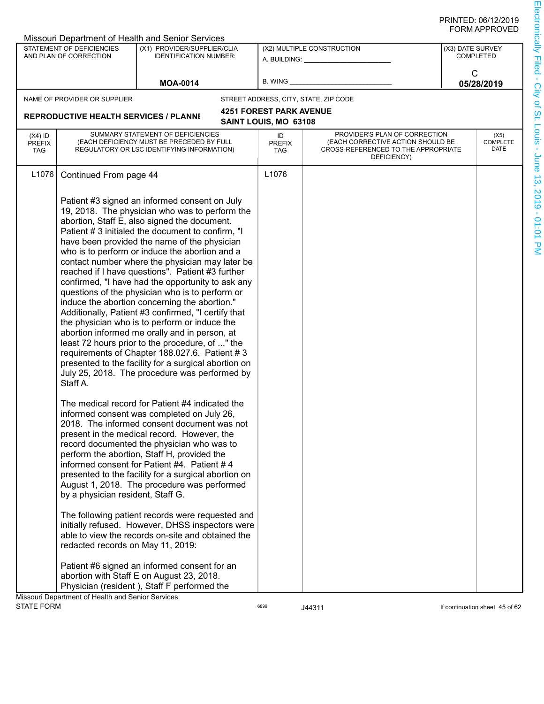|                                          |                                                                                                                                                                                                                                                                                                                                                                                                                                                                                                                                                                                                                                                                                       | <b>Missouri Department of Health and Senior Services</b>                                                                                                                                                                                                                                                                                                                                                                                                                                                                                                                                                                                                                                                                                                                                                                                                                                                                                    |                                   |                                                                                                                          |                                |
|------------------------------------------|---------------------------------------------------------------------------------------------------------------------------------------------------------------------------------------------------------------------------------------------------------------------------------------------------------------------------------------------------------------------------------------------------------------------------------------------------------------------------------------------------------------------------------------------------------------------------------------------------------------------------------------------------------------------------------------|---------------------------------------------------------------------------------------------------------------------------------------------------------------------------------------------------------------------------------------------------------------------------------------------------------------------------------------------------------------------------------------------------------------------------------------------------------------------------------------------------------------------------------------------------------------------------------------------------------------------------------------------------------------------------------------------------------------------------------------------------------------------------------------------------------------------------------------------------------------------------------------------------------------------------------------------|-----------------------------------|--------------------------------------------------------------------------------------------------------------------------|--------------------------------|
|                                          | STATEMENT OF DEFICIENCIES                                                                                                                                                                                                                                                                                                                                                                                                                                                                                                                                                                                                                                                             | (X1) PROVIDER/SUPPLIER/CLIA                                                                                                                                                                                                                                                                                                                                                                                                                                                                                                                                                                                                                                                                                                                                                                                                                                                                                                                 |                                   | (X2) MULTIPLE CONSTRUCTION                                                                                               | (X3) DATE SURVEY               |
|                                          | AND PLAN OF CORRECTION                                                                                                                                                                                                                                                                                                                                                                                                                                                                                                                                                                                                                                                                | <b>IDENTIFICATION NUMBER:</b>                                                                                                                                                                                                                                                                                                                                                                                                                                                                                                                                                                                                                                                                                                                                                                                                                                                                                                               |                                   | A. BUILDING: _______________                                                                                             | <b>COMPLETED</b>               |
|                                          |                                                                                                                                                                                                                                                                                                                                                                                                                                                                                                                                                                                                                                                                                       |                                                                                                                                                                                                                                                                                                                                                                                                                                                                                                                                                                                                                                                                                                                                                                                                                                                                                                                                             |                                   |                                                                                                                          | C                              |
|                                          |                                                                                                                                                                                                                                                                                                                                                                                                                                                                                                                                                                                                                                                                                       | <b>MOA-0014</b>                                                                                                                                                                                                                                                                                                                                                                                                                                                                                                                                                                                                                                                                                                                                                                                                                                                                                                                             | <b>B. WING</b>                    |                                                                                                                          | 05/28/2019                     |
|                                          | NAME OF PROVIDER OR SUPPLIER                                                                                                                                                                                                                                                                                                                                                                                                                                                                                                                                                                                                                                                          |                                                                                                                                                                                                                                                                                                                                                                                                                                                                                                                                                                                                                                                                                                                                                                                                                                                                                                                                             |                                   | STREET ADDRESS, CITY, STATE, ZIP CODE                                                                                    |                                |
|                                          |                                                                                                                                                                                                                                                                                                                                                                                                                                                                                                                                                                                                                                                                                       |                                                                                                                                                                                                                                                                                                                                                                                                                                                                                                                                                                                                                                                                                                                                                                                                                                                                                                                                             | <b>4251 FOREST PARK AVENUE</b>    |                                                                                                                          |                                |
|                                          | <b>REPRODUCTIVE HEALTH SERVICES / PLANNI</b>                                                                                                                                                                                                                                                                                                                                                                                                                                                                                                                                                                                                                                          |                                                                                                                                                                                                                                                                                                                                                                                                                                                                                                                                                                                                                                                                                                                                                                                                                                                                                                                                             | SAINT LOUIS, MO 63108             |                                                                                                                          |                                |
| $(X4)$ ID<br><b>PREFIX</b><br><b>TAG</b> |                                                                                                                                                                                                                                                                                                                                                                                                                                                                                                                                                                                                                                                                                       | SUMMARY STATEMENT OF DEFICIENCIES<br>(EACH DEFICIENCY MUST BE PRECEDED BY FULL<br>REGULATORY OR LSC IDENTIFYING INFORMATION)                                                                                                                                                                                                                                                                                                                                                                                                                                                                                                                                                                                                                                                                                                                                                                                                                | ID<br><b>PREFIX</b><br><b>TAG</b> | PROVIDER'S PLAN OF CORRECTION<br>(EACH CORRECTIVE ACTION SHOULD BE<br>CROSS-REFERENCED TO THE APPROPRIATE<br>DEFICIENCY) | (X5)<br>COMPLETE<br>DATE       |
| L <sub>1076</sub>                        | Continued From page 44                                                                                                                                                                                                                                                                                                                                                                                                                                                                                                                                                                                                                                                                |                                                                                                                                                                                                                                                                                                                                                                                                                                                                                                                                                                                                                                                                                                                                                                                                                                                                                                                                             | L1076                             |                                                                                                                          |                                |
|                                          | Staff A.                                                                                                                                                                                                                                                                                                                                                                                                                                                                                                                                                                                                                                                                              | Patient #3 signed an informed consent on July<br>19, 2018. The physician who was to perform the<br>abortion, Staff E, also signed the document.<br>Patient #3 initialed the document to confirm, "I<br>have been provided the name of the physician<br>who is to perform or induce the abortion and a<br>contact number where the physician may later be<br>reached if I have questions". Patient #3 further<br>confirmed, "I have had the opportunity to ask any<br>questions of the physician who is to perform or<br>induce the abortion concerning the abortion."<br>Additionally, Patient #3 confirmed, "I certify that<br>the physician who is to perform or induce the<br>abortion informed me orally and in person, at<br>least 72 hours prior to the procedure, of " the<br>requirements of Chapter 188.027.6. Patient #3<br>presented to the facility for a surgical abortion on<br>July 25, 2018. The procedure was performed by |                                   |                                                                                                                          |                                |
|                                          | The medical record for Patient #4 indicated the<br>informed consent was completed on July 26,<br>2018. The informed consent document was not<br>present in the medical record. However, the<br>record documented the physician who was to<br>perform the abortion, Staff H, provided the<br>informed consent for Patient #4. Patient #4<br>presented to the facility for a surgical abortion on<br>August 1, 2018. The procedure was performed<br>by a physician resident, Staff G.<br>The following patient records were requested and<br>initially refused. However, DHSS inspectors were<br>able to view the records on-site and obtained the<br>redacted records on May 11, 2019: |                                                                                                                                                                                                                                                                                                                                                                                                                                                                                                                                                                                                                                                                                                                                                                                                                                                                                                                                             |                                   |                                                                                                                          |                                |
|                                          |                                                                                                                                                                                                                                                                                                                                                                                                                                                                                                                                                                                                                                                                                       |                                                                                                                                                                                                                                                                                                                                                                                                                                                                                                                                                                                                                                                                                                                                                                                                                                                                                                                                             |                                   |                                                                                                                          |                                |
|                                          | Missouri Department of Health and Senior Services                                                                                                                                                                                                                                                                                                                                                                                                                                                                                                                                                                                                                                     | Patient #6 signed an informed consent for an<br>abortion with Staff E on August 23, 2018.<br>Physician (resident), Staff F performed the                                                                                                                                                                                                                                                                                                                                                                                                                                                                                                                                                                                                                                                                                                                                                                                                    |                                   |                                                                                                                          |                                |
| <b>STATE FORM</b>                        |                                                                                                                                                                                                                                                                                                                                                                                                                                                                                                                                                                                                                                                                                       |                                                                                                                                                                                                                                                                                                                                                                                                                                                                                                                                                                                                                                                                                                                                                                                                                                                                                                                                             | 6899                              | J44311                                                                                                                   | If continuation sheet 45 of 62 |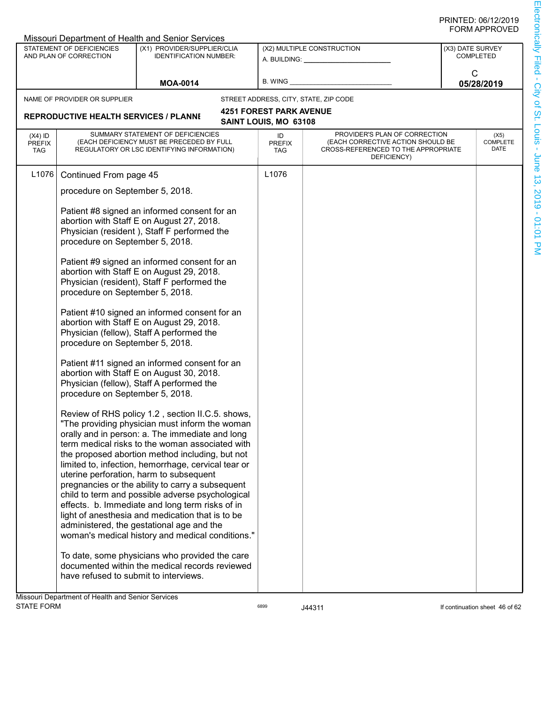|                                   |                                                                                                                                                                                                                                                                                                                                                                                                                                                                                                                                          | Missouri Department of Health and Senior Services                                                                                                                                                                                                                                                                                                                                                                                                                                                                                                                                                                                                                             |                                   |                                                                                                                          |                                      |
|-----------------------------------|------------------------------------------------------------------------------------------------------------------------------------------------------------------------------------------------------------------------------------------------------------------------------------------------------------------------------------------------------------------------------------------------------------------------------------------------------------------------------------------------------------------------------------------|-------------------------------------------------------------------------------------------------------------------------------------------------------------------------------------------------------------------------------------------------------------------------------------------------------------------------------------------------------------------------------------------------------------------------------------------------------------------------------------------------------------------------------------------------------------------------------------------------------------------------------------------------------------------------------|-----------------------------------|--------------------------------------------------------------------------------------------------------------------------|--------------------------------------|
|                                   | STATEMENT OF DEFICIENCIES<br>AND PLAN OF CORRECTION                                                                                                                                                                                                                                                                                                                                                                                                                                                                                      | (X1) PROVIDER/SUPPLIER/CLIA<br><b>IDENTIFICATION NUMBER:</b>                                                                                                                                                                                                                                                                                                                                                                                                                                                                                                                                                                                                                  | A. BUILDING: <b>William</b>       | (X2) MULTIPLE CONSTRUCTION                                                                                               | (X3) DATE SURVEY<br><b>COMPLETED</b> |
|                                   |                                                                                                                                                                                                                                                                                                                                                                                                                                                                                                                                          | <b>MOA-0014</b>                                                                                                                                                                                                                                                                                                                                                                                                                                                                                                                                                                                                                                                               | <b>B. WING</b>                    |                                                                                                                          | C<br>05/28/2019                      |
|                                   |                                                                                                                                                                                                                                                                                                                                                                                                                                                                                                                                          |                                                                                                                                                                                                                                                                                                                                                                                                                                                                                                                                                                                                                                                                               |                                   |                                                                                                                          |                                      |
|                                   | NAME OF PROVIDER OR SUPPLIER                                                                                                                                                                                                                                                                                                                                                                                                                                                                                                             |                                                                                                                                                                                                                                                                                                                                                                                                                                                                                                                                                                                                                                                                               | <b>4251 FOREST PARK AVENUE</b>    | STREET ADDRESS, CITY, STATE, ZIP CODE                                                                                    |                                      |
|                                   | <b>REPRODUCTIVE HEALTH SERVICES / PLANNI</b>                                                                                                                                                                                                                                                                                                                                                                                                                                                                                             |                                                                                                                                                                                                                                                                                                                                                                                                                                                                                                                                                                                                                                                                               | SAINT LOUIS, MO 63108             |                                                                                                                          |                                      |
| $(X4)$ ID<br><b>PREFIX</b><br>TAG |                                                                                                                                                                                                                                                                                                                                                                                                                                                                                                                                          | SUMMARY STATEMENT OF DEFICIENCIES<br>(EACH DEFICIENCY MUST BE PRECEDED BY FULL<br>REGULATORY OR LSC IDENTIFYING INFORMATION)                                                                                                                                                                                                                                                                                                                                                                                                                                                                                                                                                  | ID<br><b>PREFIX</b><br><b>TAG</b> | PROVIDER'S PLAN OF CORRECTION<br>(EACH CORRECTIVE ACTION SHOULD BE<br>CROSS-REFERENCED TO THE APPROPRIATE<br>DEFICIENCY) | (X5)<br>COMPLETE<br>DATE             |
| L <sub>1076</sub>                 | Continued From page 45                                                                                                                                                                                                                                                                                                                                                                                                                                                                                                                   |                                                                                                                                                                                                                                                                                                                                                                                                                                                                                                                                                                                                                                                                               | L1076                             |                                                                                                                          |                                      |
|                                   | procedure on September 5, 2018.                                                                                                                                                                                                                                                                                                                                                                                                                                                                                                          |                                                                                                                                                                                                                                                                                                                                                                                                                                                                                                                                                                                                                                                                               |                                   |                                                                                                                          |                                      |
|                                   | Patient #8 signed an informed consent for an<br>abortion with Staff E on August 27, 2018.<br>Physician (resident), Staff F performed the<br>procedure on September 5, 2018.<br>Patient #9 signed an informed consent for an<br>abortion with Staff E on August 29, 2018.<br>Physician (resident), Staff F performed the<br>procedure on September 5, 2018.<br>Patient #10 signed an informed consent for an<br>abortion with Staff E on August 29, 2018.<br>Physician (fellow), Staff A performed the<br>procedure on September 5, 2018. |                                                                                                                                                                                                                                                                                                                                                                                                                                                                                                                                                                                                                                                                               |                                   |                                                                                                                          |                                      |
|                                   |                                                                                                                                                                                                                                                                                                                                                                                                                                                                                                                                          |                                                                                                                                                                                                                                                                                                                                                                                                                                                                                                                                                                                                                                                                               |                                   |                                                                                                                          |                                      |
|                                   |                                                                                                                                                                                                                                                                                                                                                                                                                                                                                                                                          |                                                                                                                                                                                                                                                                                                                                                                                                                                                                                                                                                                                                                                                                               |                                   |                                                                                                                          |                                      |
|                                   | procedure on September 5, 2018.                                                                                                                                                                                                                                                                                                                                                                                                                                                                                                          | Patient #11 signed an informed consent for an<br>abortion with Staff E on August 30, 2018.<br>Physician (fellow), Staff A performed the                                                                                                                                                                                                                                                                                                                                                                                                                                                                                                                                       |                                   |                                                                                                                          |                                      |
|                                   |                                                                                                                                                                                                                                                                                                                                                                                                                                                                                                                                          | Review of RHS policy 1.2, section II.C.5. shows,<br>"The providing physician must inform the woman<br>orally and in person: a. The immediate and long<br>term medical risks to the woman associated with<br>the proposed abortion method including, but not<br>limited to, infection, hemorrhage, cervical tear or<br>uterine perforation, harm to subsequent<br>pregnancies or the ability to carry a subsequent<br>child to term and possible adverse psychological<br>effects. b. Immediate and long term risks of in<br>light of anesthesia and medication that is to be<br>administered, the gestational age and the<br>woman's medical history and medical conditions." |                                   |                                                                                                                          |                                      |
|                                   | have refused to submit to interviews.                                                                                                                                                                                                                                                                                                                                                                                                                                                                                                    | To date, some physicians who provided the care<br>documented within the medical records reviewed                                                                                                                                                                                                                                                                                                                                                                                                                                                                                                                                                                              |                                   |                                                                                                                          |                                      |
| <b>STATE FORM</b>                 | Missouri Department of Health and Senior Services                                                                                                                                                                                                                                                                                                                                                                                                                                                                                        |                                                                                                                                                                                                                                                                                                                                                                                                                                                                                                                                                                                                                                                                               | 6899                              | J44311                                                                                                                   | If continuation sheet 46 of 62       |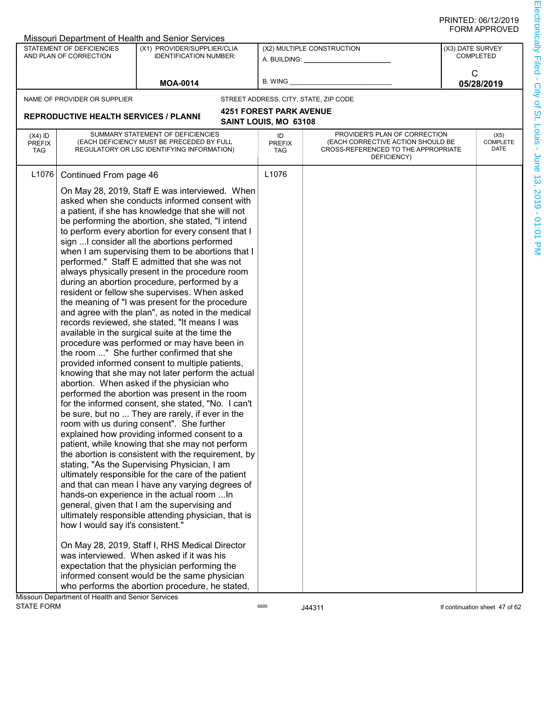|                                   |                                                             | <b>Missouri Department of Health and Senior Services</b>                                                                                                                                                                                                                                                                                                                                                                                                                                                                                                                                                                                                                                                                                                                                                                                                                                                                                                                                                                                                                                                                                                                                                                                                                                                                                                                                                                                                                                                                                                                                                                                                                                                                                                                   |                                   |                                                                                                                          |                  |                                |
|-----------------------------------|-------------------------------------------------------------|----------------------------------------------------------------------------------------------------------------------------------------------------------------------------------------------------------------------------------------------------------------------------------------------------------------------------------------------------------------------------------------------------------------------------------------------------------------------------------------------------------------------------------------------------------------------------------------------------------------------------------------------------------------------------------------------------------------------------------------------------------------------------------------------------------------------------------------------------------------------------------------------------------------------------------------------------------------------------------------------------------------------------------------------------------------------------------------------------------------------------------------------------------------------------------------------------------------------------------------------------------------------------------------------------------------------------------------------------------------------------------------------------------------------------------------------------------------------------------------------------------------------------------------------------------------------------------------------------------------------------------------------------------------------------------------------------------------------------------------------------------------------------|-----------------------------------|--------------------------------------------------------------------------------------------------------------------------|------------------|--------------------------------|
|                                   | STATEMENT OF DEFICIENCIES<br>AND PLAN OF CORRECTION         | (X1) PROVIDER/SUPPLIER/CLIA<br><b>IDENTIFICATION NUMBER:</b>                                                                                                                                                                                                                                                                                                                                                                                                                                                                                                                                                                                                                                                                                                                                                                                                                                                                                                                                                                                                                                                                                                                                                                                                                                                                                                                                                                                                                                                                                                                                                                                                                                                                                                               | A. BUILDING: ________             | (X2) MULTIPLE CONSTRUCTION                                                                                               | (X3) DATE SURVEY | <b>COMPLETED</b>               |
|                                   |                                                             |                                                                                                                                                                                                                                                                                                                                                                                                                                                                                                                                                                                                                                                                                                                                                                                                                                                                                                                                                                                                                                                                                                                                                                                                                                                                                                                                                                                                                                                                                                                                                                                                                                                                                                                                                                            | <b>B. WING</b>                    |                                                                                                                          | C                |                                |
|                                   |                                                             | <b>MOA-0014</b>                                                                                                                                                                                                                                                                                                                                                                                                                                                                                                                                                                                                                                                                                                                                                                                                                                                                                                                                                                                                                                                                                                                                                                                                                                                                                                                                                                                                                                                                                                                                                                                                                                                                                                                                                            |                                   |                                                                                                                          |                  | 05/28/2019                     |
|                                   | NAME OF PROVIDER OR SUPPLIER                                |                                                                                                                                                                                                                                                                                                                                                                                                                                                                                                                                                                                                                                                                                                                                                                                                                                                                                                                                                                                                                                                                                                                                                                                                                                                                                                                                                                                                                                                                                                                                                                                                                                                                                                                                                                            |                                   | STREET ADDRESS, CITY, STATE, ZIP CODE                                                                                    |                  |                                |
|                                   | <b>REPRODUCTIVE HEALTH SERVICES / PLANNI</b>                |                                                                                                                                                                                                                                                                                                                                                                                                                                                                                                                                                                                                                                                                                                                                                                                                                                                                                                                                                                                                                                                                                                                                                                                                                                                                                                                                                                                                                                                                                                                                                                                                                                                                                                                                                                            | <b>4251 FOREST PARK AVENUE</b>    |                                                                                                                          |                  |                                |
|                                   |                                                             |                                                                                                                                                                                                                                                                                                                                                                                                                                                                                                                                                                                                                                                                                                                                                                                                                                                                                                                                                                                                                                                                                                                                                                                                                                                                                                                                                                                                                                                                                                                                                                                                                                                                                                                                                                            | SAINT LOUIS, MO 63108             |                                                                                                                          |                  |                                |
| $(X4)$ ID<br><b>PREFIX</b><br>TAG |                                                             | SUMMARY STATEMENT OF DEFICIENCIES<br>(EACH DEFICIENCY MUST BE PRECEDED BY FULL<br>REGULATORY OR LSC IDENTIFYING INFORMATION)                                                                                                                                                                                                                                                                                                                                                                                                                                                                                                                                                                                                                                                                                                                                                                                                                                                                                                                                                                                                                                                                                                                                                                                                                                                                                                                                                                                                                                                                                                                                                                                                                                               | ID<br><b>PREFIX</b><br><b>TAG</b> | PROVIDER'S PLAN OF CORRECTION<br>(EACH CORRECTIVE ACTION SHOULD BE<br>CROSS-REFERENCED TO THE APPROPRIATE<br>DEFICIENCY) |                  | (X5)<br>COMPLETE<br>DATE       |
| L <sub>1076</sub>                 | Continued From page 46<br>how I would say it's consistent." | On May 28, 2019, Staff E was interviewed. When<br>asked when she conducts informed consent with<br>a patient, if she has knowledge that she will not<br>be performing the abortion, she stated, "I intend<br>to perform every abortion for every consent that I<br>sign  I consider all the abortions performed<br>when I am supervising them to be abortions that I<br>performed." Staff E admitted that she was not<br>always physically present in the procedure room<br>during an abortion procedure, performed by a<br>resident or fellow she supervises. When asked<br>the meaning of "I was present for the procedure<br>and agree with the plan", as noted in the medical<br>records reviewed, she stated, "It means I was<br>available in the surgical suite at the time the<br>procedure was performed or may have been in<br>the room " She further confirmed that she<br>provided informed consent to multiple patients,<br>knowing that she may not later perform the actual<br>abortion. When asked if the physician who<br>performed the abortion was present in the room<br>for the informed consent, she stated, "No. I can't<br>be sure, but no  They are rarely, if ever in the<br>room with us during consent". She further<br>explained how providing informed consent to a<br>patient, while knowing that she may not perform<br>the abortion is consistent with the requirement, by<br>stating, "As the Supervising Physician, I am<br>ultimately responsible for the care of the patient<br>and that can mean I have any varying degrees of<br>hands-on experience in the actual room  In<br>general, given that I am the supervising and<br>ultimately responsible attending physician, that is<br>On May 28, 2019, Staff I, RHS Medical Director | L1076                             |                                                                                                                          |                  |                                |
|                                   |                                                             | was interviewed. When asked if it was his<br>expectation that the physician performing the<br>informed consent would be the same physician<br>who performs the abortion procedure, he stated,                                                                                                                                                                                                                                                                                                                                                                                                                                                                                                                                                                                                                                                                                                                                                                                                                                                                                                                                                                                                                                                                                                                                                                                                                                                                                                                                                                                                                                                                                                                                                                              |                                   |                                                                                                                          |                  |                                |
| <b>STATE FORM</b>                 | Missouri Department of Health and Senior Services           |                                                                                                                                                                                                                                                                                                                                                                                                                                                                                                                                                                                                                                                                                                                                                                                                                                                                                                                                                                                                                                                                                                                                                                                                                                                                                                                                                                                                                                                                                                                                                                                                                                                                                                                                                                            | 6899                              | J44311                                                                                                                   |                  | If continuation sheet 47 of 62 |
|                                   |                                                             |                                                                                                                                                                                                                                                                                                                                                                                                                                                                                                                                                                                                                                                                                                                                                                                                                                                                                                                                                                                                                                                                                                                                                                                                                                                                                                                                                                                                                                                                                                                                                                                                                                                                                                                                                                            |                                   |                                                                                                                          |                  |                                |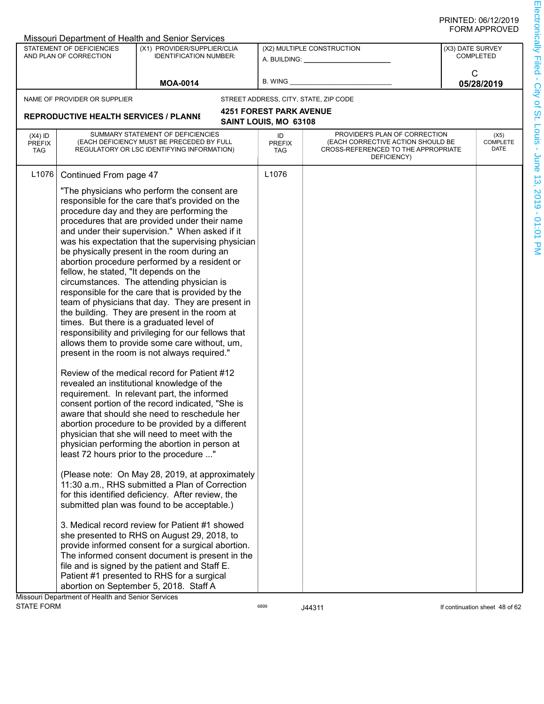|                                          |                                                                 | <b>Missouri Department of Health and Senior Services</b>                                                                                                                                                                                                                                                                                                                                                                                                                                                                                                                                                                                                                                                                                                                                                                                                                                                                                                                                                                                                                                                                                                                                                                                                                                                                                                                                                                                                                                                                                                                                                                                                                                                                                                                            |                                                         |                                                                                                                          |                  |                                |  |
|------------------------------------------|-----------------------------------------------------------------|-------------------------------------------------------------------------------------------------------------------------------------------------------------------------------------------------------------------------------------------------------------------------------------------------------------------------------------------------------------------------------------------------------------------------------------------------------------------------------------------------------------------------------------------------------------------------------------------------------------------------------------------------------------------------------------------------------------------------------------------------------------------------------------------------------------------------------------------------------------------------------------------------------------------------------------------------------------------------------------------------------------------------------------------------------------------------------------------------------------------------------------------------------------------------------------------------------------------------------------------------------------------------------------------------------------------------------------------------------------------------------------------------------------------------------------------------------------------------------------------------------------------------------------------------------------------------------------------------------------------------------------------------------------------------------------------------------------------------------------------------------------------------------------|---------------------------------------------------------|--------------------------------------------------------------------------------------------------------------------------|------------------|--------------------------------|--|
|                                          | STATEMENT OF DEFICIENCIES<br>AND PLAN OF CORRECTION             | (X1) PROVIDER/SUPPLIER/CLIA<br><b>IDENTIFICATION NUMBER:</b>                                                                                                                                                                                                                                                                                                                                                                                                                                                                                                                                                                                                                                                                                                                                                                                                                                                                                                                                                                                                                                                                                                                                                                                                                                                                                                                                                                                                                                                                                                                                                                                                                                                                                                                        |                                                         | (X2) MULTIPLE CONSTRUCTION<br>A. BUILDING: _______________                                                               | (X3) DATE SURVEY | <b>COMPLETED</b>               |  |
|                                          |                                                                 | <b>MOA-0014</b>                                                                                                                                                                                                                                                                                                                                                                                                                                                                                                                                                                                                                                                                                                                                                                                                                                                                                                                                                                                                                                                                                                                                                                                                                                                                                                                                                                                                                                                                                                                                                                                                                                                                                                                                                                     | <b>B. WING</b>                                          |                                                                                                                          |                  | C<br>05/28/2019                |  |
|                                          |                                                                 |                                                                                                                                                                                                                                                                                                                                                                                                                                                                                                                                                                                                                                                                                                                                                                                                                                                                                                                                                                                                                                                                                                                                                                                                                                                                                                                                                                                                                                                                                                                                                                                                                                                                                                                                                                                     |                                                         |                                                                                                                          |                  |                                |  |
|                                          | NAME OF PROVIDER OR SUPPLIER                                    |                                                                                                                                                                                                                                                                                                                                                                                                                                                                                                                                                                                                                                                                                                                                                                                                                                                                                                                                                                                                                                                                                                                                                                                                                                                                                                                                                                                                                                                                                                                                                                                                                                                                                                                                                                                     |                                                         | STREET ADDRESS, CITY, STATE, ZIP CODE                                                                                    |                  |                                |  |
|                                          | <b>REPRODUCTIVE HEALTH SERVICES / PLANNI</b>                    |                                                                                                                                                                                                                                                                                                                                                                                                                                                                                                                                                                                                                                                                                                                                                                                                                                                                                                                                                                                                                                                                                                                                                                                                                                                                                                                                                                                                                                                                                                                                                                                                                                                                                                                                                                                     | <b>4251 FOREST PARK AVENUE</b><br>SAINT LOUIS, MO 63108 |                                                                                                                          |                  |                                |  |
| $(X4)$ ID<br><b>PREFIX</b><br><b>TAG</b> |                                                                 | SUMMARY STATEMENT OF DEFICIENCIES<br>(EACH DEFICIENCY MUST BE PRECEDED BY FULL<br>REGULATORY OR LSC IDENTIFYING INFORMATION)                                                                                                                                                                                                                                                                                                                                                                                                                                                                                                                                                                                                                                                                                                                                                                                                                                                                                                                                                                                                                                                                                                                                                                                                                                                                                                                                                                                                                                                                                                                                                                                                                                                        | ID<br><b>PREFIX</b><br><b>TAG</b>                       | PROVIDER'S PLAN OF CORRECTION<br>(EACH CORRECTIVE ACTION SHOULD BE<br>CROSS-REFERENCED TO THE APPROPRIATE<br>DEFICIENCY) |                  | (X5)<br>COMPLETE<br>DATE       |  |
| L <sub>1076</sub>                        | Continued From page 47<br>fellow, he stated, "It depends on the | "The physicians who perform the consent are<br>responsible for the care that's provided on the<br>procedure day and they are performing the<br>procedures that are provided under their name<br>and under their supervision." When asked if it<br>was his expectation that the supervising physician<br>be physically present in the room during an<br>abortion procedure performed by a resident or<br>circumstances. The attending physician is<br>responsible for the care that is provided by the<br>team of physicians that day. They are present in<br>the building. They are present in the room at<br>times. But there is a graduated level of<br>responsibility and privileging for our fellows that<br>allows them to provide some care without, um,<br>present in the room is not always required."<br>Review of the medical record for Patient #12<br>revealed an institutional knowledge of the<br>requirement. In relevant part, the informed<br>consent portion of the record indicated, "She is<br>aware that should she need to reschedule her<br>abortion procedure to be provided by a different<br>physician that she will need to meet with the<br>physician performing the abortion in person at<br>least 72 hours prior to the procedure "<br>(Please note: On May 28, 2019, at approximately<br>11:30 a.m., RHS submitted a Plan of Correction<br>for this identified deficiency. After review, the<br>submitted plan was found to be acceptable.)<br>3. Medical record review for Patient #1 showed<br>she presented to RHS on August 29, 2018, to<br>provide informed consent for a surgical abortion.<br>The informed consent document is present in the<br>file and is signed by the patient and Staff E.<br>Patient #1 presented to RHS for a surgical | L1076                                                   |                                                                                                                          |                  |                                |  |
|                                          | Missouri Department of Health and Senior Services               | abortion on September 5, 2018. Staff A                                                                                                                                                                                                                                                                                                                                                                                                                                                                                                                                                                                                                                                                                                                                                                                                                                                                                                                                                                                                                                                                                                                                                                                                                                                                                                                                                                                                                                                                                                                                                                                                                                                                                                                                              |                                                         |                                                                                                                          |                  |                                |  |
| <b>STATE FORM</b>                        |                                                                 |                                                                                                                                                                                                                                                                                                                                                                                                                                                                                                                                                                                                                                                                                                                                                                                                                                                                                                                                                                                                                                                                                                                                                                                                                                                                                                                                                                                                                                                                                                                                                                                                                                                                                                                                                                                     | 6899                                                    | J44311                                                                                                                   |                  | If continuation sheet 48 of 62 |  |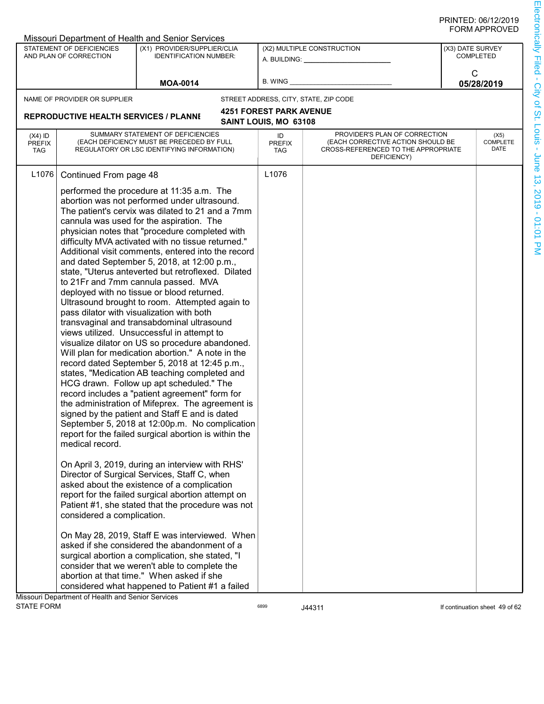|                                          |                                                                         | <b>Missouri Department of Health and Senior Services</b>                                                                                                                                                                                                                                                                                                                                                                                                                                                                                                                                                                                                                                                                                                                                                                                                                                                                                                                                                                                                                                                                                                                                                                                                                                                                                                                                                                                                                                                                                                                                                                                                                                 |                                   |                                                                                                                          |                  |                                |  |
|------------------------------------------|-------------------------------------------------------------------------|------------------------------------------------------------------------------------------------------------------------------------------------------------------------------------------------------------------------------------------------------------------------------------------------------------------------------------------------------------------------------------------------------------------------------------------------------------------------------------------------------------------------------------------------------------------------------------------------------------------------------------------------------------------------------------------------------------------------------------------------------------------------------------------------------------------------------------------------------------------------------------------------------------------------------------------------------------------------------------------------------------------------------------------------------------------------------------------------------------------------------------------------------------------------------------------------------------------------------------------------------------------------------------------------------------------------------------------------------------------------------------------------------------------------------------------------------------------------------------------------------------------------------------------------------------------------------------------------------------------------------------------------------------------------------------------|-----------------------------------|--------------------------------------------------------------------------------------------------------------------------|------------------|--------------------------------|--|
|                                          | STATEMENT OF DEFICIENCIES                                               | (X1) PROVIDER/SUPPLIER/CLIA                                                                                                                                                                                                                                                                                                                                                                                                                                                                                                                                                                                                                                                                                                                                                                                                                                                                                                                                                                                                                                                                                                                                                                                                                                                                                                                                                                                                                                                                                                                                                                                                                                                              |                                   | (X2) MULTIPLE CONSTRUCTION                                                                                               | (X3) DATE SURVEY |                                |  |
|                                          | AND PLAN OF CORRECTION                                                  | <b>IDENTIFICATION NUMBER:</b>                                                                                                                                                                                                                                                                                                                                                                                                                                                                                                                                                                                                                                                                                                                                                                                                                                                                                                                                                                                                                                                                                                                                                                                                                                                                                                                                                                                                                                                                                                                                                                                                                                                            |                                   |                                                                                                                          |                  | <b>COMPLETED</b>               |  |
|                                          |                                                                         |                                                                                                                                                                                                                                                                                                                                                                                                                                                                                                                                                                                                                                                                                                                                                                                                                                                                                                                                                                                                                                                                                                                                                                                                                                                                                                                                                                                                                                                                                                                                                                                                                                                                                          |                                   |                                                                                                                          | C                |                                |  |
|                                          |                                                                         | <b>MOA-0014</b>                                                                                                                                                                                                                                                                                                                                                                                                                                                                                                                                                                                                                                                                                                                                                                                                                                                                                                                                                                                                                                                                                                                                                                                                                                                                                                                                                                                                                                                                                                                                                                                                                                                                          | <b>B. WING</b>                    |                                                                                                                          |                  | 05/28/2019                     |  |
|                                          | NAME OF PROVIDER OR SUPPLIER                                            |                                                                                                                                                                                                                                                                                                                                                                                                                                                                                                                                                                                                                                                                                                                                                                                                                                                                                                                                                                                                                                                                                                                                                                                                                                                                                                                                                                                                                                                                                                                                                                                                                                                                                          |                                   | STREET ADDRESS, CITY, STATE, ZIP CODE                                                                                    |                  |                                |  |
|                                          |                                                                         |                                                                                                                                                                                                                                                                                                                                                                                                                                                                                                                                                                                                                                                                                                                                                                                                                                                                                                                                                                                                                                                                                                                                                                                                                                                                                                                                                                                                                                                                                                                                                                                                                                                                                          | <b>4251 FOREST PARK AVENUE</b>    |                                                                                                                          |                  |                                |  |
|                                          | <b>REPRODUCTIVE HEALTH SERVICES / PLANNI</b>                            |                                                                                                                                                                                                                                                                                                                                                                                                                                                                                                                                                                                                                                                                                                                                                                                                                                                                                                                                                                                                                                                                                                                                                                                                                                                                                                                                                                                                                                                                                                                                                                                                                                                                                          | SAINT LOUIS, MO 63108             |                                                                                                                          |                  |                                |  |
| $(X4)$ ID<br><b>PREFIX</b><br><b>TAG</b> |                                                                         | SUMMARY STATEMENT OF DEFICIENCIES<br>(EACH DEFICIENCY MUST BE PRECEDED BY FULL<br>REGULATORY OR LSC IDENTIFYING INFORMATION)                                                                                                                                                                                                                                                                                                                                                                                                                                                                                                                                                                                                                                                                                                                                                                                                                                                                                                                                                                                                                                                                                                                                                                                                                                                                                                                                                                                                                                                                                                                                                             | ID<br><b>PREFIX</b><br><b>TAG</b> | PROVIDER'S PLAN OF CORRECTION<br>(EACH CORRECTIVE ACTION SHOULD BE<br>CROSS-REFERENCED TO THE APPROPRIATE<br>DEFICIENCY) |                  | (X5)<br>COMPLETE<br>DATE       |  |
| L <sub>1076</sub>                        | Continued From page 48<br>medical record.<br>considered a complication. | performed the procedure at 11:35 a.m. The<br>abortion was not performed under ultrasound.<br>The patient's cervix was dilated to 21 and a 7mm<br>cannula was used for the aspiration. The<br>physician notes that "procedure completed with<br>difficulty MVA activated with no tissue returned."<br>Additional visit comments, entered into the record<br>and dated September 5, 2018, at 12:00 p.m.,<br>state, "Uterus anteverted but retroflexed. Dilated<br>to 21Fr and 7mm cannula passed. MVA<br>deployed with no tissue or blood returned.<br>Ultrasound brought to room. Attempted again to<br>pass dilator with visualization with both<br>transvaginal and transabdominal ultrasound<br>views utilized. Unsuccessful in attempt to<br>visualize dilator on US so procedure abandoned.<br>Will plan for medication abortion." A note in the<br>record dated September 5, 2018 at 12:45 p.m.,<br>states, "Medication AB teaching completed and<br>HCG drawn. Follow up apt scheduled." The<br>record includes a "patient agreement" form for<br>the administration of Mifeprex. The agreement is<br>signed by the patient and Staff E and is dated<br>September 5, 2018 at 12:00p.m. No complication<br>report for the failed surgical abortion is within the<br>On April 3, 2019, during an interview with RHS'<br>Director of Surgical Services, Staff C, when<br>asked about the existence of a complication<br>report for the failed surgical abortion attempt on<br>Patient #1, she stated that the procedure was not<br>On May 28, 2019, Staff E was interviewed. When<br>asked if she considered the abandonment of a<br>surgical abortion a complication, she stated, "I | L1076                             |                                                                                                                          |                  |                                |  |
|                                          | Missouri Department of Health and Senior Services                       | consider that we weren't able to complete the<br>abortion at that time." When asked if she<br>considered what happened to Patient #1 a failed                                                                                                                                                                                                                                                                                                                                                                                                                                                                                                                                                                                                                                                                                                                                                                                                                                                                                                                                                                                                                                                                                                                                                                                                                                                                                                                                                                                                                                                                                                                                            |                                   |                                                                                                                          |                  |                                |  |
| <b>STATE FORM</b>                        |                                                                         |                                                                                                                                                                                                                                                                                                                                                                                                                                                                                                                                                                                                                                                                                                                                                                                                                                                                                                                                                                                                                                                                                                                                                                                                                                                                                                                                                                                                                                                                                                                                                                                                                                                                                          | 6899                              | J44311                                                                                                                   |                  | If continuation sheet 49 of 62 |  |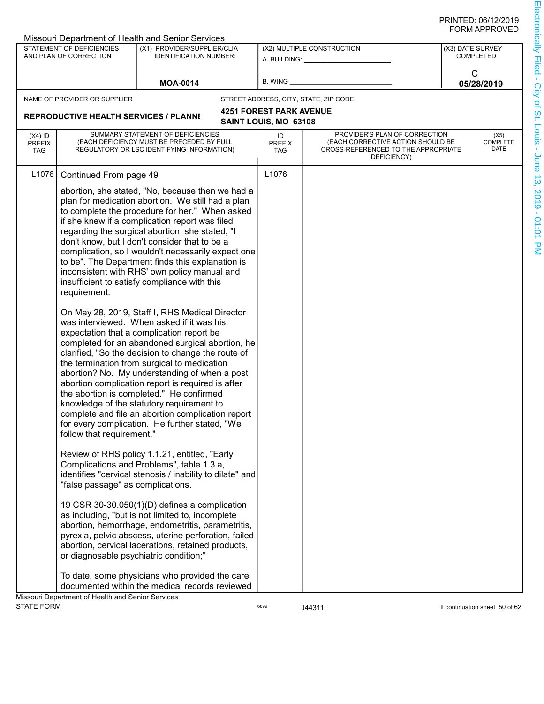|                                          |                                                                                                                                                    | Missouri Department of Health and Senior Services                                                                                                                                                                                                                                                                                                                                                                                                                                                                                                                                                                                                                                                                                                                                                                                                                                                                                                                                                                                                                                                                                                                                                                                                                                                                                                                                                                                                                                                                                                                                                                                                                        |                                   |                                                                                                                          |                  |                                |
|------------------------------------------|----------------------------------------------------------------------------------------------------------------------------------------------------|--------------------------------------------------------------------------------------------------------------------------------------------------------------------------------------------------------------------------------------------------------------------------------------------------------------------------------------------------------------------------------------------------------------------------------------------------------------------------------------------------------------------------------------------------------------------------------------------------------------------------------------------------------------------------------------------------------------------------------------------------------------------------------------------------------------------------------------------------------------------------------------------------------------------------------------------------------------------------------------------------------------------------------------------------------------------------------------------------------------------------------------------------------------------------------------------------------------------------------------------------------------------------------------------------------------------------------------------------------------------------------------------------------------------------------------------------------------------------------------------------------------------------------------------------------------------------------------------------------------------------------------------------------------------------|-----------------------------------|--------------------------------------------------------------------------------------------------------------------------|------------------|--------------------------------|
|                                          | STATEMENT OF DEFICIENCIES<br>AND PLAN OF CORRECTION                                                                                                | (X1) PROVIDER/SUPPLIER/CLIA<br><b>IDENTIFICATION NUMBER:</b>                                                                                                                                                                                                                                                                                                                                                                                                                                                                                                                                                                                                                                                                                                                                                                                                                                                                                                                                                                                                                                                                                                                                                                                                                                                                                                                                                                                                                                                                                                                                                                                                             | A. BUILDING: _______              | (X2) MULTIPLE CONSTRUCTION                                                                                               | (X3) DATE SURVEY | <b>COMPLETED</b>               |
|                                          |                                                                                                                                                    | <b>MOA-0014</b>                                                                                                                                                                                                                                                                                                                                                                                                                                                                                                                                                                                                                                                                                                                                                                                                                                                                                                                                                                                                                                                                                                                                                                                                                                                                                                                                                                                                                                                                                                                                                                                                                                                          | <b>B. WING</b>                    |                                                                                                                          | C                | 05/28/2019                     |
|                                          | NAME OF PROVIDER OR SUPPLIER                                                                                                                       |                                                                                                                                                                                                                                                                                                                                                                                                                                                                                                                                                                                                                                                                                                                                                                                                                                                                                                                                                                                                                                                                                                                                                                                                                                                                                                                                                                                                                                                                                                                                                                                                                                                                          |                                   | STREET ADDRESS, CITY, STATE, ZIP CODE                                                                                    |                  |                                |
|                                          |                                                                                                                                                    |                                                                                                                                                                                                                                                                                                                                                                                                                                                                                                                                                                                                                                                                                                                                                                                                                                                                                                                                                                                                                                                                                                                                                                                                                                                                                                                                                                                                                                                                                                                                                                                                                                                                          | <b>4251 FOREST PARK AVENUE</b>    |                                                                                                                          |                  |                                |
|                                          | <b>REPRODUCTIVE HEALTH SERVICES / PLANNI</b>                                                                                                       |                                                                                                                                                                                                                                                                                                                                                                                                                                                                                                                                                                                                                                                                                                                                                                                                                                                                                                                                                                                                                                                                                                                                                                                                                                                                                                                                                                                                                                                                                                                                                                                                                                                                          | SAINT LOUIS, MO 63108             |                                                                                                                          |                  |                                |
| $(X4)$ ID<br><b>PREFIX</b><br><b>TAG</b> |                                                                                                                                                    | SUMMARY STATEMENT OF DEFICIENCIES<br>(EACH DEFICIENCY MUST BE PRECEDED BY FULL<br>REGULATORY OR LSC IDENTIFYING INFORMATION)                                                                                                                                                                                                                                                                                                                                                                                                                                                                                                                                                                                                                                                                                                                                                                                                                                                                                                                                                                                                                                                                                                                                                                                                                                                                                                                                                                                                                                                                                                                                             | ID<br><b>PREFIX</b><br><b>TAG</b> | PROVIDER'S PLAN OF CORRECTION<br>(EACH CORRECTIVE ACTION SHOULD BE<br>CROSS-REFERENCED TO THE APPROPRIATE<br>DEFICIENCY) |                  | (X5)<br>COMPLETE<br>DATE       |
| L <sub>1076</sub>                        | Continued From page 49<br>requirement.<br>follow that requirement."<br>"false passage" as complications.<br>or diagnosable psychiatric condition;" | abortion, she stated, "No, because then we had a<br>plan for medication abortion. We still had a plan<br>to complete the procedure for her." When asked<br>if she knew if a complication report was filed<br>regarding the surgical abortion, she stated, "I<br>don't know, but I don't consider that to be a<br>complication, so I wouldn't necessarily expect one<br>to be". The Department finds this explanation is<br>inconsistent with RHS' own policy manual and<br>insufficient to satisfy compliance with this<br>On May 28, 2019, Staff I, RHS Medical Director<br>was interviewed. When asked if it was his<br>expectation that a complication report be<br>completed for an abandoned surgical abortion, he<br>clarified, "So the decision to change the route of<br>the termination from surgical to medication<br>abortion? No. My understanding of when a post<br>abortion complication report is required is after<br>the abortion is completed." He confirmed<br>knowledge of the statutory requirement to<br>complete and file an abortion complication report<br>for every complication. He further stated, "We<br>Review of RHS policy 1.1.21, entitled, "Early<br>Complications and Problems", table 1.3.a,<br>identifies "cervical stenosis / inability to dilate" and<br>19 CSR 30-30.050(1)(D) defines a complication<br>as including, "but is not limited to, incomplete<br>abortion, hemorrhage, endometritis, parametritis,<br>pyrexia, pelvic abscess, uterine perforation, failed<br>abortion, cervical lacerations, retained products,<br>To date, some physicians who provided the care<br>documented within the medical records reviewed | L1076                             |                                                                                                                          |                  |                                |
|                                          | Missouri Department of Health and Senior Services                                                                                                  |                                                                                                                                                                                                                                                                                                                                                                                                                                                                                                                                                                                                                                                                                                                                                                                                                                                                                                                                                                                                                                                                                                                                                                                                                                                                                                                                                                                                                                                                                                                                                                                                                                                                          |                                   |                                                                                                                          |                  |                                |
| <b>STATE FORM</b>                        |                                                                                                                                                    |                                                                                                                                                                                                                                                                                                                                                                                                                                                                                                                                                                                                                                                                                                                                                                                                                                                                                                                                                                                                                                                                                                                                                                                                                                                                                                                                                                                                                                                                                                                                                                                                                                                                          | 6899                              | J44311                                                                                                                   |                  | If continuation sheet 50 of 62 |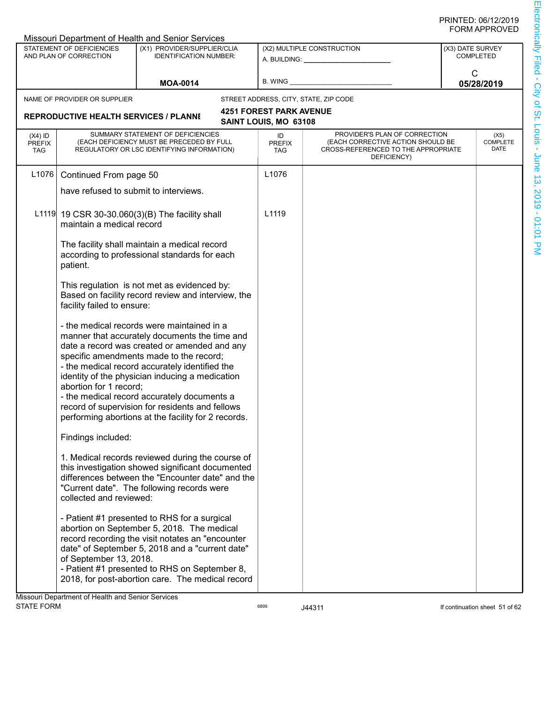|                                          |                                                                                                                                                                                                                                                                                                                                                                                                                                                                                | Missouri Department of Health and Senior Services                                                                                                                                                                                                                                                      |                                                         |                                                                                                                          |                                      |                          |
|------------------------------------------|--------------------------------------------------------------------------------------------------------------------------------------------------------------------------------------------------------------------------------------------------------------------------------------------------------------------------------------------------------------------------------------------------------------------------------------------------------------------------------|--------------------------------------------------------------------------------------------------------------------------------------------------------------------------------------------------------------------------------------------------------------------------------------------------------|---------------------------------------------------------|--------------------------------------------------------------------------------------------------------------------------|--------------------------------------|--------------------------|
|                                          | STATEMENT OF DEFICIENCIES<br>AND PLAN OF CORRECTION                                                                                                                                                                                                                                                                                                                                                                                                                            | (X1) PROVIDER/SUPPLIER/CLIA<br><b>IDENTIFICATION NUMBER:</b>                                                                                                                                                                                                                                           |                                                         | (X2) MULTIPLE CONSTRUCTION<br>A. BUILDING: ________________                                                              | (X3) DATE SURVEY<br><b>COMPLETED</b> |                          |
|                                          |                                                                                                                                                                                                                                                                                                                                                                                                                                                                                | <b>MOA-0014</b>                                                                                                                                                                                                                                                                                        | <b>B. WING</b>                                          |                                                                                                                          | C<br>05/28/2019                      |                          |
|                                          | NAME OF PROVIDER OR SUPPLIER                                                                                                                                                                                                                                                                                                                                                                                                                                                   |                                                                                                                                                                                                                                                                                                        |                                                         | STREET ADDRESS, CITY, STATE, ZIP CODE                                                                                    |                                      |                          |
|                                          | <b>REPRODUCTIVE HEALTH SERVICES / PLANNI</b>                                                                                                                                                                                                                                                                                                                                                                                                                                   |                                                                                                                                                                                                                                                                                                        | <b>4251 FOREST PARK AVENUE</b><br>SAINT LOUIS, MO 63108 |                                                                                                                          |                                      |                          |
| $(X4)$ ID<br><b>PREFIX</b><br><b>TAG</b> |                                                                                                                                                                                                                                                                                                                                                                                                                                                                                | SUMMARY STATEMENT OF DEFICIENCIES<br>(EACH DEFICIENCY MUST BE PRECEDED BY FULL<br>REGULATORY OR LSC IDENTIFYING INFORMATION)                                                                                                                                                                           | ID<br><b>PREFIX</b><br><b>TAG</b>                       | PROVIDER'S PLAN OF CORRECTION<br>(EACH CORRECTIVE ACTION SHOULD BE<br>CROSS-REFERENCED TO THE APPROPRIATE<br>DEFICIENCY) |                                      | (X5)<br>COMPLETE<br>DATE |
| L1076                                    | Continued From page 50                                                                                                                                                                                                                                                                                                                                                                                                                                                         |                                                                                                                                                                                                                                                                                                        | L1076                                                   |                                                                                                                          |                                      |                          |
|                                          | have refused to submit to interviews.                                                                                                                                                                                                                                                                                                                                                                                                                                          |                                                                                                                                                                                                                                                                                                        |                                                         |                                                                                                                          |                                      |                          |
|                                          | maintain a medical record                                                                                                                                                                                                                                                                                                                                                                                                                                                      | L1119 19 CSR 30-30.060(3)(B) The facility shall                                                                                                                                                                                                                                                        | L1119                                                   |                                                                                                                          |                                      |                          |
|                                          | patient.                                                                                                                                                                                                                                                                                                                                                                                                                                                                       | The facility shall maintain a medical record<br>according to professional standards for each                                                                                                                                                                                                           |                                                         |                                                                                                                          |                                      |                          |
|                                          | facility failed to ensure:                                                                                                                                                                                                                                                                                                                                                                                                                                                     | This regulation is not met as evidenced by:<br>Based on facility record review and interview, the                                                                                                                                                                                                      |                                                         |                                                                                                                          |                                      |                          |
|                                          | - the medical records were maintained in a<br>manner that accurately documents the time and<br>date a record was created or amended and any<br>specific amendments made to the record;<br>- the medical record accurately identified the<br>identity of the physician inducing a medication<br>abortion for 1 record;<br>- the medical record accurately documents a<br>record of supervision for residents and fellows<br>performing abortions at the facility for 2 records. |                                                                                                                                                                                                                                                                                                        |                                                         |                                                                                                                          |                                      |                          |
|                                          | Findings included:                                                                                                                                                                                                                                                                                                                                                                                                                                                             |                                                                                                                                                                                                                                                                                                        |                                                         |                                                                                                                          |                                      |                          |
|                                          | 1. Medical records reviewed during the course of<br>this investigation showed significant documented<br>differences between the "Encounter date" and the<br>"Current date". The following records were<br>collected and reviewed:                                                                                                                                                                                                                                              |                                                                                                                                                                                                                                                                                                        |                                                         |                                                                                                                          |                                      |                          |
|                                          | of September 13, 2018.                                                                                                                                                                                                                                                                                                                                                                                                                                                         | - Patient #1 presented to RHS for a surgical<br>abortion on September 5, 2018. The medical<br>record recording the visit notates an "encounter<br>date" of September 5, 2018 and a "current date"<br>- Patient #1 presented to RHS on September 8,<br>2018, for post-abortion care. The medical record |                                                         |                                                                                                                          |                                      |                          |
|                                          | Missouri Department of Health and Senior Services                                                                                                                                                                                                                                                                                                                                                                                                                              |                                                                                                                                                                                                                                                                                                        |                                                         |                                                                                                                          |                                      |                          |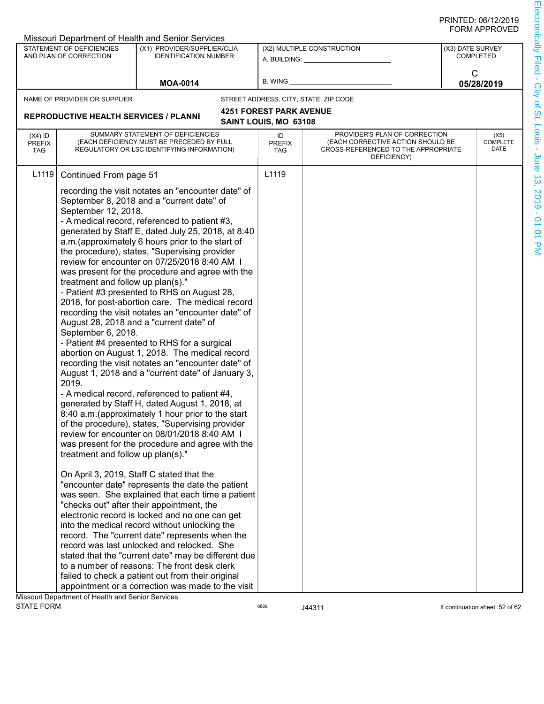|                                          |                                                                                                                              | Missouri Department of Health and Senior Services                                                                                                                                                                                                                                                                                                                                                                                                                                                                                                                                                                                                                                                                                                                                                                                                                                                                                                                                                                                                                                                                                                                                                                                                                                                                                                                                                                                                                                                                                                                                                                                                              |                                   |                                                                                                                          |                                      |                                 |
|------------------------------------------|------------------------------------------------------------------------------------------------------------------------------|----------------------------------------------------------------------------------------------------------------------------------------------------------------------------------------------------------------------------------------------------------------------------------------------------------------------------------------------------------------------------------------------------------------------------------------------------------------------------------------------------------------------------------------------------------------------------------------------------------------------------------------------------------------------------------------------------------------------------------------------------------------------------------------------------------------------------------------------------------------------------------------------------------------------------------------------------------------------------------------------------------------------------------------------------------------------------------------------------------------------------------------------------------------------------------------------------------------------------------------------------------------------------------------------------------------------------------------------------------------------------------------------------------------------------------------------------------------------------------------------------------------------------------------------------------------------------------------------------------------------------------------------------------------|-----------------------------------|--------------------------------------------------------------------------------------------------------------------------|--------------------------------------|---------------------------------|
|                                          | STATEMENT OF DEFICIENCIES<br>AND PLAN OF CORRECTION                                                                          | (X1) PROVIDER/SUPPLIER/CLIA<br><b>IDENTIFICATION NUMBER:</b>                                                                                                                                                                                                                                                                                                                                                                                                                                                                                                                                                                                                                                                                                                                                                                                                                                                                                                                                                                                                                                                                                                                                                                                                                                                                                                                                                                                                                                                                                                                                                                                                   | A. BUILDING: <u>_____________</u> | (X2) MULTIPLE CONSTRUCTION                                                                                               | (X3) DATE SURVEY<br><b>COMPLETED</b> |                                 |
|                                          |                                                                                                                              | <b>MOA-0014</b>                                                                                                                                                                                                                                                                                                                                                                                                                                                                                                                                                                                                                                                                                                                                                                                                                                                                                                                                                                                                                                                                                                                                                                                                                                                                                                                                                                                                                                                                                                                                                                                                                                                | <b>B. WING</b>                    |                                                                                                                          | С<br>05/28/2019                      |                                 |
|                                          | NAME OF PROVIDER OR SUPPLIER                                                                                                 |                                                                                                                                                                                                                                                                                                                                                                                                                                                                                                                                                                                                                                                                                                                                                                                                                                                                                                                                                                                                                                                                                                                                                                                                                                                                                                                                                                                                                                                                                                                                                                                                                                                                |                                   | STREET ADDRESS, CITY, STATE, ZIP CODE                                                                                    |                                      |                                 |
|                                          |                                                                                                                              |                                                                                                                                                                                                                                                                                                                                                                                                                                                                                                                                                                                                                                                                                                                                                                                                                                                                                                                                                                                                                                                                                                                                                                                                                                                                                                                                                                                                                                                                                                                                                                                                                                                                | <b>4251 FOREST PARK AVENUE</b>    |                                                                                                                          |                                      |                                 |
|                                          | <b>REPRODUCTIVE HEALTH SERVICES / PLANNI</b>                                                                                 |                                                                                                                                                                                                                                                                                                                                                                                                                                                                                                                                                                                                                                                                                                                                                                                                                                                                                                                                                                                                                                                                                                                                                                                                                                                                                                                                                                                                                                                                                                                                                                                                                                                                | SAINT LOUIS, MO 63108             |                                                                                                                          |                                      |                                 |
| $(X4)$ ID<br><b>PREFIX</b><br><b>TAG</b> |                                                                                                                              | SUMMARY STATEMENT OF DEFICIENCIES<br>(EACH DEFICIENCY MUST BE PRECEDED BY FULL<br>REGULATORY OR LSC IDENTIFYING INFORMATION)                                                                                                                                                                                                                                                                                                                                                                                                                                                                                                                                                                                                                                                                                                                                                                                                                                                                                                                                                                                                                                                                                                                                                                                                                                                                                                                                                                                                                                                                                                                                   | ID<br><b>PREFIX</b><br><b>TAG</b> | PROVIDER'S PLAN OF CORRECTION<br>(EACH CORRECTIVE ACTION SHOULD BE<br>CROSS-REFERENCED TO THE APPROPRIATE<br>DEFICIENCY) |                                      | (X5)<br><b>COMPLETE</b><br>DATE |
| L <sub>1119</sub>                        | Continued From page 51                                                                                                       |                                                                                                                                                                                                                                                                                                                                                                                                                                                                                                                                                                                                                                                                                                                                                                                                                                                                                                                                                                                                                                                                                                                                                                                                                                                                                                                                                                                                                                                                                                                                                                                                                                                                | L1119                             |                                                                                                                          |                                      |                                 |
|                                          | September 12, 2018.<br>treatment and follow up plan(s)."<br>September 6, 2018.<br>2019.<br>treatment and follow up plan(s)." | recording the visit notates an "encounter date" of<br>September 8, 2018 and a "current date" of<br>- A medical record, referenced to patient #3,<br>generated by Staff E, dated July 25, 2018, at 8:40<br>a.m. (approximately 6 hours prior to the start of<br>the procedure), states, "Supervising provider<br>review for encounter on 07/25/2018 8:40 AM I<br>was present for the procedure and agree with the<br>- Patient #3 presented to RHS on August 28,<br>2018, for post-abortion care. The medical record<br>recording the visit notates an "encounter date" of<br>August 28, 2018 and a "current date" of<br>- Patient #4 presented to RHS for a surgical<br>abortion on August 1, 2018. The medical record<br>recording the visit notates an "encounter date" of<br>August 1, 2018 and a "current date" of January 3,<br>- A medical record, referenced to patient #4,<br>generated by Staff H, dated August 1, 2018, at<br>8:40 a.m. (approximately 1 hour prior to the start<br>of the procedure), states, "Supervising provider<br>review for encounter on 08/01/2018 8:40 AM I<br>was present for the procedure and agree with the<br>On April 3, 2019, Staff C stated that the<br>"encounter date" represents the date the patient<br>was seen. She explained that each time a patient<br>"checks out" after their appointment, the<br>electronic record is locked and no one can get<br>into the medical record without unlocking the<br>record. The "current date" represents when the<br>record was last unlocked and relocked. She<br>stated that the "current date" may be different due<br>to a number of reasons: The front desk clerk |                                   |                                                                                                                          |                                      |                                 |
|                                          |                                                                                                                              | failed to check a patient out from their original<br>appointment or a correction was made to the visit                                                                                                                                                                                                                                                                                                                                                                                                                                                                                                                                                                                                                                                                                                                                                                                                                                                                                                                                                                                                                                                                                                                                                                                                                                                                                                                                                                                                                                                                                                                                                         |                                   |                                                                                                                          |                                      |                                 |
|                                          | Missouri Denartment of Health and Senior Services                                                                            |                                                                                                                                                                                                                                                                                                                                                                                                                                                                                                                                                                                                                                                                                                                                                                                                                                                                                                                                                                                                                                                                                                                                                                                                                                                                                                                                                                                                                                                                                                                                                                                                                                                                |                                   |                                                                                                                          |                                      |                                 |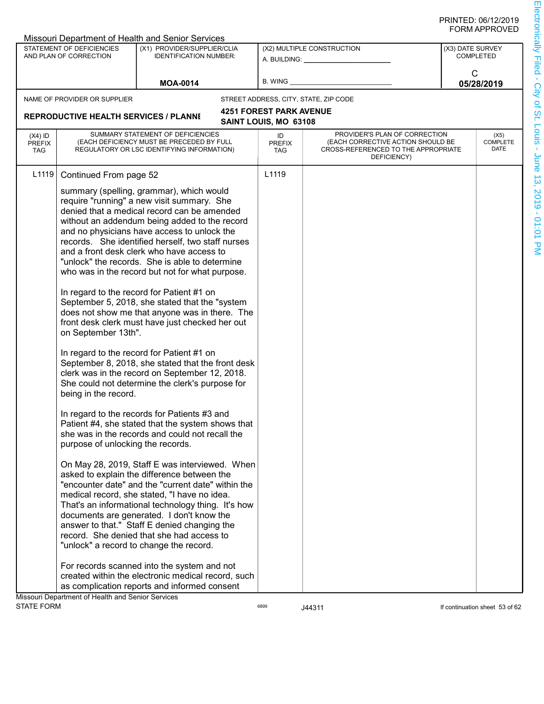|                                   |                                                     | <b>Missouri Department of Health and Senior Services</b>                                                                                                                                                                                                                                                                                                                                                                                                                                                                                                                                                                                                                                                                                                                                                                                                                                                                                                      |                                                         |                                                                                         |                                      |
|-----------------------------------|-----------------------------------------------------|---------------------------------------------------------------------------------------------------------------------------------------------------------------------------------------------------------------------------------------------------------------------------------------------------------------------------------------------------------------------------------------------------------------------------------------------------------------------------------------------------------------------------------------------------------------------------------------------------------------------------------------------------------------------------------------------------------------------------------------------------------------------------------------------------------------------------------------------------------------------------------------------------------------------------------------------------------------|---------------------------------------------------------|-----------------------------------------------------------------------------------------|--------------------------------------|
|                                   | STATEMENT OF DEFICIENCIES<br>AND PLAN OF CORRECTION | (X1) PROVIDER/SUPPLIER/CLIA<br><b>IDENTIFICATION NUMBER:</b>                                                                                                                                                                                                                                                                                                                                                                                                                                                                                                                                                                                                                                                                                                                                                                                                                                                                                                  |                                                         | (X2) MULTIPLE CONSTRUCTION                                                              | (X3) DATE SURVEY<br><b>COMPLETED</b> |
|                                   |                                                     |                                                                                                                                                                                                                                                                                                                                                                                                                                                                                                                                                                                                                                                                                                                                                                                                                                                                                                                                                               |                                                         | A. BUILDING: ________________                                                           |                                      |
|                                   |                                                     | <b>MOA-0014</b>                                                                                                                                                                                                                                                                                                                                                                                                                                                                                                                                                                                                                                                                                                                                                                                                                                                                                                                                               | B. WING                                                 |                                                                                         | C<br>05/28/2019                      |
|                                   |                                                     |                                                                                                                                                                                                                                                                                                                                                                                                                                                                                                                                                                                                                                                                                                                                                                                                                                                                                                                                                               |                                                         |                                                                                         |                                      |
|                                   | NAME OF PROVIDER OR SUPPLIER                        |                                                                                                                                                                                                                                                                                                                                                                                                                                                                                                                                                                                                                                                                                                                                                                                                                                                                                                                                                               |                                                         | STREET ADDRESS, CITY, STATE, ZIP CODE                                                   |                                      |
|                                   | <b>REPRODUCTIVE HEALTH SERVICES / PLANNI</b>        |                                                                                                                                                                                                                                                                                                                                                                                                                                                                                                                                                                                                                                                                                                                                                                                                                                                                                                                                                               | <b>4251 FOREST PARK AVENUE</b><br>SAINT LOUIS, MO 63108 |                                                                                         |                                      |
|                                   |                                                     | SUMMARY STATEMENT OF DEFICIENCIES                                                                                                                                                                                                                                                                                                                                                                                                                                                                                                                                                                                                                                                                                                                                                                                                                                                                                                                             |                                                         | PROVIDER'S PLAN OF CORRECTION                                                           |                                      |
| $(X4)$ ID<br><b>PREFIX</b><br>TAG |                                                     | (EACH DEFICIENCY MUST BE PRECEDED BY FULL<br>REGULATORY OR LSC IDENTIFYING INFORMATION)                                                                                                                                                                                                                                                                                                                                                                                                                                                                                                                                                                                                                                                                                                                                                                                                                                                                       | ID<br><b>PREFIX</b><br><b>TAG</b>                       | (EACH CORRECTIVE ACTION SHOULD BE<br>CROSS-REFERENCED TO THE APPROPRIATE<br>DEFICIENCY) | (X5)<br>COMPLETE<br>DATE             |
| L <sub>1119</sub>                 | Continued From page 52                              |                                                                                                                                                                                                                                                                                                                                                                                                                                                                                                                                                                                                                                                                                                                                                                                                                                                                                                                                                               | L1119                                                   |                                                                                         |                                      |
|                                   | on September 13th".<br>being in the record.         | summary (spelling, grammar), which would<br>require "running" a new visit summary. She<br>denied that a medical record can be amended<br>without an addendum being added to the record<br>and no physicians have access to unlock the<br>records. She identified herself, two staff nurses<br>and a front desk clerk who have access to<br>"unlock" the records. She is able to determine<br>who was in the record but not for what purpose.<br>In regard to the record for Patient #1 on<br>September 5, 2018, she stated that the "system"<br>does not show me that anyone was in there. The<br>front desk clerk must have just checked her out<br>In regard to the record for Patient #1 on<br>September 8, 2018, she stated that the front desk<br>clerk was in the record on September 12, 2018.<br>She could not determine the clerk's purpose for<br>In regard to the records for Patients #3 and<br>Patient #4, she stated that the system shows that |                                                         |                                                                                         |                                      |
|                                   | purpose of unlocking the records.                   | she was in the records and could not recall the                                                                                                                                                                                                                                                                                                                                                                                                                                                                                                                                                                                                                                                                                                                                                                                                                                                                                                               |                                                         |                                                                                         |                                      |
|                                   |                                                     | On May 28, 2019, Staff E was interviewed. When<br>asked to explain the difference between the<br>"encounter date" and the "current date" within the<br>medical record, she stated, "I have no idea.<br>That's an informational technology thing. It's how<br>documents are generated. I don't know the<br>answer to that." Staff E denied changing the<br>record. She denied that she had access to<br>"unlock" a record to change the record.                                                                                                                                                                                                                                                                                                                                                                                                                                                                                                                |                                                         |                                                                                         |                                      |
|                                   |                                                     | For records scanned into the system and not<br>created within the electronic medical record, such<br>as complication reports and informed consent                                                                                                                                                                                                                                                                                                                                                                                                                                                                                                                                                                                                                                                                                                                                                                                                             |                                                         |                                                                                         |                                      |
|                                   | Missouri Department of Health and Senior Services   |                                                                                                                                                                                                                                                                                                                                                                                                                                                                                                                                                                                                                                                                                                                                                                                                                                                                                                                                                               |                                                         |                                                                                         |                                      |
| <b>STATE FORM</b>                 |                                                     |                                                                                                                                                                                                                                                                                                                                                                                                                                                                                                                                                                                                                                                                                                                                                                                                                                                                                                                                                               | 6899                                                    | J44311                                                                                  | If continuation sheet 53 of 62       |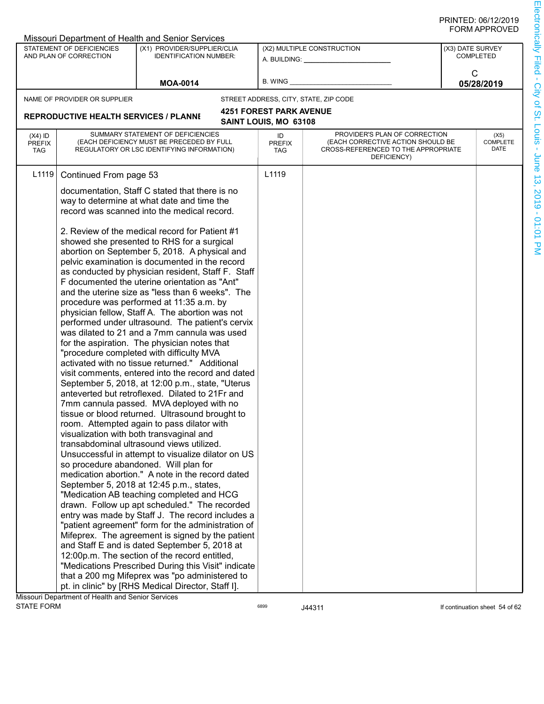|                                   |                                                                                                                                             | Missouri Department of Health and Senior Services                                                                            |                                   |                                                                                                                          |                  |                                 |
|-----------------------------------|---------------------------------------------------------------------------------------------------------------------------------------------|------------------------------------------------------------------------------------------------------------------------------|-----------------------------------|--------------------------------------------------------------------------------------------------------------------------|------------------|---------------------------------|
|                                   | STATEMENT OF DEFICIENCIES<br>AND PLAN OF CORRECTION                                                                                         | (X1) PROVIDER/SUPPLIER/CLIA<br><b>IDENTIFICATION NUMBER:</b>                                                                 |                                   | (X2) MULTIPLE CONSTRUCTION<br>A. BUILDING: ________________                                                              | (X3) DATE SURVEY | <b>COMPLETED</b>                |
|                                   |                                                                                                                                             |                                                                                                                              |                                   |                                                                                                                          |                  | C                               |
|                                   |                                                                                                                                             | <b>MOA-0014</b>                                                                                                              | <b>B. WING</b>                    |                                                                                                                          |                  | 05/28/2019                      |
|                                   | NAME OF PROVIDER OR SUPPLIER                                                                                                                |                                                                                                                              |                                   | STREET ADDRESS, CITY, STATE, ZIP CODE                                                                                    |                  |                                 |
|                                   |                                                                                                                                             |                                                                                                                              | <b>4251 FOREST PARK AVENUE</b>    |                                                                                                                          |                  |                                 |
|                                   | <b>REPRODUCTIVE HEALTH SERVICES / PLANNI</b>                                                                                                |                                                                                                                              | SAINT LOUIS, MO 63108             |                                                                                                                          |                  |                                 |
| $(X4)$ ID<br><b>PREFIX</b><br>TAG |                                                                                                                                             | SUMMARY STATEMENT OF DEFICIENCIES<br>(EACH DEFICIENCY MUST BE PRECEDED BY FULL<br>REGULATORY OR LSC IDENTIFYING INFORMATION) | ID<br><b>PREFIX</b><br><b>TAG</b> | PROVIDER'S PLAN OF CORRECTION<br>(EACH CORRECTIVE ACTION SHOULD BE<br>CROSS-REFERENCED TO THE APPROPRIATE<br>DEFICIENCY) |                  | (X5)<br><b>COMPLETE</b><br>DATE |
| L <sub>1119</sub>                 | Continued From page 53                                                                                                                      |                                                                                                                              | L1119                             |                                                                                                                          |                  |                                 |
|                                   |                                                                                                                                             |                                                                                                                              |                                   |                                                                                                                          |                  |                                 |
|                                   | documentation, Staff C stated that there is no<br>way to determine at what date and time the<br>record was scanned into the medical record. |                                                                                                                              |                                   |                                                                                                                          |                  |                                 |
|                                   |                                                                                                                                             |                                                                                                                              |                                   |                                                                                                                          |                  |                                 |
|                                   |                                                                                                                                             |                                                                                                                              |                                   |                                                                                                                          |                  |                                 |
|                                   |                                                                                                                                             | 2. Review of the medical record for Patient #1                                                                               |                                   |                                                                                                                          |                  |                                 |
|                                   |                                                                                                                                             | showed she presented to RHS for a surgical                                                                                   |                                   |                                                                                                                          |                  |                                 |
|                                   |                                                                                                                                             | abortion on September 5, 2018. A physical and                                                                                |                                   |                                                                                                                          |                  |                                 |
|                                   |                                                                                                                                             | pelvic examination is documented in the record<br>as conducted by physician resident, Staff F. Staff                         |                                   |                                                                                                                          |                  |                                 |
|                                   |                                                                                                                                             | F documented the uterine orientation as "Ant"                                                                                |                                   |                                                                                                                          |                  |                                 |
|                                   |                                                                                                                                             | and the uterine size as "less than 6 weeks". The                                                                             |                                   |                                                                                                                          |                  |                                 |
|                                   |                                                                                                                                             | procedure was performed at 11:35 a.m. by                                                                                     |                                   |                                                                                                                          |                  |                                 |
|                                   |                                                                                                                                             | physician fellow, Staff A. The abortion was not                                                                              |                                   |                                                                                                                          |                  |                                 |
|                                   |                                                                                                                                             | performed under ultrasound. The patient's cervix                                                                             |                                   |                                                                                                                          |                  |                                 |
|                                   |                                                                                                                                             | was dilated to 21 and a 7mm cannula was used                                                                                 |                                   |                                                                                                                          |                  |                                 |
|                                   |                                                                                                                                             | for the aspiration. The physician notes that                                                                                 |                                   |                                                                                                                          |                  |                                 |
|                                   |                                                                                                                                             | "procedure completed with difficulty MVA<br>activated with no tissue returned." Additional                                   |                                   |                                                                                                                          |                  |                                 |
|                                   |                                                                                                                                             | visit comments, entered into the record and dated                                                                            |                                   |                                                                                                                          |                  |                                 |
|                                   |                                                                                                                                             | September 5, 2018, at 12:00 p.m., state, "Uterus                                                                             |                                   |                                                                                                                          |                  |                                 |
|                                   |                                                                                                                                             | anteverted but retroflexed. Dilated to 21Fr and                                                                              |                                   |                                                                                                                          |                  |                                 |
|                                   |                                                                                                                                             | 7mm cannula passed. MVA deployed with no                                                                                     |                                   |                                                                                                                          |                  |                                 |
|                                   |                                                                                                                                             | tissue or blood returned. Ultrasound brought to                                                                              |                                   |                                                                                                                          |                  |                                 |
|                                   |                                                                                                                                             | room. Attempted again to pass dilator with                                                                                   |                                   |                                                                                                                          |                  |                                 |
|                                   |                                                                                                                                             | visualization with both transvaginal and<br>transabdominal ultrasound views utilized.                                        |                                   |                                                                                                                          |                  |                                 |
|                                   |                                                                                                                                             | Unsuccessful in attempt to visualize dilator on US                                                                           |                                   |                                                                                                                          |                  |                                 |
|                                   |                                                                                                                                             | so procedure abandoned. Will plan for                                                                                        |                                   |                                                                                                                          |                  |                                 |
|                                   |                                                                                                                                             | medication abortion." A note in the record dated                                                                             |                                   |                                                                                                                          |                  |                                 |
|                                   |                                                                                                                                             | September 5, 2018 at 12:45 p.m., states,                                                                                     |                                   |                                                                                                                          |                  |                                 |
|                                   |                                                                                                                                             | "Medication AB teaching completed and HCG                                                                                    |                                   |                                                                                                                          |                  |                                 |
|                                   |                                                                                                                                             | drawn. Follow up apt scheduled." The recorded                                                                                |                                   |                                                                                                                          |                  |                                 |
|                                   |                                                                                                                                             | entry was made by Staff J. The record includes a                                                                             |                                   |                                                                                                                          |                  |                                 |
|                                   |                                                                                                                                             | "patient agreement" form for the administration of<br>Mifeprex. The agreement is signed by the patient                       |                                   |                                                                                                                          |                  |                                 |
|                                   |                                                                                                                                             | and Staff E and is dated September 5, 2018 at                                                                                |                                   |                                                                                                                          |                  |                                 |
|                                   |                                                                                                                                             | 12:00p.m. The section of the record entitled,                                                                                |                                   |                                                                                                                          |                  |                                 |
|                                   |                                                                                                                                             | "Medications Prescribed During this Visit" indicate                                                                          |                                   |                                                                                                                          |                  |                                 |
|                                   |                                                                                                                                             | that a 200 mg Mifeprex was "po administered to                                                                               |                                   |                                                                                                                          |                  |                                 |
|                                   |                                                                                                                                             | pt. in clinic" by [RHS Medical Director, Staff I].                                                                           |                                   |                                                                                                                          |                  |                                 |
|                                   | Missouri Department of Health and Senior Services                                                                                           |                                                                                                                              |                                   |                                                                                                                          |                  |                                 |
| <b>STATE FORM</b>                 |                                                                                                                                             |                                                                                                                              | 6899                              | J44311                                                                                                                   |                  | If continuation sheet 54 of 62  |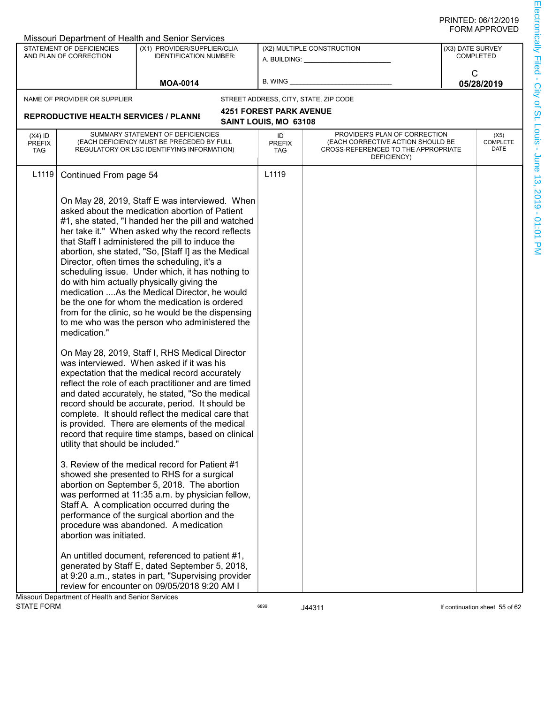|                                          |                                                     | Missouri Department of Health and Senior Services                                                                                                                                                                                                                                                                                                                                                                                                                        |                                                                |                                                                                                                          |                                      |                                 |
|------------------------------------------|-----------------------------------------------------|--------------------------------------------------------------------------------------------------------------------------------------------------------------------------------------------------------------------------------------------------------------------------------------------------------------------------------------------------------------------------------------------------------------------------------------------------------------------------|----------------------------------------------------------------|--------------------------------------------------------------------------------------------------------------------------|--------------------------------------|---------------------------------|
|                                          | STATEMENT OF DEFICIENCIES<br>AND PLAN OF CORRECTION | (X1) PROVIDER/SUPPLIER/CLIA<br><b>IDENTIFICATION NUMBER:</b>                                                                                                                                                                                                                                                                                                                                                                                                             | (X2) MULTIPLE CONSTRUCTION<br>A. BUILDING: <u>____________</u> |                                                                                                                          | (X3) DATE SURVEY<br><b>COMPLETED</b> |                                 |
|                                          |                                                     | <b>MOA-0014</b>                                                                                                                                                                                                                                                                                                                                                                                                                                                          | <b>B. WING</b>                                                 |                                                                                                                          | С<br>05/28/2019                      |                                 |
|                                          |                                                     |                                                                                                                                                                                                                                                                                                                                                                                                                                                                          |                                                                |                                                                                                                          |                                      |                                 |
|                                          | NAME OF PROVIDER OR SUPPLIER                        |                                                                                                                                                                                                                                                                                                                                                                                                                                                                          |                                                                | STREET ADDRESS, CITY, STATE, ZIP CODE                                                                                    |                                      |                                 |
|                                          | <b>REPRODUCTIVE HEALTH SERVICES / PLANNI</b>        |                                                                                                                                                                                                                                                                                                                                                                                                                                                                          | <b>4251 FOREST PARK AVENUE</b><br>SAINT LOUIS, MO 63108        |                                                                                                                          |                                      |                                 |
| $(X4)$ ID<br><b>PREFIX</b><br><b>TAG</b> |                                                     | SUMMARY STATEMENT OF DEFICIENCIES<br>(EACH DEFICIENCY MUST BE PRECEDED BY FULL<br>REGULATORY OR LSC IDENTIFYING INFORMATION)                                                                                                                                                                                                                                                                                                                                             | ID<br><b>PREFIX</b><br><b>TAG</b>                              | PROVIDER'S PLAN OF CORRECTION<br>(EACH CORRECTIVE ACTION SHOULD BE<br>CROSS-REFERENCED TO THE APPROPRIATE<br>DEFICIENCY) |                                      | (X5)<br><b>COMPLETE</b><br>DATE |
| L1119                                    | Continued From page 54                              |                                                                                                                                                                                                                                                                                                                                                                                                                                                                          | L1119                                                          |                                                                                                                          |                                      |                                 |
|                                          |                                                     | On May 28, 2019, Staff E was interviewed. When<br>asked about the medication abortion of Patient                                                                                                                                                                                                                                                                                                                                                                         |                                                                |                                                                                                                          |                                      |                                 |
|                                          |                                                     | #1, she stated, "I handed her the pill and watched                                                                                                                                                                                                                                                                                                                                                                                                                       |                                                                |                                                                                                                          |                                      |                                 |
|                                          |                                                     | her take it." When asked why the record reflects                                                                                                                                                                                                                                                                                                                                                                                                                         |                                                                |                                                                                                                          |                                      |                                 |
|                                          |                                                     | that Staff I administered the pill to induce the                                                                                                                                                                                                                                                                                                                                                                                                                         |                                                                |                                                                                                                          |                                      |                                 |
|                                          |                                                     | abortion, she stated, "So, [Staff I] as the Medical<br>Director, often times the scheduling, it's a                                                                                                                                                                                                                                                                                                                                                                      |                                                                |                                                                                                                          |                                      |                                 |
|                                          |                                                     | scheduling issue. Under which, it has nothing to                                                                                                                                                                                                                                                                                                                                                                                                                         |                                                                |                                                                                                                          |                                      |                                 |
|                                          |                                                     | do with him actually physically giving the                                                                                                                                                                                                                                                                                                                                                                                                                               |                                                                |                                                                                                                          |                                      |                                 |
|                                          |                                                     | medication As the Medical Director, he would                                                                                                                                                                                                                                                                                                                                                                                                                             |                                                                |                                                                                                                          |                                      |                                 |
|                                          |                                                     | be the one for whom the medication is ordered<br>from for the clinic, so he would be the dispensing                                                                                                                                                                                                                                                                                                                                                                      |                                                                |                                                                                                                          |                                      |                                 |
|                                          |                                                     | to me who was the person who administered the                                                                                                                                                                                                                                                                                                                                                                                                                            |                                                                |                                                                                                                          |                                      |                                 |
|                                          | medication."                                        |                                                                                                                                                                                                                                                                                                                                                                                                                                                                          |                                                                |                                                                                                                          |                                      |                                 |
|                                          | utility that should be included."                   | On May 28, 2019, Staff I, RHS Medical Director<br>was interviewed. When asked if it was his<br>expectation that the medical record accurately<br>reflect the role of each practitioner and are timed<br>and dated accurately, he stated, "So the medical<br>record should be accurate, period. It should be<br>complete. It should reflect the medical care that<br>is provided. There are elements of the medical<br>record that require time stamps, based on clinical |                                                                |                                                                                                                          |                                      |                                 |
|                                          | abortion was initiated.                             | 3. Review of the medical record for Patient #1<br>showed she presented to RHS for a surgical<br>abortion on September 5, 2018. The abortion<br>was performed at 11:35 a.m. by physician fellow,<br>Staff A. A complication occurred during the<br>performance of the surgical abortion and the<br>procedure was abandoned. A medication                                                                                                                                  |                                                                |                                                                                                                          |                                      |                                 |
|                                          |                                                     | An untitled document, referenced to patient #1,<br>generated by Staff E, dated September 5, 2018,<br>at 9:20 a.m., states in part, "Supervising provider<br>review for encounter on 09/05/2018 9:20 AM I                                                                                                                                                                                                                                                                 |                                                                |                                                                                                                          |                                      |                                 |
| <b>STATE FORM</b>                        | Missouri Department of Health and Senior Services   |                                                                                                                                                                                                                                                                                                                                                                                                                                                                          | 6899                                                           | J44311                                                                                                                   | If continuation sheet 55 of 62       |                                 |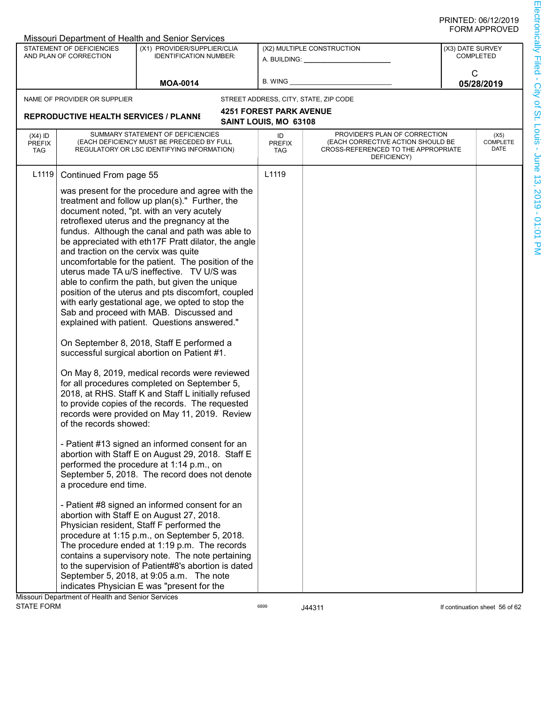|                                          |                                                                                         | <b>Missouri Department of Health and Senior Services</b>                                                                                                                                                                                                                                                                                                                                                                                                                                                                                                                                                                                                                                                                                                                                                                                                                                                                                                                                                                                                                                                                                                                                                                                                                                                                                                                                                                      |                                   |                                                                                                                          |   |                                      |  |
|------------------------------------------|-----------------------------------------------------------------------------------------|-------------------------------------------------------------------------------------------------------------------------------------------------------------------------------------------------------------------------------------------------------------------------------------------------------------------------------------------------------------------------------------------------------------------------------------------------------------------------------------------------------------------------------------------------------------------------------------------------------------------------------------------------------------------------------------------------------------------------------------------------------------------------------------------------------------------------------------------------------------------------------------------------------------------------------------------------------------------------------------------------------------------------------------------------------------------------------------------------------------------------------------------------------------------------------------------------------------------------------------------------------------------------------------------------------------------------------------------------------------------------------------------------------------------------------|-----------------------------------|--------------------------------------------------------------------------------------------------------------------------|---|--------------------------------------|--|
|                                          | STATEMENT OF DEFICIENCIES<br>AND PLAN OF CORRECTION                                     | (X1) PROVIDER/SUPPLIER/CLIA<br><b>IDENTIFICATION NUMBER:</b>                                                                                                                                                                                                                                                                                                                                                                                                                                                                                                                                                                                                                                                                                                                                                                                                                                                                                                                                                                                                                                                                                                                                                                                                                                                                                                                                                                  |                                   | (X2) MULTIPLE CONSTRUCTION<br>A. BUILDING:                                                                               |   | (X3) DATE SURVEY<br><b>COMPLETED</b> |  |
|                                          |                                                                                         |                                                                                                                                                                                                                                                                                                                                                                                                                                                                                                                                                                                                                                                                                                                                                                                                                                                                                                                                                                                                                                                                                                                                                                                                                                                                                                                                                                                                                               |                                   |                                                                                                                          | C |                                      |  |
|                                          |                                                                                         | <b>MOA-0014</b>                                                                                                                                                                                                                                                                                                                                                                                                                                                                                                                                                                                                                                                                                                                                                                                                                                                                                                                                                                                                                                                                                                                                                                                                                                                                                                                                                                                                               | <b>B. WING</b>                    |                                                                                                                          |   | 05/28/2019                           |  |
|                                          | NAME OF PROVIDER OR SUPPLIER                                                            |                                                                                                                                                                                                                                                                                                                                                                                                                                                                                                                                                                                                                                                                                                                                                                                                                                                                                                                                                                                                                                                                                                                                                                                                                                                                                                                                                                                                                               |                                   | STREET ADDRESS, CITY, STATE, ZIP CODE                                                                                    |   |                                      |  |
|                                          | <b>REPRODUCTIVE HEALTH SERVICES / PLANNI</b>                                            |                                                                                                                                                                                                                                                                                                                                                                                                                                                                                                                                                                                                                                                                                                                                                                                                                                                                                                                                                                                                                                                                                                                                                                                                                                                                                                                                                                                                                               | <b>4251 FOREST PARK AVENUE</b>    |                                                                                                                          |   |                                      |  |
|                                          |                                                                                         |                                                                                                                                                                                                                                                                                                                                                                                                                                                                                                                                                                                                                                                                                                                                                                                                                                                                                                                                                                                                                                                                                                                                                                                                                                                                                                                                                                                                                               | SAINT LOUIS, MO 63108             |                                                                                                                          |   |                                      |  |
| $(X4)$ ID<br><b>PREFIX</b><br><b>TAG</b> |                                                                                         | SUMMARY STATEMENT OF DEFICIENCIES<br>(EACH DEFICIENCY MUST BE PRECEDED BY FULL<br>REGULATORY OR LSC IDENTIFYING INFORMATION)                                                                                                                                                                                                                                                                                                                                                                                                                                                                                                                                                                                                                                                                                                                                                                                                                                                                                                                                                                                                                                                                                                                                                                                                                                                                                                  | ID<br><b>PREFIX</b><br><b>TAG</b> | PROVIDER'S PLAN OF CORRECTION<br>(EACH CORRECTIVE ACTION SHOULD BE<br>CROSS-REFERENCED TO THE APPROPRIATE<br>DEFICIENCY) |   | (X5)<br>COMPLETE<br>DATE             |  |
| L1119                                    | Continued From page 55                                                                  |                                                                                                                                                                                                                                                                                                                                                                                                                                                                                                                                                                                                                                                                                                                                                                                                                                                                                                                                                                                                                                                                                                                                                                                                                                                                                                                                                                                                                               | L1119                             |                                                                                                                          |   |                                      |  |
|                                          | and traction on the cervix was quite<br>of the records showed:<br>a procedure end time. | was present for the procedure and agree with the<br>treatment and follow up plan(s)." Further, the<br>document noted, "pt. with an very acutely<br>retroflexed uterus and the pregnancy at the<br>fundus. Although the canal and path was able to<br>be appreciated with eth17F Pratt dilator, the angle<br>uncomfortable for the patient. The position of the<br>uterus made TA u/S ineffective. TV U/S was<br>able to confirm the path, but given the unique<br>position of the uterus and pts discomfort, coupled<br>with early gestational age, we opted to stop the<br>Sab and proceed with MAB. Discussed and<br>explained with patient. Questions answered."<br>On September 8, 2018, Staff E performed a<br>successful surgical abortion on Patient #1.<br>On May 8, 2019, medical records were reviewed<br>for all procedures completed on September 5,<br>2018, at RHS. Staff K and Staff L initially refused<br>to provide copies of the records. The requested<br>records were provided on May 11, 2019. Review<br>- Patient #13 signed an informed consent for an<br>abortion with Staff E on August 29, 2018. Staff E<br>performed the procedure at 1:14 p.m., on<br>September 5, 2018. The record does not denote<br>- Patient #8 signed an informed consent for an<br>abortion with Staff E on August 27, 2018.<br>Physician resident, Staff F performed the<br>procedure at 1:15 p.m., on September 5, 2018. |                                   |                                                                                                                          |   |                                      |  |
|                                          | Missouri Department of Health and Senior Services                                       | The procedure ended at 1:19 p.m. The records<br>contains a supervisory note. The note pertaining<br>to the supervision of Patient#8's abortion is dated<br>September 5, 2018, at 9:05 a.m. The note<br>indicates Physician E was "present for the                                                                                                                                                                                                                                                                                                                                                                                                                                                                                                                                                                                                                                                                                                                                                                                                                                                                                                                                                                                                                                                                                                                                                                             |                                   |                                                                                                                          |   |                                      |  |
| <b>STATE FORM</b>                        |                                                                                         |                                                                                                                                                                                                                                                                                                                                                                                                                                                                                                                                                                                                                                                                                                                                                                                                                                                                                                                                                                                                                                                                                                                                                                                                                                                                                                                                                                                                                               | 6899                              | J44311                                                                                                                   |   | If continuation sheet 56 of 62       |  |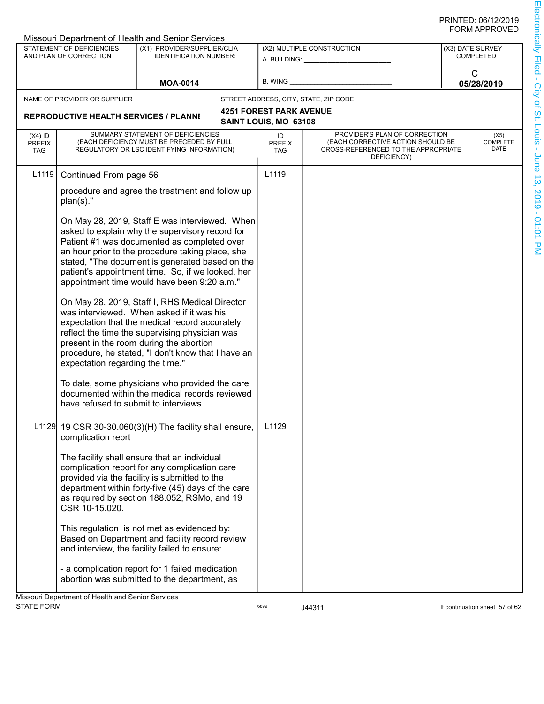| C<br><b>B. WING</b><br><b>MOA-0014</b><br>05/28/2019<br>NAME OF PROVIDER OR SUPPLIER<br>STREET ADDRESS, CITY, STATE, ZIP CODE<br><b>4251 FOREST PARK AVENUE</b><br><b>REPRODUCTIVE HEALTH SERVICES / PLANNI</b><br>SAINT LOUIS, MO 63108<br>PROVIDER'S PLAN OF CORRECTION<br>SUMMARY STATEMENT OF DEFICIENCIES<br>$(X4)$ ID<br>ID<br>(X5)<br>(EACH DEFICIENCY MUST BE PRECEDED BY FULL<br>(EACH CORRECTIVE ACTION SHOULD BE<br><b>PREFIX</b><br><b>PREFIX</b><br>DATE<br>REGULATORY OR LSC IDENTIFYING INFORMATION)<br>CROSS-REFERENCED TO THE APPROPRIATE<br><b>TAG</b><br><b>TAG</b><br>DEFICIENCY)<br>L1119<br>L <sub>1119</sub><br>Continued From page 56<br>procedure and agree the treatment and follow up<br>plan(s)."<br>On May 28, 2019, Staff E was interviewed. When<br>asked to explain why the supervisory record for<br>Patient #1 was documented as completed over<br>an hour prior to the procedure taking place, she<br>stated, "The document is generated based on the<br>patient's appointment time. So, if we looked, her<br>appointment time would have been 9:20 a.m."<br>On May 28, 2019, Staff I, RHS Medical Director<br>was interviewed. When asked if it was his<br>expectation that the medical record accurately<br>reflect the time the supervising physician was<br>present in the room during the abortion<br>procedure, he stated, "I don't know that I have an<br>expectation regarding the time."<br>To date, some physicians who provided the care<br>documented within the medical records reviewed<br>have refused to submit to interviews.<br>L <sub>1129</sub><br>L1129 19 CSR 30-30.060(3)(H) The facility shall ensure,<br>complication reprt<br>The facility shall ensure that an individual<br>complication report for any complication care<br>provided via the facility is submitted to the<br>department within forty-five (45) days of the care<br>as required by section 188.052, RSMo, and 19<br>CSR 10-15.020.<br>This regulation is not met as evidenced by:<br>Based on Department and facility record review<br>and interview, the facility failed to ensure:<br>- a complication report for 1 failed medication<br>abortion was submitted to the department, as | <b>Missouri Department of Health and Senior Services</b><br>STATEMENT OF DEFICIENCIES<br>(X1) PROVIDER/SUPPLIER/CLIA<br>AND PLAN OF CORRECTION<br><b>IDENTIFICATION NUMBER:</b> |  |  | (X2) MULTIPLE CONSTRUCTION | (X3) DATE SURVEY<br><b>COMPLETED</b> |          |
|------------------------------------------------------------------------------------------------------------------------------------------------------------------------------------------------------------------------------------------------------------------------------------------------------------------------------------------------------------------------------------------------------------------------------------------------------------------------------------------------------------------------------------------------------------------------------------------------------------------------------------------------------------------------------------------------------------------------------------------------------------------------------------------------------------------------------------------------------------------------------------------------------------------------------------------------------------------------------------------------------------------------------------------------------------------------------------------------------------------------------------------------------------------------------------------------------------------------------------------------------------------------------------------------------------------------------------------------------------------------------------------------------------------------------------------------------------------------------------------------------------------------------------------------------------------------------------------------------------------------------------------------------------------------------------------------------------------------------------------------------------------------------------------------------------------------------------------------------------------------------------------------------------------------------------------------------------------------------------------------------------------------------------------------------------------------------------------------------------------------------------------------------------------------------------------------------------------------|---------------------------------------------------------------------------------------------------------------------------------------------------------------------------------|--|--|----------------------------|--------------------------------------|----------|
|                                                                                                                                                                                                                                                                                                                                                                                                                                                                                                                                                                                                                                                                                                                                                                                                                                                                                                                                                                                                                                                                                                                                                                                                                                                                                                                                                                                                                                                                                                                                                                                                                                                                                                                                                                                                                                                                                                                                                                                                                                                                                                                                                                                                                        |                                                                                                                                                                                 |  |  |                            |                                      |          |
|                                                                                                                                                                                                                                                                                                                                                                                                                                                                                                                                                                                                                                                                                                                                                                                                                                                                                                                                                                                                                                                                                                                                                                                                                                                                                                                                                                                                                                                                                                                                                                                                                                                                                                                                                                                                                                                                                                                                                                                                                                                                                                                                                                                                                        |                                                                                                                                                                                 |  |  |                            |                                      |          |
|                                                                                                                                                                                                                                                                                                                                                                                                                                                                                                                                                                                                                                                                                                                                                                                                                                                                                                                                                                                                                                                                                                                                                                                                                                                                                                                                                                                                                                                                                                                                                                                                                                                                                                                                                                                                                                                                                                                                                                                                                                                                                                                                                                                                                        |                                                                                                                                                                                 |  |  |                            |                                      |          |
|                                                                                                                                                                                                                                                                                                                                                                                                                                                                                                                                                                                                                                                                                                                                                                                                                                                                                                                                                                                                                                                                                                                                                                                                                                                                                                                                                                                                                                                                                                                                                                                                                                                                                                                                                                                                                                                                                                                                                                                                                                                                                                                                                                                                                        |                                                                                                                                                                                 |  |  |                            |                                      | COMPLETE |
|                                                                                                                                                                                                                                                                                                                                                                                                                                                                                                                                                                                                                                                                                                                                                                                                                                                                                                                                                                                                                                                                                                                                                                                                                                                                                                                                                                                                                                                                                                                                                                                                                                                                                                                                                                                                                                                                                                                                                                                                                                                                                                                                                                                                                        |                                                                                                                                                                                 |  |  |                            |                                      |          |
| Missouri Department of Health and Senior Services                                                                                                                                                                                                                                                                                                                                                                                                                                                                                                                                                                                                                                                                                                                                                                                                                                                                                                                                                                                                                                                                                                                                                                                                                                                                                                                                                                                                                                                                                                                                                                                                                                                                                                                                                                                                                                                                                                                                                                                                                                                                                                                                                                      |                                                                                                                                                                                 |  |  |                            |                                      |          |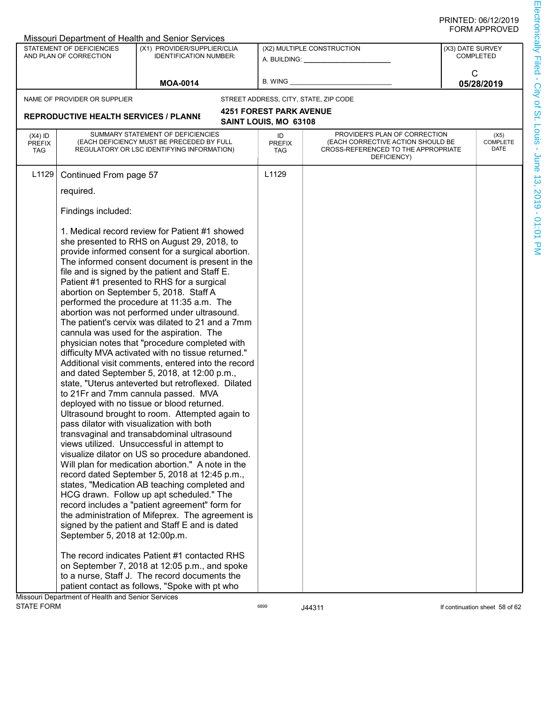|                                          |                                                     | Missouri Department of Health and Senior Services                                                                                                                                                                                                                                                                                                                                                                                                                                                                                                                                                                                                                                                                                                                                                                                                                                                                                                                                                                                                                                                                                                                                                                                                                                                                                                                                                                                                                                                                                                                                                               |                                   |                                                                                                                          |                                      |
|------------------------------------------|-----------------------------------------------------|-----------------------------------------------------------------------------------------------------------------------------------------------------------------------------------------------------------------------------------------------------------------------------------------------------------------------------------------------------------------------------------------------------------------------------------------------------------------------------------------------------------------------------------------------------------------------------------------------------------------------------------------------------------------------------------------------------------------------------------------------------------------------------------------------------------------------------------------------------------------------------------------------------------------------------------------------------------------------------------------------------------------------------------------------------------------------------------------------------------------------------------------------------------------------------------------------------------------------------------------------------------------------------------------------------------------------------------------------------------------------------------------------------------------------------------------------------------------------------------------------------------------------------------------------------------------------------------------------------------------|-----------------------------------|--------------------------------------------------------------------------------------------------------------------------|--------------------------------------|
|                                          | STATEMENT OF DEFICIENCIES<br>AND PLAN OF CORRECTION | (X1) PROVIDER/SUPPLIER/CLIA<br><b>IDENTIFICATION NUMBER:</b>                                                                                                                                                                                                                                                                                                                                                                                                                                                                                                                                                                                                                                                                                                                                                                                                                                                                                                                                                                                                                                                                                                                                                                                                                                                                                                                                                                                                                                                                                                                                                    | A. BUILDING: __________           | (X2) MULTIPLE CONSTRUCTION                                                                                               | (X3) DATE SURVEY<br><b>COMPLETED</b> |
|                                          |                                                     | <b>MOA-0014</b>                                                                                                                                                                                                                                                                                                                                                                                                                                                                                                                                                                                                                                                                                                                                                                                                                                                                                                                                                                                                                                                                                                                                                                                                                                                                                                                                                                                                                                                                                                                                                                                                 | <b>B. WING</b>                    |                                                                                                                          | С<br>05/28/2019                      |
|                                          | NAME OF PROVIDER OR SUPPLIER                        |                                                                                                                                                                                                                                                                                                                                                                                                                                                                                                                                                                                                                                                                                                                                                                                                                                                                                                                                                                                                                                                                                                                                                                                                                                                                                                                                                                                                                                                                                                                                                                                                                 |                                   | STREET ADDRESS, CITY, STATE, ZIP CODE                                                                                    |                                      |
|                                          |                                                     |                                                                                                                                                                                                                                                                                                                                                                                                                                                                                                                                                                                                                                                                                                                                                                                                                                                                                                                                                                                                                                                                                                                                                                                                                                                                                                                                                                                                                                                                                                                                                                                                                 | <b>4251 FOREST PARK AVENUE</b>    |                                                                                                                          |                                      |
|                                          | <b>REPRODUCTIVE HEALTH SERVICES / PLANNI</b>        |                                                                                                                                                                                                                                                                                                                                                                                                                                                                                                                                                                                                                                                                                                                                                                                                                                                                                                                                                                                                                                                                                                                                                                                                                                                                                                                                                                                                                                                                                                                                                                                                                 | SAINT LOUIS, MO 63108             |                                                                                                                          |                                      |
| $(X4)$ ID<br><b>PREFIX</b><br><b>TAG</b> |                                                     | SUMMARY STATEMENT OF DEFICIENCIES<br>(EACH DEFICIENCY MUST BE PRECEDED BY FULL<br>REGULATORY OR LSC IDENTIFYING INFORMATION)                                                                                                                                                                                                                                                                                                                                                                                                                                                                                                                                                                                                                                                                                                                                                                                                                                                                                                                                                                                                                                                                                                                                                                                                                                                                                                                                                                                                                                                                                    | ID<br><b>PREFIX</b><br><b>TAG</b> | PROVIDER'S PLAN OF CORRECTION<br>(EACH CORRECTIVE ACTION SHOULD BE<br>CROSS-REFERENCED TO THE APPROPRIATE<br>DEFICIENCY) | (X5)<br><b>COMPLETE</b><br>DATE      |
| L <sub>1129</sub>                        | Continued From page 57                              |                                                                                                                                                                                                                                                                                                                                                                                                                                                                                                                                                                                                                                                                                                                                                                                                                                                                                                                                                                                                                                                                                                                                                                                                                                                                                                                                                                                                                                                                                                                                                                                                                 | L1129                             |                                                                                                                          |                                      |
|                                          | required.                                           |                                                                                                                                                                                                                                                                                                                                                                                                                                                                                                                                                                                                                                                                                                                                                                                                                                                                                                                                                                                                                                                                                                                                                                                                                                                                                                                                                                                                                                                                                                                                                                                                                 |                                   |                                                                                                                          |                                      |
|                                          | Findings included:                                  |                                                                                                                                                                                                                                                                                                                                                                                                                                                                                                                                                                                                                                                                                                                                                                                                                                                                                                                                                                                                                                                                                                                                                                                                                                                                                                                                                                                                                                                                                                                                                                                                                 |                                   |                                                                                                                          |                                      |
|                                          | September 5, 2018 at 12:00p.m.                      | 1. Medical record review for Patient #1 showed<br>she presented to RHS on August 29, 2018, to<br>provide informed consent for a surgical abortion.<br>The informed consent document is present in the<br>file and is signed by the patient and Staff E.<br>Patient #1 presented to RHS for a surgical<br>abortion on September 5, 2018. Staff A<br>performed the procedure at 11:35 a.m. The<br>abortion was not performed under ultrasound.<br>The patient's cervix was dilated to 21 and a 7mm<br>cannula was used for the aspiration. The<br>physician notes that "procedure completed with<br>difficulty MVA activated with no tissue returned."<br>Additional visit comments, entered into the record<br>and dated September 5, 2018, at 12:00 p.m.,<br>state, "Uterus anteverted but retroflexed. Dilated<br>to 21Fr and 7mm cannula passed. MVA<br>deployed with no tissue or blood returned.<br>Ultrasound brought to room. Attempted again to<br>pass dilator with visualization with both<br>transvaginal and transabdominal ultrasound<br>views utilized. Unsuccessful in attempt to<br>visualize dilator on US so procedure abandoned.<br>Will plan for medication abortion." A note in the<br>record dated September 5, 2018 at 12:45 p.m.,<br>states, "Medication AB teaching completed and<br>HCG drawn. Follow up apt scheduled." The<br>record includes a "patient agreement" form for<br>the administration of Mifeprex. The agreement is<br>signed by the patient and Staff E and is dated<br>The record indicates Patient #1 contacted RHS<br>on September 7, 2018 at 12:05 p.m., and spoke |                                   |                                                                                                                          |                                      |
|                                          |                                                     | to a nurse, Staff J. The record documents the                                                                                                                                                                                                                                                                                                                                                                                                                                                                                                                                                                                                                                                                                                                                                                                                                                                                                                                                                                                                                                                                                                                                                                                                                                                                                                                                                                                                                                                                                                                                                                   |                                   |                                                                                                                          |                                      |
|                                          |                                                     | patient contact as follows, "Spoke with pt who                                                                                                                                                                                                                                                                                                                                                                                                                                                                                                                                                                                                                                                                                                                                                                                                                                                                                                                                                                                                                                                                                                                                                                                                                                                                                                                                                                                                                                                                                                                                                                  |                                   |                                                                                                                          |                                      |
| <b>STATE FORM</b>                        | Missouri Department of Health and Senior Services   |                                                                                                                                                                                                                                                                                                                                                                                                                                                                                                                                                                                                                                                                                                                                                                                                                                                                                                                                                                                                                                                                                                                                                                                                                                                                                                                                                                                                                                                                                                                                                                                                                 | 6899                              | J44311                                                                                                                   | If continuation sheet 58 of 62       |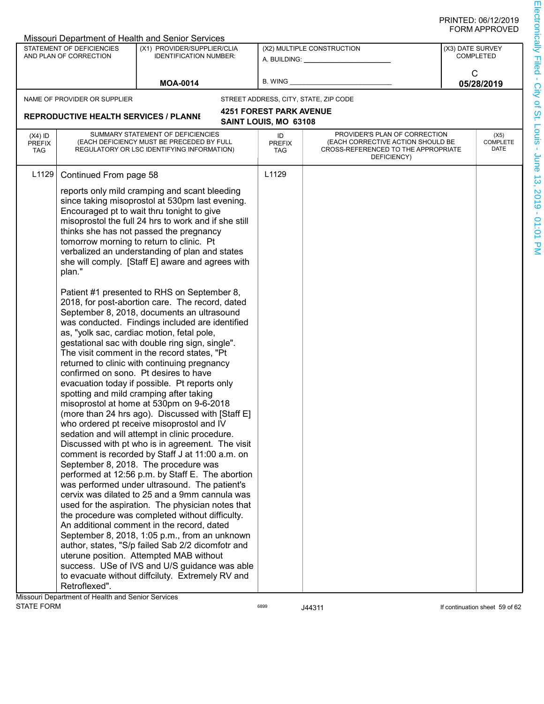|                                          |                                                                    | Missouri Department of Health and Senior Services                                                                                                                                                                                                                                                                                                                                                                                                                                                                                                                                                                                                                                                                                                                                                                                                                                                                                                                                                                                                                                                                                                                                                                                                                                                                                                                                                                                                                                                                                                                                                                                                                                                                                                                                                        |                                                         |                                                                                                                          |                                      |                          |
|------------------------------------------|--------------------------------------------------------------------|----------------------------------------------------------------------------------------------------------------------------------------------------------------------------------------------------------------------------------------------------------------------------------------------------------------------------------------------------------------------------------------------------------------------------------------------------------------------------------------------------------------------------------------------------------------------------------------------------------------------------------------------------------------------------------------------------------------------------------------------------------------------------------------------------------------------------------------------------------------------------------------------------------------------------------------------------------------------------------------------------------------------------------------------------------------------------------------------------------------------------------------------------------------------------------------------------------------------------------------------------------------------------------------------------------------------------------------------------------------------------------------------------------------------------------------------------------------------------------------------------------------------------------------------------------------------------------------------------------------------------------------------------------------------------------------------------------------------------------------------------------------------------------------------------------|---------------------------------------------------------|--------------------------------------------------------------------------------------------------------------------------|--------------------------------------|--------------------------|
|                                          | STATEMENT OF DEFICIENCIES<br>AND PLAN OF CORRECTION                | (X1) PROVIDER/SUPPLIER/CLIA<br><b>IDENTIFICATION NUMBER:</b>                                                                                                                                                                                                                                                                                                                                                                                                                                                                                                                                                                                                                                                                                                                                                                                                                                                                                                                                                                                                                                                                                                                                                                                                                                                                                                                                                                                                                                                                                                                                                                                                                                                                                                                                             |                                                         | (X2) MULTIPLE CONSTRUCTION                                                                                               | (X3) DATE SURVEY<br><b>COMPLETED</b> |                          |
|                                          |                                                                    | <b>MOA-0014</b>                                                                                                                                                                                                                                                                                                                                                                                                                                                                                                                                                                                                                                                                                                                                                                                                                                                                                                                                                                                                                                                                                                                                                                                                                                                                                                                                                                                                                                                                                                                                                                                                                                                                                                                                                                                          | B. WING                                                 |                                                                                                                          | C<br>05/28/2019                      |                          |
|                                          | NAME OF PROVIDER OR SUPPLIER                                       |                                                                                                                                                                                                                                                                                                                                                                                                                                                                                                                                                                                                                                                                                                                                                                                                                                                                                                                                                                                                                                                                                                                                                                                                                                                                                                                                                                                                                                                                                                                                                                                                                                                                                                                                                                                                          |                                                         | STREET ADDRESS, CITY, STATE, ZIP CODE                                                                                    |                                      |                          |
|                                          | <b>REPRODUCTIVE HEALTH SERVICES / PLANNI</b>                       |                                                                                                                                                                                                                                                                                                                                                                                                                                                                                                                                                                                                                                                                                                                                                                                                                                                                                                                                                                                                                                                                                                                                                                                                                                                                                                                                                                                                                                                                                                                                                                                                                                                                                                                                                                                                          | <b>4251 FOREST PARK AVENUE</b><br>SAINT LOUIS, MO 63108 |                                                                                                                          |                                      |                          |
| $(X4)$ ID<br><b>PREFIX</b><br><b>TAG</b> |                                                                    | SUMMARY STATEMENT OF DEFICIENCIES<br>(EACH DEFICIENCY MUST BE PRECEDED BY FULL<br>REGULATORY OR LSC IDENTIFYING INFORMATION)                                                                                                                                                                                                                                                                                                                                                                                                                                                                                                                                                                                                                                                                                                                                                                                                                                                                                                                                                                                                                                                                                                                                                                                                                                                                                                                                                                                                                                                                                                                                                                                                                                                                             | ID<br><b>PREFIX</b><br><b>TAG</b>                       | PROVIDER'S PLAN OF CORRECTION<br>(EACH CORRECTIVE ACTION SHOULD BE<br>CROSS-REFERENCED TO THE APPROPRIATE<br>DEFICIENCY) |                                      | (X5)<br>COMPLETE<br>DATE |
| L <sub>1129</sub>                        | Continued From page 58<br>plan."                                   | reports only mild cramping and scant bleeding<br>since taking misoprostol at 530pm last evening.<br>Encouraged pt to wait thru tonight to give<br>misoprostol the full 24 hrs to work and if she still<br>thinks she has not passed the pregnancy<br>tomorrow morning to return to clinic. Pt<br>verbalized an understanding of plan and states<br>she will comply. [Staff E] aware and agrees with<br>Patient #1 presented to RHS on September 8,<br>2018, for post-abortion care. The record, dated<br>September 8, 2018, documents an ultrasound<br>was conducted. Findings included are identified<br>as, "yolk sac, cardiac motion, fetal pole,<br>gestational sac with double ring sign, single".<br>The visit comment in the record states, "Pt<br>returned to clinic with continuing pregnancy<br>confirmed on sono. Pt desires to have<br>evacuation today if possible. Pt reports only<br>spotting and mild cramping after taking<br>misoprostol at home at 530pm on 9-6-2018<br>(more than 24 hrs ago). Discussed with [Staff E]<br>who ordered pt receive misoprostol and IV<br>sedation and will attempt in clinic procedure.<br>Discussed with pt who is in agreement. The visit<br>comment is recorded by Staff J at 11:00 a.m. on<br>September 8, 2018. The procedure was<br>performed at 12:56 p.m. by Staff E. The abortion<br>was performed under ultrasound. The patient's<br>cervix was dilated to 25 and a 9mm cannula was<br>used for the aspiration. The physician notes that<br>the procedure was completed without difficulty.<br>An additional comment in the record, dated<br>September 8, 2018, 1:05 p.m., from an unknown<br>author, states, "S/p failed Sab 2/2 dicomfotr and<br>uterune position. Attempted MAB without<br>success. USe of IVS and U/S guidance was able | L1129                                                   |                                                                                                                          |                                      |                          |
|                                          | Retroflexed".<br>Missouri Department of Health and Senior Services | to evacuate without diffciluty. Extremely RV and                                                                                                                                                                                                                                                                                                                                                                                                                                                                                                                                                                                                                                                                                                                                                                                                                                                                                                                                                                                                                                                                                                                                                                                                                                                                                                                                                                                                                                                                                                                                                                                                                                                                                                                                                         |                                                         |                                                                                                                          |                                      |                          |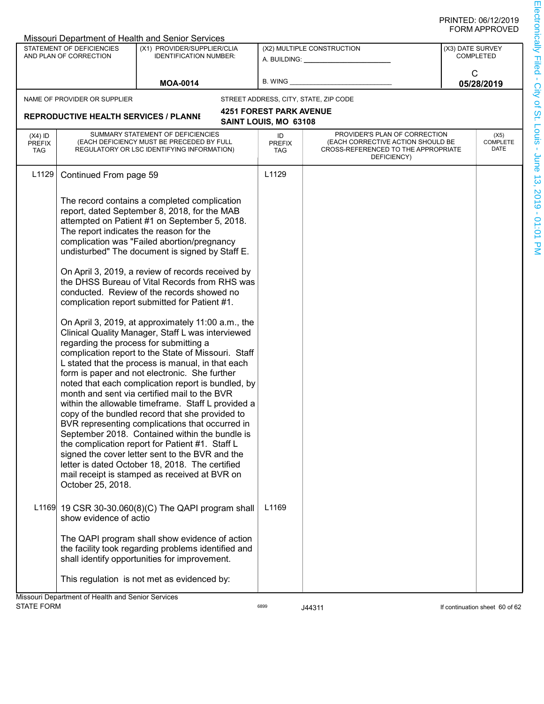|                                          | <b>Missouri Department of Health and Senior Services</b><br>STATEMENT OF DEFICIENCIES<br>(X1) PROVIDER/SUPPLIER/CLIA<br>AND PLAN OF CORRECTION<br><b>IDENTIFICATION NUMBER:</b> |                                                                                                                                                                                                                                                                                                                                                                                                                                                                                                                                                                                                                                                                                                                                                                                                                                                                                                                                                                                                                                                                                                                                                                                                                                                                                                                                                 |                                                         | (X2) MULTIPLE CONSTRUCTION<br>A. BUILDING: ________________                                                              | (X3) DATE SURVEY<br><b>COMPLETED</b> |
|------------------------------------------|---------------------------------------------------------------------------------------------------------------------------------------------------------------------------------|-------------------------------------------------------------------------------------------------------------------------------------------------------------------------------------------------------------------------------------------------------------------------------------------------------------------------------------------------------------------------------------------------------------------------------------------------------------------------------------------------------------------------------------------------------------------------------------------------------------------------------------------------------------------------------------------------------------------------------------------------------------------------------------------------------------------------------------------------------------------------------------------------------------------------------------------------------------------------------------------------------------------------------------------------------------------------------------------------------------------------------------------------------------------------------------------------------------------------------------------------------------------------------------------------------------------------------------------------|---------------------------------------------------------|--------------------------------------------------------------------------------------------------------------------------|--------------------------------------|
|                                          |                                                                                                                                                                                 | <b>MOA-0014</b>                                                                                                                                                                                                                                                                                                                                                                                                                                                                                                                                                                                                                                                                                                                                                                                                                                                                                                                                                                                                                                                                                                                                                                                                                                                                                                                                 | <b>B. WING</b>                                          |                                                                                                                          | C<br>05/28/2019                      |
|                                          | NAME OF PROVIDER OR SUPPLIER                                                                                                                                                    |                                                                                                                                                                                                                                                                                                                                                                                                                                                                                                                                                                                                                                                                                                                                                                                                                                                                                                                                                                                                                                                                                                                                                                                                                                                                                                                                                 |                                                         | STREET ADDRESS, CITY, STATE, ZIP CODE                                                                                    |                                      |
|                                          | <b>REPRODUCTIVE HEALTH SERVICES / PLANNI</b>                                                                                                                                    |                                                                                                                                                                                                                                                                                                                                                                                                                                                                                                                                                                                                                                                                                                                                                                                                                                                                                                                                                                                                                                                                                                                                                                                                                                                                                                                                                 | <b>4251 FOREST PARK AVENUE</b><br>SAINT LOUIS, MO 63108 |                                                                                                                          |                                      |
| $(X4)$ ID<br><b>PREFIX</b><br><b>TAG</b> |                                                                                                                                                                                 | SUMMARY STATEMENT OF DEFICIENCIES<br>(EACH DEFICIENCY MUST BE PRECEDED BY FULL<br>REGULATORY OR LSC IDENTIFYING INFORMATION)                                                                                                                                                                                                                                                                                                                                                                                                                                                                                                                                                                                                                                                                                                                                                                                                                                                                                                                                                                                                                                                                                                                                                                                                                    | ID<br><b>PREFIX</b><br><b>TAG</b>                       | PROVIDER'S PLAN OF CORRECTION<br>(EACH CORRECTIVE ACTION SHOULD BE<br>CROSS-REFERENCED TO THE APPROPRIATE<br>DEFICIENCY) | (X5)<br>COMPLETE<br>DATE             |
| L <sub>1129</sub>                        | Continued From page 59                                                                                                                                                          |                                                                                                                                                                                                                                                                                                                                                                                                                                                                                                                                                                                                                                                                                                                                                                                                                                                                                                                                                                                                                                                                                                                                                                                                                                                                                                                                                 | L1129                                                   |                                                                                                                          |                                      |
|                                          | October 25, 2018.                                                                                                                                                               | The record contains a completed complication<br>report, dated September 8, 2018, for the MAB<br>attempted on Patient #1 on September 5, 2018.<br>The report indicates the reason for the<br>complication was "Failed abortion/pregnancy<br>undisturbed" The document is signed by Staff E.<br>On April 3, 2019, a review of records received by<br>the DHSS Bureau of Vital Records from RHS was<br>conducted. Review of the records showed no<br>complication report submitted for Patient #1.<br>On April 3, 2019, at approximately 11:00 a.m., the<br>Clinical Quality Manager, Staff L was interviewed<br>regarding the process for submitting a<br>complication report to the State of Missouri. Staff<br>L stated that the process is manual, in that each<br>form is paper and not electronic. She further<br>noted that each complication report is bundled, by<br>month and sent via certified mail to the BVR<br>within the allowable timeframe. Staff L provided a<br>copy of the bundled record that she provided to<br>BVR representing complications that occurred in<br>September 2018. Contained within the bundle is<br>the complication report for Patient #1. Staff L<br>signed the cover letter sent to the BVR and the<br>letter is dated October 18, 2018. The certified<br>mail receipt is stamped as received at BVR on |                                                         |                                                                                                                          |                                      |
|                                          | show evidence of actio                                                                                                                                                          | L1169 19 CSR 30-30.060(8)(C) The QAPI program shall                                                                                                                                                                                                                                                                                                                                                                                                                                                                                                                                                                                                                                                                                                                                                                                                                                                                                                                                                                                                                                                                                                                                                                                                                                                                                             | L1169                                                   |                                                                                                                          |                                      |
|                                          |                                                                                                                                                                                 | The QAPI program shall show evidence of action<br>the facility took regarding problems identified and<br>shall identify opportunities for improvement.                                                                                                                                                                                                                                                                                                                                                                                                                                                                                                                                                                                                                                                                                                                                                                                                                                                                                                                                                                                                                                                                                                                                                                                          |                                                         |                                                                                                                          |                                      |
|                                          |                                                                                                                                                                                 | This regulation is not met as evidenced by:                                                                                                                                                                                                                                                                                                                                                                                                                                                                                                                                                                                                                                                                                                                                                                                                                                                                                                                                                                                                                                                                                                                                                                                                                                                                                                     |                                                         |                                                                                                                          |                                      |
| <b>STATE FORM</b>                        | Missouri Department of Health and Senior Services                                                                                                                               |                                                                                                                                                                                                                                                                                                                                                                                                                                                                                                                                                                                                                                                                                                                                                                                                                                                                                                                                                                                                                                                                                                                                                                                                                                                                                                                                                 | 6899                                                    | J44311                                                                                                                   | If continuation sheet 60 of 62       |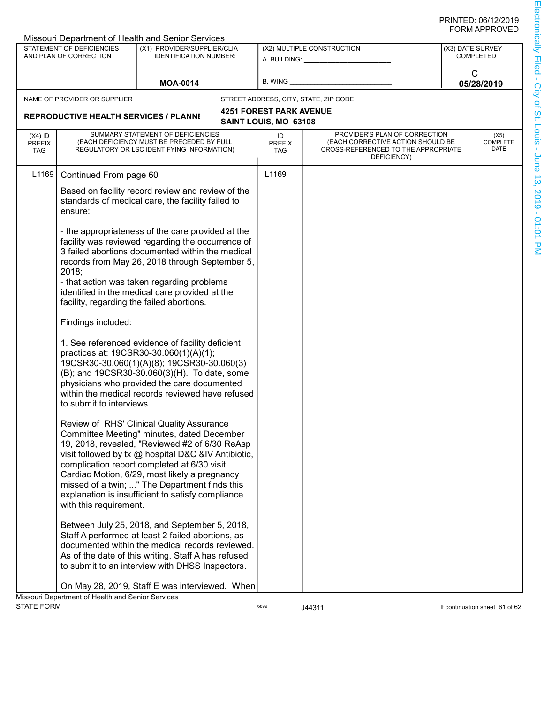|                                                                        |                                                                                                                              | Missouri Department of Health and Senior Services                                                                                                                                                                                                                                                                                                                                                       |                                                                               |                                                                                                                          |                                      |                                |
|------------------------------------------------------------------------|------------------------------------------------------------------------------------------------------------------------------|---------------------------------------------------------------------------------------------------------------------------------------------------------------------------------------------------------------------------------------------------------------------------------------------------------------------------------------------------------------------------------------------------------|-------------------------------------------------------------------------------|--------------------------------------------------------------------------------------------------------------------------|--------------------------------------|--------------------------------|
| STATEMENT OF DEFICIENCIES<br>AND PLAN OF CORRECTION<br><b>MOA-0014</b> |                                                                                                                              | (X1) PROVIDER/SUPPLIER/CLIA<br><b>IDENTIFICATION NUMBER:</b>                                                                                                                                                                                                                                                                                                                                            | (X2) MULTIPLE CONSTRUCTION<br>A. BUILDING: ________________<br><b>B. WING</b> |                                                                                                                          | (X3) DATE SURVEY<br><b>COMPLETED</b> |                                |
|                                                                        |                                                                                                                              |                                                                                                                                                                                                                                                                                                                                                                                                         |                                                                               |                                                                                                                          |                                      | C<br>05/28/2019                |
|                                                                        | NAME OF PROVIDER OR SUPPLIER                                                                                                 |                                                                                                                                                                                                                                                                                                                                                                                                         |                                                                               | STREET ADDRESS, CITY, STATE, ZIP CODE                                                                                    |                                      |                                |
|                                                                        |                                                                                                                              |                                                                                                                                                                                                                                                                                                                                                                                                         | <b>4251 FOREST PARK AVENUE</b>                                                |                                                                                                                          |                                      |                                |
|                                                                        | <b>REPRODUCTIVE HEALTH SERVICES / PLANNI</b>                                                                                 |                                                                                                                                                                                                                                                                                                                                                                                                         | SAINT LOUIS, MO 63108                                                         |                                                                                                                          |                                      |                                |
| $(X4)$ ID<br><b>PREFIX</b><br>TAG                                      | SUMMARY STATEMENT OF DEFICIENCIES<br>(EACH DEFICIENCY MUST BE PRECEDED BY FULL<br>REGULATORY OR LSC IDENTIFYING INFORMATION) |                                                                                                                                                                                                                                                                                                                                                                                                         | ID<br><b>PREFIX</b><br><b>TAG</b>                                             | PROVIDER'S PLAN OF CORRECTION<br>(EACH CORRECTIVE ACTION SHOULD BE<br>CROSS-REFERENCED TO THE APPROPRIATE<br>DEFICIENCY) | (X5)<br><b>COMPLETE</b><br>DATE      |                                |
| L <sub>1169</sub>                                                      | Continued From page 60                                                                                                       |                                                                                                                                                                                                                                                                                                                                                                                                         | L1169                                                                         |                                                                                                                          |                                      |                                |
|                                                                        | ensure:                                                                                                                      | Based on facility record review and review of the<br>standards of medical care, the facility failed to                                                                                                                                                                                                                                                                                                  |                                                                               |                                                                                                                          |                                      |                                |
|                                                                        | 2018;<br>facility, regarding the failed abortions.                                                                           | - the appropriateness of the care provided at the<br>facility was reviewed regarding the occurrence of<br>3 failed abortions documented within the medical<br>records from May 26, 2018 through September 5,<br>- that action was taken regarding problems<br>identified in the medical care provided at the                                                                                            |                                                                               |                                                                                                                          |                                      |                                |
|                                                                        | Findings included:                                                                                                           |                                                                                                                                                                                                                                                                                                                                                                                                         |                                                                               |                                                                                                                          |                                      |                                |
|                                                                        | to submit to interviews.                                                                                                     | 1. See referenced evidence of facility deficient<br>practices at: 19CSR30-30.060(1)(A)(1);<br>19CSR30-30.060(1)(A)(8); 19CSR30-30.060(3)<br>(B); and 19CSR30-30.060(3)(H). To date, some<br>physicians who provided the care documented<br>within the medical records reviewed have refused                                                                                                             |                                                                               |                                                                                                                          |                                      |                                |
|                                                                        | with this requirement.                                                                                                       | Review of RHS' Clinical Quality Assurance<br>Committee Meeting" minutes, dated December<br>19, 2018, revealed, "Reviewed #2 of 6/30 ReAsp<br>visit followed by tx @ hospital D&C &IV Antibiotic,<br>complication report completed at 6/30 visit.<br>Cardiac Motion, 6/29, most likely a pregnancy<br>missed of a twin; " The Department finds this<br>explanation is insufficient to satisfy compliance |                                                                               |                                                                                                                          |                                      |                                |
|                                                                        |                                                                                                                              | Between July 25, 2018, and September 5, 2018,<br>Staff A performed at least 2 failed abortions, as<br>documented within the medical records reviewed.<br>As of the date of this writing, Staff A has refused<br>to submit to an interview with DHSS Inspectors.                                                                                                                                         |                                                                               |                                                                                                                          |                                      |                                |
|                                                                        |                                                                                                                              | On May 28, 2019, Staff E was interviewed. When                                                                                                                                                                                                                                                                                                                                                          |                                                                               |                                                                                                                          |                                      |                                |
| <b>STATE FORM</b>                                                      | Missouri Department of Health and Senior Services                                                                            |                                                                                                                                                                                                                                                                                                                                                                                                         | 6899                                                                          | J44311                                                                                                                   |                                      | If continuation sheet 61 of 62 |